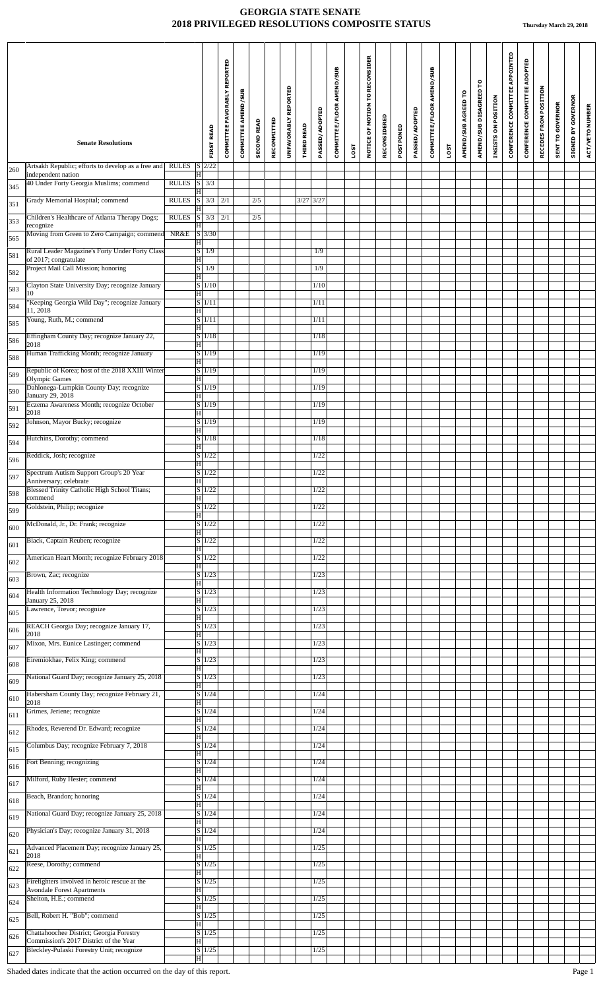|     | <b>Senate Resolutions</b>                                                                       |                 | <b>FIRST READ</b>                                                    | COMMITTEE FAVORABLY REPORTED | COMMITTEE AMEND/SUB | <b>SECOND READ</b> | RECOMMITTED | UNFAVORABLY REPORTED | <b>THIRD READ</b> | PASSED/ADOPTED | COMMITTEE/FLOOR AMEND/SUB |      | NOTICE OF MOTION TO RECONSIDER | RECONSIDERED | POSTPONED | PASSED/ADOPTED | COMMITTEE/FLOOR AMEND/SUB |      | AMEND/SUB AGREED TO | AMEND/SUB DISAGREED TO | INSISTS ON POSITION | CONFERENCE COMMITTEE APPOINTED | CONFERENCE COMMITTEE ADOPTED | RECEDES FROM POSITION | <b>SENT TO GOVERNOR</b> | GOVERNOR<br>$\mathbf{\Sigma}$<br>SIGNED | ACT/VETO NUMBER |
|-----|-------------------------------------------------------------------------------------------------|-----------------|----------------------------------------------------------------------|------------------------------|---------------------|--------------------|-------------|----------------------|-------------------|----------------|---------------------------|------|--------------------------------|--------------|-----------|----------------|---------------------------|------|---------------------|------------------------|---------------------|--------------------------------|------------------------------|-----------------------|-------------------------|-----------------------------------------|-----------------|
|     | Artsakh Republic; efforts to develop as a free and                                              | RULES $S$ 2/22  |                                                                      |                              |                     |                    |             |                      |                   |                |                           | LOST |                                |              |           |                |                           | LOST |                     |                        |                     |                                |                              |                       |                         |                                         |                 |
| 260 | independent nation<br>40 Under Forty Georgia Muslims; commend                                   | <b>RULES</b>    | $ \mathrm{H} $<br>$S$ 3/3                                            |                              |                     |                    |             |                      |                   |                |                           |      |                                |              |           |                |                           |      |                     |                        |                     |                                |                              |                       |                         |                                         |                 |
| 345 | Grady Memorial Hospital; commend                                                                | <b>RULES</b>    | $\overline{\mathbf{H}}$<br>$\overline{\vert s \vert}$<br>$3/3$ $2/1$ |                              |                     | 2/5                |             |                      | $3/27$ $3/27$     |                |                           |      |                                |              |           |                |                           |      |                     |                        |                     |                                |                              |                       |                         |                                         |                 |
| 351 | Children's Healthcare of Atlanta Therapy Dogs;                                                  | RULES S 3/3 2/1 | $ {\rm H} $                                                          |                              |                     | 2/5                |             |                      |                   |                |                           |      |                                |              |           |                |                           |      |                     |                        |                     |                                |                              |                       |                         |                                         |                 |
| 353 | recognize<br>Moving from Green to Zero Campaign; commend                                        | NR&E            | $\vert \mathrm{H} \vert$<br>$S$ 3/30                                 |                              |                     |                    |             |                      |                   |                |                           |      |                                |              |           |                |                           |      |                     |                        |                     |                                |                              |                       |                         |                                         |                 |
| 565 | Rural Leader Magazine's Forty Under Forty Class                                                 |                 | $\vert H \vert$<br>$S \mid 1/9$                                      |                              |                     |                    |             |                      |                   | 1/9            |                           |      |                                |              |           |                |                           |      |                     |                        |                     |                                |                              |                       |                         |                                         |                 |
| 581 | of 2017; congratulate<br>Project Mail Call Mission; honoring                                    |                 | H<br>$S \mid 1/9$                                                    |                              |                     |                    |             |                      |                   | 1/9            |                           |      |                                |              |           |                |                           |      |                     |                        |                     |                                |                              |                       |                         |                                         |                 |
| 582 | Clayton State University Day; recognize January                                                 |                 | $\overline{\mathrm{H}}$<br>$S$ 1/10                                  |                              |                     |                    |             |                      |                   | 1/10           |                           |      |                                |              |           |                |                           |      |                     |                        |                     |                                |                              |                       |                         |                                         |                 |
| 583 | 10<br>"Keeping Georgia Wild Day"; recognize January                                             |                 | $\overline{\mathbf{H}}$<br>$S$ 1/11                                  |                              |                     |                    |             |                      |                   | 1/11           |                           |      |                                |              |           |                |                           |      |                     |                        |                     |                                |                              |                       |                         |                                         |                 |
| 584 | 11, 2018<br>Young, Ruth, M.; commend                                                            |                 | $\overline{\mathbf{H}}$<br>$S$ 1/11                                  |                              |                     |                    |             |                      |                   | 1/11           |                           |      |                                |              |           |                |                           |      |                     |                        |                     |                                |                              |                       |                         |                                         |                 |
| 585 | Effingham County Day; recognize January 22,                                                     |                 | $\overline{\mathbf{H}}$<br>S/1/18                                    |                              |                     |                    |             |                      |                   | 1/18           |                           |      |                                |              |           |                |                           |      |                     |                        |                     |                                |                              |                       |                         |                                         |                 |
| 586 | 2018<br>Human Trafficking Month; recognize January                                              |                 | H<br>$S$ 1/19                                                        |                              |                     |                    |             |                      |                   | 1/19           |                           |      |                                |              |           |                |                           |      |                     |                        |                     |                                |                              |                       |                         |                                         |                 |
| 588 | Republic of Korea; host of the 2018 XXIII Winter                                                |                 | $\overline{\mathbf{H}}$<br>$S$ 1/19                                  |                              |                     |                    |             |                      |                   | 1/19           |                           |      |                                |              |           |                |                           |      |                     |                        |                     |                                |                              |                       |                         |                                         |                 |
| 589 | <b>Olympic Games</b><br>Dahlonega-Lumpkin County Day; recognize                                 |                 | H<br>$S$ 1/19                                                        |                              |                     |                    |             |                      |                   | 1/19           |                           |      |                                |              |           |                |                           |      |                     |                        |                     |                                |                              |                       |                         |                                         |                 |
| 590 | January 29, 2018                                                                                |                 | $\overline{\rm H}$                                                   |                              |                     |                    |             |                      |                   |                |                           |      |                                |              |           |                |                           |      |                     |                        |                     |                                |                              |                       |                         |                                         |                 |
| 591 | Eczema Awareness Month; recognize October<br>2018                                               |                 | S/1/19<br>$\overline{\mathbf{H}}$                                    |                              |                     |                    |             |                      |                   | 1/19           |                           |      |                                |              |           |                |                           |      |                     |                        |                     |                                |                              |                       |                         |                                         |                 |
| 592 | Johnson, Mayor Bucky; recognize                                                                 |                 | S/1/19<br>H                                                          |                              |                     |                    |             |                      |                   | 1/19           |                           |      |                                |              |           |                |                           |      |                     |                        |                     |                                |                              |                       |                         |                                         |                 |
| 594 | Hutchins, Dorothy; commend                                                                      |                 | $S$ 1/18<br>$\overline{\mathbf{H}}$                                  |                              |                     |                    |             |                      |                   | 1/18           |                           |      |                                |              |           |                |                           |      |                     |                        |                     |                                |                              |                       |                         |                                         |                 |
| 596 | Reddick, Josh; recognize                                                                        |                 | $S$ 1/22<br>H                                                        |                              |                     |                    |             |                      |                   | 1/22           |                           |      |                                |              |           |                |                           |      |                     |                        |                     |                                |                              |                       |                         |                                         |                 |
| 597 | Spectrum Autism Support Group's 20 Year<br>Anniversary; celebrate                               |                 | S/1/22<br>$\overline{\mathbf{H}}$                                    |                              |                     |                    |             |                      |                   | 1/22           |                           |      |                                |              |           |                |                           |      |                     |                        |                     |                                |                              |                       |                         |                                         |                 |
| 598 | <b>Blessed Trinity Catholic High School Titans;</b><br>commend                                  |                 | $S$ 1/22<br>ΙH                                                       |                              |                     |                    |             |                      |                   | 1/22           |                           |      |                                |              |           |                |                           |      |                     |                        |                     |                                |                              |                       |                         |                                         |                 |
| 599 | Goldstein, Philip; recognize                                                                    |                 | $S \mid 1/22$<br>H                                                   |                              |                     |                    |             |                      |                   | 1/22           |                           |      |                                |              |           |                |                           |      |                     |                        |                     |                                |                              |                       |                         |                                         |                 |
| 600 | McDonald, Jr., Dr. Frank; recognize                                                             |                 | $S \mid 1/22$<br>H                                                   |                              |                     |                    |             |                      |                   | 1/22           |                           |      |                                |              |           |                |                           |      |                     |                        |                     |                                |                              |                       |                         |                                         |                 |
| 601 | Black, Captain Reuben; recognize                                                                |                 | S/1/22<br>H                                                          |                              |                     |                    |             |                      |                   | 1/22           |                           |      |                                |              |           |                |                           |      |                     |                        |                     |                                |                              |                       |                         |                                         |                 |
| 602 | American Heart Month; recognize February 2018<br>Brown, Zac; recognize                          |                 | $S$ 1/22<br>H                                                        |                              |                     |                    |             |                      |                   | 1/22<br>1/23   |                           |      |                                |              |           |                |                           |      |                     |                        |                     |                                |                              |                       |                         |                                         |                 |
| 603 |                                                                                                 |                 | S/1/23<br>ΙH                                                         |                              |                     |                    |             |                      |                   |                |                           |      |                                |              |           |                |                           |      |                     |                        |                     |                                |                              |                       |                         |                                         |                 |
| 604 | Health Information Technology Day; recognize<br>January 25, 2018<br>Lawrence, Trevor; recognize |                 | S/1/23<br>H<br>$S$ 1/23                                              |                              |                     |                    |             |                      |                   | 1/23<br>1/23   |                           |      |                                |              |           |                |                           |      |                     |                        |                     |                                |                              |                       |                         |                                         |                 |
| 605 | REACH Georgia Day; recognize January 17,                                                        |                 | H<br>$\vert S \vert 1/23$                                            |                              |                     |                    |             |                      |                   | 1/23           |                           |      |                                |              |           |                |                           |      |                     |                        |                     |                                |                              |                       |                         |                                         |                 |
| 606 | 2018<br>Mixon, Mrs. Eunice Lastinger; commend                                                   |                 | H<br>S/1/23                                                          |                              |                     |                    |             |                      |                   | 1/23           |                           |      |                                |              |           |                |                           |      |                     |                        |                     |                                |                              |                       |                         |                                         |                 |
| 607 | Eiremiokhae, Felix King; commend                                                                |                 | Iн<br>S/1/23                                                         |                              |                     |                    |             |                      |                   | 1/23           |                           |      |                                |              |           |                |                           |      |                     |                        |                     |                                |                              |                       |                         |                                         |                 |
| 608 | National Guard Day; recognize January 25, 2018                                                  |                 | H<br>$S \mid 1/23$                                                   |                              |                     |                    |             |                      |                   | 1/23           |                           |      |                                |              |           |                |                           |      |                     |                        |                     |                                |                              |                       |                         |                                         |                 |
| 609 | Habersham County Day; recognize February 21,                                                    |                 | ΙH<br>S/1/24                                                         |                              |                     |                    |             |                      |                   | 1/24           |                           |      |                                |              |           |                |                           |      |                     |                        |                     |                                |                              |                       |                         |                                         |                 |
| 610 | 2018<br>Grimes, Jeriene; recognize                                                              |                 | H<br>$\overline{S}$ 1/24                                             |                              |                     |                    |             |                      |                   | 1/24           |                           |      |                                |              |           |                |                           |      |                     |                        |                     |                                |                              |                       |                         |                                         |                 |
| 611 | Rhodes, Reverend Dr. Edward; recognize                                                          |                 | H<br>$S$ 1/24                                                        |                              |                     |                    |             |                      |                   | 1/24           |                           |      |                                |              |           |                |                           |      |                     |                        |                     |                                |                              |                       |                         |                                         |                 |
| 612 | Columbus Day; recognize February 7, 2018                                                        |                 | H<br>S/1/24                                                          |                              |                     |                    |             |                      |                   | 1/24           |                           |      |                                |              |           |                |                           |      |                     |                        |                     |                                |                              |                       |                         |                                         |                 |
| 615 | Fort Benning; recognizing                                                                       |                 | H<br>S/1/24                                                          |                              |                     |                    |             |                      |                   | 1/24           |                           |      |                                |              |           |                |                           |      |                     |                        |                     |                                |                              |                       |                         |                                         |                 |
| 616 | Milford, Ruby Hester; commend                                                                   |                 | ΙHΙ<br>S/1/24                                                        |                              |                     |                    |             |                      |                   | 1/24           |                           |      |                                |              |           |                |                           |      |                     |                        |                     |                                |                              |                       |                         |                                         |                 |
| 617 | Beach, Brandon; honoring                                                                        |                 | H<br>$S \mid 1/24$                                                   |                              |                     |                    |             |                      |                   | 1/24           |                           |      |                                |              |           |                |                           |      |                     |                        |                     |                                |                              |                       |                         |                                         |                 |
| 618 | National Guard Day; recognize January 25, 2018                                                  |                 | $ {\rm H} $<br>$S \mid 1/24$                                         |                              |                     |                    |             |                      |                   | 1/24           |                           |      |                                |              |           |                |                           |      |                     |                        |                     |                                |                              |                       |                         |                                         |                 |
| 619 | Physician's Day; recognize January 31, 2018                                                     |                 | H<br>$S \mid 1/24$                                                   |                              |                     |                    |             |                      |                   | 1/24           |                           |      |                                |              |           |                |                           |      |                     |                        |                     |                                |                              |                       |                         |                                         |                 |
| 620 | Advanced Placement Day; recognize January 25,                                                   |                 | H<br>$\overline{S}$ 1/25                                             |                              |                     |                    |             |                      |                   | 1/25           |                           |      |                                |              |           |                |                           |      |                     |                        |                     |                                |                              |                       |                         |                                         |                 |
| 621 | 2018<br>Reese, Dorothy; commend                                                                 |                 | H<br>S/1/25                                                          |                              |                     |                    |             |                      |                   | 1/25           |                           |      |                                |              |           |                |                           |      |                     |                        |                     |                                |                              |                       |                         |                                         |                 |
| 622 | Firefighters involved in heroic rescue at the                                                   |                 | H<br>S/1/25                                                          |                              |                     |                    |             |                      |                   | 1/25           |                           |      |                                |              |           |                |                           |      |                     |                        |                     |                                |                              |                       |                         |                                         |                 |
| 623 | <b>Avondale Forest Apartments</b><br>Shelton, H.E.; commend                                     |                 | $ \mathbf{H} $<br>S/1/25                                             |                              |                     |                    |             |                      |                   | 1/25           |                           |      |                                |              |           |                |                           |      |                     |                        |                     |                                |                              |                       |                         |                                         |                 |
| 624 | Bell, Robert H. "Bob"; commend                                                                  |                 | H<br>$\overline{S}$   1/25                                           |                              |                     |                    |             |                      |                   | 1/25           |                           |      |                                |              |           |                |                           |      |                     |                        |                     |                                |                              |                       |                         |                                         |                 |
| 625 | Chattahoochee District; Georgia Forestry                                                        |                 | ΙHΙ<br>S/1/25                                                        |                              |                     |                    |             |                      |                   | 1/25           |                           |      |                                |              |           |                |                           |      |                     |                        |                     |                                |                              |                       |                         |                                         |                 |
| 626 | Commission's 2017 District of the Year<br>Bleckley-Pulaski Forestry Unit; recognize             |                 | $ \mathbf{H} $<br>$S\overline{1/25}$                                 |                              |                     |                    |             |                      |                   | 1/25           |                           |      |                                |              |           |                |                           |      |                     |                        |                     |                                |                              |                       |                         |                                         |                 |
| 627 |                                                                                                 |                 | $ \mathbf{H} $                                                       |                              |                     |                    |             |                      |                   |                |                           |      |                                |              |           |                |                           |      |                     |                        |                     |                                |                              |                       |                         |                                         |                 |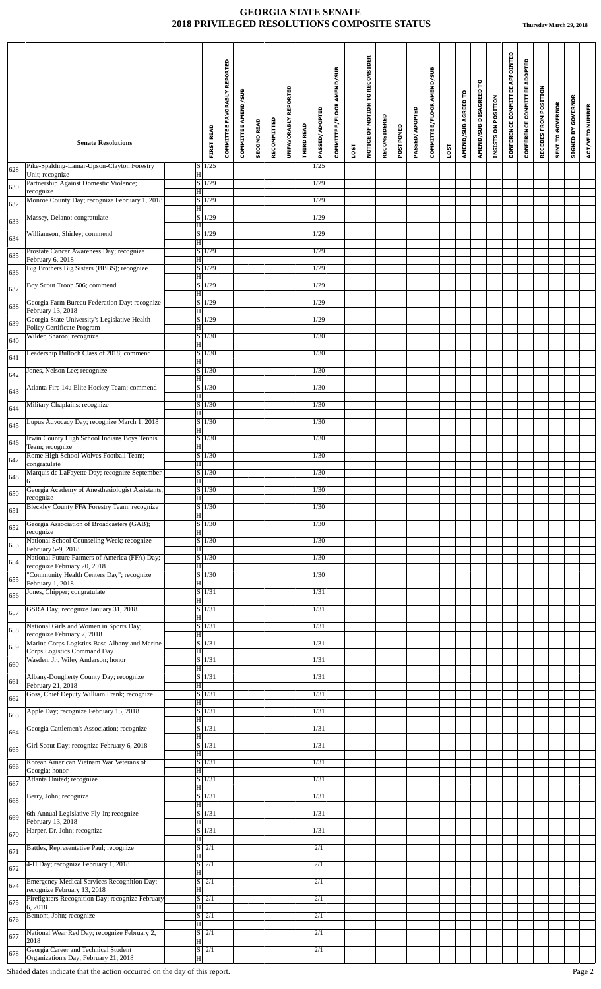|     | <b>Senate Resolutions</b>                                                              |                                           | <b>FIRST READ</b>               | COMMITTEE FAVORABLY REPORTED | COMMITTEE AMEND/SUB | <b>SECOND READ</b> | RECOMMITTED | UNFAVORABLY REPORTED | <b>THIRD READ</b> | PASSED/ADOPTED | COMMITTEE/FLOOR AMEND/SUB |      | NOTICE OF MOTION TO RECONSIDER | RECONSIDERED | POSTPONED | <b>PASSED/ADOPTED</b> | COMMITTEE/FLOOR AMEND/SUB |             | AMEND/SUB AGREED TO | AMEND/SUB DISAGREED TO | INSISTS ON POSITION | CONFERENCE COMMITTEE APPOINTED | CONFERENCE COMMITTEE ADOPTED | RECEDES FROM POSITION | <b>SENT TO GOVERNOR</b> | <b>GOVERNOR</b><br>SIGNED BY | ACT/VETO NUMBER |
|-----|----------------------------------------------------------------------------------------|-------------------------------------------|---------------------------------|------------------------------|---------------------|--------------------|-------------|----------------------|-------------------|----------------|---------------------------|------|--------------------------------|--------------|-----------|-----------------------|---------------------------|-------------|---------------------|------------------------|---------------------|--------------------------------|------------------------------|-----------------------|-------------------------|------------------------------|-----------------|
|     |                                                                                        |                                           |                                 |                              |                     |                    |             |                      |                   |                |                           | LOST |                                |              |           |                       |                           | <b>LOST</b> |                     |                        |                     |                                |                              |                       |                         |                              |                 |
| 628 | Pike-Spalding-Lamar-Upson-Clayton Forestry<br>Unit; recognize                          | H                                         | $S\vert 1/25$                   |                              |                     |                    |             |                      |                   | 1/25           |                           |      |                                |              |           |                       |                           |             |                     |                        |                     |                                |                              |                       |                         |                              |                 |
| 630 | Partnership Against Domestic Violence;<br>recognize                                    | H                                         | $S \mid 1/29$                   |                              |                     |                    |             |                      |                   | 1/29           |                           |      |                                |              |           |                       |                           |             |                     |                        |                     |                                |                              |                       |                         |                              |                 |
| 632 | Monroe County Day; recognize February 1, 2018                                          | H                                         | $S$ 1/29                        |                              |                     |                    |             |                      |                   | 1/29           |                           |      |                                |              |           |                       |                           |             |                     |                        |                     |                                |                              |                       |                         |                              |                 |
| 633 | Massey, Delano; congratulate                                                           | $\overline{\mathrm{H}}$                   | $S\vert 1/29$                   |                              |                     |                    |             |                      |                   | 1/29           |                           |      |                                |              |           |                       |                           |             |                     |                        |                     |                                |                              |                       |                         |                              |                 |
| 634 | Williamson, Shirley; commend                                                           | H                                         | S/1/29                          |                              |                     |                    |             |                      |                   | 1/29           |                           |      |                                |              |           |                       |                           |             |                     |                        |                     |                                |                              |                       |                         |                              |                 |
| 635 | Prostate Cancer Awareness Day; recognize<br>February 6, 2018                           | H                                         | S 1/29                          |                              |                     |                    |             |                      |                   | 1/29           |                           |      |                                |              |           |                       |                           |             |                     |                        |                     |                                |                              |                       |                         |                              |                 |
| 636 | Big Brothers Big Sisters (BBBS); recognize                                             | H                                         | $S\vert 1/29$                   |                              |                     |                    |             |                      |                   | 1/29           |                           |      |                                |              |           |                       |                           |             |                     |                        |                     |                                |                              |                       |                         |                              |                 |
| 637 | Boy Scout Troop 506; commend                                                           |                                           | $S\vert 1/29$                   |                              |                     |                    |             |                      |                   | 1/29           |                           |      |                                |              |           |                       |                           |             |                     |                        |                     |                                |                              |                       |                         |                              |                 |
| 638 | Georgia Farm Bureau Federation Day; recognize                                          | H                                         | S 1/29                          |                              |                     |                    |             |                      |                   | 1/29           |                           |      |                                |              |           |                       |                           |             |                     |                        |                     |                                |                              |                       |                         |                              |                 |
| 639 | February 13, 2018<br>Georgia State University's Legislative Health                     | $\overline{\mathrm{H}}$                   | S/1/29                          |                              |                     |                    |             |                      |                   | 1/29           |                           |      |                                |              |           |                       |                           |             |                     |                        |                     |                                |                              |                       |                         |                              |                 |
| 640 | Policy Certificate Program<br>Wilder, Sharon; recognize                                | $\overline{\mathrm{H}}$                   | S 1/30                          |                              |                     |                    |             |                      |                   | 1/30           |                           |      |                                |              |           |                       |                           |             |                     |                        |                     |                                |                              |                       |                         |                              |                 |
|     | Leadership Bulloch Class of 2018; commend                                              | $\vert H \vert$                           | $S\vert 1/30$                   |                              |                     |                    |             |                      |                   | 1/30           |                           |      |                                |              |           |                       |                           |             |                     |                        |                     |                                |                              |                       |                         |                              |                 |
| 641 | Jones, Nelson Lee; recognize                                                           | H                                         | $\overline{S}$   1/30           |                              |                     |                    |             |                      |                   | 1/30           |                           |      |                                |              |           |                       |                           |             |                     |                        |                     |                                |                              |                       |                         |                              |                 |
| 642 | Atlanta Fire 14u Elite Hockey Team; commend                                            | H                                         | $S\overline{1/30}$              |                              |                     |                    |             |                      |                   | 1/30           |                           |      |                                |              |           |                       |                           |             |                     |                        |                     |                                |                              |                       |                         |                              |                 |
| 643 | Military Chaplains; recognize                                                          | $\overline{\mathrm{H}}$                   | S/1/30                          |                              |                     |                    |             |                      |                   | 1/30           |                           |      |                                |              |           |                       |                           |             |                     |                        |                     |                                |                              |                       |                         |                              |                 |
| 644 | Lupus Advocacy Day; recognize March 1, 2018                                            | H                                         | $S \mid 1/30$                   |                              |                     |                    |             |                      |                   | 1/30           |                           |      |                                |              |           |                       |                           |             |                     |                        |                     |                                |                              |                       |                         |                              |                 |
| 645 |                                                                                        | H                                         |                                 |                              |                     |                    |             |                      |                   |                |                           |      |                                |              |           |                       |                           |             |                     |                        |                     |                                |                              |                       |                         |                              |                 |
| 646 | Irwin County High School Indians Boys Tennis<br>Team; recognize                        | H                                         | $S \vert 1/30$                  |                              |                     |                    |             |                      |                   | 1/30           |                           |      |                                |              |           |                       |                           |             |                     |                        |                     |                                |                              |                       |                         |                              |                 |
| 647 | Rome High School Wolves Football Team;<br>congratulate                                 | $\overline{\mathrm{H}}$                   | $S \mid 1/30$                   |                              |                     |                    |             |                      |                   | 1/30           |                           |      |                                |              |           |                       |                           |             |                     |                        |                     |                                |                              |                       |                         |                              |                 |
| 648 | Marquis de LaFayette Day; recognize September<br>6                                     | $\overline{\mathbf{H}}$                   | $S\vert 1/30$                   |                              |                     |                    |             |                      |                   | 1/30           |                           |      |                                |              |           |                       |                           |             |                     |                        |                     |                                |                              |                       |                         |                              |                 |
| 650 | Georgia Academy of Anesthesiologist Assistants;<br>recognize                           | H                                         | $S \mid 1/30$                   |                              |                     |                    |             |                      |                   | 1/30           |                           |      |                                |              |           |                       |                           |             |                     |                        |                     |                                |                              |                       |                         |                              |                 |
| 651 | <b>Bleckley County FFA Forestry Team; recognize</b>                                    | H                                         | $S \vert 1/30$                  |                              |                     |                    |             |                      |                   | 1/30           |                           |      |                                |              |           |                       |                           |             |                     |                        |                     |                                |                              |                       |                         |                              |                 |
| 652 | Georgia Association of Broadcasters (GAB);<br>recognize                                | H                                         | S 1/30                          |                              |                     |                    |             |                      |                   | 1/30           |                           |      |                                |              |           |                       |                           |             |                     |                        |                     |                                |                              |                       |                         |                              |                 |
| 653 | National School Counseling Week; recognize<br>February 5-9, 2018                       | H                                         | $S \mid 1/30$                   |                              |                     |                    |             |                      |                   | 1/30           |                           |      |                                |              |           |                       |                           |             |                     |                        |                     |                                |                              |                       |                         |                              |                 |
| 654 | National Future Farmers of America (FFA) Day;                                          |                                           | $S \vert 1/30$                  |                              |                     |                    |             |                      |                   | 1/30           |                           |      |                                |              |           |                       |                           |             |                     |                        |                     |                                |                              |                       |                         |                              |                 |
| 655 | recognize February 20, 2018<br>"Community Health Centers Day"; recognize               | H                                         | $S \mid 1/30$                   |                              |                     |                    |             |                      |                   | 1/30           |                           |      |                                |              |           |                       |                           |             |                     |                        |                     |                                |                              |                       |                         |                              |                 |
| 656 | February 1, 2018<br>Jones, Chipper; congratulate                                       | H                                         | $S \mid 1/31$                   |                              |                     |                    |             |                      |                   | 1/31           |                           |      |                                |              |           |                       |                           |             |                     |                        |                     |                                |                              |                       |                         |                              |                 |
| 657 | GSRA Day; recognize January 31, 2018                                                   | H                                         | $S \mid 1/31$                   |                              |                     |                    |             |                      |                   | 1/31           |                           |      |                                |              |           |                       |                           |             |                     |                        |                     |                                |                              |                       |                         |                              |                 |
| 658 | National Girls and Women in Sports Day;                                                | H                                         | $S \mid 1/31$                   |                              |                     |                    |             |                      |                   | 1/31           |                           |      |                                |              |           |                       |                           |             |                     |                        |                     |                                |                              |                       |                         |                              |                 |
|     | recognize February 7, 2018<br>Marine Corps Logistics Base Albany and Marine            | Ηl                                        | S 1/31                          |                              |                     |                    |             |                      |                   | 1/31           |                           |      |                                |              |           |                       |                           |             |                     |                        |                     |                                |                              |                       |                         |                              |                 |
| 659 | Corps Logistics Command Day<br>Wasden, Jr., Wiley Anderson; honor                      | H                                         | S 1/31                          |                              |                     |                    |             |                      |                   | 1/31           |                           |      |                                |              |           |                       |                           |             |                     |                        |                     |                                |                              |                       |                         |                              |                 |
| 660 | Albany-Dougherty County Day; recognize                                                 | H                                         | $\overline{S}$ 1/31             |                              |                     |                    |             |                      |                   | 1/31           |                           |      |                                |              |           |                       |                           |             |                     |                        |                     |                                |                              |                       |                         |                              |                 |
| 661 | February 21, 2018<br>Goss, Chief Deputy William Frank; recognize                       | H                                         | S 1/31                          |                              |                     |                    |             |                      |                   | 1/31           |                           |      |                                |              |           |                       |                           |             |                     |                        |                     |                                |                              |                       |                         |                              |                 |
| 662 | Apple Day; recognize February 15, 2018                                                 | H                                         | $\overline{S}$ 1/31             |                              |                     |                    |             |                      |                   | 1/31           |                           |      |                                |              |           |                       |                           |             |                     |                        |                     |                                |                              |                       |                         |                              |                 |
| 663 |                                                                                        | $\overline{H}$                            |                                 |                              |                     |                    |             |                      |                   |                |                           |      |                                |              |           |                       |                           |             |                     |                        |                     |                                |                              |                       |                         |                              |                 |
| 664 | Georgia Cattlemen's Association; recognize                                             | H                                         | S 1/31                          |                              |                     |                    |             |                      |                   | 1/31           |                           |      |                                |              |           |                       |                           |             |                     |                        |                     |                                |                              |                       |                         |                              |                 |
| 665 | Girl Scout Day; recognize February 6, 2018                                             | H                                         | $S \mid 1/31$                   |                              |                     |                    |             |                      |                   | 1/31           |                           |      |                                |              |           |                       |                           |             |                     |                        |                     |                                |                              |                       |                         |                              |                 |
| 666 | Korean American Vietnam War Veterans of<br>Georgia; honor                              | H                                         | $S \mid 1/31$                   |                              |                     |                    |             |                      |                   | 1/31           |                           |      |                                |              |           |                       |                           |             |                     |                        |                     |                                |                              |                       |                         |                              |                 |
| 667 | Atlanta United; recognize                                                              | $\overline{\mathrm{H}}$                   | $S \mid 1/31$                   |                              |                     |                    |             |                      |                   | 1/31           |                           |      |                                |              |           |                       |                           |             |                     |                        |                     |                                |                              |                       |                         |                              |                 |
| 668 | Berry, John; recognize                                                                 | $\overline{\mathrm{H}}$                   | $S$ 1/31                        |                              |                     |                    |             |                      |                   | 1/31           |                           |      |                                |              |           |                       |                           |             |                     |                        |                     |                                |                              |                       |                         |                              |                 |
| 669 | 6th Annual Legislative Fly-In; recognize<br>February 13, 2018                          | H                                         | $S \mid 1/31$                   |                              |                     |                    |             |                      |                   | 1/31           |                           |      |                                |              |           |                       |                           |             |                     |                        |                     |                                |                              |                       |                         |                              |                 |
| 670 | Harper, Dr. John; recognize                                                            |                                           | $S \vert 1/31$                  |                              |                     |                    |             |                      |                   | 1/31           |                           |      |                                |              |           |                       |                           |             |                     |                        |                     |                                |                              |                       |                         |                              |                 |
| 671 | Battles, Representative Paul; recognize                                                | H                                         | $\overline{S}$ $\overline{2}/1$ |                              |                     |                    |             |                      |                   | 2/1            |                           |      |                                |              |           |                       |                           |             |                     |                        |                     |                                |                              |                       |                         |                              |                 |
| 672 | 4-H Day; recognize February 1, 2018                                                    | H                                         | $S \mid 2/1$                    |                              |                     |                    |             |                      |                   | 2/1            |                           |      |                                |              |           |                       |                           |             |                     |                        |                     |                                |                              |                       |                         |                              |                 |
| 674 | <b>Emergency Medical Services Recognition Day;</b>                                     | H                                         | $S \mid 2/1$                    |                              |                     |                    |             |                      |                   | 2/1            |                           |      |                                |              |           |                       |                           |             |                     |                        |                     |                                |                              |                       |                         |                              |                 |
|     | recognize February 13, 2018<br><b>Firefighters Recognition Day; recognize February</b> | H                                         | $S \mid 2/1$                    |                              |                     |                    |             |                      |                   | 2/1            |                           |      |                                |              |           |                       |                           |             |                     |                        |                     |                                |                              |                       |                         |                              |                 |
| 675 | 6,2018<br>Bemont, John; recognize                                                      | $\overline{\mathrm{H}}$<br>S <sub>1</sub> | 2/1                             |                              |                     |                    |             |                      |                   | 2/1            |                           |      |                                |              |           |                       |                           |             |                     |                        |                     |                                |                              |                       |                         |                              |                 |
| 676 | National Wear Red Day; recognize February 2,                                           | $\overline{\mathrm{H}}$                   | $S$ 2/1                         |                              |                     |                    |             |                      |                   | 2/1            |                           |      |                                |              |           |                       |                           |             |                     |                        |                     |                                |                              |                       |                         |                              |                 |
| 677 | 2018<br>Georgia Career and Technical Student                                           | $\vert H \vert$                           | $S$ $2/1$                       |                              |                     |                    |             |                      |                   | 2/1            |                           |      |                                |              |           |                       |                           |             |                     |                        |                     |                                |                              |                       |                         |                              |                 |
| 678 | Organization's Day; February 21, 2018                                                  | $\overline{\mathbf{H}}$                   |                                 |                              |                     |                    |             |                      |                   |                |                           |      |                                |              |           |                       |                           |             |                     |                        |                     |                                |                              |                       |                         |                              |                 |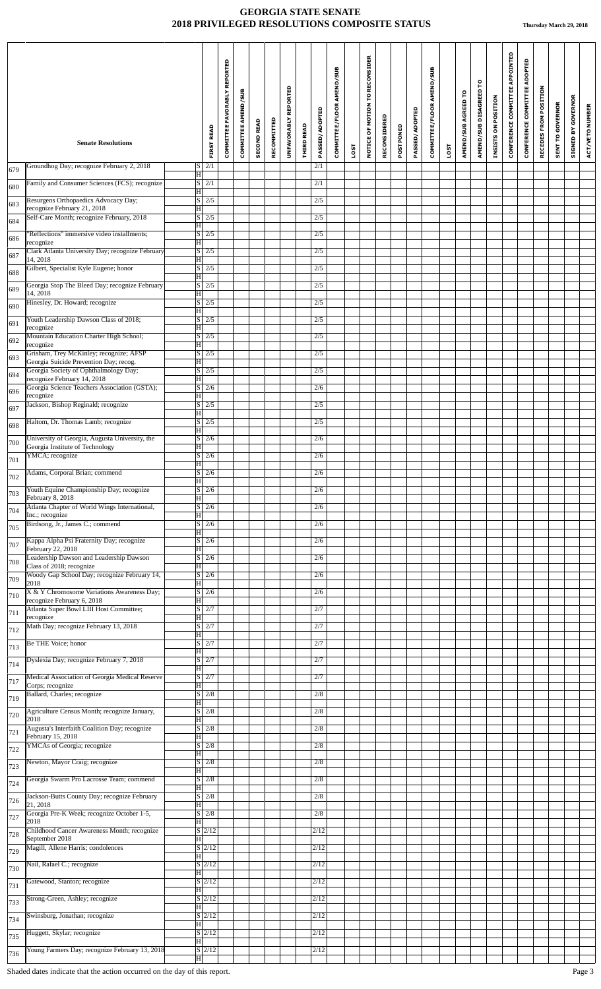|     |                                                                                   |                                                            | REPORTED<br><b>COMMITTEE FAVORABLY</b> | COMMITTEE AMEND/SUB | <b>SECOND READ</b> | RECOMMITTED | UNFAVORABLY REPORTED | <b>THIRD READ</b> | PASSED/ADOPTED   | COMMITTEE/FLOOR AMEND/SUB |      | MOTION TO RECONSIDER | RECONSIDERED | POSTPONED | PASSED/ADOPTED | COMMITTEE/FLOOR AMEND/SUB |      | AMEND/SUB AGREED TO | AMEND/SUB DISAGREED TO | INSISTS ON POSITION | CONFERENCE COMMITTEE APPOINTED | CONFERENCE COMMITTEE ADOPTED | RECEDES FROM POSITION | <b>SENT TO GOVERNOR</b> | <b>GOVERNOR</b><br>ă | ACT/VETO NUMBER |
|-----|-----------------------------------------------------------------------------------|------------------------------------------------------------|----------------------------------------|---------------------|--------------------|-------------|----------------------|-------------------|------------------|---------------------------|------|----------------------|--------------|-----------|----------------|---------------------------|------|---------------------|------------------------|---------------------|--------------------------------|------------------------------|-----------------------|-------------------------|----------------------|-----------------|
|     | <b>Senate Resolutions</b>                                                         | <b>FIRST READ</b>                                          |                                        |                     |                    |             |                      |                   |                  |                           | LOST | NOTICE OF            |              |           |                |                           | LOST |                     |                        |                     |                                |                              |                       |                         | <b>STGNED I</b>      |                 |
| 679 | Groundhog Day; recognize February 2, 2018                                         | 2/1<br> S <br>$ \mathbf{H} $                               |                                        |                     |                    |             |                      |                   | 2/1              |                           |      |                      |              |           |                |                           |      |                     |                        |                     |                                |                              |                       |                         |                      |                 |
| 680 | Family and Consumer Sciences (FCS); recognize                                     | $\lvert S \rvert$<br>2/1<br>$\overline{\mathbf{H}}$        |                                        |                     |                    |             |                      |                   | 2/1              |                           |      |                      |              |           |                |                           |      |                     |                        |                     |                                |                              |                       |                         |                      |                 |
| 683 | Resurgens Orthopaedics Advocacy Day;<br>recognize February 21, 2018               | $S \mid 2/5$<br>H                                          |                                        |                     |                    |             |                      |                   | 2/5              |                           |      |                      |              |           |                |                           |      |                     |                        |                     |                                |                              |                       |                         |                      |                 |
| 684 | Self-Care Month; recognize February, 2018                                         | $\overline{\mathbf{s}}$<br>$\overline{2/5}$                |                                        |                     |                    |             |                      |                   | $\overline{2/5}$ |                           |      |                      |              |           |                |                           |      |                     |                        |                     |                                |                              |                       |                         |                      |                 |
| 686 | 'Reflections" immersive video installments;                                       | $\overline{\mathbf{H}}$<br>$S \mid 2/5$                    |                                        |                     |                    |             |                      |                   | 2/5              |                           |      |                      |              |           |                |                           |      |                     |                        |                     |                                |                              |                       |                         |                      |                 |
| 687 | recognize<br>Clark Atlanta University Day; recognize February                     | ΙH<br>$\lvert S \rvert$<br>2/5                             |                                        |                     |                    |             |                      |                   | 2/5              |                           |      |                      |              |           |                |                           |      |                     |                        |                     |                                |                              |                       |                         |                      |                 |
|     | 14, 2018<br>Gilbert, Specialist Kyle Eugene; honor                                | $\overline{\mathbf{H}}$<br>$\overline{\mathbf{s}}$<br>2/5  |                                        |                     |                    |             |                      |                   | 2/5              |                           |      |                      |              |           |                |                           |      |                     |                        |                     |                                |                              |                       |                         |                      |                 |
| 688 | Georgia Stop The Bleed Day; recognize February                                    | $\overline{\mathbf{H}}$<br>$S \mid 2/5$                    |                                        |                     |                    |             |                      |                   | 2/5              |                           |      |                      |              |           |                |                           |      |                     |                        |                     |                                |                              |                       |                         |                      |                 |
| 689 | 14, 2018<br>Hinesley, Dr. Howard; recognize                                       | $\overline{\mathbf{H}}$<br>$S$ 2/5                         |                                        |                     |                    |             |                      |                   | 2/5              |                           |      |                      |              |           |                |                           |      |                     |                        |                     |                                |                              |                       |                         |                      |                 |
| 690 |                                                                                   | $\overline{\mathbf{H}}$                                    |                                        |                     |                    |             |                      |                   |                  |                           |      |                      |              |           |                |                           |      |                     |                        |                     |                                |                              |                       |                         |                      |                 |
| 691 | Youth Leadership Dawson Class of 2018;<br>recognize                               | S/2/5<br> H                                                |                                        |                     |                    |             |                      |                   | 2/5              |                           |      |                      |              |           |                |                           |      |                     |                        |                     |                                |                              |                       |                         |                      |                 |
| 692 | Mountain Education Charter High School;<br>recognize                              | $\overline{\mathbf{s}}$<br>2/5<br>$\overline{\mathbf{H}}$  |                                        |                     |                    |             |                      |                   | 2/5              |                           |      |                      |              |           |                |                           |      |                     |                        |                     |                                |                              |                       |                         |                      |                 |
| 693 | Grisham, Trey McKinley; recognize; AFSP<br>Georgia Suicide Prevention Day; recog. | $S \mid 2/5$<br> H                                         |                                        |                     |                    |             |                      |                   | 2/5              |                           |      |                      |              |           |                |                           |      |                     |                        |                     |                                |                              |                       |                         |                      |                 |
| 694 | Georgia Society of Ophthalmology Day;<br>recognize February 14, 2018              | $S \mid 2/5$<br>$ {\rm H} $                                |                                        |                     |                    |             |                      |                   | 2/5              |                           |      |                      |              |           |                |                           |      |                     |                        |                     |                                |                              |                       |                         |                      |                 |
| 696 | Georgia Science Teachers Association (GSTA);<br>recognize                         | $S \mid 2/6$<br>$\overline{\mathbf{H}}$                    |                                        |                     |                    |             |                      |                   | 2/6              |                           |      |                      |              |           |                |                           |      |                     |                        |                     |                                |                              |                       |                         |                      |                 |
| 697 | Jackson, Bishop Reginald; recognize                                               | $\vert S \vert 2/5$                                        |                                        |                     |                    |             |                      |                   | 2/5              |                           |      |                      |              |           |                |                           |      |                     |                        |                     |                                |                              |                       |                         |                      |                 |
| 698 | Haltom, Dr. Thomas Lamb; recognize                                                | $\overline{\mathbf{H}}$<br>$\lvert \text{S} \rvert$<br>2/5 |                                        |                     |                    |             |                      |                   | 2/5              |                           |      |                      |              |           |                |                           |      |                     |                        |                     |                                |                              |                       |                         |                      |                 |
| 700 | University of Georgia, Augusta University, the                                    | Iн<br>$S \mid 2/6$                                         |                                        |                     |                    |             |                      |                   | 2/6              |                           |      |                      |              |           |                |                           |      |                     |                        |                     |                                |                              |                       |                         |                      |                 |
|     | Georgia Institute of Technology<br>YMCA; recognize                                | H<br>$S$ 2/6                                               |                                        |                     |                    |             |                      |                   | 2/6              |                           |      |                      |              |           |                |                           |      |                     |                        |                     |                                |                              |                       |                         |                      |                 |
| 701 | Adams, Corporal Brian; commend                                                    | $\overline{\mathbf{H}}$<br>$\left  S \right $ 2/6          |                                        |                     |                    |             |                      |                   | 2/6              |                           |      |                      |              |           |                |                           |      |                     |                        |                     |                                |                              |                       |                         |                      |                 |
| 702 | Youth Equine Championship Day; recognize                                          | Iн<br>$S \mid 2/6$                                         |                                        |                     |                    |             |                      |                   | 2/6              |                           |      |                      |              |           |                |                           |      |                     |                        |                     |                                |                              |                       |                         |                      |                 |
| 703 | February 8, 2018                                                                  | $ \mathbf{H} $                                             |                                        |                     |                    |             |                      |                   |                  |                           |      |                      |              |           |                |                           |      |                     |                        |                     |                                |                              |                       |                         |                      |                 |
| 704 | Atlanta Chapter of World Wings International,<br>Inc.; recognize                  | $\overline{s}$<br>2/6<br>H                                 |                                        |                     |                    |             |                      |                   | 2/6              |                           |      |                      |              |           |                |                           |      |                     |                        |                     |                                |                              |                       |                         |                      |                 |
| 705 | Birdsong, Jr., James C.; commend                                                  | $S \mid 2/6$<br>H                                          |                                        |                     |                    |             |                      |                   | 2/6              |                           |      |                      |              |           |                |                           |      |                     |                        |                     |                                |                              |                       |                         |                      |                 |
| 707 | Kappa Alpha Psi Fraternity Day; recognize<br>February 22, 2018                    | S <br>2/6<br>Iн                                            |                                        |                     |                    |             |                      |                   | 2/6              |                           |      |                      |              |           |                |                           |      |                     |                        |                     |                                |                              |                       |                         |                      |                 |
| 708 | Leadership Dawson and Leadership Dawson<br>Class of 2018; recognize               | S  <br>2/6<br>ΙH                                           |                                        |                     |                    |             |                      |                   | 2/6              |                           |      |                      |              |           |                |                           |      |                     |                        |                     |                                |                              |                       |                         |                      |                 |
| 709 | Woody Gap School Day; recognize February 14,<br>2018                              | $\overline{s}$<br>2/6<br>ΠH                                |                                        |                     |                    |             |                      |                   | 2/6              |                           |      |                      |              |           |                |                           |      |                     |                        |                     |                                |                              |                       |                         |                      |                 |
| 710 | X & Y Chromosome Variations Awareness Day;<br>recognize February 6, 2018          | S <br>2/6                                                  |                                        |                     |                    |             |                      |                   | 2/6              |                           |      |                      |              |           |                |                           |      |                     |                        |                     |                                |                              |                       |                         |                      |                 |
| 711 | Atlanta Super Bowl LIII Host Committee;                                           | H<br>$S$ 2/7                                               |                                        |                     |                    |             |                      |                   | 2/7              |                           |      |                      |              |           |                |                           |      |                     |                        |                     |                                |                              |                       |                         |                      |                 |
| 712 | recognize<br>Math Day; recognize February 13, 2018                                | ΙH<br>$S \mid 2/7$                                         |                                        |                     |                    |             |                      |                   | 2/7              |                           |      |                      |              |           |                |                           |      |                     |                        |                     |                                |                              |                       |                         |                      |                 |
|     | Be THE Voice; honor                                                               | $\overline{\mathbf{H}}$<br>$S \mid 2/7$                    |                                        |                     |                    |             |                      |                   | 2/7              |                           |      |                      |              |           |                |                           |      |                     |                        |                     |                                |                              |                       |                         |                      |                 |
| 713 | Dyslexia Day; recognize February 7, 2018                                          | H<br>$\overline{s}$<br>2/7                                 |                                        |                     |                    |             |                      |                   | 2/7              |                           |      |                      |              |           |                |                           |      |                     |                        |                     |                                |                              |                       |                         |                      |                 |
| 714 | Medical Association of Georgia Medical Reserve                                    | $\overline{\mathbf{H}}$<br>$\overline{\mathbf{s}}$<br>2/7  |                                        |                     |                    |             |                      |                   | 2/7              |                           |      |                      |              |           |                |                           |      |                     |                        |                     |                                |                              |                       |                         |                      |                 |
| 717 | Corps; recognize<br>Ballard, Charles; recognize                                   | H<br>$\lvert S \rvert$<br>2/8                              |                                        |                     |                    |             |                      |                   | 2/8              |                           |      |                      |              |           |                |                           |      |                     |                        |                     |                                |                              |                       |                         |                      |                 |
| 719 |                                                                                   | $\overline{\mathbf{H}}$                                    |                                        |                     |                    |             |                      |                   |                  |                           |      |                      |              |           |                |                           |      |                     |                        |                     |                                |                              |                       |                         |                      |                 |
| 720 | Agriculture Census Month; recognize January,<br>2018                              | S <sub>1</sub><br>2/8<br>H                                 |                                        |                     |                    |             |                      |                   | 2/8              |                           |      |                      |              |           |                |                           |      |                     |                        |                     |                                |                              |                       |                         |                      |                 |
| 721 | Augusta's Interfaith Coalition Day; recognize<br>February 15, 2018                | S  <br>2/8<br>H                                            |                                        |                     |                    |             |                      |                   | 2/8              |                           |      |                      |              |           |                |                           |      |                     |                        |                     |                                |                              |                       |                         |                      |                 |
| 722 | YMCAs of Georgia; recognize                                                       | $\lvert S \rvert$<br>2/8<br>H                              |                                        |                     |                    |             |                      |                   | 2/8              |                           |      |                      |              |           |                |                           |      |                     |                        |                     |                                |                              |                       |                         |                      |                 |
| 723 | Newton, Mayor Craig; recognize                                                    | S <br>2/8<br>H                                             |                                        |                     |                    |             |                      |                   | 2/8              |                           |      |                      |              |           |                |                           |      |                     |                        |                     |                                |                              |                       |                         |                      |                 |
| 724 | Georgia Swarm Pro Lacrosse Team; commend                                          | $\overline{\mathbf{s}}$<br>2/8<br>$ \mathrm{H} $           |                                        |                     |                    |             |                      |                   | 2/8              |                           |      |                      |              |           |                |                           |      |                     |                        |                     |                                |                              |                       |                         |                      |                 |
| 726 | Jackson-Butts County Day; recognize February<br>21, 2018                          | $\vert S \vert 2/8$<br>ΙH                                  |                                        |                     |                    |             |                      |                   | 2/8              |                           |      |                      |              |           |                |                           |      |                     |                        |                     |                                |                              |                       |                         |                      |                 |
| 727 | Georgia Pre-K Week; recognize October 1-5,                                        | $S \vert$<br>2/8                                           |                                        |                     |                    |             |                      |                   | 2/8              |                           |      |                      |              |           |                |                           |      |                     |                        |                     |                                |                              |                       |                         |                      |                 |
| 728 | 2018<br>Childhood Cancer Awareness Month; recognize                               | $\overline{\mathbf{H}}$<br>$S\overline{2/12}$              |                                        |                     |                    |             |                      |                   | 2/12             |                           |      |                      |              |           |                |                           |      |                     |                        |                     |                                |                              |                       |                         |                      |                 |
| 729 | September 2018<br>Magill, Allene Harris; condolences                              | H<br>$S \mid 2/12$                                         |                                        |                     |                    |             |                      |                   | 2/12             |                           |      |                      |              |           |                |                           |      |                     |                        |                     |                                |                              |                       |                         |                      |                 |
|     | Nail, Rafael C.; recognize                                                        | H<br>S/2/12                                                |                                        |                     |                    |             |                      |                   | 2/12             |                           |      |                      |              |           |                |                           |      |                     |                        |                     |                                |                              |                       |                         |                      |                 |
| 730 | Gatewood, Stanton; recognize                                                      | Iн<br>S/2/12                                               |                                        |                     |                    |             |                      |                   | 2/12             |                           |      |                      |              |           |                |                           |      |                     |                        |                     |                                |                              |                       |                         |                      |                 |
| 731 | Strong-Green, Ashley; recognize                                                   | H<br>$S$ $2/12$                                            |                                        |                     |                    |             |                      |                   | 2/12             |                           |      |                      |              |           |                |                           |      |                     |                        |                     |                                |                              |                       |                         |                      |                 |
| 733 |                                                                                   | ΙH                                                         |                                        |                     |                    |             |                      |                   |                  |                           |      |                      |              |           |                |                           |      |                     |                        |                     |                                |                              |                       |                         |                      |                 |
| 734 | Swinsburg, Jonathan; recognize                                                    | $S$ 2/12<br>ΙH                                             |                                        |                     |                    |             |                      |                   | 2/12             |                           |      |                      |              |           |                |                           |      |                     |                        |                     |                                |                              |                       |                         |                      |                 |
| 735 | Huggett, Skylar; recognize                                                        | $S$ $2/12$<br>$ \mathbf{H} $                               |                                        |                     |                    |             |                      |                   | 2/12             |                           |      |                      |              |           |                |                           |      |                     |                        |                     |                                |                              |                       |                         |                      |                 |
| 736 | Young Farmers Day; recognize February 13, 2018                                    | $S$ 2/12<br>$\vert \mathrm{H} \vert$                       |                                        |                     |                    |             |                      |                   | $\sqrt{2/12}$    |                           |      |                      |              |           |                |                           |      |                     |                        |                     |                                |                              |                       |                         |                      |                 |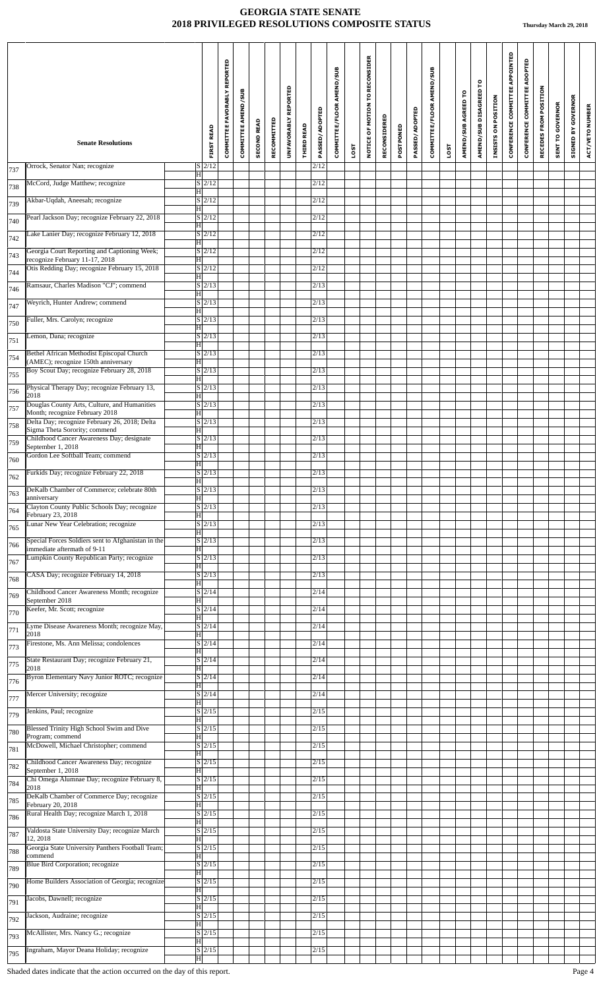|     | <b>Senate Resolutions</b>                                                         |                                                 | COMMITTEE FAVORABLY REPORTED<br><b>FIRST READ</b> | COMMITTEE AMEND/SUB | <b>SECOND READ</b> | RECOMMITTED | UNFAVORABLY REPORTED | <b>THIRD READ</b> | PASSED/ADOPTED | COMMITTEE/FLOOR AMEND/SUB |      | NOTICE OF MOTION TO RECONSIDER | RECONSIDERED | POSTPONED | PASSED/ADOPTED | COMMITTEE/FLOOR AMEND/SUB |      | AMEND/SUB AGREED TO | AMEND/SUB DISAGREED TO | INSISTS ON POSITION | CONFERENCE COMMITTEE APPOINTED | CONFERENCE COMMITTEE ADOPTED | RECEDES FROM POSITION | <b>SENT TO GOVERNOR</b> | <b>GOVERNOR</b><br>SIGNED BY | ACT/VETO NUMBER |
|-----|-----------------------------------------------------------------------------------|-------------------------------------------------|---------------------------------------------------|---------------------|--------------------|-------------|----------------------|-------------------|----------------|---------------------------|------|--------------------------------|--------------|-----------|----------------|---------------------------|------|---------------------|------------------------|---------------------|--------------------------------|------------------------------|-----------------------|-------------------------|------------------------------|-----------------|
|     | Orrock, Senator Nan; recognize                                                    | $S$  2/12                                       |                                                   |                     |                    |             |                      |                   | 2/12           |                           | LOST |                                |              |           |                |                           | LOST |                     |                        |                     |                                |                              |                       |                         |                              |                 |
| 737 | McCord, Judge Matthew; recognize                                                  | H <br>$S\vert 2/12$                             |                                                   |                     |                    |             |                      |                   | 2/12           |                           |      |                                |              |           |                |                           |      |                     |                        |                     |                                |                              |                       |                         |                              |                 |
| 738 | Akbar-Uqdah, Aneesah; recognize                                                   | H<br>$S \mid 2/12$                              |                                                   |                     |                    |             |                      |                   | 2/12           |                           |      |                                |              |           |                |                           |      |                     |                        |                     |                                |                              |                       |                         |                              |                 |
| 739 | Pearl Jackson Day; recognize February 22, 2018                                    | H<br>$\sqrt{S}$ 2/12                            |                                                   |                     |                    |             |                      |                   | 2/12           |                           |      |                                |              |           |                |                           |      |                     |                        |                     |                                |                              |                       |                         |                              |                 |
| 740 | Lake Lanier Day; recognize February 12, 2018                                      | $\overline{\mathrm{H}}$<br>$S$ 2/12             |                                                   |                     |                    |             |                      |                   | 2/12           |                           |      |                                |              |           |                |                           |      |                     |                        |                     |                                |                              |                       |                         |                              |                 |
| 742 | Georgia Court Reporting and Captioning Week;                                      | H<br>$S$ 2/12                                   |                                                   |                     |                    |             |                      |                   | 2/12           |                           |      |                                |              |           |                |                           |      |                     |                        |                     |                                |                              |                       |                         |                              |                 |
| 743 | recognize February 11-17, 2018                                                    | H                                               |                                                   |                     |                    |             |                      |                   |                |                           |      |                                |              |           |                |                           |      |                     |                        |                     |                                |                              |                       |                         |                              |                 |
| 744 | Otis Redding Day; recognize February 15, 2018                                     | $S \vert 2/12$<br>$\overline{H}$                |                                                   |                     |                    |             |                      |                   | 2/12           |                           |      |                                |              |           |                |                           |      |                     |                        |                     |                                |                              |                       |                         |                              |                 |
| 746 | Ramsaur, Charles Madison "CJ"; commend                                            | $S\vert 2/13$<br> H                             |                                                   |                     |                    |             |                      |                   | 2/13           |                           |      |                                |              |           |                |                           |      |                     |                        |                     |                                |                              |                       |                         |                              |                 |
| 747 | Weyrich, Hunter Andrew; commend                                                   | $S \mid 2/13$<br>$\overline{\mathrm{H}}$        |                                                   |                     |                    |             |                      |                   | 2/13           |                           |      |                                |              |           |                |                           |      |                     |                        |                     |                                |                              |                       |                         |                              |                 |
| 750 | Fuller, Mrs. Carolyn; recognize                                                   | $S$ 2/13<br>$\overline{\mathrm{H}}$             |                                                   |                     |                    |             |                      |                   | 2/13           |                           |      |                                |              |           |                |                           |      |                     |                        |                     |                                |                              |                       |                         |                              |                 |
| 751 | Lemon, Dana; recognize                                                            | $S \mid 2/13$<br>$\vert H \vert$                |                                                   |                     |                    |             |                      |                   | 2/13           |                           |      |                                |              |           |                |                           |      |                     |                        |                     |                                |                              |                       |                         |                              |                 |
| 754 | Bethel African Methodist Episcopal Church<br>(AMEC); recognize 150th anniversary  | $S\overline{2/13}$<br>H                         |                                                   |                     |                    |             |                      |                   | 2/13           |                           |      |                                |              |           |                |                           |      |                     |                        |                     |                                |                              |                       |                         |                              |                 |
| 755 | Boy Scout Day; recognize February 28, 2018                                        | $\overline{S}$  2/13<br> H                      |                                                   |                     |                    |             |                      |                   | 2/13           |                           |      |                                |              |           |                |                           |      |                     |                        |                     |                                |                              |                       |                         |                              |                 |
| 756 | Physical Therapy Day; recognize February 13,<br>2018                              | $S$ <sub>2/13</sub><br>$\overline{\mathrm{H}}$  |                                                   |                     |                    |             |                      |                   | 2/13           |                           |      |                                |              |           |                |                           |      |                     |                        |                     |                                |                              |                       |                         |                              |                 |
| 757 | Douglas County Arts, Culture, and Humanities<br>Month; recognize February 2018    | $S \mid 2/13$<br> H                             |                                                   |                     |                    |             |                      |                   | 2/13           |                           |      |                                |              |           |                |                           |      |                     |                        |                     |                                |                              |                       |                         |                              |                 |
| 758 | Delta Day; recognize February 26, 2018; Delta<br>Sigma Theta Sorority; commend    | $S \mid 2/13$<br>H                              |                                                   |                     |                    |             |                      |                   | 2/13           |                           |      |                                |              |           |                |                           |      |                     |                        |                     |                                |                              |                       |                         |                              |                 |
| 759 | Childhood Cancer Awareness Day; designate<br>September 1, 2018                    | $S\vert 2/13$<br> H                             |                                                   |                     |                    |             |                      |                   | 2/13           |                           |      |                                |              |           |                |                           |      |                     |                        |                     |                                |                              |                       |                         |                              |                 |
| 760 | Gordon Lee Softball Team; commend                                                 | $S \mid 2/13$<br>$\overline{\mathrm{H}}$        |                                                   |                     |                    |             |                      |                   | 2/13           |                           |      |                                |              |           |                |                           |      |                     |                        |                     |                                |                              |                       |                         |                              |                 |
| 762 | Furkids Day; recognize February 22, 2018                                          | $S$  2/13<br>$\overline{\mathbf{H}}$            |                                                   |                     |                    |             |                      |                   | 2/13           |                           |      |                                |              |           |                |                           |      |                     |                        |                     |                                |                              |                       |                         |                              |                 |
| 763 | DeKalb Chamber of Commerce; celebrate 80th<br>anniversary                         | $S \vert 2/13$<br>H                             |                                                   |                     |                    |             |                      |                   | 2/13           |                           |      |                                |              |           |                |                           |      |                     |                        |                     |                                |                              |                       |                         |                              |                 |
| 764 | Clayton County Public Schools Day; recognize<br>February 23, 2018                 | $S\vert 2/13$<br> H                             |                                                   |                     |                    |             |                      |                   | 2/13           |                           |      |                                |              |           |                |                           |      |                     |                        |                     |                                |                              |                       |                         |                              |                 |
| 765 | Lunar New Year Celebration; recognize                                             | $S \mid 2/13$<br> H                             |                                                   |                     |                    |             |                      |                   | 2/13           |                           |      |                                |              |           |                |                           |      |                     |                        |                     |                                |                              |                       |                         |                              |                 |
| 766 | Special Forces Soldiers sent to Afghanistan in the<br>immediate aftermath of 9-11 | $S \mid 2/13$<br> H                             |                                                   |                     |                    |             |                      |                   | 2/13           |                           |      |                                |              |           |                |                           |      |                     |                        |                     |                                |                              |                       |                         |                              |                 |
| 767 | Lumpkin County Republican Party; recognize                                        | $S\vert 2/13$<br> H                             |                                                   |                     |                    |             |                      |                   | 2/13           |                           |      |                                |              |           |                |                           |      |                     |                        |                     |                                |                              |                       |                         |                              |                 |
| 768 | CASA Day; recognize February 14, 2018                                             | $S \mid 2/13$<br> H                             |                                                   |                     |                    |             |                      |                   | 2/13           |                           |      |                                |              |           |                |                           |      |                     |                        |                     |                                |                              |                       |                         |                              |                 |
| 769 | Childhood Cancer Awareness Month; recognize<br>September 2018                     | $S \mid 2/14$<br>H                              |                                                   |                     |                    |             |                      |                   | 2/14           |                           |      |                                |              |           |                |                           |      |                     |                        |                     |                                |                              |                       |                         |                              |                 |
| 770 | Keefer, Mr. Scott; recognize                                                      | $\overline{S}$  2/14 <br> H                     |                                                   |                     |                    |             |                      |                   | 2/14           |                           |      |                                |              |           |                |                           |      |                     |                        |                     |                                |                              |                       |                         |                              |                 |
| 771 | Lyme Disease Awareness Month; recognize May,<br>2018                              | $S$ 2/14<br>ΙHΙ                                 |                                                   |                     |                    |             |                      |                   | 2/14           |                           |      |                                |              |           |                |                           |      |                     |                        |                     |                                |                              |                       |                         |                              |                 |
| 773 | Firestone, Ms. Ann Melissa; condolences                                           | $S$ 2/14<br>H                                   |                                                   |                     |                    |             |                      |                   | 2/14           |                           |      |                                |              |           |                |                           |      |                     |                        |                     |                                |                              |                       |                         |                              |                 |
| 775 | State Restaurant Day; recognize February 21,<br>2018                              | $S \mid 2/14$                                   |                                                   |                     |                    |             |                      |                   | 2/14           |                           |      |                                |              |           |                |                           |      |                     |                        |                     |                                |                              |                       |                         |                              |                 |
| 776 | Byron Elementary Navy Junior ROTC; recognize                                      | H <br>$\sqrt{S/2/14}$                           |                                                   |                     |                    |             |                      |                   | 2/14           |                           |      |                                |              |           |                |                           |      |                     |                        |                     |                                |                              |                       |                         |                              |                 |
| 777 | Mercer University; recognize                                                      | H <br>$S \mid 2/14$<br> H                       |                                                   |                     |                    |             |                      |                   | 2/14           |                           |      |                                |              |           |                |                           |      |                     |                        |                     |                                |                              |                       |                         |                              |                 |
| 779 | Jenkins, Paul; recognize                                                          | $S$ 2/15<br>$\overline{H}$                      |                                                   |                     |                    |             |                      |                   | 2/15           |                           |      |                                |              |           |                |                           |      |                     |                        |                     |                                |                              |                       |                         |                              |                 |
| 780 | <b>Blessed Trinity High School Swim and Dive</b>                                  | $S$ 2/15                                        |                                                   |                     |                    |             |                      |                   | 2/15           |                           |      |                                |              |           |                |                           |      |                     |                        |                     |                                |                              |                       |                         |                              |                 |
| 781 | Program; commend<br>McDowell, Michael Christopher; commend                        | H<br>$S \mid 2/15$                              |                                                   |                     |                    |             |                      |                   | 2/15           |                           |      |                                |              |           |                |                           |      |                     |                        |                     |                                |                              |                       |                         |                              |                 |
| 782 | Childhood Cancer Awareness Day; recognize                                         | H<br>$S \mid 2/15$                              |                                                   |                     |                    |             |                      |                   | 2/15           |                           |      |                                |              |           |                |                           |      |                     |                        |                     |                                |                              |                       |                         |                              |                 |
| 784 | September 1, 2018<br>Chi Omega Alumnae Day; recognize February 8,                 | H <br>$S \mid 2/15$                             |                                                   |                     |                    |             |                      |                   | 2/15           |                           |      |                                |              |           |                |                           |      |                     |                        |                     |                                |                              |                       |                         |                              |                 |
| 785 | 2018<br>DeKalb Chamber of Commerce Day; recognize                                 | $\overline{\mathrm{H}}$<br>$S$ 2/15             |                                                   |                     |                    |             |                      |                   | 2/15           |                           |      |                                |              |           |                |                           |      |                     |                        |                     |                                |                              |                       |                         |                              |                 |
| 786 | February 20, 2018<br>Rural Health Day; recognize March 1, 2018                    | H<br>$S \mid 2/15$                              |                                                   |                     |                    |             |                      |                   | 2/15           |                           |      |                                |              |           |                |                           |      |                     |                        |                     |                                |                              |                       |                         |                              |                 |
| 787 | Valdosta State University Day; recognize March                                    | H <br>$\sqrt{S}$ 2/15                           |                                                   |                     |                    |             |                      |                   | 2/15           |                           |      |                                |              |           |                |                           |      |                     |                        |                     |                                |                              |                       |                         |                              |                 |
| 788 | 12, 2018<br>Georgia State University Panthers Football Team;                      | $\overline{\mathrm{H}}$<br>$\overline{S}$  2/15 |                                                   |                     |                    |             |                      |                   | 2/15           |                           |      |                                |              |           |                |                           |      |                     |                        |                     |                                |                              |                       |                         |                              |                 |
| 789 | commend<br>Blue Bird Corporation; recognize                                       | H <br>$S \mid 2/15$                             |                                                   |                     |                    |             |                      |                   | 2/15           |                           |      |                                |              |           |                |                           |      |                     |                        |                     |                                |                              |                       |                         |                              |                 |
| 790 | Home Builders Association of Georgia; recognize                                   | H<br>$S \mid 2/15$                              |                                                   |                     |                    |             |                      |                   | 2/15           |                           |      |                                |              |           |                |                           |      |                     |                        |                     |                                |                              |                       |                         |                              |                 |
| 791 | Jacobs, Dawnell; recognize                                                        | H <br>$S \mid 2/15$                             |                                                   |                     |                    |             |                      |                   | 2/15           |                           |      |                                |              |           |                |                           |      |                     |                        |                     |                                |                              |                       |                         |                              |                 |
| 792 | Jackson, Audraine; recognize                                                      | H <br>$\overline{S}$  2/15                      |                                                   |                     |                    |             |                      |                   | 2/15           |                           |      |                                |              |           |                |                           |      |                     |                        |                     |                                |                              |                       |                         |                              |                 |
| 793 | McAllister, Mrs. Nancy G.; recognize                                              | ΗI<br>$S$  2/15                                 |                                                   |                     |                    |             |                      |                   | 2/15           |                           |      |                                |              |           |                |                           |      |                     |                        |                     |                                |                              |                       |                         |                              |                 |
|     | Ingraham, Mayor Deana Holiday; recognize                                          | H<br>$S$ 2/15                                   |                                                   |                     |                    |             |                      |                   | $\sqrt{2/15}$  |                           |      |                                |              |           |                |                           |      |                     |                        |                     |                                |                              |                       |                         |                              |                 |
| 795 |                                                                                   | $ \mathbf{H} $                                  |                                                   |                     |                    |             |                      |                   |                |                           |      |                                |              |           |                |                           |      |                     |                        |                     |                                |                              |                       |                         |                              |                 |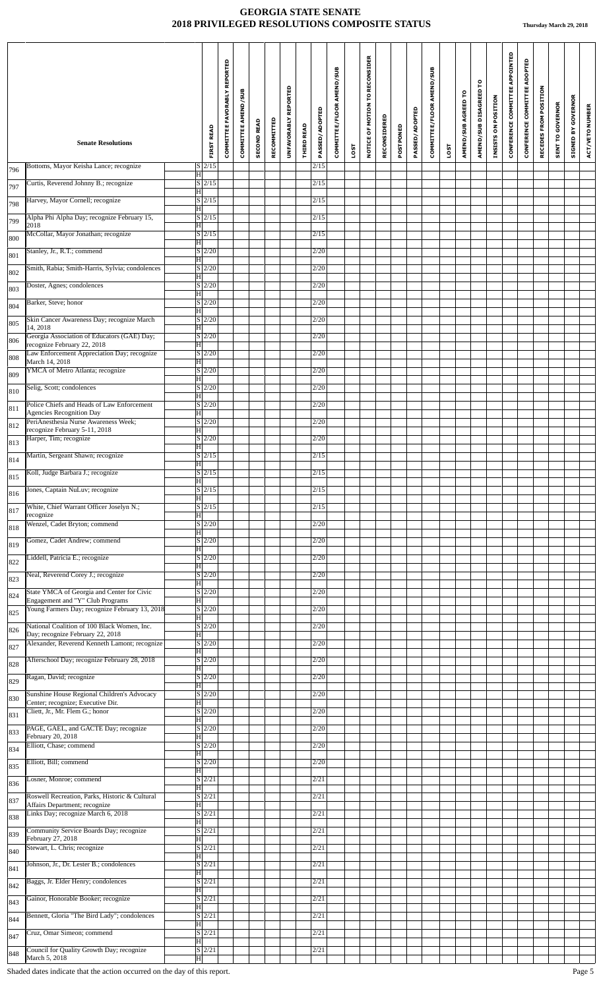| CONFERENCE COMMITTEE APPOINTED<br>NOTICE OF MOTION TO RECONSIDER<br>CONFERENCE COMMITTEE ADOPTED<br>COMMITTEE FAVORABLY REPORTED<br>COMMITTEE/FLOOR AMEND/SUB<br>COMMITTEE/FLOOR AMEND/SUB<br>AMEND/SUB DISAGREED TO<br>UNFAVORABLY REPORTED<br>RECEDES FROM POSITION<br>COMMITTEE AMEND/SUB<br>AMEND/SUB AGREED TO<br>INSISTS ON POSITION<br><b>SENT TO GOVERNOR</b><br>PASSED/ADOPTED<br>PASSED/ADOPTED<br>RECONSIDERED<br>RECOMMITTED<br><b>SECOND READ</b><br>THIRD READ<br>POSTPONED<br><b>FIRST READ</b><br>SIGNED BY<br><b>Senate Resolutions</b><br>LOST<br>LOST<br>Bottoms, Mayor Keisha Lance; recognize<br>$S$  2/15<br>2/15<br>796<br> H <br>Curtis, Reverend Johnny B.; recognize<br>$S\vert 2/15$<br>2/15<br>797<br>H<br>Harvey, Mayor Cornell; recognize<br>$S$ 2/15<br>2/15<br>798<br> H <br>Alpha Phi Alpha Day; recognize February 15,<br>$\overline{S}$  2/15<br>2/15<br>799<br>2018<br> H <br>McCollar, Mayor Jonathan; recognize<br>$S$ 2/15<br>2/15<br>800<br>H<br>Stanley, Jr., R.T.; commend<br>S/2/20<br>2/20<br>801<br>H<br>Smith, Rabia; Smith-Harris, Sylvia; condolences<br>$S \vert 2/20$<br>2/20<br>802<br>$\overline{H}$<br>Doster, Agnes; condolences<br>$S \vert 2/20$<br>2/20<br>803<br> H <br>Barker, Steve; honor<br>$S$ 2/20<br>2/20<br>804<br>$\overline{\mathrm{H}}$<br>Skin Cancer Awareness Day; recognize March<br>S/2/20<br>2/20<br>805<br>14, 2018<br>$\overline{\mathrm{H}}$<br>Georgia Association of Educators (GAE) Day;<br>$S \mid 2/20$<br>2/20<br>806<br>recognize February 22, 2018<br>$\vert H \vert$ | ACT/VETO NUMBER |
|-------------------------------------------------------------------------------------------------------------------------------------------------------------------------------------------------------------------------------------------------------------------------------------------------------------------------------------------------------------------------------------------------------------------------------------------------------------------------------------------------------------------------------------------------------------------------------------------------------------------------------------------------------------------------------------------------------------------------------------------------------------------------------------------------------------------------------------------------------------------------------------------------------------------------------------------------------------------------------------------------------------------------------------------------------------------------------------------------------------------------------------------------------------------------------------------------------------------------------------------------------------------------------------------------------------------------------------------------------------------------------------------------------------------------------------------------------------------------------------------------------------------------------------------------------------|-----------------|
|                                                                                                                                                                                                                                                                                                                                                                                                                                                                                                                                                                                                                                                                                                                                                                                                                                                                                                                                                                                                                                                                                                                                                                                                                                                                                                                                                                                                                                                                                                                                                             |                 |
|                                                                                                                                                                                                                                                                                                                                                                                                                                                                                                                                                                                                                                                                                                                                                                                                                                                                                                                                                                                                                                                                                                                                                                                                                                                                                                                                                                                                                                                                                                                                                             |                 |
|                                                                                                                                                                                                                                                                                                                                                                                                                                                                                                                                                                                                                                                                                                                                                                                                                                                                                                                                                                                                                                                                                                                                                                                                                                                                                                                                                                                                                                                                                                                                                             |                 |
|                                                                                                                                                                                                                                                                                                                                                                                                                                                                                                                                                                                                                                                                                                                                                                                                                                                                                                                                                                                                                                                                                                                                                                                                                                                                                                                                                                                                                                                                                                                                                             |                 |
|                                                                                                                                                                                                                                                                                                                                                                                                                                                                                                                                                                                                                                                                                                                                                                                                                                                                                                                                                                                                                                                                                                                                                                                                                                                                                                                                                                                                                                                                                                                                                             |                 |
|                                                                                                                                                                                                                                                                                                                                                                                                                                                                                                                                                                                                                                                                                                                                                                                                                                                                                                                                                                                                                                                                                                                                                                                                                                                                                                                                                                                                                                                                                                                                                             |                 |
|                                                                                                                                                                                                                                                                                                                                                                                                                                                                                                                                                                                                                                                                                                                                                                                                                                                                                                                                                                                                                                                                                                                                                                                                                                                                                                                                                                                                                                                                                                                                                             |                 |
|                                                                                                                                                                                                                                                                                                                                                                                                                                                                                                                                                                                                                                                                                                                                                                                                                                                                                                                                                                                                                                                                                                                                                                                                                                                                                                                                                                                                                                                                                                                                                             |                 |
|                                                                                                                                                                                                                                                                                                                                                                                                                                                                                                                                                                                                                                                                                                                                                                                                                                                                                                                                                                                                                                                                                                                                                                                                                                                                                                                                                                                                                                                                                                                                                             |                 |
|                                                                                                                                                                                                                                                                                                                                                                                                                                                                                                                                                                                                                                                                                                                                                                                                                                                                                                                                                                                                                                                                                                                                                                                                                                                                                                                                                                                                                                                                                                                                                             |                 |
|                                                                                                                                                                                                                                                                                                                                                                                                                                                                                                                                                                                                                                                                                                                                                                                                                                                                                                                                                                                                                                                                                                                                                                                                                                                                                                                                                                                                                                                                                                                                                             |                 |
|                                                                                                                                                                                                                                                                                                                                                                                                                                                                                                                                                                                                                                                                                                                                                                                                                                                                                                                                                                                                                                                                                                                                                                                                                                                                                                                                                                                                                                                                                                                                                             |                 |
| Law Enforcement Appreciation Day; recognize<br>$S \mid 2/20$<br>2/20<br>808<br>March 14, 2018<br>H                                                                                                                                                                                                                                                                                                                                                                                                                                                                                                                                                                                                                                                                                                                                                                                                                                                                                                                                                                                                                                                                                                                                                                                                                                                                                                                                                                                                                                                          |                 |
| YMCA of Metro Atlanta; recognize<br>$\overline{S}$  2/20 <br>2/20<br>809<br> H                                                                                                                                                                                                                                                                                                                                                                                                                                                                                                                                                                                                                                                                                                                                                                                                                                                                                                                                                                                                                                                                                                                                                                                                                                                                                                                                                                                                                                                                              |                 |
| $S$ 2/20<br>Selig, Scott; condolences<br>2/20<br>810<br>$\overline{\mathrm{H}}$                                                                                                                                                                                                                                                                                                                                                                                                                                                                                                                                                                                                                                                                                                                                                                                                                                                                                                                                                                                                                                                                                                                                                                                                                                                                                                                                                                                                                                                                             |                 |
| S/2/20<br>Police Chiefs and Heads of Law Enforcement<br>2/20<br>811<br><b>Agencies Recognition Day</b><br>H                                                                                                                                                                                                                                                                                                                                                                                                                                                                                                                                                                                                                                                                                                                                                                                                                                                                                                                                                                                                                                                                                                                                                                                                                                                                                                                                                                                                                                                 |                 |
| PeriAnesthesia Nurse Awareness Week;<br>$S \mid 2/20$<br>2/20<br>812<br>recognize February 5-11, 2018<br>H                                                                                                                                                                                                                                                                                                                                                                                                                                                                                                                                                                                                                                                                                                                                                                                                                                                                                                                                                                                                                                                                                                                                                                                                                                                                                                                                                                                                                                                  |                 |
| Harper, Tim; recognize<br>$S \vert 2/20$<br>2/20<br>813<br> H                                                                                                                                                                                                                                                                                                                                                                                                                                                                                                                                                                                                                                                                                                                                                                                                                                                                                                                                                                                                                                                                                                                                                                                                                                                                                                                                                                                                                                                                                               |                 |
| Martin, Sergeant Shawn; recognize<br>$S \mid 2/15$<br>2/15<br>814<br>$\overline{\mathrm{H}}$                                                                                                                                                                                                                                                                                                                                                                                                                                                                                                                                                                                                                                                                                                                                                                                                                                                                                                                                                                                                                                                                                                                                                                                                                                                                                                                                                                                                                                                                |                 |
| Koll, Judge Barbara J.; recognize<br>$S$  2/15<br>2/15<br>815<br>$\overline{\mathbf{H}}$                                                                                                                                                                                                                                                                                                                                                                                                                                                                                                                                                                                                                                                                                                                                                                                                                                                                                                                                                                                                                                                                                                                                                                                                                                                                                                                                                                                                                                                                    |                 |
| Jones, Captain NuLuv; recognize<br>$S\vert 2/15$<br>2/15<br>816<br>H                                                                                                                                                                                                                                                                                                                                                                                                                                                                                                                                                                                                                                                                                                                                                                                                                                                                                                                                                                                                                                                                                                                                                                                                                                                                                                                                                                                                                                                                                        |                 |
| White, Chief Warrant Officer Joselyn N.;<br>$\sqrt{S/2/15}$<br>2/15<br>817<br>recognize<br> H                                                                                                                                                                                                                                                                                                                                                                                                                                                                                                                                                                                                                                                                                                                                                                                                                                                                                                                                                                                                                                                                                                                                                                                                                                                                                                                                                                                                                                                               |                 |
| Wenzel, Cadet Bryton; commend<br>S/2/20<br>2/20<br>818<br> H                                                                                                                                                                                                                                                                                                                                                                                                                                                                                                                                                                                                                                                                                                                                                                                                                                                                                                                                                                                                                                                                                                                                                                                                                                                                                                                                                                                                                                                                                                |                 |
| Gomez, Cadet Andrew; commend<br>$S \mid 2/20$<br>2/20<br>819<br> H                                                                                                                                                                                                                                                                                                                                                                                                                                                                                                                                                                                                                                                                                                                                                                                                                                                                                                                                                                                                                                                                                                                                                                                                                                                                                                                                                                                                                                                                                          |                 |
| Liddell, Patricia E.; recognize<br>$S \vert 2/20$<br>2/20<br>822<br> H                                                                                                                                                                                                                                                                                                                                                                                                                                                                                                                                                                                                                                                                                                                                                                                                                                                                                                                                                                                                                                                                                                                                                                                                                                                                                                                                                                                                                                                                                      |                 |
| Neal, Reverend Corey J.; recognize<br>$S \mid 2/20$<br>2/20<br>823<br> H                                                                                                                                                                                                                                                                                                                                                                                                                                                                                                                                                                                                                                                                                                                                                                                                                                                                                                                                                                                                                                                                                                                                                                                                                                                                                                                                                                                                                                                                                    |                 |
| State YMCA of Georgia and Center for Civic<br>$S \mid 2/20$<br>2/20<br>824<br>Engagement and "Y" Club Programs<br>H                                                                                                                                                                                                                                                                                                                                                                                                                                                                                                                                                                                                                                                                                                                                                                                                                                                                                                                                                                                                                                                                                                                                                                                                                                                                                                                                                                                                                                         |                 |
| Young Farmers Day; recognize February 13, 2018<br>$S \vert 2/20$<br>2/20<br>825<br>H                                                                                                                                                                                                                                                                                                                                                                                                                                                                                                                                                                                                                                                                                                                                                                                                                                                                                                                                                                                                                                                                                                                                                                                                                                                                                                                                                                                                                                                                        |                 |
| National Coalition of 100 Black Women, Inc.<br>$S \mid 2/20$<br>2/20<br>826<br>Day; recognize February 22, 2018<br>$\overline{\mathrm{H}}$                                                                                                                                                                                                                                                                                                                                                                                                                                                                                                                                                                                                                                                                                                                                                                                                                                                                                                                                                                                                                                                                                                                                                                                                                                                                                                                                                                                                                  |                 |
| Alexander, Reverend Kenneth Lamont; recognize<br>S/2/20<br>2/20<br>827<br>H                                                                                                                                                                                                                                                                                                                                                                                                                                                                                                                                                                                                                                                                                                                                                                                                                                                                                                                                                                                                                                                                                                                                                                                                                                                                                                                                                                                                                                                                                 |                 |
| Afterschool Day; recognize February 28, 2018<br>$S \mid 2/20$<br>2/20<br>828<br> H                                                                                                                                                                                                                                                                                                                                                                                                                                                                                                                                                                                                                                                                                                                                                                                                                                                                                                                                                                                                                                                                                                                                                                                                                                                                                                                                                                                                                                                                          |                 |
| $S \vert 2/20$<br>Ragan, David; recognize<br>2/20<br>829<br> H                                                                                                                                                                                                                                                                                                                                                                                                                                                                                                                                                                                                                                                                                                                                                                                                                                                                                                                                                                                                                                                                                                                                                                                                                                                                                                                                                                                                                                                                                              |                 |
| Sunshine House Regional Children's Advocacy<br>$S \mid 2/20$<br>2/20<br>830<br>Center; recognize; Executive Dir.<br> H                                                                                                                                                                                                                                                                                                                                                                                                                                                                                                                                                                                                                                                                                                                                                                                                                                                                                                                                                                                                                                                                                                                                                                                                                                                                                                                                                                                                                                      |                 |
| Cliett, Jr., Mr. Flem G.; honor<br>$S \mid 2/20$<br>2/20<br>831<br>$\overline{H}$                                                                                                                                                                                                                                                                                                                                                                                                                                                                                                                                                                                                                                                                                                                                                                                                                                                                                                                                                                                                                                                                                                                                                                                                                                                                                                                                                                                                                                                                           |                 |
| $S \vert 2/20$<br>PAGE, GAEL, and GACTE Day; recognize<br>2/20<br>833<br>February 20, 2018<br>H                                                                                                                                                                                                                                                                                                                                                                                                                                                                                                                                                                                                                                                                                                                                                                                                                                                                                                                                                                                                                                                                                                                                                                                                                                                                                                                                                                                                                                                             |                 |
| Elliott, Chase; commend<br>$S \mid 2/20$<br>2/20<br>834<br>H                                                                                                                                                                                                                                                                                                                                                                                                                                                                                                                                                                                                                                                                                                                                                                                                                                                                                                                                                                                                                                                                                                                                                                                                                                                                                                                                                                                                                                                                                                |                 |
| Elliott, Bill; commend<br>$S \mid 2/20$<br>2/20<br>835<br> H                                                                                                                                                                                                                                                                                                                                                                                                                                                                                                                                                                                                                                                                                                                                                                                                                                                                                                                                                                                                                                                                                                                                                                                                                                                                                                                                                                                                                                                                                                |                 |
| Losner, Monroe; commend<br>$S \mid 2/21$<br>2/21<br>836<br>$\overline{\mathrm{H}}$                                                                                                                                                                                                                                                                                                                                                                                                                                                                                                                                                                                                                                                                                                                                                                                                                                                                                                                                                                                                                                                                                                                                                                                                                                                                                                                                                                                                                                                                          |                 |
| $S$ 2/21<br>Roswell Recreation, Parks, Historic & Cultural<br>2/21<br>837<br>Affairs Department; recognize<br>H                                                                                                                                                                                                                                                                                                                                                                                                                                                                                                                                                                                                                                                                                                                                                                                                                                                                                                                                                                                                                                                                                                                                                                                                                                                                                                                                                                                                                                             |                 |
| Links Day; recognize March 6, 2018<br>$S \mid 2/21$<br>2/21<br>838<br> H                                                                                                                                                                                                                                                                                                                                                                                                                                                                                                                                                                                                                                                                                                                                                                                                                                                                                                                                                                                                                                                                                                                                                                                                                                                                                                                                                                                                                                                                                    |                 |
| $S\vert 2/21$<br>Community Service Boards Day; recognize<br>2/21<br>839<br>February 27, 2018<br> H                                                                                                                                                                                                                                                                                                                                                                                                                                                                                                                                                                                                                                                                                                                                                                                                                                                                                                                                                                                                                                                                                                                                                                                                                                                                                                                                                                                                                                                          |                 |
| $S\vert 2/21$<br>Stewart, L. Chris; recognize<br>2/21<br>840<br> H                                                                                                                                                                                                                                                                                                                                                                                                                                                                                                                                                                                                                                                                                                                                                                                                                                                                                                                                                                                                                                                                                                                                                                                                                                                                                                                                                                                                                                                                                          |                 |
| 2/21<br>Johnson, Jr., Dr. Lester B.; condolences<br>$S \mid 2/21$<br>841<br>H                                                                                                                                                                                                                                                                                                                                                                                                                                                                                                                                                                                                                                                                                                                                                                                                                                                                                                                                                                                                                                                                                                                                                                                                                                                                                                                                                                                                                                                                               |                 |
| Baggs, Jr. Elder Henry; condolences<br>$S \vert 2/21$<br>2/21<br>842<br> H                                                                                                                                                                                                                                                                                                                                                                                                                                                                                                                                                                                                                                                                                                                                                                                                                                                                                                                                                                                                                                                                                                                                                                                                                                                                                                                                                                                                                                                                                  |                 |
| Gainor, Honorable Booker; recognize<br>$S \mid 2/21$<br>2/21<br>843<br>H                                                                                                                                                                                                                                                                                                                                                                                                                                                                                                                                                                                                                                                                                                                                                                                                                                                                                                                                                                                                                                                                                                                                                                                                                                                                                                                                                                                                                                                                                    |                 |
| Bennett, Gloria "The Bird Lady"; condolences<br>$S\vert 2/21$<br>2/21<br>844<br>$\overline{\mathrm{H}}$                                                                                                                                                                                                                                                                                                                                                                                                                                                                                                                                                                                                                                                                                                                                                                                                                                                                                                                                                                                                                                                                                                                                                                                                                                                                                                                                                                                                                                                     |                 |
| Cruz, Omar Simeon; commend<br>$S \vert 2/21 \vert$<br>2/21<br>847<br> H                                                                                                                                                                                                                                                                                                                                                                                                                                                                                                                                                                                                                                                                                                                                                                                                                                                                                                                                                                                                                                                                                                                                                                                                                                                                                                                                                                                                                                                                                     |                 |
| Council for Quality Growth Day; recognize<br>$S$ 2/21<br>2/21<br>848<br>March 5, 2018<br>$\overline{\mathbf{H}}$                                                                                                                                                                                                                                                                                                                                                                                                                                                                                                                                                                                                                                                                                                                                                                                                                                                                                                                                                                                                                                                                                                                                                                                                                                                                                                                                                                                                                                            |                 |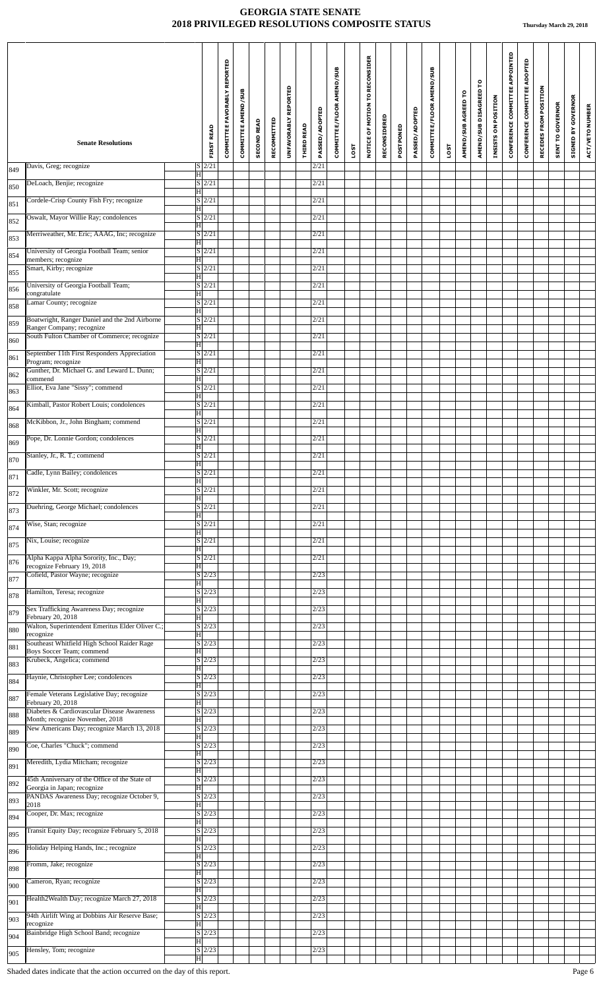|            | <b>Senate Resolutions</b>                                                      |                               | <b>FIRST READ</b>    | <b>COMMITTEE FAVORABLY REPORTED</b> | COMMITTEE AMEND/SUB | <b>SECOND READ</b> | RECOMMITTED | UNFAVORABLY REPORTED | <b>THIRD READ</b> | PASSED/ADOPTED | COMMITTEE/FLOOR AMEND/SUB |      | NOTICE OF MOTION TO RECONSIDER | RECONSIDERED | POSTPONED | PASSED/ADOPTED | COMMITTEE/FLOOR AMEND/SUB |      | AMEND/SUB AGREED TO | ဥ<br>AMEND/SUB DISAGREED | INSISTS ON POSITION | CONFERENCE COMMITTEE APPOINTED | CONFERENCE COMMITTEE ADOPTED | RECEDES FROM POSITION | <b>SENT TO GOVERNOR</b> | <b>GOVERNOR</b><br>$\mathbf{\tilde{s}}$<br>STGNED | ACT/VETO NUMBER |
|------------|--------------------------------------------------------------------------------|-------------------------------|----------------------|-------------------------------------|---------------------|--------------------|-------------|----------------------|-------------------|----------------|---------------------------|------|--------------------------------|--------------|-----------|----------------|---------------------------|------|---------------------|--------------------------|---------------------|--------------------------------|------------------------------|-----------------------|-------------------------|---------------------------------------------------|-----------------|
|            | Davis, Greg; recognize                                                         |                               | $S$ 2/21             |                                     |                     |                    |             |                      |                   | 2/21           |                           | LOST |                                |              |           |                |                           | LOST |                     |                          |                     |                                |                              |                       |                         |                                                   |                 |
| 849        | DeLoach, Benjie; recognize                                                     | $\overline{\mathbf{H}}$       | $S$  2/21            |                                     |                     |                    |             |                      |                   | 2/21           |                           |      |                                |              |           |                |                           |      |                     |                          |                     |                                |                              |                       |                         |                                                   |                 |
| 850        | Cordele-Crisp County Fish Fry; recognize                                       | H                             | $S$ 2/21             |                                     |                     |                    |             |                      |                   | 2/21           |                           |      |                                |              |           |                |                           |      |                     |                          |                     |                                |                              |                       |                         |                                                   |                 |
| 851        | Oswalt, Mayor Willie Ray; condolences                                          | $\vert H \vert$               | $S$ 2/21             |                                     |                     |                    |             |                      |                   | 2/21           |                           |      |                                |              |           |                |                           |      |                     |                          |                     |                                |                              |                       |                         |                                                   |                 |
| 852        | Merriweather, Mr. Eric; AAAG, Inc; recognize                                   | $\overline{\mathbf{H}}$       | $S \vert 2/21$       |                                     |                     |                    |             |                      |                   | 2/21           |                           |      |                                |              |           |                |                           |      |                     |                          |                     |                                |                              |                       |                         |                                                   |                 |
| 853        | University of Georgia Football Team; senior                                    | $\overline{\mathbf{H}}$       | $S \mid 2/21$        |                                     |                     |                    |             |                      |                   | 2/21           |                           |      |                                |              |           |                |                           |      |                     |                          |                     |                                |                              |                       |                         |                                                   |                 |
| 854        | members; recognize<br>Smart, Kirby; recognize                                  | $\overline{\mathbf{H}}$       | $S$ 2/21             |                                     |                     |                    |             |                      |                   | 2/21           |                           |      |                                |              |           |                |                           |      |                     |                          |                     |                                |                              |                       |                         |                                                   |                 |
| 855        | University of Georgia Football Team;                                           | $\vert H \vert$               | $S$ 2/21             |                                     |                     |                    |             |                      |                   | 2/21           |                           |      |                                |              |           |                |                           |      |                     |                          |                     |                                |                              |                       |                         |                                                   |                 |
| 856        | congratulate<br>Lamar County; recognize                                        | $\overline{\mathbf{H}}$       | $S$ 2/21             |                                     |                     |                    |             |                      |                   | 2/21           |                           |      |                                |              |           |                |                           |      |                     |                          |                     |                                |                              |                       |                         |                                                   |                 |
| 858        | Boatwright, Ranger Daniel and the 2nd Airborne                                 | H                             | $S$ 2/21             |                                     |                     |                    |             |                      |                   | 2/21           |                           |      |                                |              |           |                |                           |      |                     |                          |                     |                                |                              |                       |                         |                                                   |                 |
| 859        | Ranger Company; recognize<br>South Fulton Chamber of Commerce; recognize       | $ \mathbf{H} $                | $S$ 2/21             |                                     |                     |                    |             |                      |                   | 2/21           |                           |      |                                |              |           |                |                           |      |                     |                          |                     |                                |                              |                       |                         |                                                   |                 |
| 860        | September 11th First Responders Appreciation                                   | $\mathbf{H}$                  | $S$ 2/21             |                                     |                     |                    |             |                      |                   | 2/21           |                           |      |                                |              |           |                |                           |      |                     |                          |                     |                                |                              |                       |                         |                                                   |                 |
| 861        | Program; recognize<br>Gunther, Dr. Michael G. and Leward L. Dunn;              | $\overline{\mathrm{H}}$       | $S$ 2/21             |                                     |                     |                    |             |                      |                   | 2/21           |                           |      |                                |              |           |                |                           |      |                     |                          |                     |                                |                              |                       |                         |                                                   |                 |
| 862        | commend<br>Elliot, Eva Jane "Sissy"; commend                                   | H                             | $S \vert 2/21$       |                                     |                     |                    |             |                      |                   | 2/21           |                           |      |                                |              |           |                |                           |      |                     |                          |                     |                                |                              |                       |                         |                                                   |                 |
| 863        | Kimball, Pastor Robert Louis; condolences                                      | ΙH                            | $S \vert 2/21$       |                                     |                     |                    |             |                      |                   | 2/21           |                           |      |                                |              |           |                |                           |      |                     |                          |                     |                                |                              |                       |                         |                                                   |                 |
| 864<br>868 | McKibbon, Jr., John Bingham; commend                                           | H                             | $\vert S \vert 2/21$ |                                     |                     |                    |             |                      |                   | 2/21           |                           |      |                                |              |           |                |                           |      |                     |                          |                     |                                |                              |                       |                         |                                                   |                 |
| 869        | Pope, Dr. Lonnie Gordon; condolences                                           | H                             | $S$ 2/21             |                                     |                     |                    |             |                      |                   | 2/21           |                           |      |                                |              |           |                |                           |      |                     |                          |                     |                                |                              |                       |                         |                                                   |                 |
| 870        | Stanley, Jr., R. T.; commend                                                   | $\overline{\mathrm{H}}$       | $S$ $2/21$           |                                     |                     |                    |             |                      |                   | 2/21           |                           |      |                                |              |           |                |                           |      |                     |                          |                     |                                |                              |                       |                         |                                                   |                 |
| 871        | Cadle, Lynn Bailey; condolences                                                | $\overline{\mathbf{H}}$       | $S \mid 2/21$        |                                     |                     |                    |             |                      |                   | 2/21           |                           |      |                                |              |           |                |                           |      |                     |                          |                     |                                |                              |                       |                         |                                                   |                 |
| 872        | Winkler, Mr. Scott; recognize                                                  | H                             | $S$ 2/21             |                                     |                     |                    |             |                      |                   | 2/21           |                           |      |                                |              |           |                |                           |      |                     |                          |                     |                                |                              |                       |                         |                                                   |                 |
| 873        | Duehring, George Michael; condolences                                          | H                             | $S \mid 2/21$        |                                     |                     |                    |             |                      |                   | 2/21           |                           |      |                                |              |           |                |                           |      |                     |                          |                     |                                |                              |                       |                         |                                                   |                 |
| 874        | Wise, Stan; recognize                                                          | ΙH                            | $S$ 2/21             |                                     |                     |                    |             |                      |                   | 2/21           |                           |      |                                |              |           |                |                           |      |                     |                          |                     |                                |                              |                       |                         |                                                   |                 |
| 875        | Nix, Louise; recognize                                                         | $\overline{\mathbf{H}}$       | $S \mid 2/21$        |                                     |                     |                    |             |                      |                   | 2/21           |                           |      |                                |              |           |                |                           |      |                     |                          |                     |                                |                              |                       |                         |                                                   |                 |
| 876        | Alpha Kappa Alpha Sorority, Inc., Day;                                         | ΙH                            | S/2/21               |                                     |                     |                    |             |                      |                   | 2/21           |                           |      |                                |              |           |                |                           |      |                     |                          |                     |                                |                              |                       |                         |                                                   |                 |
| 877        | recognize February 19, 2018<br>Cofield, Pastor Wayne; recognize                | $\overline{\mathrm{H}}$       | $S$ 2/23             |                                     |                     |                    |             |                      |                   | 2/23           |                           |      |                                |              |           |                |                           |      |                     |                          |                     |                                |                              |                       |                         |                                                   |                 |
| 878        | Hamilton, Teresa; recognize                                                    | H                             | $S$ 2/23             |                                     |                     |                    |             |                      |                   | 2/23           |                           |      |                                |              |           |                |                           |      |                     |                          |                     |                                |                              |                       |                         |                                                   |                 |
| 879        | Sex Trafficking Awareness Day; recognize                                       | H                             | $S$ 2/23             |                                     |                     |                    |             |                      |                   | 2/23           |                           |      |                                |              |           |                |                           |      |                     |                          |                     |                                |                              |                       |                         |                                                   |                 |
| 880        | February 20, 2018<br>Walton, Superintendent Emeritus Elder Oliver C.;          | ΙHΙ                           | $S \mid 2/23$        |                                     |                     |                    |             |                      |                   | 2/23           |                           |      |                                |              |           |                |                           |      |                     |                          |                     |                                |                              |                       |                         |                                                   |                 |
| 881        | recognize<br>Southeast Whitfield High School Raider Rage                       | H                             | $S \mid 2/23$        |                                     |                     |                    |             |                      |                   | 2/23           |                           |      |                                |              |           |                |                           |      |                     |                          |                     |                                |                              |                       |                         |                                                   |                 |
| 883        | Boys Soccer Team; commend<br>Krubeck, Angelica; commend                        | H                             | $S$ 2/23             |                                     |                     |                    |             |                      |                   | 2/23           |                           |      |                                |              |           |                |                           |      |                     |                          |                     |                                |                              |                       |                         |                                                   |                 |
| 884        | Haynie, Christopher Lee; condolences                                           | ΙH<br>$\overline{\mathrm{H}}$ | $S \vert 2/23$       |                                     |                     |                    |             |                      |                   | 2/23           |                           |      |                                |              |           |                |                           |      |                     |                          |                     |                                |                              |                       |                         |                                                   |                 |
| 887        | Female Veterans Legislative Day; recognize<br>February 20, 2018                | H                             | $S \mid 2/23$        |                                     |                     |                    |             |                      |                   | 2/23           |                           |      |                                |              |           |                |                           |      |                     |                          |                     |                                |                              |                       |                         |                                                   |                 |
| 888        | Diabetes & Cardiovascular Disease Awareness<br>Month; recognize November, 2018 | H                             | $S \mid 2/23$        |                                     |                     |                    |             |                      |                   | 2/23           |                           |      |                                |              |           |                |                           |      |                     |                          |                     |                                |                              |                       |                         |                                                   |                 |
| 889        | New Americans Day; recognize March 13, 2018                                    | $\overline{\mathbf{H}}$       | $S \vert 2/23$       |                                     |                     |                    |             |                      |                   | 2/23           |                           |      |                                |              |           |                |                           |      |                     |                          |                     |                                |                              |                       |                         |                                                   |                 |
| 890        | Coe, Charles "Chuck"; commend                                                  | ΙH                            | $S$ 2/23             |                                     |                     |                    |             |                      |                   | 2/23           |                           |      |                                |              |           |                |                           |      |                     |                          |                     |                                |                              |                       |                         |                                                   |                 |
| 891        | Meredith, Lydia Mitcham; recognize                                             | H                             | $S$ 2/23             |                                     |                     |                    |             |                      |                   | 2/23           |                           |      |                                |              |           |                |                           |      |                     |                          |                     |                                |                              |                       |                         |                                                   |                 |
| 892        | 45th Anniversary of the Office of the State of<br>Georgia in Japan; recognize  | $\overline{\mathbf{H}}$       | $S \vert 2/23$       |                                     |                     |                    |             |                      |                   | 2/23           |                           |      |                                |              |           |                |                           |      |                     |                          |                     |                                |                              |                       |                         |                                                   |                 |
| 893        | PANDAS Awareness Day; recognize October 9,<br>2018                             | H                             | $S \mid 2/23$        |                                     |                     |                    |             |                      |                   | 2/23           |                           |      |                                |              |           |                |                           |      |                     |                          |                     |                                |                              |                       |                         |                                                   |                 |
| 894        | Cooper, Dr. Max; recognize                                                     | H                             | $S$ 2/23             |                                     |                     |                    |             |                      |                   | 2/23           |                           |      |                                |              |           |                |                           |      |                     |                          |                     |                                |                              |                       |                         |                                                   |                 |
| 895        | Transit Equity Day; recognize February 5, 2018                                 | ΙH                            | $S$ 2/23             |                                     |                     |                    |             |                      |                   | 2/23           |                           |      |                                |              |           |                |                           |      |                     |                          |                     |                                |                              |                       |                         |                                                   |                 |
| 896        | Holiday Helping Hands, Inc.; recognize                                         | $\overline{\mathbf{H}}$       | $S \vert 2/23$       |                                     |                     |                    |             |                      |                   | 2/23           |                           |      |                                |              |           |                |                           |      |                     |                          |                     |                                |                              |                       |                         |                                                   |                 |
| 898        | Fromm, Jake; recognize                                                         | ΙH                            | $S \mid 2/23$        |                                     |                     |                    |             |                      |                   | 2/23           |                           |      |                                |              |           |                |                           |      |                     |                          |                     |                                |                              |                       |                         |                                                   |                 |
| 900        | Cameron, Ryan; recognize                                                       | H                             | $S \mid 2/23$        |                                     |                     |                    |             |                      |                   | 2/23           |                           |      |                                |              |           |                |                           |      |                     |                          |                     |                                |                              |                       |                         |                                                   |                 |
| 901        | Health2Wealth Day; recognize March 27, 2018                                    | ΙH                            | $S$ 2/23             |                                     |                     |                    |             |                      |                   | 2/23           |                           |      |                                |              |           |                |                           |      |                     |                          |                     |                                |                              |                       |                         |                                                   |                 |
| 903        | 94th Airlift Wing at Dobbins Air Reserve Base;<br>recognize                    | Ħ                             | $S$ 2/23             |                                     |                     |                    |             |                      |                   | 2/23           |                           |      |                                |              |           |                |                           |      |                     |                          |                     |                                |                              |                       |                         |                                                   |                 |
| 904        | Bainbridge High School Band; recognize                                         | $ \mathbf{H} $                | $S$ 2/23             |                                     |                     |                    |             |                      |                   | 2/23           |                           |      |                                |              |           |                |                           |      |                     |                          |                     |                                |                              |                       |                         |                                                   |                 |
| 905        | Hensley, Tom; recognize                                                        | $\overline{\mathbf{H}}$       | $S$ 2/23             |                                     |                     |                    |             |                      |                   | 2/23           |                           |      |                                |              |           |                |                           |      |                     |                          |                     |                                |                              |                       |                         |                                                   |                 |
|            |                                                                                |                               |                      |                                     |                     |                    |             |                      |                   |                |                           |      |                                |              |           |                |                           |      |                     |                          |                     |                                |                              |                       |                         |                                                   |                 |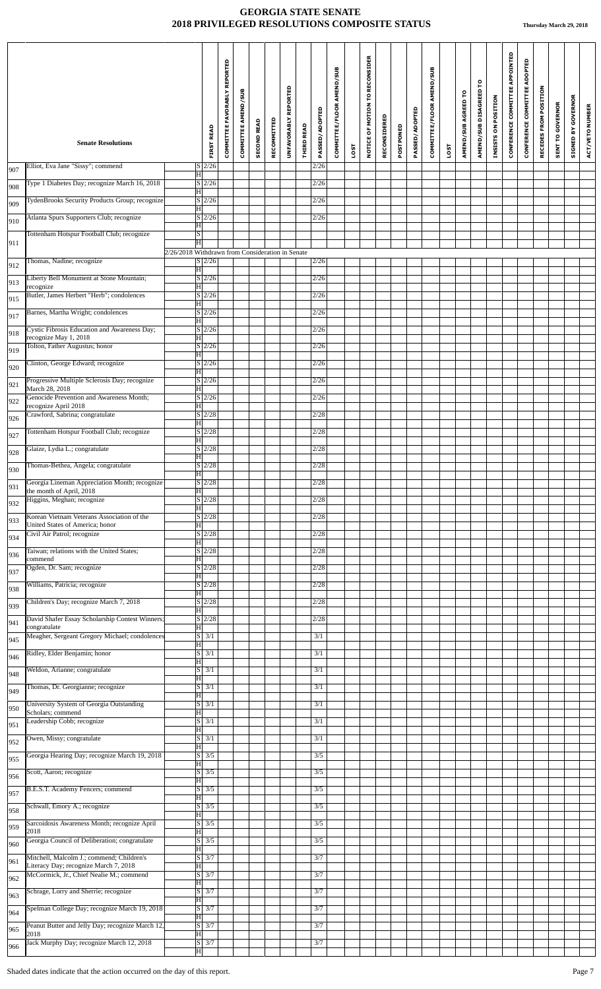|            |                                                                                    |                                                             |                                   | COMMITTEE FAVORABLY REPORTED | <b>COMMITTEE AMEND/SUB</b> |                    |             | UNFAVORABLY REPORTED |                   | PASSED/ADOPTED | COMMITTEE/FLOOR AMEND/SUB |      | NOTICE OF MOTION TO RECONSIDER |              |           | PASSED/ADOPTED | COMMITTEE/FLOOR AMEND/SUB |             | AMEND/SUB AGREED TO | բ<br>AMEND/SUB DISAGREED | INSISTS ON POSITION | CONFERENCE COMMITTEE APPOINTED | CONFERENCE COMMITTEE ADOPTED | RECEDES FROM POSITION | SENT TO GOVERNOR | <b>SIGNED BY GOVERNOR</b> | ACT/VETO NUMBER |
|------------|------------------------------------------------------------------------------------|-------------------------------------------------------------|-----------------------------------|------------------------------|----------------------------|--------------------|-------------|----------------------|-------------------|----------------|---------------------------|------|--------------------------------|--------------|-----------|----------------|---------------------------|-------------|---------------------|--------------------------|---------------------|--------------------------------|------------------------------|-----------------------|------------------|---------------------------|-----------------|
|            | <b>Senate Resolutions</b>                                                          |                                                             | <b>FIRST READ</b>                 |                              |                            | <b>SECOND READ</b> | RECOMMITTED |                      | <b>THIRD READ</b> |                |                           | LOST |                                | RECONSIDERED | POSTPONED |                |                           | <b>LOST</b> |                     |                          |                     |                                |                              |                       |                  |                           |                 |
| 907<br>908 | Elliot, Eva Jane "Sissy"; commend<br>Type 1 Diabetes Day; recognize March 16, 2018 | $\overline{\mathrm{H}}$                                     | $S$ 2/26<br>$S \mid 2/26$         |                              |                            |                    |             |                      |                   | 2/26<br>2/26   |                           |      |                                |              |           |                |                           |             |                     |                          |                     |                                |                              |                       |                  |                           |                 |
| 909        | TydenBrooks Security Products Group; recognize                                     | $\overline{\mathrm{H}}$                                     | $S$ 2/26                          |                              |                            |                    |             |                      |                   | 2/26           |                           |      |                                |              |           |                |                           |             |                     |                          |                     |                                |                              |                       |                  |                           |                 |
| 910        | Atlanta Spurs Supporters Club; recognize                                           | H                                                           | $S \vert 2/26$                    |                              |                            |                    |             |                      |                   | 2/26           |                           |      |                                |              |           |                |                           |             |                     |                          |                     |                                |                              |                       |                  |                           |                 |
| 911        | Tottenham Hotspur Football Club; recognize                                         | $ \mathbf{H} $<br>$\overline{s}$<br>$\overline{\mathbf{H}}$ |                                   |                              |                            |                    |             |                      |                   |                |                           |      |                                |              |           |                |                           |             |                     |                          |                     |                                |                              |                       |                  |                           |                 |
|            | Thomas, Nadine; recognize                                                          | 2/26/2018 Withdrawn from Consideration in Senate            | S/2/26                            |                              |                            |                    |             |                      |                   | 2/26           |                           |      |                                |              |           |                |                           |             |                     |                          |                     |                                |                              |                       |                  |                           |                 |
| 912        | Liberty Bell Monument at Stone Mountain;                                           | $\overline{\mathrm{H}}$                                     | $S$ 2/26                          |                              |                            |                    |             |                      |                   | 2/26           |                           |      |                                |              |           |                |                           |             |                     |                          |                     |                                |                              |                       |                  |                           |                 |
| 913        | recognize<br>Butler, James Herbert "Herb"; condolences                             | $ \mathbf{H} $                                              | $S \vert 2/26$                    |                              |                            |                    |             |                      |                   | 2/26           |                           |      |                                |              |           |                |                           |             |                     |                          |                     |                                |                              |                       |                  |                           |                 |
| 915        | Barnes, Martha Wright; condolences                                                 | H                                                           | $S \mid 2/26$                     |                              |                            |                    |             |                      |                   | 2/26           |                           |      |                                |              |           |                |                           |             |                     |                          |                     |                                |                              |                       |                  |                           |                 |
| 917        | Cystic Fibrosis Education and Awareness Day;                                       | $\overline{\mathrm{H}}$                                     | $S$ 2/26                          |                              |                            |                    |             |                      |                   | 2/26           |                           |      |                                |              |           |                |                           |             |                     |                          |                     |                                |                              |                       |                  |                           |                 |
| 918        | recognize May 1, 2018<br>Tolton, Father Augustus; honor                            | $\overline{\mathrm{H}}$                                     | $S$ <sub>2/26</sub>               |                              |                            |                    |             |                      |                   | 2/26           |                           |      |                                |              |           |                |                           |             |                     |                          |                     |                                |                              |                       |                  |                           |                 |
| 919        | Clinton, George Edward; recognize                                                  | $\overline{\mathrm{H}}$                                     | $S$ 2/26                          |                              |                            |                    |             |                      |                   | 2/26           |                           |      |                                |              |           |                |                           |             |                     |                          |                     |                                |                              |                       |                  |                           |                 |
| 920        | Progressive Multiple Sclerosis Day; recognize                                      | $\overline{\mathrm{H}}$                                     | $S$ 2/26                          |                              |                            |                    |             |                      |                   | 2/26           |                           |      |                                |              |           |                |                           |             |                     |                          |                     |                                |                              |                       |                  |                           |                 |
| 921        | March 28, 2018<br>Genocide Prevention and Awareness Month;                         | H                                                           | $S$ 2/26                          |                              |                            |                    |             |                      |                   | 2/26           |                           |      |                                |              |           |                |                           |             |                     |                          |                     |                                |                              |                       |                  |                           |                 |
| 922        | recognize April 2018<br>Crawford, Sabrina; congratulate                            | $\overline{\mathrm{H}}$                                     | $S \mid 2/28$                     |                              |                            |                    |             |                      |                   | 2/28           |                           |      |                                |              |           |                |                           |             |                     |                          |                     |                                |                              |                       |                  |                           |                 |
| 926<br>927 | Tottenham Hotspur Football Club; recognize                                         | H                                                           | $S$ 2/28                          |                              |                            |                    |             |                      |                   | 2/28           |                           |      |                                |              |           |                |                           |             |                     |                          |                     |                                |                              |                       |                  |                           |                 |
| 928        | Glaize, Lydia L.; congratulate                                                     | $\overline{\mathrm{H}}$                                     | $S$ 2/28                          |                              |                            |                    |             |                      |                   | 2/28           |                           |      |                                |              |           |                |                           |             |                     |                          |                     |                                |                              |                       |                  |                           |                 |
|            | Thomas-Bethea, Angela; congratulate                                                | $ \mathbf{H} $                                              | $S \vert 2/28$                    |                              |                            |                    |             |                      |                   | 2/28           |                           |      |                                |              |           |                |                           |             |                     |                          |                     |                                |                              |                       |                  |                           |                 |
| 930        | Georgia Lineman Appreciation Month; recognize                                      | $\overline{\mathrm{H}}$                                     | $S$  2/28                         |                              |                            |                    |             |                      |                   | 2/28           |                           |      |                                |              |           |                |                           |             |                     |                          |                     |                                |                              |                       |                  |                           |                 |
| 931        | the month of April, 2018<br>Higgins, Meghan; recognize                             | H                                                           | $S$ 2/28                          |                              |                            |                    |             |                      |                   | 2/28           |                           |      |                                |              |           |                |                           |             |                     |                          |                     |                                |                              |                       |                  |                           |                 |
| 932        | Korean Vietnam Veterans Association of the                                         | $\overline{H}$                                              | $\sqrt{S/2/28}$                   |                              |                            |                    |             |                      |                   | 2/28           |                           |      |                                |              |           |                |                           |             |                     |                          |                     |                                |                              |                       |                  |                           |                 |
| 933        | United States of America; honor<br>Civil Air Patrol; recognize                     | $\overline{\mathrm{H}}$                                     | $S\vert 2/28$                     |                              |                            |                    |             |                      |                   | 2/28           |                           |      |                                |              |           |                |                           |             |                     |                          |                     |                                |                              |                       |                  |                           |                 |
| 934        | Taiwan; relations with the United States;                                          | H                                                           | $S$ 2/28                          |                              |                            |                    |             |                      |                   | 2/28           |                           |      |                                |              |           |                |                           |             |                     |                          |                     |                                |                              |                       |                  |                           |                 |
| 936        | commend<br>Ogden, Dr. Sam; recognize                                               | $\overline{\mathrm{H}}$                                     | $S$ <sub>2/28</sub>               |                              |                            |                    |             |                      |                   | 2/28           |                           |      |                                |              |           |                |                           |             |                     |                          |                     |                                |                              |                       |                  |                           |                 |
| 937        | Williams, Patricia; recognize                                                      | $\overline{\mathrm{H}}$                                     | S/2/28                            |                              |                            |                    |             |                      |                   | 2/28           |                           |      |                                |              |           |                |                           |             |                     |                          |                     |                                |                              |                       |                  |                           |                 |
| 938        | Children's Day; recognize March 7, 2018                                            | $\overline{\mathrm{H}}$                                     | S/2/28                            |                              |                            |                    |             |                      |                   | 2/28           |                           |      |                                |              |           |                |                           |             |                     |                          |                     |                                |                              |                       |                  |                           |                 |
| 939        | David Shafer Essay Scholarship Contest Winners                                     | H                                                           | $S \vert 2/28$                    |                              |                            |                    |             |                      |                   | 2/28           |                           |      |                                |              |           |                |                           |             |                     |                          |                     |                                |                              |                       |                  |                           |                 |
| 941        | congratulate<br>Meagher, Sergeant Gregory Michael; condolences                     | $\overline{\mathbf{H}}$                                     | $S$ $3/1$                         |                              |                            |                    |             |                      |                   | 3/1            |                           |      |                                |              |           |                |                           |             |                     |                          |                     |                                |                              |                       |                  |                           |                 |
| 945        | Ridley, Elder Benjamin; honor                                                      | $\overline{\mathrm{H}}$                                     | $S \mid 3/1$                      |                              |                            |                    |             |                      |                   | 3/1            |                           |      |                                |              |           |                |                           |             |                     |                          |                     |                                |                              |                       |                  |                           |                 |
| 946        | Weldon, Arianne; congratulate                                                      | H                                                           | $S$ 3/1                           |                              |                            |                    |             |                      |                   | 3/1            |                           |      |                                |              |           |                |                           |             |                     |                          |                     |                                |                              |                       |                  |                           |                 |
| 948        | Thomas, Dr. Georgianne; recognize                                                  | $\overline{\mathbf{H}}$                                     | $S \mid 3/1$                      |                              |                            |                    |             |                      |                   | 3/1            |                           |      |                                |              |           |                |                           |             |                     |                          |                     |                                |                              |                       |                  |                           |                 |
| 949        | University System of Georgia Outstanding                                           | $\overline{\mathrm{H}}$                                     | $S \mid 3/1$                      |                              |                            |                    |             |                      |                   | 3/1            |                           |      |                                |              |           |                |                           |             |                     |                          |                     |                                |                              |                       |                  |                           |                 |
| 950        | Scholars; commend<br>Leadership Cobb; recognize                                    | H                                                           | $S \overline{\smash{\big)}\ 3/1}$ |                              |                            |                    |             |                      |                   | 3/1            |                           |      |                                |              |           |                |                           |             |                     |                          |                     |                                |                              |                       |                  |                           |                 |
| 951        |                                                                                    | H                                                           | $S \overline{3/1}$                |                              |                            |                    |             |                      |                   | 3/1            |                           |      |                                |              |           |                |                           |             |                     |                          |                     |                                |                              |                       |                  |                           |                 |
| 952        | Owen, Missy; congratulate<br>Georgia Hearing Day; recognize March 19, 2018         | H                                                           | $\overline{S}$ 3/5                |                              |                            |                    |             |                      |                   | 3/5            |                           |      |                                |              |           |                |                           |             |                     |                          |                     |                                |                              |                       |                  |                           |                 |
| 955        |                                                                                    | $\overline{\mathrm{H}}$                                     | $S \mid 3/5$                      |                              |                            |                    |             |                      |                   |                |                           |      |                                |              |           |                |                           |             |                     |                          |                     |                                |                              |                       |                  |                           |                 |
| 956        | Scott, Aaron; recognize                                                            | H                                                           |                                   |                              |                            |                    |             |                      |                   | 3/5            |                           |      |                                |              |           |                |                           |             |                     |                          |                     |                                |                              |                       |                  |                           |                 |
| 957        | B.E.S.T. Academy Fencers; commend                                                  | $\overline{s}$<br>$\overline{\mathrm{H}}$                   | 3/5                               |                              |                            |                    |             |                      |                   | 3/5            |                           |      |                                |              |           |                |                           |             |                     |                          |                     |                                |                              |                       |                  |                           |                 |
| 958        | Schwall, Emory A.; recognize                                                       | $\overline{\mathrm{H}}$                                     | $S$ 3/5                           |                              |                            |                    |             |                      |                   | 3/5            |                           |      |                                |              |           |                |                           |             |                     |                          |                     |                                |                              |                       |                  |                           |                 |
| 959        | Sarcoidosis Awareness Month; recognize April<br>2018                               | H                                                           | $S \mid 3/5$                      |                              |                            |                    |             |                      |                   | 3/5            |                           |      |                                |              |           |                |                           |             |                     |                          |                     |                                |                              |                       |                  |                           |                 |
| 960        | Georgia Council of Deliberation; congratulate                                      | $ \mathbf{H} $                                              | $S \overline{3/5}$                |                              |                            |                    |             |                      |                   | 3/5            |                           |      |                                |              |           |                |                           |             |                     |                          |                     |                                |                              |                       |                  |                           |                 |
| 961        | Mitchell, Malcolm J.; commend; Children's<br>Literacy Day; recognize March 7, 2018 | H                                                           | $S \mid 3/7$                      |                              |                            |                    |             |                      |                   | 3/7            |                           |      |                                |              |           |                |                           |             |                     |                          |                     |                                |                              |                       |                  |                           |                 |
| 962        | McCormick, Jr., Chief Nealie M.; commend                                           | H                                                           | $S \mid 3/7$                      |                              |                            |                    |             |                      |                   | 3/7            |                           |      |                                |              |           |                |                           |             |                     |                          |                     |                                |                              |                       |                  |                           |                 |
| 963        | Schrage, Lorry and Sherrie; recognize                                              | $ \mathbf{H} $                                              | $S \overline{3/7}$                |                              |                            |                    |             |                      |                   | 3/7            |                           |      |                                |              |           |                |                           |             |                     |                          |                     |                                |                              |                       |                  |                           |                 |
| 964        | Spelman College Day; recognize March 19, 2018                                      | $\overline{\mathrm{H}}$                                     | $S \overline{3/7}$                |                              |                            |                    |             |                      |                   | 3/7            |                           |      |                                |              |           |                |                           |             |                     |                          |                     |                                |                              |                       |                  |                           |                 |
| 965        | Peanut Butter and Jelly Day; recognize March 12.<br>2018                           | Ħ                                                           | $S$ 3/7                           |                              |                            |                    |             |                      |                   | 3/7            |                           |      |                                |              |           |                |                           |             |                     |                          |                     |                                |                              |                       |                  |                           |                 |
| 966        | Jack Murphy Day; recognize March 12, 2018                                          | $\overline{\mathrm{H}}$                                     | $S \overline{\smash{\big)}\ 3/7}$ |                              |                            |                    |             |                      |                   | 3/7            |                           |      |                                |              |           |                |                           |             |                     |                          |                     |                                |                              |                       |                  |                           |                 |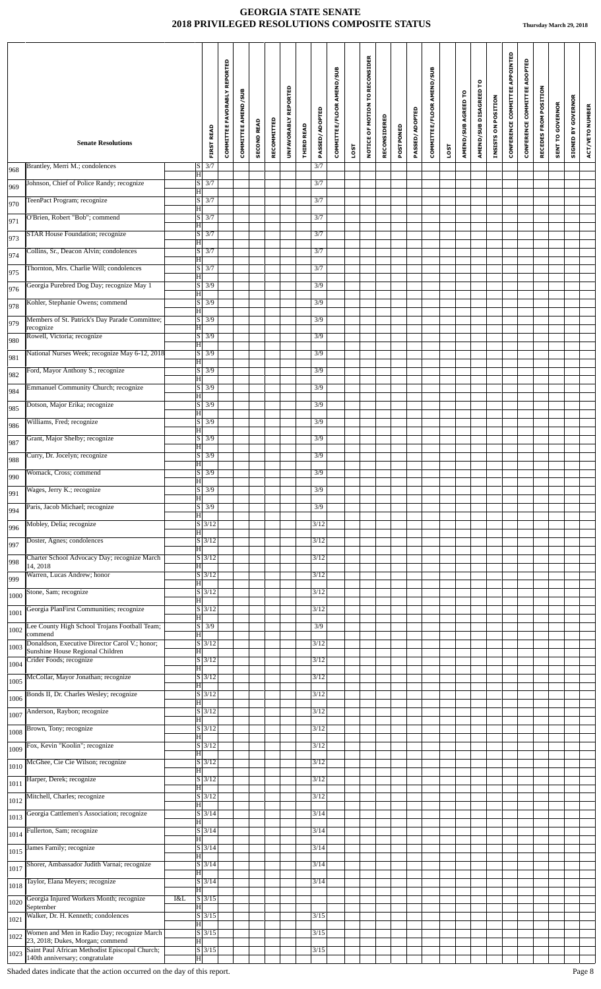|              | <b>Senate Resolutions</b>                                                                                  |     | <b>FIRST READ</b>                                            | COMMITTEE FAVORABLY REPORTED | COMMITTEE AMEND/SUB | <b>SECOND READ</b> | RECOMMITTED | UNFAVORABLY REPORTED | <b>THIRD READ</b> | PASSED/ADOPTED | COMMITTEE/FLOOR AMEND/SUB |      | NOTICE OF MOTION TO RECONSIDER | RECONSIDERED | POSTPONED | PASSED/ADOPTED | COMMITTEE/FLOOR AMEND/SUB |      | AMEND/SUB AGREED TO | AMEND/SUB DISAGREED TO | INSISTS ON POSITION | CONFERENCE COMMITTEE APPOINTED | CONFERENCE COMMITTEE ADOPTED | RECEDES FROM POSITION | <b>SENT TO GOVERNOR</b> | <b>GOVERNOR</b><br>$\mathbf{\Sigma}$ | ACT/VETO NUMBER |
|--------------|------------------------------------------------------------------------------------------------------------|-----|--------------------------------------------------------------|------------------------------|---------------------|--------------------|-------------|----------------------|-------------------|----------------|---------------------------|------|--------------------------------|--------------|-----------|----------------|---------------------------|------|---------------------|------------------------|---------------------|--------------------------------|------------------------------|-----------------------|-------------------------|--------------------------------------|-----------------|
|              |                                                                                                            |     |                                                              |                              |                     |                    |             |                      |                   |                |                           | LOST |                                |              |           |                |                           | LOST |                     |                        |                     |                                |                              |                       |                         | SIGNED                               |                 |
| 968          | Brantley, Merri M.; condolences                                                                            |     | $S \overline{\smash{\big)}\ 3/7}$<br>$\overline{\mathbf{H}}$ |                              |                     |                    |             |                      |                   | 3/7            |                           |      |                                |              |           |                |                           |      |                     |                        |                     |                                |                              |                       |                         |                                      |                 |
| 969          | Johnson, Chief of Police Randy; recognize                                                                  |     | $S \mid 3/7$<br>$ \mathbf{H} $                               |                              |                     |                    |             |                      |                   | 3/7            |                           |      |                                |              |           |                |                           |      |                     |                        |                     |                                |                              |                       |                         |                                      |                 |
| 970          | TeenPact Program; recognize                                                                                |     | $S \overline{\smash{\big)}\ 3/7}$<br>H                       |                              |                     |                    |             |                      |                   | 3/7            |                           |      |                                |              |           |                |                           |      |                     |                        |                     |                                |                              |                       |                         |                                      |                 |
| 971          | O'Brien, Robert "Bob"; commend                                                                             |     | $S$ $3/7$<br>H                                               |                              |                     |                    |             |                      |                   | 3/7            |                           |      |                                |              |           |                |                           |      |                     |                        |                     |                                |                              |                       |                         |                                      |                 |
| 973          | <b>STAR House Foundation; recognize</b>                                                                    |     | $S$ 3/7<br>$\overline{\mathbf{H}}$                           |                              |                     |                    |             |                      |                   | 3/7            |                           |      |                                |              |           |                |                           |      |                     |                        |                     |                                |                              |                       |                         |                                      |                 |
| 974          | Collins, Sr., Deacon Alvin; condolences                                                                    |     | $S \mid 3/7$<br>H                                            |                              |                     |                    |             |                      |                   | 3/7            |                           |      |                                |              |           |                |                           |      |                     |                        |                     |                                |                              |                       |                         |                                      |                 |
| 975          | Thornton, Mrs. Charlie Will; condolences                                                                   |     | $S \mid 3/7$<br>Ħ                                            |                              |                     |                    |             |                      |                   | 3/7            |                           |      |                                |              |           |                |                           |      |                     |                        |                     |                                |                              |                       |                         |                                      |                 |
| 976          | Georgia Purebred Dog Day; recognize May 1                                                                  |     | $S \overline{3/9}$<br>$\overline{\mathbf{H}}$                |                              |                     |                    |             |                      |                   | 3/9            |                           |      |                                |              |           |                |                           |      |                     |                        |                     |                                |                              |                       |                         |                                      |                 |
| 978          | Kohler, Stephanie Owens; commend                                                                           |     | $\overline{S}$ 3/9<br>$\overline{\mathbf{H}}$                |                              |                     |                    |             |                      |                   | 3/9            |                           |      |                                |              |           |                |                           |      |                     |                        |                     |                                |                              |                       |                         |                                      |                 |
| 979          | Members of St. Patrick's Day Parade Committee;<br>recognize                                                |     | $S \overline{3/9}$<br> H                                     |                              |                     |                    |             |                      |                   | 3/9            |                           |      |                                |              |           |                |                           |      |                     |                        |                     |                                |                              |                       |                         |                                      |                 |
| 980          | Rowell, Victoria; recognize                                                                                |     | $S \overline{3/9}$<br>$\overline{\mathbf{H}}$                |                              |                     |                    |             |                      |                   | 3/9            |                           |      |                                |              |           |                |                           |      |                     |                        |                     |                                |                              |                       |                         |                                      |                 |
| 981          | National Nurses Week; recognize May 6-12, 2018                                                             |     | $S \overline{3/9}$<br>$\overline{\mathbf{H}}$                |                              |                     |                    |             |                      |                   | 3/9            |                           |      |                                |              |           |                |                           |      |                     |                        |                     |                                |                              |                       |                         |                                      |                 |
| 982          | Ford, Mayor Anthony S.; recognize                                                                          |     | $S \overline{3/9}$<br>H                                      |                              |                     |                    |             |                      |                   | 3/9            |                           |      |                                |              |           |                |                           |      |                     |                        |                     |                                |                              |                       |                         |                                      |                 |
| 984          | Emmanuel Community Church; recognize                                                                       |     | $S$ 3/9<br>$ \mathbf{H} $                                    |                              |                     |                    |             |                      |                   | 3/9            |                           |      |                                |              |           |                |                           |      |                     |                        |                     |                                |                              |                       |                         |                                      |                 |
| 985          | Dotson, Major Erika; recognize                                                                             |     | $S$ 3/9<br>$\overline{\mathbf{H}}$                           |                              |                     |                    |             |                      |                   | 3/9            |                           |      |                                |              |           |                |                           |      |                     |                        |                     |                                |                              |                       |                         |                                      |                 |
| 986          | Williams, Fred; recognize                                                                                  |     | $S \mid 3/9$<br>H                                            |                              |                     |                    |             |                      |                   | 3/9            |                           |      |                                |              |           |                |                           |      |                     |                        |                     |                                |                              |                       |                         |                                      |                 |
| 987          | Grant, Major Shelby; recognize                                                                             |     | $S \overline{3/9}$<br>$\overline{\mathbf{H}}$                |                              |                     |                    |             |                      |                   | 3/9            |                           |      |                                |              |           |                |                           |      |                     |                        |                     |                                |                              |                       |                         |                                      |                 |
| 988          | Curry, Dr. Jocelyn; recognize                                                                              |     | $S$ 3/9<br>H                                                 |                              |                     |                    |             |                      |                   | 3/9            |                           |      |                                |              |           |                |                           |      |                     |                        |                     |                                |                              |                       |                         |                                      |                 |
| 990          | Womack, Cross; commend                                                                                     |     | $S \mid 3/9$<br>$ \mathbf{H} $                               |                              |                     |                    |             |                      |                   | 3/9            |                           |      |                                |              |           |                |                           |      |                     |                        |                     |                                |                              |                       |                         |                                      |                 |
| 991          | Wages, Jerry K.; recognize                                                                                 |     | $S \overline{3/9}$<br>H                                      |                              |                     |                    |             |                      |                   | 3/9            |                           |      |                                |              |           |                |                           |      |                     |                        |                     |                                |                              |                       |                         |                                      |                 |
| 994          | Paris, Jacob Michael; recognize                                                                            |     | $S \mid 3/9$<br>H                                            |                              |                     |                    |             |                      |                   | 3/9            |                           |      |                                |              |           |                |                           |      |                     |                        |                     |                                |                              |                       |                         |                                      |                 |
| 996          | Mobley, Delia; recognize                                                                                   |     | $S \overline{3/12}$<br>ΙH                                    |                              |                     |                    |             |                      |                   | 3/12           |                           |      |                                |              |           |                |                           |      |                     |                        |                     |                                |                              |                       |                         |                                      |                 |
| 997          | Doster, Agnes; condolences                                                                                 |     | $S$ 3/12<br>H                                                |                              |                     |                    |             |                      |                   | 3/12           |                           |      |                                |              |           |                |                           |      |                     |                        |                     |                                |                              |                       |                         |                                      |                 |
| 998          | Charter School Advocacy Day; recognize March<br>14, 2018                                                   |     | $S$ 3/12<br>H                                                |                              |                     |                    |             |                      |                   | 3/12           |                           |      |                                |              |           |                |                           |      |                     |                        |                     |                                |                              |                       |                         |                                      |                 |
| 999          | Warren, Lucas Andrew; honor                                                                                |     | $S \mid 3/12$<br>H                                           |                              |                     |                    |             |                      |                   | 3/12           |                           |      |                                |              |           |                |                           |      |                     |                        |                     |                                |                              |                       |                         |                                      |                 |
| 1000         | Stone, Sam; recognize                                                                                      |     | $S$ 3/12<br>ΙH                                               |                              |                     |                    |             |                      |                   | 3/12           |                           |      |                                |              |           |                |                           |      |                     |                        |                     |                                |                              |                       |                         |                                      |                 |
| 1001         | Georgia PlanFirst Communities; recognize                                                                   |     | $S \vert 3/12$<br>H<br>$S \mid 3/9$                          |                              |                     |                    |             |                      |                   | 3/12<br>3/9    |                           |      |                                |              |           |                |                           |      |                     |                        |                     |                                |                              |                       |                         |                                      |                 |
| 1002         | Lee County High School Trojans Football Team;<br>commend<br>Donaldson, Executive Director Carol V.; honor; |     | H<br>$S \frac{3}{12}$                                        |                              |                     |                    |             |                      |                   | 3/12           |                           |      |                                |              |           |                |                           |      |                     |                        |                     |                                |                              |                       |                         |                                      |                 |
| 1003         | Sunshine House Regional Children<br>Crider Foods; recognize                                                |     | H<br>$S$ 3/12                                                |                              |                     |                    |             |                      |                   | 3/12           |                           |      |                                |              |           |                |                           |      |                     |                        |                     |                                |                              |                       |                         |                                      |                 |
| 1004         | McCollar, Mayor Jonathan; recognize                                                                        |     | H<br>$S \vert 3/12$                                          |                              |                     |                    |             |                      |                   | 3/12           |                           |      |                                |              |           |                |                           |      |                     |                        |                     |                                |                              |                       |                         |                                      |                 |
| 1005         | Bonds II, Dr. Charles Wesley; recognize                                                                    |     | ΙH<br>$S$ 3/12                                               |                              |                     |                    |             |                      |                   | 3/12           |                           |      |                                |              |           |                |                           |      |                     |                        |                     |                                |                              |                       |                         |                                      |                 |
| 1006         | Anderson, Raybon; recognize                                                                                |     | H<br>$S \mid 3/12$                                           |                              |                     |                    |             |                      |                   | 3/12           |                           |      |                                |              |           |                |                           |      |                     |                        |                     |                                |                              |                       |                         |                                      |                 |
| 1007         | Brown, Tony; recognize                                                                                     |     | H<br>$S \vert 3/12$                                          |                              |                     |                    |             |                      |                   | 3/12           |                           |      |                                |              |           |                |                           |      |                     |                        |                     |                                |                              |                       |                         |                                      |                 |
| 1008         | Fox, Kevin "Koolin"; recognize                                                                             |     | H<br>$S$ 3/12                                                |                              |                     |                    |             |                      |                   | 3/12           |                           |      |                                |              |           |                |                           |      |                     |                        |                     |                                |                              |                       |                         |                                      |                 |
| 1009         | McGhee, Cie Cie Wilson; recognize                                                                          |     | H<br>$S$ 3/12                                                |                              |                     |                    |             |                      |                   | 3/12           |                           |      |                                |              |           |                |                           |      |                     |                        |                     |                                |                              |                       |                         |                                      |                 |
| 1010         | Harper, Derek; recognize                                                                                   |     | H<br>$S$ 3/12                                                |                              |                     |                    |             |                      |                   | 3/12           |                           |      |                                |              |           |                |                           |      |                     |                        |                     |                                |                              |                       |                         |                                      |                 |
| 1011         | Mitchell, Charles; recognize                                                                               |     | H<br>$S$ 3/12                                                |                              |                     |                    |             |                      |                   | 3/12           |                           |      |                                |              |           |                |                           |      |                     |                        |                     |                                |                              |                       |                         |                                      |                 |
| 1012         | Georgia Cattlemen's Association; recognize                                                                 |     | H <br>$S$ 3/14                                               |                              |                     |                    |             |                      |                   | 3/14           |                           |      |                                |              |           |                |                           |      |                     |                        |                     |                                |                              |                       |                         |                                      |                 |
| 1013         | Fullerton, Sam; recognize                                                                                  |     | H<br>$S$ 3/14                                                |                              |                     |                    |             |                      |                   | 3/14           |                           |      |                                |              |           |                |                           |      |                     |                        |                     |                                |                              |                       |                         |                                      |                 |
| 1014         | James Family; recognize                                                                                    |     | H<br>$\overline{S}$ 3/14                                     |                              |                     |                    |             |                      |                   | 3/14           |                           |      |                                |              |           |                |                           |      |                     |                        |                     |                                |                              |                       |                         |                                      |                 |
| 1015         | Shorer, Ambassador Judith Varnai; recognize                                                                |     | ΙH<br>$S$ 3/14                                               |                              |                     |                    |             |                      |                   | 3/14           |                           |      |                                |              |           |                |                           |      |                     |                        |                     |                                |                              |                       |                         |                                      |                 |
| 1017         | Taylor, Elana Meyers; recognize                                                                            |     | H<br>$S \mid 3/14$                                           |                              |                     |                    |             |                      |                   | 3/14           |                           |      |                                |              |           |                |                           |      |                     |                        |                     |                                |                              |                       |                         |                                      |                 |
| 1018         | Georgia Injured Workers Month; recognize                                                                   | I&L | $\vert H \vert$<br>$S$ 3/15                                  |                              |                     |                    |             |                      |                   |                |                           |      |                                |              |           |                |                           |      |                     |                        |                     |                                |                              |                       |                         |                                      |                 |
| 1020         | September<br>Walker, Dr. H. Kenneth; condolences                                                           |     | H<br>$S \mid 3/15$                                           |                              |                     |                    |             |                      |                   | 3/15           |                           |      |                                |              |           |                |                           |      |                     |                        |                     |                                |                              |                       |                         |                                      |                 |
| 1021<br>1022 | Women and Men in Radio Day; recognize March                                                                |     | ΙHΙ<br>$S \overline{\smash{\big)}\smash{3/15}}$              |                              |                     |                    |             |                      |                   | 3/15           |                           |      |                                |              |           |                |                           |      |                     |                        |                     |                                |                              |                       |                         |                                      |                 |
| 1023         | 23, 2018; Dukes, Morgan; commend<br>Saint Paul African Methodist Episcopal Church;                         |     | H<br>$\overline{S}$ 3/15                                     |                              |                     |                    |             |                      |                   | 3/15           |                           |      |                                |              |           |                |                           |      |                     |                        |                     |                                |                              |                       |                         |                                      |                 |
|              | 140th anniversary; congratulate                                                                            |     | $ \mathbf{H} $                                               |                              |                     |                    |             |                      |                   |                |                           |      |                                |              |           |                |                           |      |                     |                        |                     |                                |                              |                       |                         |                                      |                 |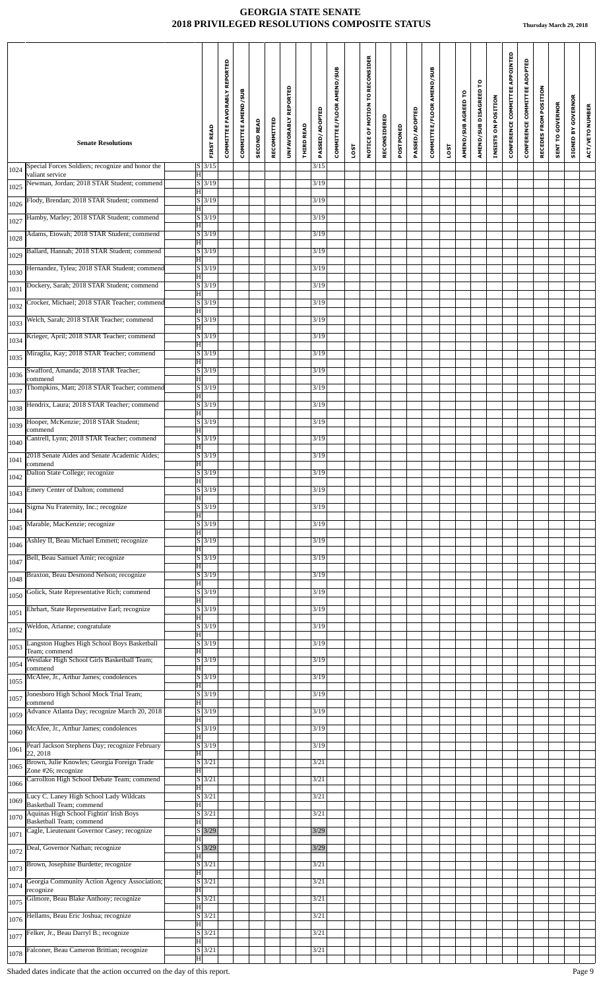|      | <b>Senate Resolutions</b>                                                                | <b>FIRST READ</b>                                         | COMMITTEE FAVORABLY REPORTED | COMMITTEE AMEND/SUB | <b>SECOND READ</b> | RECOMMITTED | UNFAVORABLY REPORTED | <b>THIRD READ</b> | PASSED/ADOPTED | COMMITTEE/FLOOR AMEND/SUB |      | NOTICE OF MOTION TO RECONSIDER | RECONSIDERED | POSTPONED | PASSED/ADOPTED | COMMITTEE/FLOOR AMEND/SUB |      | AMEND/SUB AGREED TO | AMEND/SUB DISAGREED TO | INSISTS ON POSITION | CONFERENCE COMMITTEE APPOINTED | CONFERENCE COMMITTEE ADOPTED | RECEDES FROM POSITION | <b>SENT TO GOVERNOR</b> | <b>GOVERNOR</b><br>ă<br>SIGNED | ACT/VETO NUMBER |
|------|------------------------------------------------------------------------------------------|-----------------------------------------------------------|------------------------------|---------------------|--------------------|-------------|----------------------|-------------------|----------------|---------------------------|------|--------------------------------|--------------|-----------|----------------|---------------------------|------|---------------------|------------------------|---------------------|--------------------------------|------------------------------|-----------------------|-------------------------|--------------------------------|-----------------|
|      | Special Forces Soldiers; recognize and honor the                                         | $S$ 3/15                                                  |                              |                     |                    |             |                      |                   | 3/15           |                           | LOST |                                |              |           |                |                           | LOST |                     |                        |                     |                                |                              |                       |                         |                                |                 |
| 1024 | valiant service<br>Newman, Jordan; 2018 STAR Student; commend                            | $\overline{\mathbf{H}}$<br>S/3/19                         |                              |                     |                    |             |                      |                   | 3/19           |                           |      |                                |              |           |                |                           |      |                     |                        |                     |                                |                              |                       |                         |                                |                 |
| 1025 |                                                                                          | H<br>$S$ 3/19                                             |                              |                     |                    |             |                      |                   | 3/19           |                           |      |                                |              |           |                |                           |      |                     |                        |                     |                                |                              |                       |                         |                                |                 |
| 1026 | Flody, Brendan; 2018 STAR Student; commend                                               | H<br>$S$ 3/19                                             |                              |                     |                    |             |                      |                   | 3/19           |                           |      |                                |              |           |                |                           |      |                     |                        |                     |                                |                              |                       |                         |                                |                 |
| 1027 | Hamby, Marley; 2018 STAR Student; commend                                                | H<br>$S \overline{\smash{\big)}\smash{3/19}}$             |                              |                     |                    |             |                      |                   | 3/19           |                           |      |                                |              |           |                |                           |      |                     |                        |                     |                                |                              |                       |                         |                                |                 |
| 1028 | Adams, Etowah; 2018 STAR Student; commend<br>Ballard, Hannah; 2018 STAR Student; commend | $\vert H \vert$<br>$\vert S \vert 3/19$                   |                              |                     |                    |             |                      |                   | 3/19           |                           |      |                                |              |           |                |                           |      |                     |                        |                     |                                |                              |                       |                         |                                |                 |
| 1029 | Hernandez, Tylea; 2018 STAR Student; commend                                             | H<br>$S$ 3/19                                             |                              |                     |                    |             |                      |                   | 3/19           |                           |      |                                |              |           |                |                           |      |                     |                        |                     |                                |                              |                       |                         |                                |                 |
| 1030 | Dockery, Sarah; 2018 STAR Student; commend                                               | $ \mathbf{H} $<br>$S$ 3/19                                |                              |                     |                    |             |                      |                   | 3/19           |                           |      |                                |              |           |                |                           |      |                     |                        |                     |                                |                              |                       |                         |                                |                 |
| 1031 |                                                                                          | $\overline{\mathbf{H}}$<br>S/3/19                         |                              |                     |                    |             |                      |                   |                |                           |      |                                |              |           |                |                           |      |                     |                        |                     |                                |                              |                       |                         |                                |                 |
| 1032 | Crocker, Michael; 2018 STAR Teacher; commend                                             | H                                                         |                              |                     |                    |             |                      |                   | 3/19           |                           |      |                                |              |           |                |                           |      |                     |                        |                     |                                |                              |                       |                         |                                |                 |
| 1033 | Welch, Sarah; 2018 STAR Teacher; commend                                                 | $S$ 3/19<br>$ \mathbf{H} $                                |                              |                     |                    |             |                      |                   | 3/19           |                           |      |                                |              |           |                |                           |      |                     |                        |                     |                                |                              |                       |                         |                                |                 |
| 1034 | Krieger, April; 2018 STAR Teacher; commend                                               | $S \overline{\smash{\big)}\smash{3/19}}$<br>H<br>$S$ 3/19 |                              |                     |                    |             |                      |                   | 3/19           |                           |      |                                |              |           |                |                           |      |                     |                        |                     |                                |                              |                       |                         |                                |                 |
| 1035 | Miraglia, Kay; 2018 STAR Teacher; commend                                                | H                                                         |                              |                     |                    |             |                      |                   | 3/19           |                           |      |                                |              |           |                |                           |      |                     |                        |                     |                                |                              |                       |                         |                                |                 |
| 1036 | Swafford, Amanda; 2018 STAR Teacher;<br>commend                                          | $S$ 3/19<br>H<br>$S$ 3/19                                 |                              |                     |                    |             |                      |                   | 3/19           |                           |      |                                |              |           |                |                           |      |                     |                        |                     |                                |                              |                       |                         |                                |                 |
| 1037 | Thompkins, Matt; 2018 STAR Teacher; commend                                              | $\overline{\mathbf{H}}$                                   |                              |                     |                    |             |                      |                   | 3/19           |                           |      |                                |              |           |                |                           |      |                     |                        |                     |                                |                              |                       |                         |                                |                 |
| 1038 | Hendrix, Laura; 2018 STAR Teacher; commend                                               | $S \mid 3/19$<br>H                                        |                              |                     |                    |             |                      |                   | 3/19           |                           |      |                                |              |           |                |                           |      |                     |                        |                     |                                |                              |                       |                         |                                |                 |
| 1039 | Hooper, McKenzie; 2018 STAR Student;<br>commend                                          | $S$ 3/19<br>H                                             |                              |                     |                    |             |                      |                   | 3/19           |                           |      |                                |              |           |                |                           |      |                     |                        |                     |                                |                              |                       |                         |                                |                 |
| 1040 | Cantrell, Lynn; 2018 STAR Teacher; commend                                               | $S$ 3/19<br>$\overline{\mathbf{H}}$                       |                              |                     |                    |             |                      |                   | 3/19           |                           |      |                                |              |           |                |                           |      |                     |                        |                     |                                |                              |                       |                         |                                |                 |
| 1041 | 2018 Senate Aides and Senate Academic Aides;<br>commend                                  | $S$ 3/19<br>H                                             |                              |                     |                    |             |                      |                   | 3/19           |                           |      |                                |              |           |                |                           |      |                     |                        |                     |                                |                              |                       |                         |                                |                 |
| 1042 | Dalton State College; recognize                                                          | $S$ 3/19<br>$\overline{\mathbf{H}}$                       |                              |                     |                    |             |                      |                   | 3/19           |                           |      |                                |              |           |                |                           |      |                     |                        |                     |                                |                              |                       |                         |                                |                 |
| 1043 | Emery Center of Dalton; commend                                                          | $S \mid 3/19$<br>H                                        |                              |                     |                    |             |                      |                   | 3/19           |                           |      |                                |              |           |                |                           |      |                     |                        |                     |                                |                              |                       |                         |                                |                 |
| 1044 | Sigma Nu Fraternity, Inc.; recognize                                                     | S 3/19<br>H                                               |                              |                     |                    |             |                      |                   | 3/19           |                           |      |                                |              |           |                |                           |      |                     |                        |                     |                                |                              |                       |                         |                                |                 |
| 1045 | Marable, MacKenzie; recognize                                                            | $S \mid 3/19$<br>H                                        |                              |                     |                    |             |                      |                   | 3/19           |                           |      |                                |              |           |                |                           |      |                     |                        |                     |                                |                              |                       |                         |                                |                 |
| 1046 | Ashley II, Beau Michael Emmett; recognize                                                | S 3/19<br>H                                               |                              |                     |                    |             |                      |                   | 3/19           |                           |      |                                |              |           |                |                           |      |                     |                        |                     |                                |                              |                       |                         |                                |                 |
| 1047 | Bell, Beau Samuel Amir; recognize                                                        | $\sqrt{S}$ 3/19<br>ΙH                                     |                              |                     |                    |             |                      |                   | 3/19           |                           |      |                                |              |           |                |                           |      |                     |                        |                     |                                |                              |                       |                         |                                |                 |
| 1048 | Braxton, Beau Desmond Nelson; recognize                                                  | S/3/19<br>H                                               |                              |                     |                    |             |                      |                   | 3/19           |                           |      |                                |              |           |                |                           |      |                     |                        |                     |                                |                              |                       |                         |                                |                 |
| 1050 | Golick, State Representative Rich; commend                                               | S 3/19<br>H                                               |                              |                     |                    |             |                      |                   | 3/19           |                           |      |                                |              |           |                |                           |      |                     |                        |                     |                                |                              |                       |                         |                                |                 |
| 1051 | Ehrhart, State Representative Earl; recognize                                            | $S \vert 3/19$<br>H                                       |                              |                     |                    |             |                      |                   | 3/19           |                           |      |                                |              |           |                |                           |      |                     |                        |                     |                                |                              |                       |                         |                                |                 |
| 1052 | Weldon, Arianne; congratulate                                                            | $S$ 3/19<br>H                                             |                              |                     |                    |             |                      |                   | 3/19           |                           |      |                                |              |           |                |                           |      |                     |                        |                     |                                |                              |                       |                         |                                |                 |
| 1053 | Langston Hughes High School Boys Basketball<br>Team; commend                             | S/3/19<br>Iн                                              |                              |                     |                    |             |                      |                   | 3/19           |                           |      |                                |              |           |                |                           |      |                     |                        |                     |                                |                              |                       |                         |                                |                 |
| 1054 | Westlake High School Girls Basketball Team;<br>commend                                   | S 3/19<br>H                                               |                              |                     |                    |             |                      |                   | 3/19           |                           |      |                                |              |           |                |                           |      |                     |                        |                     |                                |                              |                       |                         |                                |                 |
| 1055 | McAfee, Jr., Arthur James; condolences                                                   | $S \mid 3/19$<br>H                                        |                              |                     |                    |             |                      |                   | 3/19           |                           |      |                                |              |           |                |                           |      |                     |                        |                     |                                |                              |                       |                         |                                |                 |
| 1057 | Jonesboro High School Mock Trial Team;<br>commend                                        | S 3/19<br>H                                               |                              |                     |                    |             |                      |                   | 3/19           |                           |      |                                |              |           |                |                           |      |                     |                        |                     |                                |                              |                       |                         |                                |                 |
| 1059 | Advance Atlanta Day; recognize March 20, 2018                                            | $S \mid 3/19$<br>H                                        |                              |                     |                    |             |                      |                   | 3/19           |                           |      |                                |              |           |                |                           |      |                     |                        |                     |                                |                              |                       |                         |                                |                 |
| 1060 | McAfee, Jr., Arthur James; condolences                                                   | $S \overline{\smash{\big)}\smash{3/19}}$<br>H             |                              |                     |                    |             |                      |                   | 3/19           |                           |      |                                |              |           |                |                           |      |                     |                        |                     |                                |                              |                       |                         |                                |                 |
| 1061 | Pearl Jackson Stephens Day; recognize February<br>22, 2018                               | S/3/19<br>H                                               |                              |                     |                    |             |                      |                   | 3/19           |                           |      |                                |              |           |                |                           |      |                     |                        |                     |                                |                              |                       |                         |                                |                 |
| 1065 | Brown, Julie Knowles; Georgia Foreign Trade<br>Zone #26; recognize                       | $S \mid 3/21$<br>ΙH                                       |                              |                     |                    |             |                      |                   | 3/21           |                           |      |                                |              |           |                |                           |      |                     |                        |                     |                                |                              |                       |                         |                                |                 |
| 1066 | Carrollton High School Debate Team; commend                                              | $S \overline{\smash{\big  3/21}}$<br>H                    |                              |                     |                    |             |                      |                   | 3/21           |                           |      |                                |              |           |                |                           |      |                     |                        |                     |                                |                              |                       |                         |                                |                 |
| 1069 | Lucy C. Laney High School Lady Wildcats<br>Basketball Team; commend                      | $S$ 3/21<br>$ {\rm H} $                                   |                              |                     |                    |             |                      |                   | 3/21           |                           |      |                                |              |           |                |                           |      |                     |                        |                     |                                |                              |                       |                         |                                |                 |
| 1070 | Aquinas High School Fightin' Irish Boys<br>Basketball Team; commend                      | $S$ 3/21<br>H                                             |                              |                     |                    |             |                      |                   | 3/21           |                           |      |                                |              |           |                |                           |      |                     |                        |                     |                                |                              |                       |                         |                                |                 |
| 1071 | Cagle, Lieutenant Governor Casey; recognize                                              | $S \mid 3/29$<br>H                                        |                              |                     |                    |             |                      |                   | 3/29           |                           |      |                                |              |           |                |                           |      |                     |                        |                     |                                |                              |                       |                         |                                |                 |
| 1072 | Deal, Governor Nathan; recognize                                                         | $\overline{S}$ 3/29<br>H                                  |                              |                     |                    |             |                      |                   | 3/29           |                           |      |                                |              |           |                |                           |      |                     |                        |                     |                                |                              |                       |                         |                                |                 |
| 1073 | Brown, Josephine Burdette; recognize                                                     | $S \mid 3/21$<br>H                                        |                              |                     |                    |             |                      |                   | 3/21           |                           |      |                                |              |           |                |                           |      |                     |                        |                     |                                |                              |                       |                         |                                |                 |
| 1074 | Georgia Community Action Agency Association;<br>recognize                                | $S$ 3/21<br>$ \mathbf{H} $                                |                              |                     |                    |             |                      |                   | 3/21           |                           |      |                                |              |           |                |                           |      |                     |                        |                     |                                |                              |                       |                         |                                |                 |
| 1075 | Gilmore, Beau Blake Anthony; recognize                                                   | $\vert S \vert 3/21$<br>H                                 |                              |                     |                    |             |                      |                   | 3/21           |                           |      |                                |              |           |                |                           |      |                     |                        |                     |                                |                              |                       |                         |                                |                 |
| 1076 | Hellams, Beau Eric Joshua; recognize                                                     | $\overline{S}$ 3/21<br>ΙHΙ                                |                              |                     |                    |             |                      |                   | 3/21           |                           |      |                                |              |           |                |                           |      |                     |                        |                     |                                |                              |                       |                         |                                |                 |
| 1077 | Felker, Jr., Beau Darryl B.; recognize                                                   | $S$ 3/21<br>$ \mathbf{H} $                                |                              |                     |                    |             |                      |                   | 3/21           |                           |      |                                |              |           |                |                           |      |                     |                        |                     |                                |                              |                       |                         |                                |                 |
| 1078 | Falconer, Beau Cameron Brittian; recognize                                               | $\overline{S}$ 3/21<br>$ \mathbf{H} $                     |                              |                     |                    |             |                      |                   | 3/21           |                           |      |                                |              |           |                |                           |      |                     |                        |                     |                                |                              |                       |                         |                                |                 |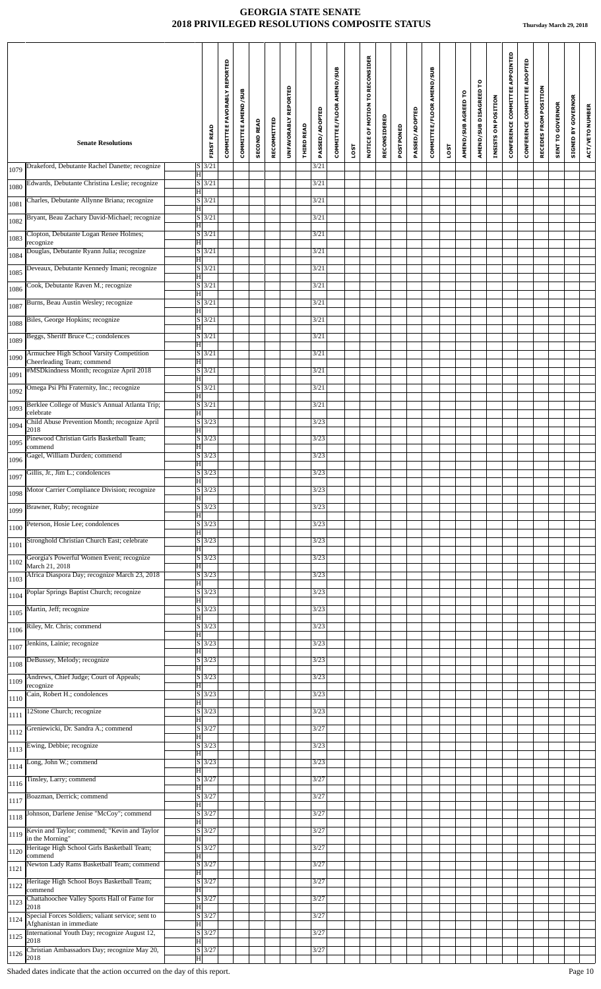| <b>Senate Resolutions</b>                                                                                        | <b>FIRST READ</b>                        | COMMITTEE FAVORABLY REPORTED | COMMITTEE AMEND/SUB | <b>SECOND READ</b> | RECOMMITTED | UNFAVORABLY REPORTED | <b>THIRD READ</b> | PASSED/ADOPTED | COMMITTEE/FLOOR AMEND/SUB |      | NOTICE OF MOTION TO RECONSIDER | RECONSIDERED | POSTPONED | PASSED/ADOPTED | COMMITTEE/FLOOR AMEND/SUB |      | AMEND/SUB AGREED TO | AMEND/SUB DISAGREED TO | INSISTS ON POSITION | CONFERENCE COMMITTEE APPOINTED | CONFERENCE COMMITTEE ADOPTED | RECEDES FROM POSITION | <b>SENT TO GOVERNOR</b> | <b>GOVERNOR</b><br>$\mathbf{\Sigma}$ | ACT/VETO NUMBER |
|------------------------------------------------------------------------------------------------------------------|------------------------------------------|------------------------------|---------------------|--------------------|-------------|----------------------|-------------------|----------------|---------------------------|------|--------------------------------|--------------|-----------|----------------|---------------------------|------|---------------------|------------------------|---------------------|--------------------------------|------------------------------|-----------------------|-------------------------|--------------------------------------|-----------------|
|                                                                                                                  | $S$ 3/21                                 |                              |                     |                    |             |                      |                   | 3/21           |                           | LOST |                                |              |           |                |                           | LOST |                     |                        |                     |                                |                              |                       |                         | SIGNED                               |                 |
| Drakeford, Debutante Rachel Danette; recognize<br>1079<br>$\overline{\mathbf{H}}$                                |                                          |                              |                     |                    |             |                      |                   |                |                           |      |                                |              |           |                |                           |      |                     |                        |                     |                                |                              |                       |                         |                                      |                 |
| Edwards, Debutante Christina Leslie; recognize<br>1080<br>$ {\rm H} $                                            | $S$ 3/21                                 |                              |                     |                    |             |                      |                   | 3/21           |                           |      |                                |              |           |                |                           |      |                     |                        |                     |                                |                              |                       |                         |                                      |                 |
| Charles, Debutante Allynne Briana; recognize<br>1081<br>H                                                        | $S \overline{\smash{\big)}\smash{3/21}}$ |                              |                     |                    |             |                      |                   | 3/21           |                           |      |                                |              |           |                |                           |      |                     |                        |                     |                                |                              |                       |                         |                                      |                 |
| Bryant, Beau Zachary David-Michael; recognize<br>1082<br>H                                                       | $S \overline{\smash{\big)}\smash{3/21}}$ |                              |                     |                    |             |                      |                   | 3/21           |                           |      |                                |              |           |                |                           |      |                     |                        |                     |                                |                              |                       |                         |                                      |                 |
| Clopton, Debutante Logan Renee Holmes;<br>1083<br>$\vert H \vert$<br>recognize                                   | $S$ 3/21                                 |                              |                     |                    |             |                      |                   | 3/21           |                           |      |                                |              |           |                |                           |      |                     |                        |                     |                                |                              |                       |                         |                                      |                 |
| Douglas, Debutante Ryann Julia; recognize<br>1084<br>H                                                           | $S$ 3/21                                 |                              |                     |                    |             |                      |                   | 3/21           |                           |      |                                |              |           |                |                           |      |                     |                        |                     |                                |                              |                       |                         |                                      |                 |
| Deveaux, Debutante Kennedy Imani; recognize<br>1085<br>$ \mathbf{H} $                                            | $S \mid 3/21$                            |                              |                     |                    |             |                      |                   | 3/21           |                           |      |                                |              |           |                |                           |      |                     |                        |                     |                                |                              |                       |                         |                                      |                 |
| Cook, Debutante Raven M.; recognize<br>1086<br>$\overline{\mathbf{H}}$                                           | $S \vert 3/21$                           |                              |                     |                    |             |                      |                   | 3/21           |                           |      |                                |              |           |                |                           |      |                     |                        |                     |                                |                              |                       |                         |                                      |                 |
| Burns, Beau Austin Wesley; recognize<br>1087<br>H                                                                | $S$ 3/21                                 |                              |                     |                    |             |                      |                   | 3/21           |                           |      |                                |              |           |                |                           |      |                     |                        |                     |                                |                              |                       |                         |                                      |                 |
| Biles, George Hopkins; recognize<br>1088<br>$ \mathbf{H} $                                                       | $S$ 3/21                                 |                              |                     |                    |             |                      |                   | 3/21           |                           |      |                                |              |           |                |                           |      |                     |                        |                     |                                |                              |                       |                         |                                      |                 |
| Beggs, Sheriff Bruce C.; condolences<br>1089<br>H                                                                | $S$ 3/21                                 |                              |                     |                    |             |                      |                   | 3/21           |                           |      |                                |              |           |                |                           |      |                     |                        |                     |                                |                              |                       |                         |                                      |                 |
| Armuchee High School Varsity Competition<br>1090<br>Cheerleading Team; commend<br>$\overline{\mathbf{H}}$        | $S$ 3/21                                 |                              |                     |                    |             |                      |                   | 3/21           |                           |      |                                |              |           |                |                           |      |                     |                        |                     |                                |                              |                       |                         |                                      |                 |
| #MSDkindness Month; recognize April 2018<br>1091<br>H                                                            | $S \overline{\smash{\big)}\smash{3/21}}$ |                              |                     |                    |             |                      |                   | 3/21           |                           |      |                                |              |           |                |                           |      |                     |                        |                     |                                |                              |                       |                         |                                      |                 |
| Omega Psi Phi Fraternity, Inc.; recognize<br>1092<br>$\overline{\mathbf{H}}$                                     | $S$ 3/21                                 |                              |                     |                    |             |                      |                   | 3/21           |                           |      |                                |              |           |                |                           |      |                     |                        |                     |                                |                              |                       |                         |                                      |                 |
| Berklee College of Music's Annual Atlanta Trip;<br>1093<br>$\overline{\mathbf{H}}$<br>celebrate                  | $S \overline{\smash{\big  3/21}}$        |                              |                     |                    |             |                      |                   | 3/21           |                           |      |                                |              |           |                |                           |      |                     |                        |                     |                                |                              |                       |                         |                                      |                 |
| Child Abuse Prevention Month; recognize April<br>1094<br>2018<br>H                                               | $S$ 3/23                                 |                              |                     |                    |             |                      |                   | 3/23           |                           |      |                                |              |           |                |                           |      |                     |                        |                     |                                |                              |                       |                         |                                      |                 |
| Pinewood Christian Girls Basketball Team;<br>1095<br>commend<br>$ \mathbf{H} $                                   | $S \overline{\smash{\big)}\smash{3/23}}$ |                              |                     |                    |             |                      |                   | 3/23           |                           |      |                                |              |           |                |                           |      |                     |                        |                     |                                |                              |                       |                         |                                      |                 |
| Gagel, William Durden; commend<br>1096<br>H                                                                      | $S \mid 3/23$                            |                              |                     |                    |             |                      |                   | 3/23           |                           |      |                                |              |           |                |                           |      |                     |                        |                     |                                |                              |                       |                         |                                      |                 |
| Gillis, Jr., Jim L.; condolences<br>1097<br>$\overline{\mathbf{H}}$                                              | $S \mid 3/23$                            |                              |                     |                    |             |                      |                   | 3/23           |                           |      |                                |              |           |                |                           |      |                     |                        |                     |                                |                              |                       |                         |                                      |                 |
| Motor Carrier Compliance Division; recognize<br>1098<br>$ \mathbf{H} $                                           | $S$ 3/23                                 |                              |                     |                    |             |                      |                   | 3/23           |                           |      |                                |              |           |                |                           |      |                     |                        |                     |                                |                              |                       |                         |                                      |                 |
| Brawner, Ruby; recognize<br>1099<br>H                                                                            | $S \mid 3/23$                            |                              |                     |                    |             |                      |                   | 3/23           |                           |      |                                |              |           |                |                           |      |                     |                        |                     |                                |                              |                       |                         |                                      |                 |
| Peterson, Hosie Lee; condolences<br>1100<br>H                                                                    | $S \mid 3/23$                            |                              |                     |                    |             |                      |                   | 3/23           |                           |      |                                |              |           |                |                           |      |                     |                        |                     |                                |                              |                       |                         |                                      |                 |
| Stronghold Christian Church East; celebrate<br>1101<br>H                                                         | $S \mid 3/23$                            |                              |                     |                    |             |                      |                   | 3/23           |                           |      |                                |              |           |                |                           |      |                     |                        |                     |                                |                              |                       |                         |                                      |                 |
| Georgia's Powerful Women Event; recognize<br>1102<br>March 21, 2018<br>H                                         | $S$ 3/23                                 |                              |                     |                    |             |                      |                   | 3/23           |                           |      |                                |              |           |                |                           |      |                     |                        |                     |                                |                              |                       |                         |                                      |                 |
| Africa Diaspora Day; recognize March 23, 2018<br>1103<br>ΙH                                                      | S/3/23                                   |                              |                     |                    |             |                      |                   | 3/23           |                           |      |                                |              |           |                |                           |      |                     |                        |                     |                                |                              |                       |                         |                                      |                 |
| Poplar Springs Baptist Church; recognize<br>1104<br>H                                                            | $S \mid 3/23$                            |                              |                     |                    |             |                      |                   | 3/23           |                           |      |                                |              |           |                |                           |      |                     |                        |                     |                                |                              |                       |                         |                                      |                 |
| Martin, Jeff; recognize<br>1105<br>H                                                                             | $S \overline{3/23}$                      |                              |                     |                    |             |                      |                   | 3/23           |                           |      |                                |              |           |                |                           |      |                     |                        |                     |                                |                              |                       |                         |                                      |                 |
| Riley, Mr. Chris; commend<br>1106<br>H                                                                           | $S$ 3/23                                 |                              |                     |                    |             |                      |                   | 3/23           |                           |      |                                |              |           |                |                           |      |                     |                        |                     |                                |                              |                       |                         |                                      |                 |
| Jenkins, Lainie; recognize<br>1107<br>Iн                                                                         | S/3/23                                   |                              |                     |                    |             |                      |                   | 3/23           |                           |      |                                |              |           |                |                           |      |                     |                        |                     |                                |                              |                       |                         |                                      |                 |
| DeBussey, Melody; recognize<br>1108<br>H                                                                         | S/3/23                                   |                              |                     |                    |             |                      |                   | 3/23           |                           |      |                                |              |           |                |                           |      |                     |                        |                     |                                |                              |                       |                         |                                      |                 |
| Andrews, Chief Judge; Court of Appeals;<br>1109<br>recognize<br>H                                                | $S \mid 3/23$                            |                              |                     |                    |             |                      |                   | 3/23           |                           |      |                                |              |           |                |                           |      |                     |                        |                     |                                |                              |                       |                         |                                      |                 |
| Cain, Robert H.; condolences<br>1110<br>H                                                                        | $S \mid 3/23$                            |                              |                     |                    |             |                      |                   | 3/23           |                           |      |                                |              |           |                |                           |      |                     |                        |                     |                                |                              |                       |                         |                                      |                 |
| 12Stone Church; recognize<br>1111<br>H                                                                           | $\overline{S}$ 3/23                      |                              |                     |                    |             |                      |                   | 3/23           |                           |      |                                |              |           |                |                           |      |                     |                        |                     |                                |                              |                       |                         |                                      |                 |
| Greniewicki, Dr. Sandra A.; commend<br>1112<br>H                                                                 | $S$ 3/27                                 |                              |                     |                    |             |                      |                   | 3/27           |                           |      |                                |              |           |                |                           |      |                     |                        |                     |                                |                              |                       |                         |                                      |                 |
| Ewing, Debbie; recognize<br>1113<br>H                                                                            | S/3/23                                   |                              |                     |                    |             |                      |                   | 3/23           |                           |      |                                |              |           |                |                           |      |                     |                        |                     |                                |                              |                       |                         |                                      |                 |
| Long, John W.; commend<br>1114<br>ΙH                                                                             | S/3/23                                   |                              |                     |                    |             |                      |                   | 3/23           |                           |      |                                |              |           |                |                           |      |                     |                        |                     |                                |                              |                       |                         |                                      |                 |
| Tinsley, Larry; commend<br>1116<br>H                                                                             | $S$ 3/27                                 |                              |                     |                    |             |                      |                   | 3/27           |                           |      |                                |              |           |                |                           |      |                     |                        |                     |                                |                              |                       |                         |                                      |                 |
| Boazman, Derrick; commend<br>1117<br>$ {\rm H} $                                                                 | $S \overline{\smash{\big)}\smash{3/27}}$ |                              |                     |                    |             |                      |                   | 3/27           |                           |      |                                |              |           |                |                           |      |                     |                        |                     |                                |                              |                       |                         |                                      |                 |
| Johnson, Darlene Jenise "McCoy"; commend<br>1118<br>H                                                            | $S \mid 3/27$                            |                              |                     |                    |             |                      |                   | 3/27           |                           |      |                                |              |           |                |                           |      |                     |                        |                     |                                |                              |                       |                         |                                      |                 |
| Kevin and Taylor; commend; "Kevin and Taylor<br>1119<br>in the Morning"<br>H                                     | $S \mid 3/27$                            |                              |                     |                    |             |                      |                   | 3/27           |                           |      |                                |              |           |                |                           |      |                     |                        |                     |                                |                              |                       |                         |                                      |                 |
| Heritage High School Girls Basketball Team;<br>1120<br>commend<br>H                                              | $S \overline{3/27}$                      |                              |                     |                    |             |                      |                   | 3/27           |                           |      |                                |              |           |                |                           |      |                     |                        |                     |                                |                              |                       |                         |                                      |                 |
| Newton Lady Rams Basketball Team; commend<br>1121<br>H                                                           | $S \mid 3/27$                            |                              |                     |                    |             |                      |                   | 3/27           |                           |      |                                |              |           |                |                           |      |                     |                        |                     |                                |                              |                       |                         |                                      |                 |
| Heritage High School Boys Basketball Team;<br>1122<br>commend<br>H                                               | $S$ 3/27                                 |                              |                     |                    |             |                      |                   | 3/27           |                           |      |                                |              |           |                |                           |      |                     |                        |                     |                                |                              |                       |                         |                                      |                 |
| Chattahoochee Valley Sports Hall of Fame for<br>1123<br>2018<br>H                                                | $S$ 3/27                                 |                              |                     |                    |             |                      |                   | 3/27           |                           |      |                                |              |           |                |                           |      |                     |                        |                     |                                |                              |                       |                         |                                      |                 |
| Special Forces Soldiers; valiant service; sent to<br>1124<br>$\overline{\mathbf{H}}$<br>Afghanistan in immediate | $S \mid 3/27$                            |                              |                     |                    |             |                      |                   | 3/27           |                           |      |                                |              |           |                |                           |      |                     |                        |                     |                                |                              |                       |                         |                                      |                 |
| International Youth Day; recognize August 12,<br>1125<br>2018<br>$\overline{\mathbf{H}}$                         | $S \overline{\smash{\big)}\smash{3/27}}$ |                              |                     |                    |             |                      |                   | 3/27           |                           |      |                                |              |           |                |                           |      |                     |                        |                     |                                |                              |                       |                         |                                      |                 |
| Christian Ambassadors Day; recognize May 20,<br>1126<br>2018<br>$ \mathbf{H} $                                   | $\overline{S}$ 3/27                      |                              |                     |                    |             |                      |                   | $3/27$         |                           |      |                                |              |           |                |                           |      |                     |                        |                     |                                |                              |                       |                         |                                      |                 |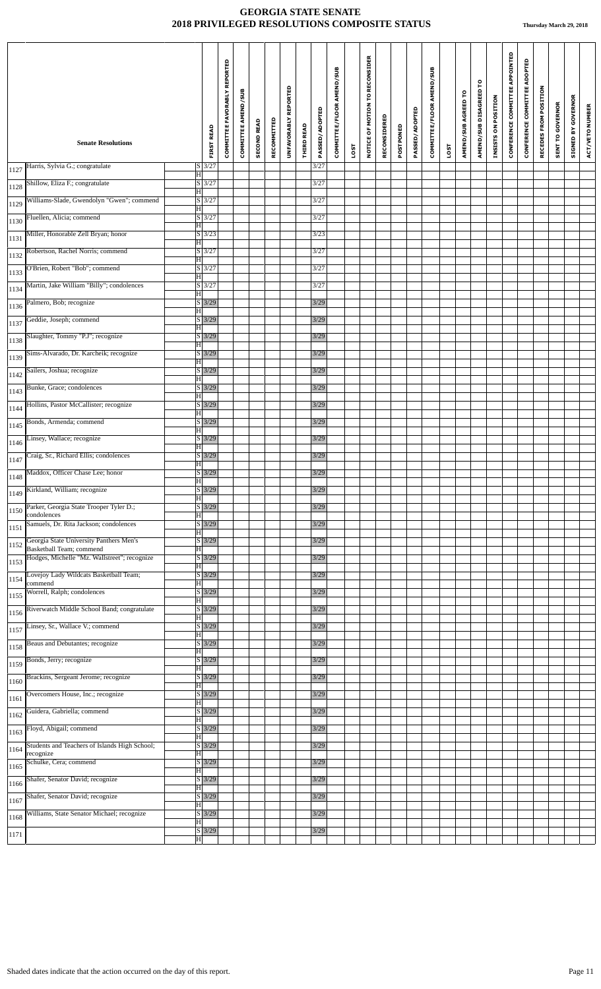|      |                                                                     |                                          | <b>COMMITTEE FAVORABLY REPORTED</b> | <b>COMMITTEE AMEND/SUB</b> | <b>SECOND READ</b> | RECOMMITTED | UNFAVORABLY REPORTED |                   | PASSED/ADOPTED | COMMITTEE/FLOOR AMEND/SUB |      | NOTICE OF MOTION TO RECONSIDER | RECONSIDERED |           | PASSED/ADOPTED | COMMITTEE/FLOOR AMEND/SUB |      | AMEND/SUB AGREED TO | AMEND/SUB DISAGREED TO | INSISTS ON POSITION | CONFERENCE COMMITTEE APPOINTED | CONFERENCE COMMITTEE ADOPTED | RECEDES FROM POSITION | <b>SENT TO GOVERNOR</b> | <b>SIGNED BY GOVERNOR</b> | ACT/VETO NUMBER |
|------|---------------------------------------------------------------------|------------------------------------------|-------------------------------------|----------------------------|--------------------|-------------|----------------------|-------------------|----------------|---------------------------|------|--------------------------------|--------------|-----------|----------------|---------------------------|------|---------------------|------------------------|---------------------|--------------------------------|------------------------------|-----------------------|-------------------------|---------------------------|-----------------|
|      | <b>Senate Resolutions</b>                                           | <b>FIRST READ</b>                        |                                     |                            |                    |             |                      | <b>THIRD READ</b> |                |                           | LOST |                                |              | POSTPONED |                |                           | LOST |                     |                        |                     |                                |                              |                       |                         |                           |                 |
| 1127 | Harris, Sylvia G.; congratulate                                     | $S$ 3/27<br>$\overline{\mathrm{H}}$      |                                     |                            |                    |             |                      |                   | $3/27$         |                           |      |                                |              |           |                |                           |      |                     |                        |                     |                                |                              |                       |                         |                           |                 |
| 1128 | Shillow, Eliza F.; congratulate                                     | $S$ 3/27<br>$\overline{\mathrm{H}}$      |                                     |                            |                    |             |                      |                   | 3/27           |                           |      |                                |              |           |                |                           |      |                     |                        |                     |                                |                              |                       |                         |                           |                 |
| 1129 | Williams-Slade, Gwendolyn "Gwen"; commend                           | $S \overline{3/27}$<br>H                 |                                     |                            |                    |             |                      |                   | 3/27           |                           |      |                                |              |           |                |                           |      |                     |                        |                     |                                |                              |                       |                         |                           |                 |
| 1130 | Fluellen, Alicia; commend                                           | $S$ 3/27<br>$\overline{\mathbf{H}}$      |                                     |                            |                    |             |                      |                   | 3/27           |                           |      |                                |              |           |                |                           |      |                     |                        |                     |                                |                              |                       |                         |                           |                 |
| 1131 | Miller, Honorable Zell Bryan; honor                                 | $S$ 3/23<br>H                            |                                     |                            |                    |             |                      |                   | 3/23           |                           |      |                                |              |           |                |                           |      |                     |                        |                     |                                |                              |                       |                         |                           |                 |
| 1132 | Robertson, Rachel Norris; commend                                   | $S$ 3/27                                 |                                     |                            |                    |             |                      |                   | 3/27           |                           |      |                                |              |           |                |                           |      |                     |                        |                     |                                |                              |                       |                         |                           |                 |
| 1133 | O'Brien, Robert "Bob"; commend                                      | H <br>$S$ 3/27                           |                                     |                            |                    |             |                      |                   | 3/27           |                           |      |                                |              |           |                |                           |      |                     |                        |                     |                                |                              |                       |                         |                           |                 |
| 1134 | Martin, Jake William "Billy"; condolences                           | $\overline{\rm H}$<br>$S$ 3/27           |                                     |                            |                    |             |                      |                   | 3/27           |                           |      |                                |              |           |                |                           |      |                     |                        |                     |                                |                              |                       |                         |                           |                 |
| 1136 | Palmero, Bob; recognize                                             | $ \mathbf{H} $<br>$S$ 3/29               |                                     |                            |                    |             |                      |                   | 3/29           |                           |      |                                |              |           |                |                           |      |                     |                        |                     |                                |                              |                       |                         |                           |                 |
| 1137 | Geddie, Joseph; commend                                             | $\overline{\mathrm{H}}$<br>$S$ 3/29      |                                     |                            |                    |             |                      |                   | 3/29           |                           |      |                                |              |           |                |                           |      |                     |                        |                     |                                |                              |                       |                         |                           |                 |
| 1138 | Slaughter, Tommy "P.J"; recognize                                   | H<br>$S$ 3/29                            |                                     |                            |                    |             |                      |                   | 3/29           |                           |      |                                |              |           |                |                           |      |                     |                        |                     |                                |                              |                       |                         |                           |                 |
|      | Sims-Alvarado, Dr. Karcheik; recognize                              | $\overline{\mathrm{H}}$<br>$S$ 3/29      |                                     |                            |                    |             |                      |                   | 3/29           |                           |      |                                |              |           |                |                           |      |                     |                        |                     |                                |                              |                       |                         |                           |                 |
| 1139 | Sailers, Joshua; recognize                                          | H<br>$S$ 3/29                            |                                     |                            |                    |             |                      |                   | 3/29           |                           |      |                                |              |           |                |                           |      |                     |                        |                     |                                |                              |                       |                         |                           |                 |
| 1142 | Bunke, Grace; condolences                                           | $\overline{\mathrm{H}}$<br>$S$ 3/29      |                                     |                            |                    |             |                      |                   | 3/29           |                           |      |                                |              |           |                |                           |      |                     |                        |                     |                                |                              |                       |                         |                           |                 |
| 1143 | Hollins, Pastor McCallister; recognize                              | $\overline{\mathrm{H}}$<br>$S$ 3/29      |                                     |                            |                    |             |                      |                   | 3/29           |                           |      |                                |              |           |                |                           |      |                     |                        |                     |                                |                              |                       |                         |                           |                 |
| 1144 | Bonds, Armenda; commend                                             | $\overline{\mathrm{H}}$<br>$S$ 3/29      |                                     |                            |                    |             |                      |                   | $3/29$         |                           |      |                                |              |           |                |                           |      |                     |                        |                     |                                |                              |                       |                         |                           |                 |
| 1145 |                                                                     | H                                        |                                     |                            |                    |             |                      |                   |                |                           |      |                                |              |           |                |                           |      |                     |                        |                     |                                |                              |                       |                         |                           |                 |
| 1146 | Linsey, Wallace; recognize                                          | $S$ 3/29<br>$\overline{\mathbf{H}}$      |                                     |                            |                    |             |                      |                   | 3/29           |                           |      |                                |              |           |                |                           |      |                     |                        |                     |                                |                              |                       |                         |                           |                 |
| 1147 | Craig, Sr., Richard Ellis; condolences                              | $S$ 3/29<br>$ \mathbf{H} $               |                                     |                            |                    |             |                      |                   | 3/29           |                           |      |                                |              |           |                |                           |      |                     |                        |                     |                                |                              |                       |                         |                           |                 |
| 1148 | Maddox, Officer Chase Lee; honor                                    | $S$ 3/29<br>ΙH                           |                                     |                            |                    |             |                      |                   | 3/29           |                           |      |                                |              |           |                |                           |      |                     |                        |                     |                                |                              |                       |                         |                           |                 |
| 1149 | Kirkland, William; recognize                                        | $S$ 3/29<br>$\overline{\mathrm{H}}$      |                                     |                            |                    |             |                      |                   | 3/29           |                           |      |                                |              |           |                |                           |      |                     |                        |                     |                                |                              |                       |                         |                           |                 |
| 1150 | Parker, Georgia State Trooper Tyler D.;<br>condolences              | $S \mid 3/29$<br>$\overline{\mathrm{H}}$ |                                     |                            |                    |             |                      |                   | 3/29           |                           |      |                                |              |           |                |                           |      |                     |                        |                     |                                |                              |                       |                         |                           |                 |
| 1151 | Samuels, Dr. Rita Jackson; condolences                              | $S \mid 3/29$<br>$\overline{\mathrm{H}}$ |                                     |                            |                    |             |                      |                   | 3/29           |                           |      |                                |              |           |                |                           |      |                     |                        |                     |                                |                              |                       |                         |                           |                 |
| 1152 | Georgia State University Panthers Men's<br>Basketball Team; commend | $S$ 3/29<br>H                            |                                     |                            |                    |             |                      |                   | 3/29           |                           |      |                                |              |           |                |                           |      |                     |                        |                     |                                |                              |                       |                         |                           |                 |
| 1153 | Hodges, Michelle "Mz. Wallstreet"; recognize                        | $S \mid 3/29$<br>H                       |                                     |                            |                    |             |                      |                   | 3/29           |                           |      |                                |              |           |                |                           |      |                     |                        |                     |                                |                              |                       |                         |                           |                 |
| 1154 | Lovejoy Lady Wildcats Basketball Team;<br>commend                   | $S$ 3/29<br>$\overline{\mathbf{H}}$      |                                     |                            |                    |             |                      |                   | 3/29           |                           |      |                                |              |           |                |                           |      |                     |                        |                     |                                |                              |                       |                         |                           |                 |
| 1155 | Worrell, Ralph; condolences                                         | $S$ 3/29<br>H                            |                                     |                            |                    |             |                      |                   | 3/29           |                           |      |                                |              |           |                |                           |      |                     |                        |                     |                                |                              |                       |                         |                           |                 |
| 1156 | Riverwatch Middle School Band; congratulate                         | $S \mid 3/29$<br>$\overline{\mathrm{H}}$ |                                     |                            |                    |             |                      |                   | 3/29           |                           |      |                                |              |           |                |                           |      |                     |                        |                     |                                |                              |                       |                         |                           |                 |
| 1157 | Linsey, Sr., Wallace V.; commend                                    | $S \mid 3/29$                            |                                     |                            |                    |             |                      |                   | 3/29           |                           |      |                                |              |           |                |                           |      |                     |                        |                     |                                |                              |                       |                         |                           |                 |
| 1158 | Beaus and Debutantes; recognize                                     | $\overline{\mathrm{H}}$<br>$S \mid 3/29$ |                                     |                            |                    |             |                      |                   | 3/29           |                           |      |                                |              |           |                |                           |      |                     |                        |                     |                                |                              |                       |                         |                           |                 |
| 1159 | Bonds, Jerry; recognize                                             | H<br>$S$ 3/29                            |                                     |                            |                    |             |                      |                   | 3/29           |                           |      |                                |              |           |                |                           |      |                     |                        |                     |                                |                              |                       |                         |                           |                 |
| 1160 | Brackins, Sergeant Jerome; recognize                                | $\overline{\mathrm{H}}$<br>$S \mid 3/29$ |                                     |                            |                    |             |                      |                   | 3/29           |                           |      |                                |              |           |                |                           |      |                     |                        |                     |                                |                              |                       |                         |                           |                 |
| 1161 | Overcomers House, Inc.; recognize                                   | $ \mathbf{H} $<br>$S \mid 3/29$          |                                     |                            |                    |             |                      |                   | 3/29           |                           |      |                                |              |           |                |                           |      |                     |                        |                     |                                |                              |                       |                         |                           |                 |
|      | Guidera, Gabriella; commend                                         | $ \mathrm{H} $<br>$S$ 3/29               |                                     |                            |                    |             |                      |                   | 3/29           |                           |      |                                |              |           |                |                           |      |                     |                        |                     |                                |                              |                       |                         |                           |                 |
| 1162 | Floyd, Abigail; commend                                             | $ \mathbf{H} $<br>$\overline{S}$ 3/29    |                                     |                            |                    |             |                      |                   | 3/29           |                           |      |                                |              |           |                |                           |      |                     |                        |                     |                                |                              |                       |                         |                           |                 |
| 1163 | Students and Teachers of Islands High School;                       | $\overline{\mathrm{H}}$<br>$S$ 3/29      |                                     |                            |                    |             |                      |                   | 3/29           |                           |      |                                |              |           |                |                           |      |                     |                        |                     |                                |                              |                       |                         |                           |                 |
| 1164 | recognize<br>Schulke, Cera; commend                                 | $\overline{\mathbf{H}}$<br>$S$ 3/29      |                                     |                            |                    |             |                      |                   | 3/29           |                           |      |                                |              |           |                |                           |      |                     |                        |                     |                                |                              |                       |                         |                           |                 |
| 1165 | Shafer, Senator David; recognize                                    | H<br>$S$ 3/29                            |                                     |                            |                    |             |                      |                   | 3/29           |                           |      |                                |              |           |                |                           |      |                     |                        |                     |                                |                              |                       |                         |                           |                 |
| 1166 | Shafer, Senator David; recognize                                    | $\overline{\mathrm{H}}$<br>$S \mid 3/29$ |                                     |                            |                    |             |                      |                   | 3/29           |                           |      |                                |              |           |                |                           |      |                     |                        |                     |                                |                              |                       |                         |                           |                 |
| 1167 |                                                                     | H                                        |                                     |                            |                    |             |                      |                   |                |                           |      |                                |              |           |                |                           |      |                     |                        |                     |                                |                              |                       |                         |                           |                 |
| 1168 | Williams, State Senator Michael; recognize                          | $S$ 3/29<br>$ \mathbf{H} $               |                                     |                            |                    |             |                      |                   | $3/29$         |                           |      |                                |              |           |                |                           |      |                     |                        |                     |                                |                              |                       |                         |                           |                 |
| 1171 |                                                                     | $S$ 3/29<br>$\vert \mathrm{H} \vert$     |                                     |                            |                    |             |                      |                   | 3/29           |                           |      |                                |              |           |                |                           |      |                     |                        |                     |                                |                              |                       |                         |                           |                 |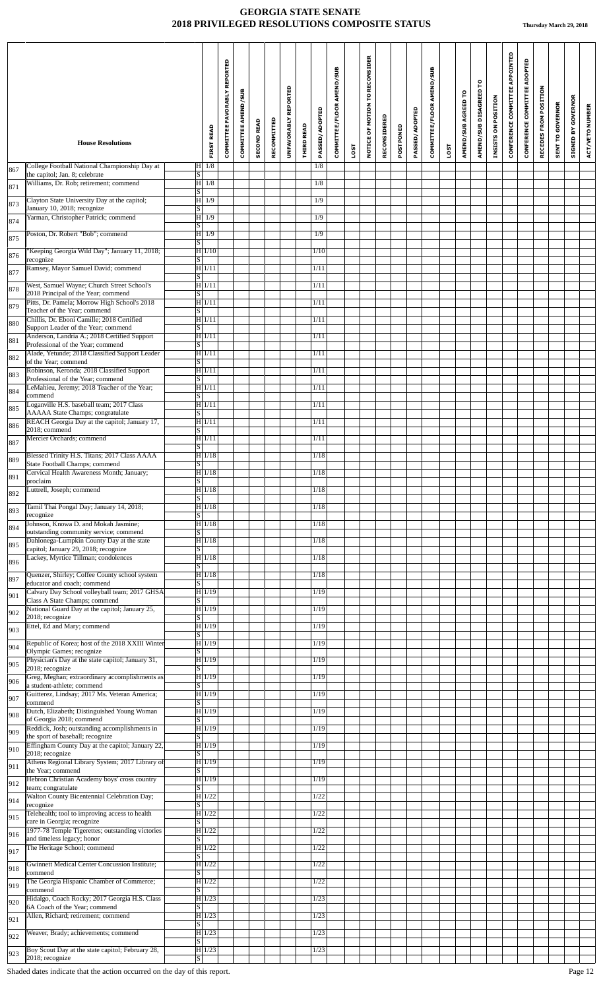|     | <b>House Resolutions</b>                                                             |                         | <b>FIRST READ</b>   | REPORTED<br><b>COMMITTEE FAVORABLY</b> | COMMITTEE AMEND/SUB | <b>SECOND READ</b> | RECOMMITTED | UNFAVORABLY REPORTED | <b>THIRD READ</b> | PASSED/ADOPTED | COMMITTEE/FLOOR AMEND/SUB |             | MOTION TO RECONSIDER<br>NOTICE OF | RECONSIDERED | POSTPONED | PASSED/ADOPTED | COMMITTEE/FLOOR AMEND/SUB |             | AMEND/SUB AGREED TO | AMEND/SUB DISAGREED TO | INSISTS ON POSITION | CONFERENCE COMMITTEE APPOINTED | CONFERENCE COMMITTEE ADOPTED | RECEDES FROM POSITION | <b>SENT TO GOVERNOR</b> | <b>GOVERNOR</b><br><b>SIGNED BY</b> | ACT/VETO NUMBER |
|-----|--------------------------------------------------------------------------------------|-------------------------|---------------------|----------------------------------------|---------------------|--------------------|-------------|----------------------|-------------------|----------------|---------------------------|-------------|-----------------------------------|--------------|-----------|----------------|---------------------------|-------------|---------------------|------------------------|---------------------|--------------------------------|------------------------------|-----------------------|-------------------------|-------------------------------------|-----------------|
|     | College Football National Championship Day at                                        |                         | $H$ 1/8             |                                        |                     |                    |             |                      |                   | 1/8            |                           | <b>1SOT</b> |                                   |              |           |                |                           | <b>LOST</b> |                     |                        |                     |                                |                              |                       |                         |                                     |                 |
| 867 | the capitol; Jan. 8; celebrate<br>Williams, Dr. Rob; retirement; commend             | $\overline{S}$          | $ H $ 1/8           |                                        |                     |                    |             |                      |                   | 1/8            |                           |             |                                   |              |           |                |                           |             |                     |                        |                     |                                |                              |                       |                         |                                     |                 |
| 871 |                                                                                      | S                       |                     |                                        |                     |                    |             |                      |                   |                |                           |             |                                   |              |           |                |                           |             |                     |                        |                     |                                |                              |                       |                         |                                     |                 |
| 873 | Clayton State University Day at the capitol;<br>January 10, 2018; recognize          | S                       | H 1/9               |                                        |                     |                    |             |                      |                   | 1/9            |                           |             |                                   |              |           |                |                           |             |                     |                        |                     |                                |                              |                       |                         |                                     |                 |
| 874 | Yarman, Christopher Patrick; commend                                                 | S                       | $\overline{H}$ 1/9  |                                        |                     |                    |             |                      |                   | 1/9            |                           |             |                                   |              |           |                |                           |             |                     |                        |                     |                                |                              |                       |                         |                                     |                 |
| 875 | Poston, Dr. Robert "Bob"; commend                                                    | <sub>S</sub>            | $\overline{H}$ 1/9  |                                        |                     |                    |             |                      |                   | 1/9            |                           |             |                                   |              |           |                |                           |             |                     |                        |                     |                                |                              |                       |                         |                                     |                 |
| 876 | 'Keeping Georgia Wild Day"; January 11, 2018;<br>recognize                           | S                       | H 1/10              |                                        |                     |                    |             |                      |                   | 1/10           |                           |             |                                   |              |           |                |                           |             |                     |                        |                     |                                |                              |                       |                         |                                     |                 |
| 877 | Ramsey, Mayor Samuel David; commend                                                  | $\overline{\mathbf{s}}$ | H 1/11              |                                        |                     |                    |             |                      |                   | 1/11           |                           |             |                                   |              |           |                |                           |             |                     |                        |                     |                                |                              |                       |                         |                                     |                 |
| 878 | West, Samuel Wayne; Church Street School's<br>2018 Principal of the Year; commend    | $\overline{s}$          | H 1/11              |                                        |                     |                    |             |                      |                   | 1/11           |                           |             |                                   |              |           |                |                           |             |                     |                        |                     |                                |                              |                       |                         |                                     |                 |
| 879 | Pitts, Dr. Pamela; Morrow High School's 2018                                         |                         | H 1/11              |                                        |                     |                    |             |                      |                   | 1/11           |                           |             |                                   |              |           |                |                           |             |                     |                        |                     |                                |                              |                       |                         |                                     |                 |
| 880 | Teacher of the Year; commend<br>Chillis, Dr. Eboni Camille; 2018 Certified           | <sub>S</sub>            | H 1/11              |                                        |                     |                    |             |                      |                   | 1/11           |                           |             |                                   |              |           |                |                           |             |                     |                        |                     |                                |                              |                       |                         |                                     |                 |
|     | Support Leader of the Year; commend<br>Anderson, Landria A.; 2018 Certified Support  | S                       | $\overline{H 1/11}$ |                                        |                     |                    |             |                      |                   | 1/11           |                           |             |                                   |              |           |                |                           |             |                     |                        |                     |                                |                              |                       |                         |                                     |                 |
| 881 | Professional of the Year; commend<br>Alade, Yetunde; 2018 Classified Support Leader  | $\overline{s}$          | H 1/11              |                                        |                     |                    |             |                      |                   | 1/11           |                           |             |                                   |              |           |                |                           |             |                     |                        |                     |                                |                              |                       |                         |                                     |                 |
| 882 | of the Year; commend<br>Robinson, Keronda; 2018 Classified Support                   | $S \vert$               | $\overline{H}$ 1/11 |                                        |                     |                    |             |                      |                   | 1/11           |                           |             |                                   |              |           |                |                           |             |                     |                        |                     |                                |                              |                       |                         |                                     |                 |
| 883 | Professional of the Year; commend                                                    | $\overline{\mathbf{s}}$ |                     |                                        |                     |                    |             |                      |                   |                |                           |             |                                   |              |           |                |                           |             |                     |                        |                     |                                |                              |                       |                         |                                     |                 |
| 884 | LeMahieu, Jeremy; 2018 Teacher of the Year;<br>commend                               | <sub>S</sub>            | $\overline{H 1/11}$ |                                        |                     |                    |             |                      |                   | 1/11           |                           |             |                                   |              |           |                |                           |             |                     |                        |                     |                                |                              |                       |                         |                                     |                 |
| 885 | Loganville H.S. baseball team; 2017 Class<br>AAAAA State Champs; congratulate        | S                       | H 1/11              |                                        |                     |                    |             |                      |                   | 1/11           |                           |             |                                   |              |           |                |                           |             |                     |                        |                     |                                |                              |                       |                         |                                     |                 |
| 886 | REACH Georgia Day at the capitol; January 17,<br>2018; commend                       | $\overline{S}$          | H 1/11              |                                        |                     |                    |             |                      |                   | 1/11           |                           |             |                                   |              |           |                |                           |             |                     |                        |                     |                                |                              |                       |                         |                                     |                 |
| 887 | Mercier Orchards; commend                                                            | $\overline{\mathbf{s}}$ | H 1/11              |                                        |                     |                    |             |                      |                   | 1/11           |                           |             |                                   |              |           |                |                           |             |                     |                        |                     |                                |                              |                       |                         |                                     |                 |
| 889 | Blessed Trinity H.S. Titans; 2017 Class AAAA                                         |                         | $\overline{H 1/18}$ |                                        |                     |                    |             |                      |                   | 1/18           |                           |             |                                   |              |           |                |                           |             |                     |                        |                     |                                |                              |                       |                         |                                     |                 |
| 891 | State Football Champs; commend<br>Cervical Health Awareness Month; January;          | S                       | H 1/18              |                                        |                     |                    |             |                      |                   | 1/18           |                           |             |                                   |              |           |                |                           |             |                     |                        |                     |                                |                              |                       |                         |                                     |                 |
| 892 | proclaim<br>Luttrell, Joseph; commend                                                | S                       | H 1/18              |                                        |                     |                    |             |                      |                   | 1/18           |                           |             |                                   |              |           |                |                           |             |                     |                        |                     |                                |                              |                       |                         |                                     |                 |
|     | Tamil Thai Pongal Day; January 14, 2018;                                             | $\overline{s}$          | H 1/18              |                                        |                     |                    |             |                      |                   | 1/18           |                           |             |                                   |              |           |                |                           |             |                     |                        |                     |                                |                              |                       |                         |                                     |                 |
| 893 | recognize<br>Johnson, Knowa D. and Mokah Jasmine;                                    | $\overline{S}$          | H 1/18              |                                        |                     |                    |             |                      |                   | 1/18           |                           |             |                                   |              |           |                |                           |             |                     |                        |                     |                                |                              |                       |                         |                                     |                 |
| 894 | outstanding community service; commend<br>Dahlonega-Lumpkin County Day at the state  | S                       | H 1/18              |                                        |                     |                    |             |                      |                   | 1/18           |                           |             |                                   |              |           |                |                           |             |                     |                        |                     |                                |                              |                       |                         |                                     |                 |
| 895 | capitol; January 29, 2018; recognize                                                 | $\overline{s}$          |                     |                                        |                     |                    |             |                      |                   |                |                           |             |                                   |              |           |                |                           |             |                     |                        |                     |                                |                              |                       |                         |                                     |                 |
| 896 | Lackey, Myrtice Tillman; condolences                                                 | S.                      | H 1/18              |                                        |                     |                    |             |                      |                   | 1/18           |                           |             |                                   |              |           |                |                           |             |                     |                        |                     |                                |                              |                       |                         |                                     |                 |
| 897 | Quenzer, Shirley; Coffee County school system<br>educator and coach; commend         | S                       | H 1/18              |                                        |                     |                    |             |                      |                   | 1/18           |                           |             |                                   |              |           |                |                           |             |                     |                        |                     |                                |                              |                       |                         |                                     |                 |
| 901 | Calvary Day School volleyball team; 2017 GHSA<br>Class A State Champs; commend       | S                       | H 1/19              |                                        |                     |                    |             |                      |                   | 1/19           |                           |             |                                   |              |           |                |                           |             |                     |                        |                     |                                |                              |                       |                         |                                     |                 |
| 902 | National Guard Day at the capitol; January 25,<br>2018; recognize                    | $\overline{s}$          | H 1/19              |                                        |                     |                    |             |                      |                   | 1/19           |                           |             |                                   |              |           |                |                           |             |                     |                        |                     |                                |                              |                       |                         |                                     |                 |
| 903 | Ettel, Ed and Mary; commend                                                          | $\vert S \vert$         | $H$ 1/19            |                                        |                     |                    |             |                      |                   | 1/19           |                           |             |                                   |              |           |                |                           |             |                     |                        |                     |                                |                              |                       |                         |                                     |                 |
| 904 | Republic of Korea; host of the 2018 XXIII Winter                                     |                         | H 1/19              |                                        |                     |                    |             |                      |                   | 1/19           |                           |             |                                   |              |           |                |                           |             |                     |                        |                     |                                |                              |                       |                         |                                     |                 |
| 905 | Olympic Games; recognize<br>Physician's Day at the state capitol; January 31,        | <sub>S</sub>            | H 1/19              |                                        |                     |                    |             |                      |                   | 1/19           |                           |             |                                   |              |           |                |                           |             |                     |                        |                     |                                |                              |                       |                         |                                     |                 |
|     | 2018; recognize<br>Greg, Meghan; extraordinary accomplishments as                    | $\overline{s}$          | H 1/19              |                                        |                     |                    |             |                      |                   | 1/19           |                           |             |                                   |              |           |                |                           |             |                     |                        |                     |                                |                              |                       |                         |                                     |                 |
| 906 | a student-athlete; commend<br>Guitterez, Lindsay; 2017 Ms. Veteran America;          | S                       | $\overline{H 1/19}$ |                                        |                     |                    |             |                      |                   | 1/19           |                           |             |                                   |              |           |                |                           |             |                     |                        |                     |                                |                              |                       |                         |                                     |                 |
| 907 | commend<br>Dutch, Elizabeth; Distinguished Young Woman                               | S                       | $H$ 1/19            |                                        |                     |                    |             |                      |                   | 1/19           |                           |             |                                   |              |           |                |                           |             |                     |                        |                     |                                |                              |                       |                         |                                     |                 |
| 908 | of Georgia 2018; commend<br>Reddick, Josh; outstanding accomplishments in            | <sub>S</sub>            | H 1/19              |                                        |                     |                    |             |                      |                   | 1/19           |                           |             |                                   |              |           |                |                           |             |                     |                        |                     |                                |                              |                       |                         |                                     |                 |
| 909 | the sport of baseball; recognize<br>Effingham County Day at the capitol; January 22, | <sub>S</sub>            |                     |                                        |                     |                    |             |                      |                   |                |                           |             |                                   |              |           |                |                           |             |                     |                        |                     |                                |                              |                       |                         |                                     |                 |
| 910 | 2018; recognize                                                                      | <sub>S</sub>            | H 1/19              |                                        |                     |                    |             |                      |                   | 1/19           |                           |             |                                   |              |           |                |                           |             |                     |                        |                     |                                |                              |                       |                         |                                     |                 |
| 911 | Athens Regional Library System; 2017 Library of<br>the Year; commend                 | S                       | H 1/19              |                                        |                     |                    |             |                      |                   | 1/19           |                           |             |                                   |              |           |                |                           |             |                     |                        |                     |                                |                              |                       |                         |                                     |                 |
| 912 | Hebron Christian Academy boys' cross country<br>team; congratulate                   | $\overline{S}$          | $H$ 1/19            |                                        |                     |                    |             |                      |                   | 1/19           |                           |             |                                   |              |           |                |                           |             |                     |                        |                     |                                |                              |                       |                         |                                     |                 |
| 914 | Walton County Bicentennial Celebration Day;<br>recognize                             | <sub>S</sub>            | H 1/22              |                                        |                     |                    |             |                      |                   | 1/22           |                           |             |                                   |              |           |                |                           |             |                     |                        |                     |                                |                              |                       |                         |                                     |                 |
| 915 | Telehealth; tool to improving access to health<br>care in Georgia; recognize         | S <sub>1</sub>          | $H$ 1/22            |                                        |                     |                    |             |                      |                   | 1/22           |                           |             |                                   |              |           |                |                           |             |                     |                        |                     |                                |                              |                       |                         |                                     |                 |
| 916 | 1977-78 Temple Tigerettes; outstanding victories                                     |                         | $H$ 1/22            |                                        |                     |                    |             |                      |                   | 1/22           |                           |             |                                   |              |           |                |                           |             |                     |                        |                     |                                |                              |                       |                         |                                     |                 |
| 917 | and timeless legacy; honor<br>The Heritage School; commend                           | $\overline{s}$          | H 1/22              |                                        |                     |                    |             |                      |                   | 1/22           |                           |             |                                   |              |           |                |                           |             |                     |                        |                     |                                |                              |                       |                         |                                     |                 |
| 918 | <b>Gwinnett Medical Center Concussion Institute;</b>                                 | $\overline{s}$          | H 1/22              |                                        |                     |                    |             |                      |                   | 1/22           |                           |             |                                   |              |           |                |                           |             |                     |                        |                     |                                |                              |                       |                         |                                     |                 |
| 919 | commend<br>The Georgia Hispanic Chamber of Commerce;                                 | <sub>S</sub>            | H 1/22              |                                        |                     |                    |             |                      |                   | 1/22           |                           |             |                                   |              |           |                |                           |             |                     |                        |                     |                                |                              |                       |                         |                                     |                 |
|     | commend<br>Hidalgo, Coach Rocky; 2017 Georgia H.S. Class                             | S.                      | H 1/23              |                                        |                     |                    |             |                      |                   | 1/23           |                           |             |                                   |              |           |                |                           |             |                     |                        |                     |                                |                              |                       |                         |                                     |                 |
| 920 | 6A Coach of the Year; commend<br>Allen, Richard; retirement; commend                 | $\overline{s}$          | H 1/23              |                                        |                     |                    |             |                      |                   | 1/23           |                           |             |                                   |              |           |                |                           |             |                     |                        |                     |                                |                              |                       |                         |                                     |                 |
| 921 | Weaver, Brady; achievements; commend                                                 | ls I                    |                     |                                        |                     |                    |             |                      |                   |                |                           |             |                                   |              |           |                |                           |             |                     |                        |                     |                                |                              |                       |                         |                                     |                 |
| 922 |                                                                                      | $\overline{s}$          | $H$ 1/23            |                                        |                     |                    |             |                      |                   | 1/23           |                           |             |                                   |              |           |                |                           |             |                     |                        |                     |                                |                              |                       |                         |                                     |                 |
| 923 | Boy Scout Day at the state capitol; February 28,<br>2018; recognize                  | S                       | $H$ 1/23            |                                        |                     |                    |             |                      |                   | 1/23           |                           |             |                                   |              |           |                |                           |             |                     |                        |                     |                                |                              |                       |                         |                                     |                 |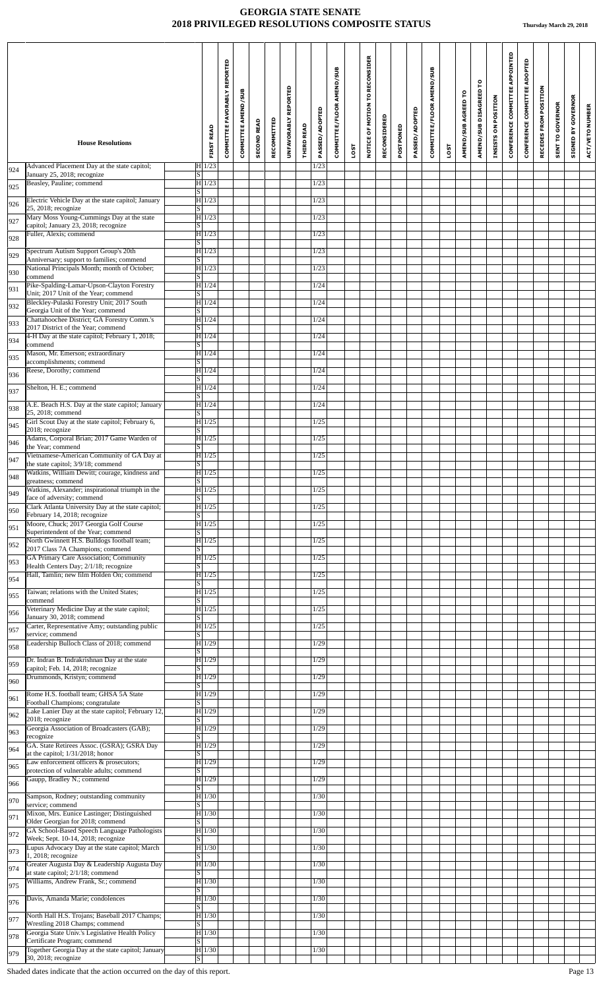|            | <b>House Resolutions</b>                                                                                                   |                                     | <b>FIRST READ</b> | COMMITTEE FAVORABLY REPORTED | COMMITTEE AMEND/SUB | <b>SECOND READ</b> | RECOMMITTED | REPORTED<br><b>UNFAVORABLY</b> | <b>THIRD READ</b> | PASSED/ADOPTED | COMMITTEE/FLOOR AMEND/SUB |             | NOTICE OF MOTION TO RECONSIDER | RECONSIDERED | POSTPONED | PASSED/ADOPTED | COMMITTEE/FLOOR AMEND/SUB |             | AMEND/SUB AGREED TO | ဥ<br>AMEND/SUB DISAGREED | INSISTS ON POSITION | CONFERENCE COMMITTEE APPOINTED | CONFERENCE COMMITTEE ADOPTED | RECEDES FROM POSITION | <b>SENT TO GOVERNOR</b> | <b>GOVERNOR</b><br>Ya<br>SIGNED | ACT/VETO NUMBER |
|------------|----------------------------------------------------------------------------------------------------------------------------|-------------------------------------|-------------------|------------------------------|---------------------|--------------------|-------------|--------------------------------|-------------------|----------------|---------------------------|-------------|--------------------------------|--------------|-----------|----------------|---------------------------|-------------|---------------------|--------------------------|---------------------|--------------------------------|------------------------------|-----------------------|-------------------------|---------------------------------|-----------------|
|            | Advanced Placement Day at the state capitol;                                                                               | $H$ 1/23                            |                   |                              |                     |                    |             |                                |                   | 1/23           |                           | <b>1SOT</b> |                                |              |           |                |                           | <b>LOST</b> |                     |                          |                     |                                |                              |                       |                         |                                 |                 |
| 924        | January 25, 2018; recognize<br>Beasley, Pauline; commend                                                                   | $\overline{s}$<br>H 1/23            |                   |                              |                     |                    |             |                                |                   | 1/23           |                           |             |                                |              |           |                |                           |             |                     |                          |                     |                                |                              |                       |                         |                                 |                 |
| 925<br>926 | Electric Vehicle Day at the state capitol; January                                                                         | S <br> H 1/23                       |                   |                              |                     |                    |             |                                |                   | 1/23           |                           |             |                                |              |           |                |                           |             |                     |                          |                     |                                |                              |                       |                         |                                 |                 |
| 927        | 25, 2018; recognize<br>Mary Moss Young-Cummings Day at the state                                                           | S <br>$H$ 1/23                      |                   |                              |                     |                    |             |                                |                   | 1/23           |                           |             |                                |              |           |                |                           |             |                     |                          |                     |                                |                              |                       |                         |                                 |                 |
| 928        | capitol; January 23, 2018; recognize<br>Fuller, Alexis; commend                                                            | <sub>S</sub><br> H 1/23             |                   |                              |                     |                    |             |                                |                   | 1/23           |                           |             |                                |              |           |                |                           |             |                     |                          |                     |                                |                              |                       |                         |                                 |                 |
| 929        | Spectrum Autism Support Group's 20th                                                                                       | <sub>S</sub><br> H 1/23             |                   |                              |                     |                    |             |                                |                   | 1/23           |                           |             |                                |              |           |                |                           |             |                     |                          |                     |                                |                              |                       |                         |                                 |                 |
| 930        | Anniversary; support to families; commend<br>National Principals Month; month of October;                                  | $\overline{\mathbf{S}}$<br>$H$ 1/23 |                   |                              |                     |                    |             |                                |                   | 1/23           |                           |             |                                |              |           |                |                           |             |                     |                          |                     |                                |                              |                       |                         |                                 |                 |
| 931        | commend<br>Pike-Spalding-Lamar-Upson-Clayton Forestry                                                                      | $\overline{\mathbf{s}}$<br>$H$ 1/24 |                   |                              |                     |                    |             |                                |                   | 1/24           |                           |             |                                |              |           |                |                           |             |                     |                          |                     |                                |                              |                       |                         |                                 |                 |
| 932        | Unit; 2017 Unit of the Year; commend<br>Bleckley-Pulaski Forestry Unit; 2017 South                                         | $\overline{s}$<br>H 1/24            |                   |                              |                     |                    |             |                                |                   | 1/24           |                           |             |                                |              |           |                |                           |             |                     |                          |                     |                                |                              |                       |                         |                                 |                 |
| 933        | Georgia Unit of the Year; commend<br>Chattahoochee District; GA Forestry Comm.'s                                           | S <br> H 1/24                       |                   |                              |                     |                    |             |                                |                   | 1/24           |                           |             |                                |              |           |                |                           |             |                     |                          |                     |                                |                              |                       |                         |                                 |                 |
| 934        | 2017 District of the Year: commend<br>4-H Day at the state capitol; February 1, 2018;                                      | $\overline{s}$<br>$H$ 1/24          |                   |                              |                     |                    |             |                                |                   | 1/24           |                           |             |                                |              |           |                |                           |             |                     |                          |                     |                                |                              |                       |                         |                                 |                 |
| 935        | commend<br>Mason, Mr. Emerson; extraordinary                                                                               | S  <br> H 1/24                      |                   |                              |                     |                    |             |                                |                   | 1/24           |                           |             |                                |              |           |                |                           |             |                     |                          |                     |                                |                              |                       |                         |                                 |                 |
| 936        | accomplishments; commend<br>Reese, Dorothy; commend                                                                        | S<br>$H$ 1/24                       |                   |                              |                     |                    |             |                                |                   | 1/24           |                           |             |                                |              |           |                |                           |             |                     |                          |                     |                                |                              |                       |                         |                                 |                 |
| 937        | Shelton, H. E.; commend                                                                                                    | S <br>H 1/24                        |                   |                              |                     |                    |             |                                |                   | 1/24           |                           |             |                                |              |           |                |                           |             |                     |                          |                     |                                |                              |                       |                         |                                 |                 |
| 938        | A.E. Beach H.S. Day at the state capitol; January                                                                          | <sub>S</sub><br> H 1/24             |                   |                              |                     |                    |             |                                |                   | 1/24           |                           |             |                                |              |           |                |                           |             |                     |                          |                     |                                |                              |                       |                         |                                 |                 |
| 945        | 25, 2018; commend<br>Girl Scout Day at the state capitol; February 6,                                                      | S  <br>H 1/25                       |                   |                              |                     |                    |             |                                |                   | 1/25           |                           |             |                                |              |           |                |                           |             |                     |                          |                     |                                |                              |                       |                         |                                 |                 |
| 946        | 2018; recognize<br>Adams, Corporal Brian; 2017 Game Warden of<br>the Year; commend                                         | S<br> H 1/25<br>$\overline{s}$      |                   |                              |                     |                    |             |                                |                   | 1/25           |                           |             |                                |              |           |                |                           |             |                     |                          |                     |                                |                              |                       |                         |                                 |                 |
| 947        | Vietnamese-American Community of GA Day at<br>the state capitol; 3/9/18; commend                                           | H1/25<br>$\vert S \vert$            |                   |                              |                     |                    |             |                                |                   | 1/25           |                           |             |                                |              |           |                |                           |             |                     |                          |                     |                                |                              |                       |                         |                                 |                 |
| 948        | Watkins, William Dewitt; courage, kindness and<br>greatness; commend                                                       | H 1/25<br>$\vert S \vert$           |                   |                              |                     |                    |             |                                |                   | 1/25           |                           |             |                                |              |           |                |                           |             |                     |                          |                     |                                |                              |                       |                         |                                 |                 |
| 949        | Watkins, Alexander; inspirational triumph in the<br>face of adversity; commend                                             | $H$ 1/25<br>$\overline{s}$          |                   |                              |                     |                    |             |                                |                   | 1/25           |                           |             |                                |              |           |                |                           |             |                     |                          |                     |                                |                              |                       |                         |                                 |                 |
| 950        | Clark Atlanta University Day at the state capitol;<br>February 14, 2018; recognize                                         | H 1/25                              |                   |                              |                     |                    |             |                                |                   | 1/25           |                           |             |                                |              |           |                |                           |             |                     |                          |                     |                                |                              |                       |                         |                                 |                 |
| 951        | Moore, Chuck; 2017 Georgia Golf Course                                                                                     | S  <br> H 1/25<br> S                |                   |                              |                     |                    |             |                                |                   | 1/25           |                           |             |                                |              |           |                |                           |             |                     |                          |                     |                                |                              |                       |                         |                                 |                 |
| 952        | Superintendent of the Year; commend<br>North Gwinnett H.S. Bulldogs football team;                                         | $H$ 1/25                            |                   |                              |                     |                    |             |                                |                   | 1/25           |                           |             |                                |              |           |                |                           |             |                     |                          |                     |                                |                              |                       |                         |                                 |                 |
| 953        | 2017 Class 7A Champions; commend<br><b>GA Primary Care Association; Community</b><br>Health Centers Day; 2/1/18; recognize | S.<br>H 1/25<br>S                   |                   |                              |                     |                    |             |                                |                   | 1/25           |                           |             |                                |              |           |                |                           |             |                     |                          |                     |                                |                              |                       |                         |                                 |                 |
| 954        | Hall, Tamlin; new film Holden On; commend                                                                                  | H 1/25<br>S                         |                   |                              |                     |                    |             |                                |                   | 1/25           |                           |             |                                |              |           |                |                           |             |                     |                          |                     |                                |                              |                       |                         |                                 |                 |
| 955        | Taiwan; relations with the United States;                                                                                  | H 1/25                              |                   |                              |                     |                    |             |                                |                   | 1/25           |                           |             |                                |              |           |                |                           |             |                     |                          |                     |                                |                              |                       |                         |                                 |                 |
| 956        | commend<br>Veterinary Medicine Day at the state capitol;<br>January 30, 2018; commend                                      | S<br> H 1/25<br>$\overline{S}$      |                   |                              |                     |                    |             |                                |                   | 1/25           |                           |             |                                |              |           |                |                           |             |                     |                          |                     |                                |                              |                       |                         |                                 |                 |
| 957        | Carter, Representative Amy; outstanding public<br>service; commend                                                         | H 1/25<br>S.                        |                   |                              |                     |                    |             |                                |                   | 1/25           |                           |             |                                |              |           |                |                           |             |                     |                          |                     |                                |                              |                       |                         |                                 |                 |
| 958        | Leadership Bulloch Class of 2018; commend                                                                                  | H 1/29<br><sub>S</sub>              |                   |                              |                     |                    |             |                                |                   | 1/29           |                           |             |                                |              |           |                |                           |             |                     |                          |                     |                                |                              |                       |                         |                                 |                 |
| 959        | Dr. Indran B. Indrakrishnan Day at the state<br>capitol; Feb. 14, 2018; recognize                                          | H 1/29<br>S.                        |                   |                              |                     |                    |             |                                |                   | 1/29           |                           |             |                                |              |           |                |                           |             |                     |                          |                     |                                |                              |                       |                         |                                 |                 |
| 960        | Drummonds, Kristyn; commend                                                                                                | H 1/29<br>$\overline{s}$            |                   |                              |                     |                    |             |                                |                   | 1/29           |                           |             |                                |              |           |                |                           |             |                     |                          |                     |                                |                              |                       |                         |                                 |                 |
| 961        | Rome H.S. football team; GHSA 5A State<br>Football Champions; congratulate                                                 | H 1/29<br>S                         |                   |                              |                     |                    |             |                                |                   | 1/29           |                           |             |                                |              |           |                |                           |             |                     |                          |                     |                                |                              |                       |                         |                                 |                 |
| 962        | Lake Lanier Day at the state capitol; February 12,<br>2018; recognize                                                      | $H$ 1/29<br>S                       |                   |                              |                     |                    |             |                                |                   | 1/29           |                           |             |                                |              |           |                |                           |             |                     |                          |                     |                                |                              |                       |                         |                                 |                 |
| 963        | Georgia Association of Broadcasters (GAB);<br>recognize                                                                    | H 1/29<br>S.                        |                   |                              |                     |                    |             |                                |                   | 1/29           |                           |             |                                |              |           |                |                           |             |                     |                          |                     |                                |                              |                       |                         |                                 |                 |
| 964        | GA. State Retirees Assoc. (GSRA); GSRA Day<br>at the capitol; 1/31/2018; honor                                             | H 1/29<br><sub>S</sub>              |                   |                              |                     |                    |             |                                |                   | 1/29           |                           |             |                                |              |           |                |                           |             |                     |                          |                     |                                |                              |                       |                         |                                 |                 |
| 965        | Law enforcement officers & prosecutors;<br>protection of vulnerable adults; commend                                        | H 1/29<br>$\overline{s}$            |                   |                              |                     |                    |             |                                |                   | 1/29           |                           |             |                                |              |           |                |                           |             |                     |                          |                     |                                |                              |                       |                         |                                 |                 |
| 966        | Gaupp, Bradley N.; commend                                                                                                 | $H$ 1/29<br>$\overline{\mathbf{s}}$ |                   |                              |                     |                    |             |                                |                   | 1/29           |                           |             |                                |              |           |                |                           |             |                     |                          |                     |                                |                              |                       |                         |                                 |                 |
| 970        | Sampson, Rodney; outstanding community<br>service; commend                                                                 | H 1/30<br>S.                        |                   |                              |                     |                    |             |                                |                   | 1/30           |                           |             |                                |              |           |                |                           |             |                     |                          |                     |                                |                              |                       |                         |                                 |                 |
| 971        | Mixon, Mrs. Eunice Lastinger; Distinguished<br>Older Georgian for 2018; commend                                            | H 1/30 <br>S <sub>1</sub>           |                   |                              |                     |                    |             |                                |                   | 1/30           |                           |             |                                |              |           |                |                           |             |                     |                          |                     |                                |                              |                       |                         |                                 |                 |
| 972        | GA School-Based Speech Language Pathologists<br>Week; Sept. 10-14, 2018; recognize                                         | H 1/30 <br>S                        |                   |                              |                     |                    |             |                                |                   | 1/30           |                           |             |                                |              |           |                |                           |             |                     |                          |                     |                                |                              |                       |                         |                                 |                 |
| 973        | Lupus Advocacy Day at the state capitol; March<br>1, 2018; recognize                                                       | H 1/30 <br> S                       |                   |                              |                     |                    |             |                                |                   | 1/30           |                           |             |                                |              |           |                |                           |             |                     |                          |                     |                                |                              |                       |                         |                                 |                 |
| 974        | Greater Augusta Day & Leadership Augusta Day<br>at state capitol; 2/1/18; commend                                          | H 1/30<br>S                         |                   |                              |                     |                    |             |                                |                   | 1/30           |                           |             |                                |              |           |                |                           |             |                     |                          |                     |                                |                              |                       |                         |                                 |                 |
| 975        | Williams, Andrew Frank, Sr.; commend                                                                                       | H 1/30<br><sub>S</sub>              |                   |                              |                     |                    |             |                                |                   | 1/30           |                           |             |                                |              |           |                |                           |             |                     |                          |                     |                                |                              |                       |                         |                                 |                 |
| 976        | Davis, Amanda Marie; condolences                                                                                           | H 1/30 <br>S                        |                   |                              |                     |                    |             |                                |                   | 1/30           |                           |             |                                |              |           |                |                           |             |                     |                          |                     |                                |                              |                       |                         |                                 |                 |
| 977        | North Hall H.S. Trojans; Baseball 2017 Champs;<br>Wrestling 2018 Champs; commend                                           | H 1/30 <br>$\overline{s}$           |                   |                              |                     |                    |             |                                |                   | 1/30           |                           |             |                                |              |           |                |                           |             |                     |                          |                     |                                |                              |                       |                         |                                 |                 |
| 978        | Georgia State Univ.'s Legislative Health Policy<br>Certificate Program; commend                                            | $H$ 1/30<br>$\overline{\mathrm{s}}$ |                   |                              |                     |                    |             |                                |                   | 1/30           |                           |             |                                |              |           |                |                           |             |                     |                          |                     |                                |                              |                       |                         |                                 |                 |
| 979        | Together Georgia Day at the state capitol; January<br>30, 2018; recognize                                                  | $H$ 1/30<br>S                       |                   |                              |                     |                    |             |                                |                   | 1/30           |                           |             |                                |              |           |                |                           |             |                     |                          |                     |                                |                              |                       |                         |                                 |                 |
|            |                                                                                                                            |                                     |                   |                              |                     |                    |             |                                |                   |                |                           |             |                                |              |           |                |                           |             |                     |                          |                     |                                |                              |                       |                         |                                 |                 |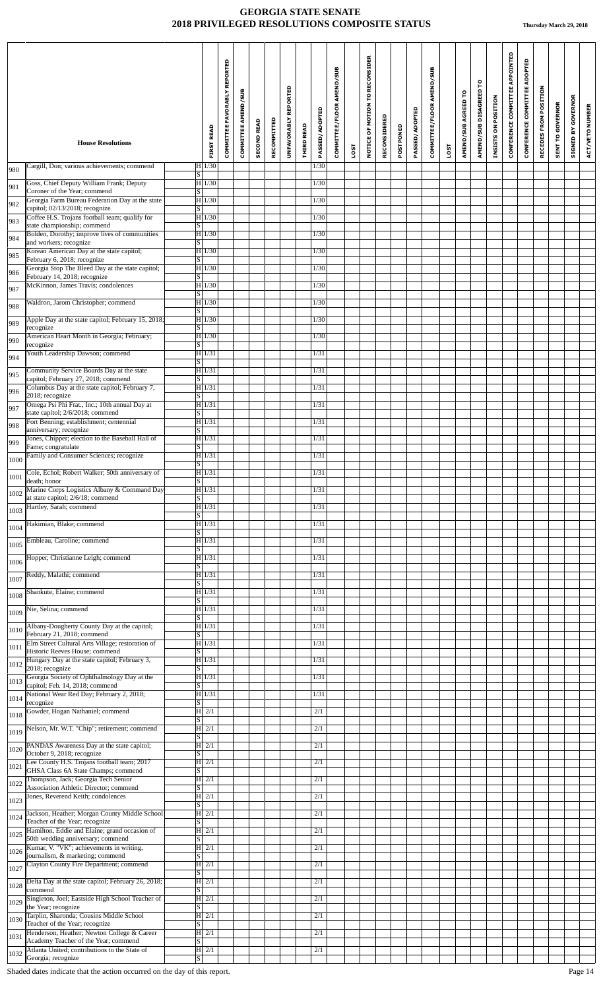|      | <b>House Resolutions</b>                                                              | <b>FIRST READ</b>                    | COMMITTEE FAVORABLY REPORTED | <b>COMMITTEE AMEND/SUB</b> | <b>SECOND READ</b> | RECOMMITTED | REPORTED<br><b>UNFAVORABLY</b> | THIRD READ | PASSED/ADOPTED | COMMITTEE/FLOOR AMEND/SUB |      | NOTICE OF MOTION TO RECONSIDER | RECONSIDERED | POSTPONED | PASSED/ADOPTED | COMMITTEE/FLOOR AMEND/SUB |      | AMEND/SUB AGREED TO | AMEND/SUB DISAGREED TO | INSISTS ON POSITION | CONFERENCE COMMITTEE APPOINTED | CONFERENCE COMMITTEE ADOPTED | RECEDES FROM POSITION | <b>SENT TO GOVERNOR</b> | <b>GOVERNOR</b><br>SIGNED BY | ACT/VETO NUMBER |
|------|---------------------------------------------------------------------------------------|--------------------------------------|------------------------------|----------------------------|--------------------|-------------|--------------------------------|------------|----------------|---------------------------|------|--------------------------------|--------------|-----------|----------------|---------------------------|------|---------------------|------------------------|---------------------|--------------------------------|------------------------------|-----------------------|-------------------------|------------------------------|-----------------|
|      | Cargill, Don; various achievements; commend                                           | $H$ 1/30                             |                              |                            |                    |             |                                |            | 1/30           |                           | LOST |                                |              |           |                |                           | LOST |                     |                        |                     |                                |                              |                       |                         |                              |                 |
| 980  | Goss, Chief Deputy William Frank; Deputy                                              | S <br>H 1/30                         |                              |                            |                    |             |                                |            | 1/30           |                           |      |                                |              |           |                |                           |      |                     |                        |                     |                                |                              |                       |                         |                              |                 |
| 981  | Coroner of the Year; commend<br>Georgia Farm Bureau Federation Day at the state       | S <br>$H$ 1/30                       |                              |                            |                    |             |                                |            | 1/30           |                           |      |                                |              |           |                |                           |      |                     |                        |                     |                                |                              |                       |                         |                              |                 |
| 982  | capitol; 02/13/2018; recognize<br>Coffee H.S. Trojans football team; qualify for      | S <br>$H$ 1/30                       |                              |                            |                    |             |                                |            | 1/30           |                           |      |                                |              |           |                |                           |      |                     |                        |                     |                                |                              |                       |                         |                              |                 |
| 983  | state championship; commend<br>Bolden, Dorothy; improve lives of communities          | $\overline{s}$<br>H 1/30             |                              |                            |                    |             |                                |            | 1/30           |                           |      |                                |              |           |                |                           |      |                     |                        |                     |                                |                              |                       |                         |                              |                 |
| 984  | and workers; recognize<br>Korean American Day at the state capitol;                   | S <br> H 1/30                        |                              |                            |                    |             |                                |            | 1/30           |                           |      |                                |              |           |                |                           |      |                     |                        |                     |                                |                              |                       |                         |                              |                 |
| 985  | February 6, 2018; recognize<br>Georgia Stop The Bleed Day at the state capitol;       | S  <br>$H$ 1/30                      |                              |                            |                    |             |                                |            | 1/30           |                           |      |                                |              |           |                |                           |      |                     |                        |                     |                                |                              |                       |                         |                              |                 |
| 986  | February 14, 2018; recognize<br>McKinnon, James Travis; condolences                   | $\overline{s}$<br> H 1/30            |                              |                            |                    |             |                                |            | 1/30           |                           |      |                                |              |           |                |                           |      |                     |                        |                     |                                |                              |                       |                         |                              |                 |
| 987  | Waldron, Jarom Christopher; commend                                                   | $\vert S \vert$<br> H 1/30           |                              |                            |                    |             |                                |            | 1/30           |                           |      |                                |              |           |                |                           |      |                     |                        |                     |                                |                              |                       |                         |                              |                 |
| 988  | Apple Day at the state capitol; February 15, 2018;                                    | S <br>H1/30                          |                              |                            |                    |             |                                |            | 1/30           |                           |      |                                |              |           |                |                           |      |                     |                        |                     |                                |                              |                       |                         |                              |                 |
| 989  | recognize<br>American Heart Month in Georgia; February;                               | $\vert S \vert$<br>$H$ 1/30          |                              |                            |                    |             |                                |            | 1/30           |                           |      |                                |              |           |                |                           |      |                     |                        |                     |                                |                              |                       |                         |                              |                 |
| 990  | recognize<br>Youth Leadership Dawson; commend                                         | S <br>H 1/31                         |                              |                            |                    |             |                                |            | 1/31           |                           |      |                                |              |           |                |                           |      |                     |                        |                     |                                |                              |                       |                         |                              |                 |
| 994  | Community Service Boards Day at the state                                             | S <br>$H$ 1/31                       |                              |                            |                    |             |                                |            | 1/31           |                           |      |                                |              |           |                |                           |      |                     |                        |                     |                                |                              |                       |                         |                              |                 |
| 995  | capitol; February 27, 2018; commend<br>Columbus Day at the state capitol; February 7, | S <br>$H$ 1/31                       |                              |                            |                    |             |                                |            | 1/31           |                           |      |                                |              |           |                |                           |      |                     |                        |                     |                                |                              |                       |                         |                              |                 |
| 996  | 2018; recognize<br>Omega Psi Phi Frat., Inc.; 10th annual Day at                      | $\overline{s}$<br>H 1/31             |                              |                            |                    |             |                                |            | 1/31           |                           |      |                                |              |           |                |                           |      |                     |                        |                     |                                |                              |                       |                         |                              |                 |
| 997  | state capitol; 2/6/2018; commend<br>Fort Benning; establishment; centennial           | S  <br>H 1/31                        |                              |                            |                    |             |                                |            | 1/31           |                           |      |                                |              |           |                |                           |      |                     |                        |                     |                                |                              |                       |                         |                              |                 |
| 998  | anniversary; recognize<br>Jones, Chipper; election to the Baseball Hall of            | $\overline{s}$<br>$H$ 1/31           |                              |                            |                    |             |                                |            | 1/31           |                           |      |                                |              |           |                |                           |      |                     |                        |                     |                                |                              |                       |                         |                              |                 |
| 999  | Fame; congratulate<br>Family and Consumer Sciences; recognize                         | $\vert S \vert$<br> H 1/31           |                              |                            |                    |             |                                |            | 1/31           |                           |      |                                |              |           |                |                           |      |                     |                        |                     |                                |                              |                       |                         |                              |                 |
| 1000 | Cole, Echol; Robert Walker; 50th anniversary of                                       | $\overline{s}$<br>H 1/31             |                              |                            |                    |             |                                |            | 1/31           |                           |      |                                |              |           |                |                           |      |                     |                        |                     |                                |                              |                       |                         |                              |                 |
| 1001 | death; honor<br>Marine Corps Logistics Albany & Command Day                           | $\overline{s}$<br>$H$ 1/31           |                              |                            |                    |             |                                |            | 1/31           |                           |      |                                |              |           |                |                           |      |                     |                        |                     |                                |                              |                       |                         |                              |                 |
| 1002 | at state capitol; 2/6/18; commend<br>Hartley, Sarah; commend                          | <sub>S</sub><br>$\overline{H 1/31}$  |                              |                            |                    |             |                                |            | 1/31           |                           |      |                                |              |           |                |                           |      |                     |                        |                     |                                |                              |                       |                         |                              |                 |
| 1003 | Hakimian, Blake; commend                                                              | $\vert S \vert$<br> H 1/31           |                              |                            |                    |             |                                |            | 1/31           |                           |      |                                |              |           |                |                           |      |                     |                        |                     |                                |                              |                       |                         |                              |                 |
| 1004 |                                                                                       | S                                    |                              |                            |                    |             |                                |            | 1/31           |                           |      |                                |              |           |                |                           |      |                     |                        |                     |                                |                              |                       |                         |                              |                 |
| 1005 | Embleau, Caroline; commend                                                            | H 1/31<br> S                         |                              |                            |                    |             |                                |            |                |                           |      |                                |              |           |                |                           |      |                     |                        |                     |                                |                              |                       |                         |                              |                 |
| 1006 | Hopper, Christianne Leigh; commend                                                    | $H$ 1/31<br>S                        |                              |                            |                    |             |                                |            | 1/31           |                           |      |                                |              |           |                |                           |      |                     |                        |                     |                                |                              |                       |                         |                              |                 |
| 1007 | Reddy, Malathi; commend                                                               | H 1/31<br>S                          |                              |                            |                    |             |                                |            | 1/31           |                           |      |                                |              |           |                |                           |      |                     |                        |                     |                                |                              |                       |                         |                              |                 |
| 1008 | Shankute, Elaine; commend                                                             | $H$ 1/31<br>S                        |                              |                            |                    |             |                                |            | 1/31           |                           |      |                                |              |           |                |                           |      |                     |                        |                     |                                |                              |                       |                         |                              |                 |
| 1009 | Nie, Selina; commend                                                                  | H 1/31<br>$\overline{\mathbf{s}}$    |                              |                            |                    |             |                                |            | 1/31           |                           |      |                                |              |           |                |                           |      |                     |                        |                     |                                |                              |                       |                         |                              |                 |
| 1010 | Albany-Dougherty County Day at the capitol;<br>February 21, 2018; commend             | H 1/31<br> S                         |                              |                            |                    |             |                                |            | 1/31           |                           |      |                                |              |           |                |                           |      |                     |                        |                     |                                |                              |                       |                         |                              |                 |
| 1011 | Elm Street Cultural Arts Village; restoration of<br>Historic Reeves House; commend    | H 1/31<br> S                         |                              |                            |                    |             |                                |            | 1/31           |                           |      |                                |              |           |                |                           |      |                     |                        |                     |                                |                              |                       |                         |                              |                 |
| 1012 | Hungary Day at the state capitol; February 3,<br>2018; recognize                      | H 1/31<br>$\vert S \vert$            |                              |                            |                    |             |                                |            | 1/31           |                           |      |                                |              |           |                |                           |      |                     |                        |                     |                                |                              |                       |                         |                              |                 |
| 1013 | Georgia Society of Ophthalmology Day at the<br>capitol; Feb. 14, 2018; commend        | H1/31<br>$\vert S \vert$             |                              |                            |                    |             |                                |            | 1/31           |                           |      |                                |              |           |                |                           |      |                     |                        |                     |                                |                              |                       |                         |                              |                 |
| 1014 | National Wear Red Day; February 2, 2018;<br>recognize                                 | H 1/31<br> S                         |                              |                            |                    |             |                                |            | 1/31           |                           |      |                                |              |           |                |                           |      |                     |                        |                     |                                |                              |                       |                         |                              |                 |
| 1018 | Gowder, Hogan Nathaniel; commend                                                      | $ H $ 2/1<br>$\overline{s}$          |                              |                            |                    |             |                                |            | 2/1            |                           |      |                                |              |           |                |                           |      |                     |                        |                     |                                |                              |                       |                         |                              |                 |
| 1019 | Nelson, Mr. W.T. "Chip"; retirement; commend                                          | $ H $ 2/1<br><sub>S</sub>            |                              |                            |                    |             |                                |            | 2/1            |                           |      |                                |              |           |                |                           |      |                     |                        |                     |                                |                              |                       |                         |                              |                 |
| 1020 | PANDAS Awareness Day at the state capitol;<br>October 9, 2018; recognize              | $ H $ 2/1<br>S                       |                              |                            |                    |             |                                |            | 2/1            |                           |      |                                |              |           |                |                           |      |                     |                        |                     |                                |                              |                       |                         |                              |                 |
| 1021 | Lee County H.S. Trojans football team; 2017<br>GHSA Class 6A State Champs; commend    | $ H $ 2/1<br>S                       |                              |                            |                    |             |                                |            | 2/1            |                           |      |                                |              |           |                |                           |      |                     |                        |                     |                                |                              |                       |                         |                              |                 |
| 1022 | Thompson, Jack; Georgia Tech Senior<br>Association Athletic Director; commend         | $ H $ 2/1<br>$\overline{s}$          |                              |                            |                    |             |                                |            | 2/1            |                           |      |                                |              |           |                |                           |      |                     |                        |                     |                                |                              |                       |                         |                              |                 |
| 1023 | Jones, Reverend Keith; condolences                                                    | $ H $ 2/1<br> S                      |                              |                            |                    |             |                                |            | 2/1            |                           |      |                                |              |           |                |                           |      |                     |                        |                     |                                |                              |                       |                         |                              |                 |
| 1024 | Jackson, Heather; Morgan County Middle School<br>Teacher of the Year; recognize       | $ H $ 2/1<br>S                       |                              |                            |                    |             |                                |            | 2/1            |                           |      |                                |              |           |                |                           |      |                     |                        |                     |                                |                              |                       |                         |                              |                 |
| 1025 | Hamilton, Eddie and Elaine; grand occasion of<br>50th wedding anniversary; commend    | $ H $ 2/1<br>$\overline{s}$          |                              |                            |                    |             |                                |            | 2/1            |                           |      |                                |              |           |                |                           |      |                     |                        |                     |                                |                              |                       |                         |                              |                 |
| 1026 | Kumar, V. "VK"; achievements in writing,<br>journalism, & marketing; commend          | $ H $ 2/1<br> S                      |                              |                            |                    |             |                                |            | 2/1            |                           |      |                                |              |           |                |                           |      |                     |                        |                     |                                |                              |                       |                         |                              |                 |
| 1027 | Clayton County Fire Department; commend                                               | $ H $ 2/1<br> S                      |                              |                            |                    |             |                                |            | 2/1            |                           |      |                                |              |           |                |                           |      |                     |                        |                     |                                |                              |                       |                         |                              |                 |
| 1028 | Delta Day at the state capitol; February 26, 2018;<br>commend                         | $ H $ 2/1<br>$\vert S \vert$         |                              |                            |                    |             |                                |            | 2/1            |                           |      |                                |              |           |                |                           |      |                     |                        |                     |                                |                              |                       |                         |                              |                 |
| 1029 | Singleton, Joel; Eastside High School Teacher of<br>the Year; recognize               | $ H $ 2/1<br>$\overline{\mathbf{s}}$ |                              |                            |                    |             |                                |            | 2/1            |                           |      |                                |              |           |                |                           |      |                     |                        |                     |                                |                              |                       |                         |                              |                 |
| 1030 | Tarplin, Sharonda; Cousins Middle School<br>Teacher of the Year; recognize            | $\overline{H}$ 2/1<br>$\overline{s}$ |                              |                            |                    |             |                                |            | 2/1            |                           |      |                                |              |           |                |                           |      |                     |                        |                     |                                |                              |                       |                         |                              |                 |
| 1031 | Henderson, Heather; Newton College & Career<br>Academy Teacher of the Year; commend   | $ H $ 2/1<br>$\overline{\mathbf{s}}$ |                              |                            |                    |             |                                |            | 2/1            |                           |      |                                |              |           |                |                           |      |                     |                        |                     |                                |                              |                       |                         |                              |                 |
| 1032 | Atlanta United; contributions to the State of<br>Georgia; recognize                   | $H$ 2/1<br>$\vert S \vert$           |                              |                            |                    |             |                                |            | 2/1            |                           |      |                                |              |           |                |                           |      |                     |                        |                     |                                |                              |                       |                         |                              |                 |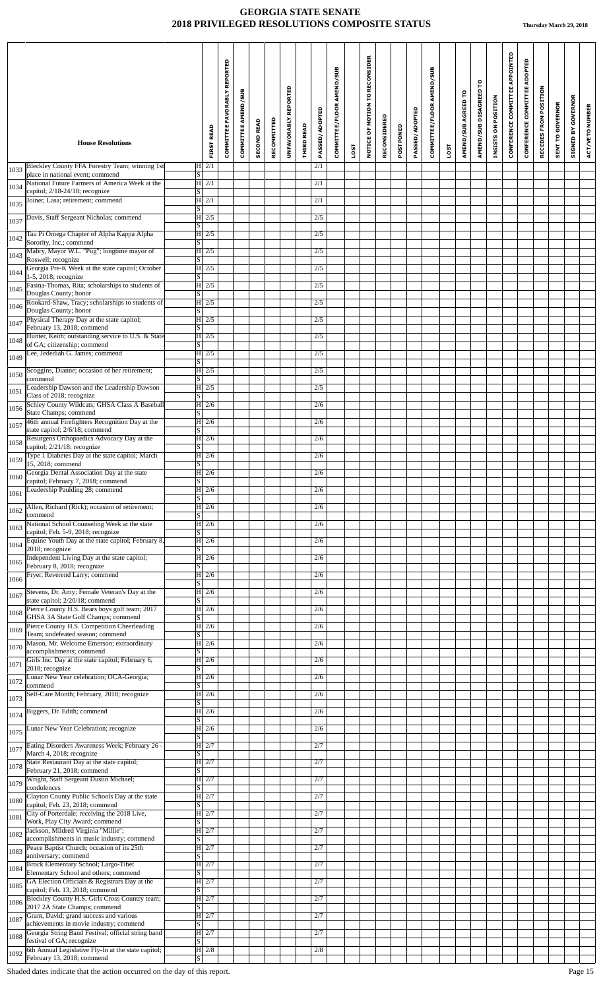|      |                                                                                          |                                      | COMMITTEE FAVORABLY REPORTED | <b>COMMITTEE AMEND/SUB</b> | <b>SECOND READ</b> | RECOMMITTED | UNFAVORABLY REPORTED |                   | <b>PASSED/ADOPTED</b> | COMMITTEE/FLOOR AMEND/SUB |      | NOTICE OF MOTION TO RECONSIDER | RECONSIDERED |           | PASSED/ADOPTED | COMMITTEE/FLOOR AMEND/SUB |      | AMEND/SUB AGREED TO | AMEND/SUB DISAGREED TO | INSISTS ON POSITION | CONFERENCE COMMITTEE APPOINTED | ADOPTED<br><b>CONFERENCE COMMITTEE</b> | RECEDES FROM POSITION | <b>SENT TO GOVERNOR</b> | <b>GOVERNOR</b><br>$\mathbf{s}$ | ACT/VETO NUMBER |
|------|------------------------------------------------------------------------------------------|--------------------------------------|------------------------------|----------------------------|--------------------|-------------|----------------------|-------------------|-----------------------|---------------------------|------|--------------------------------|--------------|-----------|----------------|---------------------------|------|---------------------|------------------------|---------------------|--------------------------------|----------------------------------------|-----------------------|-------------------------|---------------------------------|-----------------|
|      | <b>House Resolutions</b>                                                                 | <b>FIRST READ</b>                    |                              |                            |                    |             |                      | <b>THIRD READ</b> |                       |                           | LOST |                                |              | POSTPONED |                |                           | LOST |                     |                        |                     |                                |                                        |                       |                         | SIGNED                          |                 |
| 1033 | Bleckley County FFA Forestry Team; winning 1st<br>place in national event; commend       | $H$ 2/1<br> S                        |                              |                            |                    |             |                      |                   | 2/1                   |                           |      |                                |              |           |                |                           |      |                     |                        |                     |                                |                                        |                       |                         |                                 |                 |
| 1034 | National Future Farmers of America Week at the<br>capitol; 2/18-24/18; recognize         | $ H $ 2/1<br> S                      |                              |                            |                    |             |                      |                   | 2/1                   |                           |      |                                |              |           |                |                           |      |                     |                        |                     |                                |                                        |                       |                         |                                 |                 |
| 1035 | Joiner, Lasa; retirement; commend                                                        | $ H $ 2/1<br> S                      |                              |                            |                    |             |                      |                   | 2/1                   |                           |      |                                |              |           |                |                           |      |                     |                        |                     |                                |                                        |                       |                         |                                 |                 |
| 1037 | Davis, Staff Sergeant Nicholas; commend                                                  | $ H $ 2/5<br> S                      |                              |                            |                    |             |                      |                   | 2/5                   |                           |      |                                |              |           |                |                           |      |                     |                        |                     |                                |                                        |                       |                         |                                 |                 |
| 1042 | Tau Pi Omega Chapter of Alpha Kappa Alpha<br>Sorority, Inc.; commend                     | $H \mid 2/5$<br> S                   |                              |                            |                    |             |                      |                   | 2/5                   |                           |      |                                |              |           |                |                           |      |                     |                        |                     |                                |                                        |                       |                         |                                 |                 |
| 1043 | Mabry, Mayor W.L. "Pug"; longtime mayor of<br>Roswell; recognize                         | $ H $ 2/5<br>S                       |                              |                            |                    |             |                      |                   | 2/5                   |                           |      |                                |              |           |                |                           |      |                     |                        |                     |                                |                                        |                       |                         |                                 |                 |
| 1044 | Georgia Pre-K Week at the state capitol; October<br>1-5, 2018; recognize                 | $ H $ 2/5<br>$\overline{\mathbf{s}}$ |                              |                            |                    |             |                      |                   | 2/5                   |                           |      |                                |              |           |                |                           |      |                     |                        |                     |                                |                                        |                       |                         |                                 |                 |
| 1045 | Fasina-Thomas, Rita; scholarships to students of<br>Douglas County; honor                | $H$ 2/5<br> S                        |                              |                            |                    |             |                      |                   | 2/5                   |                           |      |                                |              |           |                |                           |      |                     |                        |                     |                                |                                        |                       |                         |                                 |                 |
| 1046 | Rookard-Shaw, Tracy; scholarships to students of                                         | $ H $ 2/5                            |                              |                            |                    |             |                      |                   | 2/5                   |                           |      |                                |              |           |                |                           |      |                     |                        |                     |                                |                                        |                       |                         |                                 |                 |
| 1047 | Douglas County; honor<br>Physical Therapy Day at the state capitol;                      | S <br>H2/5                           |                              |                            |                    |             |                      |                   | 2/5                   |                           |      |                                |              |           |                |                           |      |                     |                        |                     |                                |                                        |                       |                         |                                 |                 |
| 1048 | February 13, 2018; commend<br>Hunter, Keith; outstanding service to U.S. & State         | S <br>$H$ 2/5                        |                              |                            |                    |             |                      |                   | 2/5                   |                           |      |                                |              |           |                |                           |      |                     |                        |                     |                                |                                        |                       |                         |                                 |                 |
| 1049 | of GA; citizenship; commend<br>Lee, Jedediah G. James; commend                           | S  <br>$ H $ 2/5                     |                              |                            |                    |             |                      |                   | 2/5                   |                           |      |                                |              |           |                |                           |      |                     |                        |                     |                                |                                        |                       |                         |                                 |                 |
| 1050 | Scoggins, Dianne; occasion of her retirement;                                            | S <br>$H$ 2/5                        |                              |                            |                    |             |                      |                   | 2/5                   |                           |      |                                |              |           |                |                           |      |                     |                        |                     |                                |                                        |                       |                         |                                 |                 |
| 1051 | commend<br>Leadership Dawson and the Leadership Dawson                                   | S <br>$H\overline{2/5}$              |                              |                            |                    |             |                      |                   | 2/5                   |                           |      |                                |              |           |                |                           |      |                     |                        |                     |                                |                                        |                       |                         |                                 |                 |
| 1056 | Class of 2018; recognize<br>Schley County Wildcats; GHSA Class A Baseball                | $\overline{\mathbf{s}}$<br>$ H $ 2/6 |                              |                            |                    |             |                      |                   | 2/6                   |                           |      |                                |              |           |                |                           |      |                     |                        |                     |                                |                                        |                       |                         |                                 |                 |
| 1057 | State Champs; commend<br>46th annual Firefighters Recognition Day at the                 | S <br>$ H $ 2/6                      |                              |                            |                    |             |                      |                   | 2/6                   |                           |      |                                |              |           |                |                           |      |                     |                        |                     |                                |                                        |                       |                         |                                 |                 |
|      | state capitol; 2/6/18; commend<br>Resurgens Orthopaedics Advocacy Day at the             | S<br>H 2/6                           |                              |                            |                    |             |                      |                   | 2/6                   |                           |      |                                |              |           |                |                           |      |                     |                        |                     |                                |                                        |                       |                         |                                 |                 |
| 1058 | capitol; 2/21/18; recognize<br>Type 1 Diabetes Day at the state capitol; March           | S <br>$ H $ 2/6                      |                              |                            |                    |             |                      |                   | 2/6                   |                           |      |                                |              |           |                |                           |      |                     |                        |                     |                                |                                        |                       |                         |                                 |                 |
| 1059 | 15, 2018; commend<br>Georgia Dental Association Day at the state                         | S <br>$ H $ 2/6                      |                              |                            |                    |             |                      |                   | 2/6                   |                           |      |                                |              |           |                |                           |      |                     |                        |                     |                                |                                        |                       |                         |                                 |                 |
| 1060 | capitol; February 7, 2018; commend<br>Leadership Paulding 28; commend                    | S <br>H 2/6                          |                              |                            |                    |             |                      |                   | 2/6                   |                           |      |                                |              |           |                |                           |      |                     |                        |                     |                                |                                        |                       |                         |                                 |                 |
| 1061 | Allen, Richard (Rick); occasion of retirement;                                           | lS.<br>H 2/6                         |                              |                            |                    |             |                      |                   | 2/6                   |                           |      |                                |              |           |                |                           |      |                     |                        |                     |                                |                                        |                       |                         |                                 |                 |
| 1062 | commend<br>National School Counseling Week at the state                                  | S  <br>$\overline{H}$   2/6          |                              |                            |                    |             |                      |                   | 2/6                   |                           |      |                                |              |           |                |                           |      |                     |                        |                     |                                |                                        |                       |                         |                                 |                 |
| 1063 | capitol; Feb. 5-9, 2018; recognize<br>Equine Youth Day at the state capitol; February 8, | S  <br>H 2/6                         |                              |                            |                    |             |                      |                   | 2/6                   |                           |      |                                |              |           |                |                           |      |                     |                        |                     |                                |                                        |                       |                         |                                 |                 |
| 1064 | 2018; recognize<br>Independent Living Day at the state capitol;                          | S.                                   |                              |                            |                    |             |                      |                   |                       |                           |      |                                |              |           |                |                           |      |                     |                        |                     |                                |                                        |                       |                         |                                 |                 |
| 1065 | February 8, 2018; recognize<br>Fryer, Reverend Larry; commend                            | H 2/6<br> S                          |                              |                            |                    |             |                      |                   | 2/6                   |                           |      |                                |              |           |                |                           |      |                     |                        |                     |                                |                                        |                       |                         |                                 |                 |
| 1066 |                                                                                          | H 2/6<br>S.                          |                              |                            |                    |             |                      |                   | 2/6                   |                           |      |                                |              |           |                |                           |      |                     |                        |                     |                                |                                        |                       |                         |                                 |                 |
| 1067 | Stevens, Dr. Amy; Female Veteran's Day at the<br>state capitol; 2/20/18; commend         | H 2/6<br>S                           |                              |                            |                    |             |                      |                   | 2/6                   |                           |      |                                |              |           |                |                           |      |                     |                        |                     |                                |                                        |                       |                         |                                 |                 |
| 1068 | Pierce County H.S. Bears boys golf team; 2017<br>GHSA 3A State Golf Champs; commend      | H 2/6<br>lS.                         |                              |                            |                    |             |                      |                   | 2/6                   |                           |      |                                |              |           |                |                           |      |                     |                        |                     |                                |                                        |                       |                         |                                 |                 |
| 1069 | Pierce County H.S. Competition Cheerleading<br>Team; undefeated season; commend          | H 2/6<br> S                          |                              |                            |                    |             |                      |                   | 2/6                   |                           |      |                                |              |           |                |                           |      |                     |                        |                     |                                |                                        |                       |                         |                                 |                 |
| 1070 | Mason, Mr. Welcome Emerson; extraordinary<br>accomplishments; commend                    | $ H $ 2/6<br>S                       |                              |                            |                    |             |                      |                   | 2/6                   |                           |      |                                |              |           |                |                           |      |                     |                        |                     |                                |                                        |                       |                         |                                 |                 |
| 1071 | Girls Inc. Day at the state capitol; February 6,<br>2018; recognize                      | H 2/6<br>S.                          |                              |                            |                    |             |                      |                   | 2/6                   |                           |      |                                |              |           |                |                           |      |                     |                        |                     |                                |                                        |                       |                         |                                 |                 |
| 1072 | Lunar New Year celebration; OCA-Georgia;<br>commend                                      | H 2/6<br>S                           |                              |                            |                    |             |                      |                   | 2/6                   |                           |      |                                |              |           |                |                           |      |                     |                        |                     |                                |                                        |                       |                         |                                 |                 |
| 1073 | Self-Care Month; February, 2018; recognize                                               | H 2/6<br>S.                          |                              |                            |                    |             |                      |                   | 2/6                   |                           |      |                                |              |           |                |                           |      |                     |                        |                     |                                |                                        |                       |                         |                                 |                 |
| 1074 | Biggers, Dr. Edith; commend                                                              | H 2/6<br>S                           |                              |                            |                    |             |                      |                   | 2/6                   |                           |      |                                |              |           |                |                           |      |                     |                        |                     |                                |                                        |                       |                         |                                 |                 |
| 1075 | Lunar New Year Celebration; recognize                                                    | H 2/6<br>S                           |                              |                            |                    |             |                      |                   | 2/6                   |                           |      |                                |              |           |                |                           |      |                     |                        |                     |                                |                                        |                       |                         |                                 |                 |
| 1077 | Eating Disorders Awareness Week; February 26 -<br>March 4, 2018; recognize               | H 2/7<br> S                          |                              |                            |                    |             |                      |                   | 2/7                   |                           |      |                                |              |           |                |                           |      |                     |                        |                     |                                |                                        |                       |                         |                                 |                 |
| 1078 | State Restaurant Day at the state capitol;<br>February 21, 2018; commend                 | H 2/7<br>S                           |                              |                            |                    |             |                      |                   | 2/7                   |                           |      |                                |              |           |                |                           |      |                     |                        |                     |                                |                                        |                       |                         |                                 |                 |
| 1079 | Wright, Staff Sergeant Dustin Michael;<br>condolences                                    | H 2/7<br>S.                          |                              |                            |                    |             |                      |                   | 2/7                   |                           |      |                                |              |           |                |                           |      |                     |                        |                     |                                |                                        |                       |                         |                                 |                 |
| 1080 | Clayton County Public Schools Day at the state<br>capitol; Feb. 23, 2018; commend        | H 2/7<br> S                          |                              |                            |                    |             |                      |                   | 2/7                   |                           |      |                                |              |           |                |                           |      |                     |                        |                     |                                |                                        |                       |                         |                                 |                 |
| 1081 | City of Porterdale; receiving the 2018 Live,<br>Work, Play City Award; commend           | H 2/7<br>S.                          |                              |                            |                    |             |                      |                   | 2/7                   |                           |      |                                |              |           |                |                           |      |                     |                        |                     |                                |                                        |                       |                         |                                 |                 |
| 1082 | Jackson, Mildred Virginia "Millie";<br>accomplishments in music industry; commend        | H 2/7<br> S                          |                              |                            |                    |             |                      |                   | 2/7                   |                           |      |                                |              |           |                |                           |      |                     |                        |                     |                                |                                        |                       |                         |                                 |                 |
| 1083 | Peace Baptist Church; occasion of its 25th<br>anniversary; commend                       | $\overline{H}$   2/7<br> S           |                              |                            |                    |             |                      |                   | 2/7                   |                           |      |                                |              |           |                |                           |      |                     |                        |                     |                                |                                        |                       |                         |                                 |                 |
| 1084 | Brock Elementary School; Largo-Tibet<br>Elementary School and others; commend            | H 2/7<br>S.                          |                              |                            |                    |             |                      |                   | 2/7                   |                           |      |                                |              |           |                |                           |      |                     |                        |                     |                                |                                        |                       |                         |                                 |                 |
| 1085 | GA Election Officials & Registrars Day at the<br>capitol; Feb. 13, 2018; commend         | H 2/7<br> S                          |                              |                            |                    |             |                      |                   | 2/7                   |                           |      |                                |              |           |                |                           |      |                     |                        |                     |                                |                                        |                       |                         |                                 |                 |
| 1086 | Bleckley County H.S. Girls Cross Country team;<br>2017 2A State Champs; commend          | H 2/7<br>S.                          |                              |                            |                    |             |                      |                   | 2/7                   |                           |      |                                |              |           |                |                           |      |                     |                        |                     |                                |                                        |                       |                         |                                 |                 |
| 1087 | Grant, David; grand success and various<br>achievements in movie industry; commend       | H27<br> S                            |                              |                            |                    |             |                      |                   | 2/7                   |                           |      |                                |              |           |                |                           |      |                     |                        |                     |                                |                                        |                       |                         |                                 |                 |
| 1088 | Georgia String Band Festival; official string band<br>festival of GA; recognize          | H2/7                                 |                              |                            |                    |             |                      |                   | 2/7                   |                           |      |                                |              |           |                |                           |      |                     |                        |                     |                                |                                        |                       |                         |                                 |                 |
| 1092 | 6th Annual Legislative Fly-In at the state capitol;                                      | $\overline{\mathbf{s}}$<br>H2/8      |                              |                            |                    |             |                      |                   | 2/8                   |                           |      |                                |              |           |                |                           |      |                     |                        |                     |                                |                                        |                       |                         |                                 |                 |
|      | February 13, 2018; commend                                                               | $ \overline{s} $                     |                              |                            |                    |             |                      |                   |                       |                           |      |                                |              |           |                |                           |      |                     |                        |                     |                                |                                        |                       |                         |                                 |                 |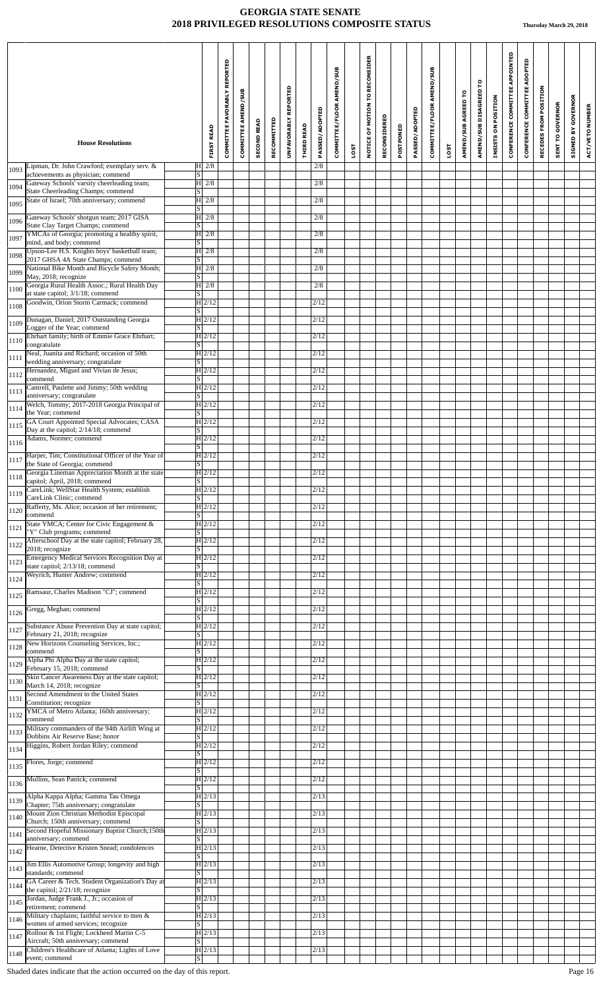|      |                                                                                         |                                                       | REPORTED<br><b>COMMITTEE FAVORABLY</b> | COMMITTEE AMEND/SUB |                    |             | UNFAVORABLY REPORTED |                   | PASSED/ADOPTED | COMMITTEE/FLOOR AMEND/SUB |      | NOTICE OF MOTION TO RECONSIDER |              |           | PASSED/ADOPTED | COMMITTEE/FLOOR AMEND/SUB |             | AMEND/SUB AGREED TO | AMEND/SUB DISAGREED TO | INSISTS ON POSITION | CONFERENCE COMMITTEE APPOINTED | CONFERENCE COMMITTEE ADOPTED | RECEDES FROM POSITION | <b>SENT TO GOVERNOR</b> | GOVERNOR  | ACT/VETO NUMBER |
|------|-----------------------------------------------------------------------------------------|-------------------------------------------------------|----------------------------------------|---------------------|--------------------|-------------|----------------------|-------------------|----------------|---------------------------|------|--------------------------------|--------------|-----------|----------------|---------------------------|-------------|---------------------|------------------------|---------------------|--------------------------------|------------------------------|-----------------------|-------------------------|-----------|-----------------|
|      | <b>House Resolutions</b>                                                                | <b>FIRST READ</b>                                     |                                        |                     | <b>SECOND READ</b> | RECOMMITTED |                      | <b>THIRD READ</b> |                |                           | LOST |                                | RECONSIDERED | POSTPONED |                |                           | <b>LOST</b> |                     |                        |                     |                                |                              |                       |                         | SIGNED BY |                 |
| 1093 | Lipman, Dr. John Crawford; exemplary serv. &<br>achievements as physician; commend      | H2/8<br>S                                             |                                        |                     |                    |             |                      |                   | 2/8            |                           |      |                                |              |           |                |                           |             |                     |                        |                     |                                |                              |                       |                         |           |                 |
| 1094 | Gateway Schools' varsity cheerleading team;<br>State Cheerleading Champs; commend       | $ H $ 2/8<br> S                                       |                                        |                     |                    |             |                      |                   | 2/8            |                           |      |                                |              |           |                |                           |             |                     |                        |                     |                                |                              |                       |                         |           |                 |
| 1095 | State of Israel; 70th anniversary; commend                                              | $H$ 2/8<br> S                                         |                                        |                     |                    |             |                      |                   | 2/8            |                           |      |                                |              |           |                |                           |             |                     |                        |                     |                                |                              |                       |                         |           |                 |
| 1096 | Gateway Schools' shotgun team; 2017 GISA<br>State Clay Target Champs; commend           | $ H $ 2/8<br> S                                       |                                        |                     |                    |             |                      |                   | 2/8            |                           |      |                                |              |           |                |                           |             |                     |                        |                     |                                |                              |                       |                         |           |                 |
| 1097 | YMCAs of Georgia; promoting a healthy spirit,<br>mind, and body; commend                | $ H $ 2/8<br> S                                       |                                        |                     |                    |             |                      |                   | 2/8            |                           |      |                                |              |           |                |                           |             |                     |                        |                     |                                |                              |                       |                         |           |                 |
| 1098 | Upson-Lee H.S. Knights boys' basketball team;<br>2017 GHSA 4A State Champs; commend     | $ H $ 2/8<br>S                                        |                                        |                     |                    |             |                      |                   | 2/8            |                           |      |                                |              |           |                |                           |             |                     |                        |                     |                                |                              |                       |                         |           |                 |
| 1099 | National Bike Month and Bicycle Safety Month;<br>May, 2018; recognize                   | H2/8<br> S                                            |                                        |                     |                    |             |                      |                   | 2/8            |                           |      |                                |              |           |                |                           |             |                     |                        |                     |                                |                              |                       |                         |           |                 |
| 1100 | Georgia Rural Health Assoc.; Rural Health Day<br>at state capitol; 3/1/18; commend      | $ H $ 2/8<br>S                                        |                                        |                     |                    |             |                      |                   | 2/8            |                           |      |                                |              |           |                |                           |             |                     |                        |                     |                                |                              |                       |                         |           |                 |
| 1108 | Goodwin, Orion Storm Carmack; commend                                                   | H 2/12<br> S                                          |                                        |                     |                    |             |                      |                   | 2/12           |                           |      |                                |              |           |                |                           |             |                     |                        |                     |                                |                              |                       |                         |           |                 |
| 1109 | Dunagan, Daniel; 2017 Outstanding Georgia<br>Logger of the Year; commend                | H 2/12<br>S                                           |                                        |                     |                    |             |                      |                   | 2/12           |                           |      |                                |              |           |                |                           |             |                     |                        |                     |                                |                              |                       |                         |           |                 |
| 1110 | Ehrhart family; birth of Emmie Grace Ehrhart;<br>congratulate                           | H 2/12<br> S                                          |                                        |                     |                    |             |                      |                   | 2/12           |                           |      |                                |              |           |                |                           |             |                     |                        |                     |                                |                              |                       |                         |           |                 |
| 1111 | Neal, Juanita and Richard; occasion of 50th<br>wedding anniversary; congratulate        | H 2/12<br> S                                          |                                        |                     |                    |             |                      |                   | 2/12           |                           |      |                                |              |           |                |                           |             |                     |                        |                     |                                |                              |                       |                         |           |                 |
| 1112 | Hernandez, Miguel and Vivian de Jesus;<br>commend                                       | H 2/12                                                |                                        |                     |                    |             |                      |                   | 2/12           |                           |      |                                |              |           |                |                           |             |                     |                        |                     |                                |                              |                       |                         |           |                 |
| 1113 | Cantrell, Paulette and Jimmy; 50th wedding<br>anniversary; congratulate                 | S <br>$H$ 2/12                                        |                                        |                     |                    |             |                      |                   | 2/12           |                           |      |                                |              |           |                |                           |             |                     |                        |                     |                                |                              |                       |                         |           |                 |
| 1114 | Welch, Tommy; 2017-2018 Georgia Principal of                                            | S <br>H 2/12                                          |                                        |                     |                    |             |                      |                   | 2/12           |                           |      |                                |              |           |                |                           |             |                     |                        |                     |                                |                              |                       |                         |           |                 |
| 1115 | the Year; commend<br>GA Court Appointed Special Advocates; CASA                         | S  <br>$H$ 2/12                                       |                                        |                     |                    |             |                      |                   | 2/12           |                           |      |                                |              |           |                |                           |             |                     |                        |                     |                                |                              |                       |                         |           |                 |
| 1116 | Day at the capitol; 2/14/18; commend<br>Adams, Normer; commend                          | S<br>H 2/12                                           |                                        |                     |                    |             |                      |                   | 2/12           |                           |      |                                |              |           |                |                           |             |                     |                        |                     |                                |                              |                       |                         |           |                 |
| 1117 | Harper, Tim; Constitutional Officer of the Year of                                      | S <br>H 2/12                                          |                                        |                     |                    |             |                      |                   | 2/12           |                           |      |                                |              |           |                |                           |             |                     |                        |                     |                                |                              |                       |                         |           |                 |
| 1118 | the State of Georgia; commend<br>Georgia Lineman Appreciation Month at the state        | $\overline{\mathbf{s}}$<br>$\vert H \vert 2/12 \vert$ |                                        |                     |                    |             |                      |                   | 2/12           |                           |      |                                |              |           |                |                           |             |                     |                        |                     |                                |                              |                       |                         |           |                 |
| 1119 | capitol; April, 2018; commend<br>CareLink; WellStar Health System; establish            | $\lvert s \rvert$<br>$H$ 2/12                         |                                        |                     |                    |             |                      |                   | 2/12           |                           |      |                                |              |           |                |                           |             |                     |                        |                     |                                |                              |                       |                         |           |                 |
| 1120 | CareLink Clinic; commend<br>Rafferty, Ms. Alice; occasion of her retirement;            | lS.<br>$\overline{H 2}$ /12                           |                                        |                     |                    |             |                      |                   | 2/12           |                           |      |                                |              |           |                |                           |             |                     |                        |                     |                                |                              |                       |                         |           |                 |
| 1121 | commend<br>State YMCA; Center for Civic Engagement &                                    | S <br>H 2/12                                          |                                        |                     |                    |             |                      |                   | 2/12           |                           |      |                                |              |           |                |                           |             |                     |                        |                     |                                |                              |                       |                         |           |                 |
| 1122 | "Y" Club programs; commend<br>Afterschool Day at the state capitol; February 28,        | S <br>H 2/12                                          |                                        |                     |                    |             |                      |                   | 2/12           |                           |      |                                |              |           |                |                           |             |                     |                        |                     |                                |                              |                       |                         |           |                 |
| 1123 | 2018; recognize<br><b>Emergency Medical Services Recognition Day at</b>                 | S <br>H 2/12                                          |                                        |                     |                    |             |                      |                   | 2/12           |                           |      |                                |              |           |                |                           |             |                     |                        |                     |                                |                              |                       |                         |           |                 |
| 1124 | state capitol; 2/13/18; commend<br>Weyrich, Hunter Andrew; commend                      | S  <br>H 2/12                                         |                                        |                     |                    |             |                      |                   | 2/12           |                           |      |                                |              |           |                |                           |             |                     |                        |                     |                                |                              |                       |                         |           |                 |
| 1125 | Ramsaur, Charles Madison "CJ"; commend                                                  | S <br>H 2/12                                          |                                        |                     |                    |             |                      |                   | 2/12           |                           |      |                                |              |           |                |                           |             |                     |                        |                     |                                |                              |                       |                         |           |                 |
| 1126 | Gregg, Meghan; commend                                                                  | S<br>$H$ 2/12                                         |                                        |                     |                    |             |                      |                   | 2/12           |                           |      |                                |              |           |                |                           |             |                     |                        |                     |                                |                              |                       |                         |           |                 |
| 1127 | Substance Abuse Prevention Day at state capitol;                                        | S.<br>H 2/12                                          |                                        |                     |                    |             |                      |                   | 2/12           |                           |      |                                |              |           |                |                           |             |                     |                        |                     |                                |                              |                       |                         |           |                 |
| 1128 | February 21, 2018; recognize<br>New Horizons Counseling Services, Inc.;                 | S <br>H 2/12                                          |                                        |                     |                    |             |                      |                   | 2/12           |                           |      |                                |              |           |                |                           |             |                     |                        |                     |                                |                              |                       |                         |           |                 |
| 1129 | commend<br>Alpha Phi Alpha Day at the state capitol;                                    | S.<br>H 2/12                                          |                                        |                     |                    |             |                      |                   | 2/12           |                           |      |                                |              |           |                |                           |             |                     |                        |                     |                                |                              |                       |                         |           |                 |
|      | February 15, 2018; commend<br>Skin Cancer Awareness Day at the state capitol;           | S <br>H 2/12                                          |                                        |                     |                    |             |                      |                   | 2/12           |                           |      |                                |              |           |                |                           |             |                     |                        |                     |                                |                              |                       |                         |           |                 |
| 1130 | March 14, 2018; recognize<br>Second Amendment to the United States                      | S <br> H 2/12                                         |                                        |                     |                    |             |                      |                   | 2/12           |                           |      |                                |              |           |                |                           |             |                     |                        |                     |                                |                              |                       |                         |           |                 |
| 1131 | Constitution; recognize<br>YMCA of Metro Atlanta; 160th anniversary;                    | S <br>H 2/12                                          |                                        |                     |                    |             |                      |                   | 2/12           |                           |      |                                |              |           |                |                           |             |                     |                        |                     |                                |                              |                       |                         |           |                 |
| 1132 | commend<br>Military commanders of the 94th Airlift Wing at                              | S<br>H 2/12                                           |                                        |                     |                    |             |                      |                   | 2/12           |                           |      |                                |              |           |                |                           |             |                     |                        |                     |                                |                              |                       |                         |           |                 |
| 1133 | Dobbins Air Reserve Base; honor<br>Higgins, Robert Jordan Riley; commend                | S  <br>H 2/12                                         |                                        |                     |                    |             |                      |                   | 2/12           |                           |      |                                |              |           |                |                           |             |                     |                        |                     |                                |                              |                       |                         |           |                 |
| 1134 | Flores, Jorge; commend                                                                  | S <br>H 2/12                                          |                                        |                     |                    |             |                      |                   | 2/12           |                           |      |                                |              |           |                |                           |             |                     |                        |                     |                                |                              |                       |                         |           |                 |
| 1135 | Mullins, Sean Patrick; commend                                                          | S.<br>H 2/12                                          |                                        |                     |                    |             |                      |                   | 2/12           |                           |      |                                |              |           |                |                           |             |                     |                        |                     |                                |                              |                       |                         |           |                 |
| 1136 | Alpha Kappa Alpha; Gamma Tau Omega                                                      | $\vert S \vert$<br>H 2/13                             |                                        |                     |                    |             |                      |                   | 2/13           |                           |      |                                |              |           |                |                           |             |                     |                        |                     |                                |                              |                       |                         |           |                 |
| 1139 | Chapter; 75th anniversary; congratulate<br>Mount Zion Christian Methodist Episcopal     | S<br> H 2/13                                          |                                        |                     |                    |             |                      |                   | 2/13           |                           |      |                                |              |           |                |                           |             |                     |                        |                     |                                |                              |                       |                         |           |                 |
| 1140 | Church; 150th anniversary; commend<br>Second Hopeful Missionary Baptist Church;150th    | S.<br> H 2/13                                         |                                        |                     |                    |             |                      |                   | 2/13           |                           |      |                                |              |           |                |                           |             |                     |                        |                     |                                |                              |                       |                         |           |                 |
| 1141 | anniversary; commend<br>Hearne, Detective Kristen Snead; condolences                    | S <br> H 2/13                                         |                                        |                     |                    |             |                      |                   | 2/13           |                           |      |                                |              |           |                |                           |             |                     |                        |                     |                                |                              |                       |                         |           |                 |
| 1142 | Jim Ellis Automotive Group; longevity and high                                          | S  <br> H 2/13                                        |                                        |                     |                    |             |                      |                   | 2/13           |                           |      |                                |              |           |                |                           |             |                     |                        |                     |                                |                              |                       |                         |           |                 |
| 1143 | standards; commend<br>GA Career & Tech. Student Organization's Day at                   | S <br> H 2/13                                         |                                        |                     |                    |             |                      |                   | 2/13           |                           |      |                                |              |           |                |                           |             |                     |                        |                     |                                |                              |                       |                         |           |                 |
| 1144 | the capitol; 2/21/18; recognize<br>Jordan, Judge Frank J., Jr.; occasion of             | S.<br> H 2/13                                         |                                        |                     |                    |             |                      |                   | 2/13           |                           |      |                                |              |           |                |                           |             |                     |                        |                     |                                |                              |                       |                         |           |                 |
| 1145 | retirement; commend<br>Military chaplains; faithful service to men &                    | S <br> H 2/13                                         |                                        |                     |                    |             |                      |                   | 2/13           |                           |      |                                |              |           |                |                           |             |                     |                        |                     |                                |                              |                       |                         |           |                 |
| 1146 | women of armed services; recognize<br>Rollout & 1st Flight; Lockheed Martin C-5         | ISI<br>$H$ 2/13                                       |                                        |                     |                    |             |                      |                   | 2/13           |                           |      |                                |              |           |                |                           |             |                     |                        |                     |                                |                              |                       |                         |           |                 |
| 1147 | Aircraft; 50th anniversary; commend<br>Children's Healthcare of Atlanta; Lights of Love | $\overline{\mathbf{s}}$<br>$H$ 2/13                   |                                        |                     |                    |             |                      |                   | $\sqrt{2/13}$  |                           |      |                                |              |           |                |                           |             |                     |                        |                     |                                |                              |                       |                         |           |                 |
| 1148 | event; commend                                                                          | S                                                     |                                        |                     |                    |             |                      |                   |                |                           |      |                                |              |           |                |                           |             |                     |                        |                     |                                |                              |                       |                         |           |                 |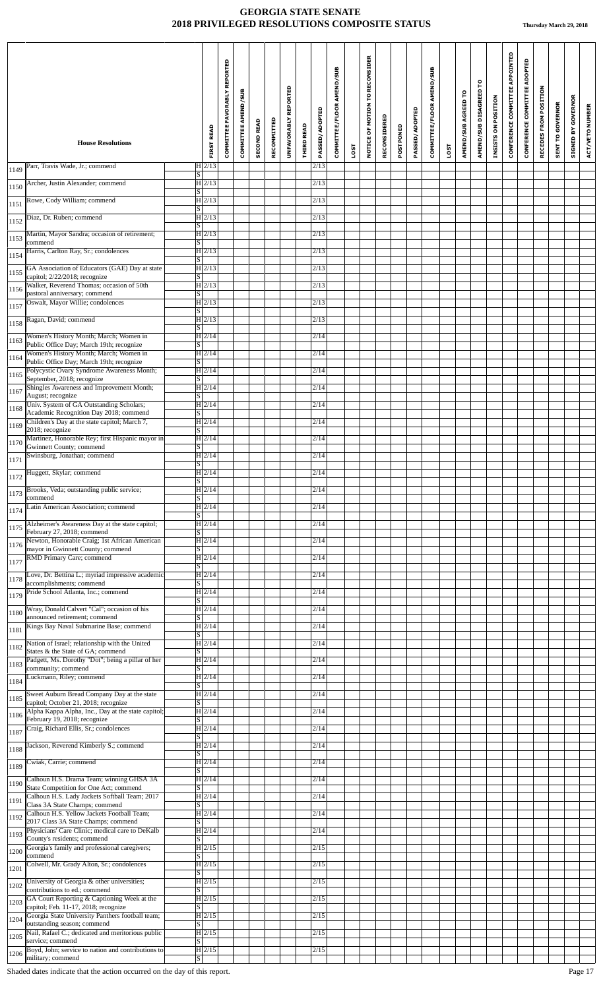|      |                                                                                            |                                                 |                   | COMMITTEE FAVORABLY REPORTED<br><b>COMMITTEE AMEND/SUB</b> |                    |             | UNFAVORABLY REPORTED |                   | PASSED/ADOPTED    | COMMITTEE/FLOOR AMEND/SUB |      | TO RECONSIDER<br>NOTICE OF MOTION |              |           | PASSED/ADOPTED | COMMITTEE/FLOOR AMEND/SUB |             | AMEND/SUB AGREED TO | AMEND/SUB DISAGREED TO | INSISTS ON POSITION | CONFERENCE COMMITTEE APPOINTED | ADOPTED<br>COMMITTEE | RECEDES FROM POSITION | <b>SENT TO GOVERNOR</b> | <b>SIGNED BY GOVERNOR</b> | ACT/VETO NUMBER |
|------|--------------------------------------------------------------------------------------------|-------------------------------------------------|-------------------|------------------------------------------------------------|--------------------|-------------|----------------------|-------------------|-------------------|---------------------------|------|-----------------------------------|--------------|-----------|----------------|---------------------------|-------------|---------------------|------------------------|---------------------|--------------------------------|----------------------|-----------------------|-------------------------|---------------------------|-----------------|
|      | <b>House Resolutions</b>                                                                   |                                                 | <b>FIRST READ</b> |                                                            | <b>SECOND READ</b> | RECOMMITTED |                      | <b>THIRD READ</b> |                   |                           | LOST |                                   | RECONSIDERED | POSTPONED |                |                           | <b>LOST</b> |                     |                        |                     |                                | CONFERENCE           |                       |                         |                           |                 |
| 1149 | Parr, Travis Wade, Jr.; commend                                                            | $H$ 2/13<br>S.                                  |                   |                                                            |                    |             |                      |                   | 2/13              |                           |      |                                   |              |           |                |                           |             |                     |                        |                     |                                |                      |                       |                         |                           |                 |
| 1150 | Archer, Justin Alexander; commend                                                          | H 2/13<br>S <sub>1</sub>                        |                   |                                                            |                    |             |                      |                   | 2/13              |                           |      |                                   |              |           |                |                           |             |                     |                        |                     |                                |                      |                       |                         |                           |                 |
| 1151 | Rowe, Cody William; commend                                                                | H 2/13<br>S                                     |                   |                                                            |                    |             |                      |                   | 2/13              |                           |      |                                   |              |           |                |                           |             |                     |                        |                     |                                |                      |                       |                         |                           |                 |
| 1152 | Diaz, Dr. Ruben; commend                                                                   | H 2/13<br>$\overline{s}$                        |                   |                                                            |                    |             |                      |                   | 2/13              |                           |      |                                   |              |           |                |                           |             |                     |                        |                     |                                |                      |                       |                         |                           |                 |
| 1153 | Martin, Mayor Sandra; occasion of retirement;<br>commend                                   | H 2/13<br> S                                    |                   |                                                            |                    |             |                      |                   | 2/13              |                           |      |                                   |              |           |                |                           |             |                     |                        |                     |                                |                      |                       |                         |                           |                 |
| 1154 | Harris, Carlton Ray, Sr.; condolences                                                      | H 2/13<br>S                                     |                   |                                                            |                    |             |                      |                   | $\overline{2}/13$ |                           |      |                                   |              |           |                |                           |             |                     |                        |                     |                                |                      |                       |                         |                           |                 |
| 1155 | GA Association of Educators (GAE) Day at state<br>capitol; 2/22/2018; recognize            | H 2/13<br>$\overline{s}$                        |                   |                                                            |                    |             |                      |                   | 2/13              |                           |      |                                   |              |           |                |                           |             |                     |                        |                     |                                |                      |                       |                         |                           |                 |
| 1156 | Walker, Reverend Thomas; occasion of 50th<br>pastoral anniversary; commend                 | H 2/13<br><sub>S</sub>                          |                   |                                                            |                    |             |                      |                   | 2/13              |                           |      |                                   |              |           |                |                           |             |                     |                        |                     |                                |                      |                       |                         |                           |                 |
| 1157 | Oswalt, Mayor Willie; condolences                                                          | H 2/13<br> S                                    |                   |                                                            |                    |             |                      |                   | $\overline{2}/13$ |                           |      |                                   |              |           |                |                           |             |                     |                        |                     |                                |                      |                       |                         |                           |                 |
| 1158 | Ragan, David; commend                                                                      | $H$ 2/13<br>$\vert S \vert$                     |                   |                                                            |                    |             |                      |                   | 2/13              |                           |      |                                   |              |           |                |                           |             |                     |                        |                     |                                |                      |                       |                         |                           |                 |
| 1163 | Women's History Month; March; Women in<br>Public Office Day; March 19th; recognize         | $H$ 2/14<br>$\overline{s}$                      |                   |                                                            |                    |             |                      |                   | 2/14              |                           |      |                                   |              |           |                |                           |             |                     |                        |                     |                                |                      |                       |                         |                           |                 |
| 1164 | Women's History Month; March; Women in<br>Public Office Day; March 19th; recognize         | $ H $ 2/14<br>S                                 |                   |                                                            |                    |             |                      |                   | 2/14              |                           |      |                                   |              |           |                |                           |             |                     |                        |                     |                                |                      |                       |                         |                           |                 |
| 1165 | Polycystic Ovary Syndrome Awareness Month;<br>September, 2018; recognize                   | $ H $ 2/14<br>S                                 |                   |                                                            |                    |             |                      |                   | 2/14              |                           |      |                                   |              |           |                |                           |             |                     |                        |                     |                                |                      |                       |                         |                           |                 |
| 1167 | Shingles Awareness and Improvement Month;<br>August; recognize                             | $H$ 2/14<br>$\vert S \vert$                     |                   |                                                            |                    |             |                      |                   | 2/14              |                           |      |                                   |              |           |                |                           |             |                     |                        |                     |                                |                      |                       |                         |                           |                 |
| 1168 | Univ. System of GA Outstanding Scholars;<br>Academic Recognition Day 2018; commend         | $H$ 2/14<br><sub>S</sub>                        |                   |                                                            |                    |             |                      |                   | 2/14              |                           |      |                                   |              |           |                |                           |             |                     |                        |                     |                                |                      |                       |                         |                           |                 |
| 1169 | Children's Day at the state capitol; March 7,<br>2018; recognize                           | $H$ 2/14<br>S                                   |                   |                                                            |                    |             |                      |                   | 2/14              |                           |      |                                   |              |           |                |                           |             |                     |                        |                     |                                |                      |                       |                         |                           |                 |
| 1170 | Martinez, Honorable Rey; first Hispanic mayor in<br>Gwinnett County; commend               | $ H $ 2/14<br>$\overline{\mathbf{s}}$           |                   |                                                            |                    |             |                      |                   | 2/14              |                           |      |                                   |              |           |                |                           |             |                     |                        |                     |                                |                      |                       |                         |                           |                 |
| 1171 | Swinsburg, Jonathan; commend                                                               | $ H $ 2/14<br>$\overline{s}$                    |                   |                                                            |                    |             |                      |                   | 2/14              |                           |      |                                   |              |           |                |                           |             |                     |                        |                     |                                |                      |                       |                         |                           |                 |
| 1172 | Huggett, Skylar; commend                                                                   | $\overline{H}$  2/14<br>$\overline{\mathbf{s}}$ |                   |                                                            |                    |             |                      |                   | 2/14              |                           |      |                                   |              |           |                |                           |             |                     |                        |                     |                                |                      |                       |                         |                           |                 |
| 1173 | Brooks, Veda; outstanding public service;<br>commend                                       | $H$ 2/14<br>S.                                  |                   |                                                            |                    |             |                      |                   | 2/14              |                           |      |                                   |              |           |                |                           |             |                     |                        |                     |                                |                      |                       |                         |                           |                 |
| 1174 | Latin American Association; commend                                                        | H 2/14<br>$\overline{s}$                        |                   |                                                            |                    |             |                      |                   | 2/14              |                           |      |                                   |              |           |                |                           |             |                     |                        |                     |                                |                      |                       |                         |                           |                 |
| 1175 | Alzheimer's Awareness Day at the state capitol;<br>February 27, 2018; commend              | H 2/14<br>S                                     |                   |                                                            |                    |             |                      |                   | 2/14              |                           |      |                                   |              |           |                |                           |             |                     |                        |                     |                                |                      |                       |                         |                           |                 |
| 1176 | Newton, Honorable Craig; 1st African American<br>mayor in Gwinnett County; commend         | H 2/14<br>$\overline{s}$                        |                   |                                                            |                    |             |                      |                   | 2/14              |                           |      |                                   |              |           |                |                           |             |                     |                        |                     |                                |                      |                       |                         |                           |                 |
| 1177 | RMD Primary Care; commend                                                                  | $\overline{H}$ 2/14<br>S                        |                   |                                                            |                    |             |                      |                   | 2/14              |                           |      |                                   |              |           |                |                           |             |                     |                        |                     |                                |                      |                       |                         |                           |                 |
| 1178 | Love, Dr. Bettina L.; myriad impressive academic<br>accomplishments; commend               | $H$ 2/14<br>S                                   |                   |                                                            |                    |             |                      |                   | 2/14              |                           |      |                                   |              |           |                |                           |             |                     |                        |                     |                                |                      |                       |                         |                           |                 |
| 1179 | Pride School Atlanta, Inc.; commend                                                        | H 2/14<br>S                                     |                   |                                                            |                    |             |                      |                   | 2/14              |                           |      |                                   |              |           |                |                           |             |                     |                        |                     |                                |                      |                       |                         |                           |                 |
| 1180 | Wray, Donald Calvert "Cal"; occasion of his<br>announced retirement; commend               | H 2/14                                          |                   |                                                            |                    |             |                      |                   | 2/14              |                           |      |                                   |              |           |                |                           |             |                     |                        |                     |                                |                      |                       |                         |                           |                 |
| 1181 | Kings Bay Naval Submarine Base; commend                                                    | <sub>S</sub><br>H 2/14<br>$\overline{s}$        |                   |                                                            |                    |             |                      |                   | 2/14              |                           |      |                                   |              |           |                |                           |             |                     |                        |                     |                                |                      |                       |                         |                           |                 |
| 1182 | Nation of Israel; relationship with the United                                             | $H$ 2/14                                        |                   |                                                            |                    |             |                      |                   | 2/14              |                           |      |                                   |              |           |                |                           |             |                     |                        |                     |                                |                      |                       |                         |                           |                 |
| 1183 | States & the State of GA; commend<br>Padgett, Ms. Dorothy "Dot"; being a pillar of her     | S <br>H 2/14                                    |                   |                                                            |                    |             |                      |                   | 2/14              |                           |      |                                   |              |           |                |                           |             |                     |                        |                     |                                |                      |                       |                         |                           |                 |
| 1184 | community; commend<br>Luckmann, Riley; commend                                             | $\overline{s}$<br>H 2/14                        |                   |                                                            |                    |             |                      |                   | 2/14              |                           |      |                                   |              |           |                |                           |             |                     |                        |                     |                                |                      |                       |                         |                           |                 |
| 1185 | Sweet Auburn Bread Company Day at the state                                                | S  <br>$ H $ 2/14<br>$\overline{s}$             |                   |                                                            |                    |             |                      |                   | 2/14              |                           |      |                                   |              |           |                |                           |             |                     |                        |                     |                                |                      |                       |                         |                           |                 |
| 1186 | capitol; October 21, 2018; recognize<br>Alpha Kappa Alpha, Inc., Day at the state capitol; | $ H $ 2/14                                      |                   |                                                            |                    |             |                      |                   | 2/14              |                           |      |                                   |              |           |                |                           |             |                     |                        |                     |                                |                      |                       |                         |                           |                 |
| 1187 | February 19, 2018; recognize<br>Craig, Richard Ellis, Sr.; condolences                     | $\overline{s}$<br>$H$ 2/14                      |                   |                                                            |                    |             |                      |                   | 2/14              |                           |      |                                   |              |           |                |                           |             |                     |                        |                     |                                |                      |                       |                         |                           |                 |
| 1188 | Jackson, Reverend Kimberly S.; commend                                                     | <sub>S</sub><br>H 2/14                          |                   |                                                            |                    |             |                      |                   | 2/14              |                           |      |                                   |              |           |                |                           |             |                     |                        |                     |                                |                      |                       |                         |                           |                 |
| 1189 | Cwiak, Carrie; commend                                                                     | S  <br>H 2/14                                   |                   |                                                            |                    |             |                      |                   | 2/14              |                           |      |                                   |              |           |                |                           |             |                     |                        |                     |                                |                      |                       |                         |                           |                 |
| 1190 | Calhoun H.S. Drama Team; winning GHSA 3A                                                   | S<br>H 2/14                                     |                   |                                                            |                    |             |                      |                   | 2/14              |                           |      |                                   |              |           |                |                           |             |                     |                        |                     |                                |                      |                       |                         |                           |                 |
| 1191 | State Competition for One Act; commend<br>Calhoun H.S. Lady Jackets Softball Team; 2017    | $\overline{s}$<br>$ H $ 2/14                    |                   |                                                            |                    |             |                      |                   | 2/14              |                           |      |                                   |              |           |                |                           |             |                     |                        |                     |                                |                      |                       |                         |                           |                 |
| 1192 | Class 3A State Champs; commend<br>Calhoun H.S. Yellow Jackets Football Team;               | <sub>S</sub><br>H 2/14                          |                   |                                                            |                    |             |                      |                   | 2/14              |                           |      |                                   |              |           |                |                           |             |                     |                        |                     |                                |                      |                       |                         |                           |                 |
| 1193 | 2017 Class 3A State Champs; commend<br>Physicians' Care Clinic; medical care to DeKalb     | S  <br>H 2/14                                   |                   |                                                            |                    |             |                      |                   | 2/14              |                           |      |                                   |              |           |                |                           |             |                     |                        |                     |                                |                      |                       |                         |                           |                 |
| 1200 | County's residents; commend<br>Georgia's family and professional caregivers;               | $\overline{s}$<br>H 2/15                        |                   |                                                            |                    |             |                      |                   | 2/15              |                           |      |                                   |              |           |                |                           |             |                     |                        |                     |                                |                      |                       |                         |                           |                 |
| 1201 | commend<br>Colwell, Mr. Grady Alton, Sr.; condolences                                      | S  <br>H 2/15                                   |                   |                                                            |                    |             |                      |                   | 2/15              |                           |      |                                   |              |           |                |                           |             |                     |                        |                     |                                |                      |                       |                         |                           |                 |
| 1202 | University of Georgia & other universities;                                                | S <br>$\overline{H}$  2/15                      |                   |                                                            |                    |             |                      |                   | 2/15              |                           |      |                                   |              |           |                |                           |             |                     |                        |                     |                                |                      |                       |                         |                           |                 |
| 1203 | contributions to ed.; commend<br>GA Court Reporting & Captioning Week at the               | S.<br>H 2/15                                    |                   |                                                            |                    |             |                      |                   | 2/15              |                           |      |                                   |              |           |                |                           |             |                     |                        |                     |                                |                      |                       |                         |                           |                 |
| 1204 | capitol; Feb. 11-17, 2018; recognize<br>Georgia State University Panthers football team;   | <sub>S</sub><br> H 2/15                         |                   |                                                            |                    |             |                      |                   | 2/15              |                           |      |                                   |              |           |                |                           |             |                     |                        |                     |                                |                      |                       |                         |                           |                 |
| 1205 | outstanding season; commend<br>Nail, Rafael C.; dedicated and meritorious public           | $\vert S \vert$<br>H 2/15                       |                   |                                                            |                    |             |                      |                   | 2/15              |                           |      |                                   |              |           |                |                           |             |                     |                        |                     |                                |                      |                       |                         |                           |                 |
| 1206 | service; commend<br>Boyd, John; service to nation and contributions to                     | S<br>$H$ 2/15                                   |                   |                                                            |                    |             |                      |                   | 2/15              |                           |      |                                   |              |           |                |                           |             |                     |                        |                     |                                |                      |                       |                         |                           |                 |
|      | military; commend                                                                          | $\vert S \vert$                                 |                   |                                                            |                    |             |                      |                   |                   |                           |      |                                   |              |           |                |                           |             |                     |                        |                     |                                |                      |                       |                         |                           |                 |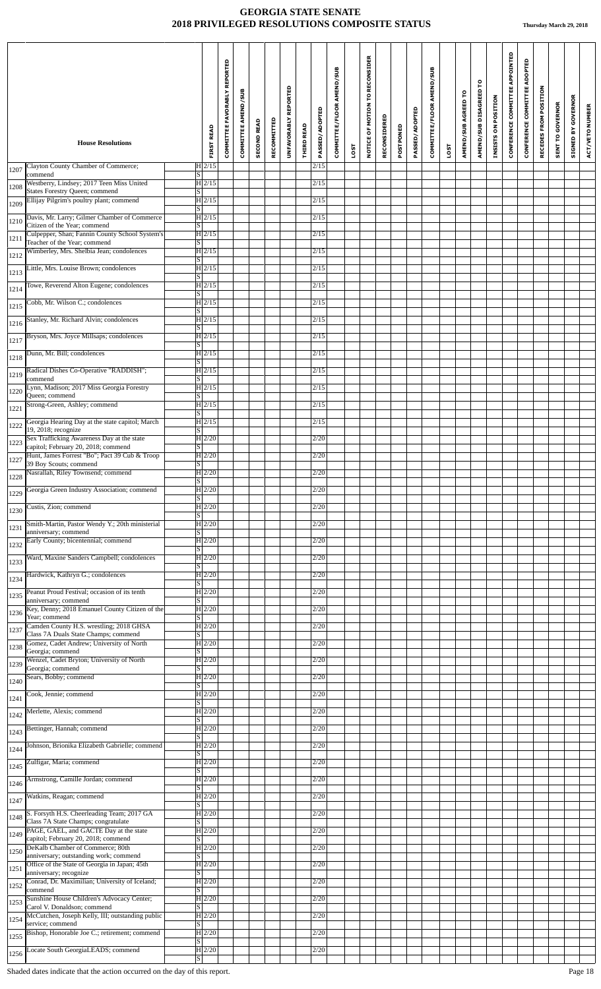| NOTICE OF MOTION TO RECONSIDER<br>COMMITTEE FAVORABLY REPORTED<br>COMMITTEE/FLOOR AMEND/SUB<br>COMMITTEE/FLOOR AMEND/SUB<br>AMEND/SUB DISAGREED TO<br>UNFAVORABLY REPORTED<br>COMMITTEE AMEND/SUB<br>AMEND/SUB AGREED TO<br>PASSED/ADOPTED<br><b>PASSED/ADOPTED</b><br>RECONSIDERED<br>RECOMMITTED<br><b>SECOND READ</b><br>THIRD READ<br>POSTPONED<br><b>FIRST READ</b><br><b>House Resolutions</b><br>LOST<br>LOST | CONFERENCE COMMITTEE APPOINTED<br>CONFERENCE COMMITTEE ADOPTED<br>RECEDES FROM POSITION<br><b>SIGNED BY GOVERNOR</b><br>INSISTS ON POSITION<br>SENT TO GOVERNOR<br>ACT/VETO NUMBER |
|----------------------------------------------------------------------------------------------------------------------------------------------------------------------------------------------------------------------------------------------------------------------------------------------------------------------------------------------------------------------------------------------------------------------|------------------------------------------------------------------------------------------------------------------------------------------------------------------------------------|
| Clayton County Chamber of Commerce;<br>$H$ 2/15<br>2/15                                                                                                                                                                                                                                                                                                                                                              |                                                                                                                                                                                    |
| 1207<br>commend<br>S  <br>Westberry, Lindsey; 2017 Teen Miss United<br>H 2/15<br>2/15                                                                                                                                                                                                                                                                                                                                |                                                                                                                                                                                    |
| 1208<br>States Forestry Queen; commend<br>$\lvert \text{S} \rvert$<br>Ellijay Pilgrim's poultry plant; commend<br>$H$ 2/15<br>2/15                                                                                                                                                                                                                                                                                   |                                                                                                                                                                                    |
| 1209<br> S <br>Davis, Mr. Larry; Gilmer Chamber of Commerce<br>$H$ 2/15<br>2/15                                                                                                                                                                                                                                                                                                                                      |                                                                                                                                                                                    |
| 1210<br>Citizen of the Year; commend<br>$\vert S \vert$<br>Culpepper, Shan; Fannin County School System's<br>$H$ 2/15<br>2/15                                                                                                                                                                                                                                                                                        |                                                                                                                                                                                    |
| 1211<br>Teacher of the Year; commend<br> S                                                                                                                                                                                                                                                                                                                                                                           |                                                                                                                                                                                    |
| Wimberley, Mrs. Shelbia Jean; condolences<br>$\overline{H}$  2/15<br>2/15<br>1212<br>S                                                                                                                                                                                                                                                                                                                               |                                                                                                                                                                                    |
| Little, Mrs. Louise Brown; condolences<br>$H$ 2/15<br>2/15<br>1213<br> S                                                                                                                                                                                                                                                                                                                                             |                                                                                                                                                                                    |
| Towe, Reverend Alton Eugene; condolences<br>$H$ 2/15<br>2/15<br>1214<br>S                                                                                                                                                                                                                                                                                                                                            |                                                                                                                                                                                    |
| Cobb, Mr. Wilson C.; condolences<br> H 2/15 <br>2/15<br>1215<br>$\lvert \text{s} \rvert$                                                                                                                                                                                                                                                                                                                             |                                                                                                                                                                                    |
| Stanley, Mr. Richard Alvin; condolences<br>$H$ 2/15<br>2/15<br>1216<br>$\vert S \vert$                                                                                                                                                                                                                                                                                                                               |                                                                                                                                                                                    |
| Bryson, Mrs. Joyce Millsaps; condolences<br>H 2/15<br>2/15<br>1217<br>$\lvert S \rvert$                                                                                                                                                                                                                                                                                                                              |                                                                                                                                                                                    |
| Dunn, Mr. Bill; condolences<br> H 2/15<br>2/15<br>1218<br> S                                                                                                                                                                                                                                                                                                                                                         |                                                                                                                                                                                    |
| Radical Dishes Co-Operative "RADDISH";<br>H 2/15<br>2/15<br>1219<br>commend<br>S                                                                                                                                                                                                                                                                                                                                     |                                                                                                                                                                                    |
| Lynn, Madison; 2017 Miss Georgia Forestry<br>$H$ 2/15<br>2/15<br>1220                                                                                                                                                                                                                                                                                                                                                |                                                                                                                                                                                    |
| Queen; commend<br>$\vert S \vert$<br>Strong-Green, Ashley; commend<br> H 2/15<br>2/15<br>1221                                                                                                                                                                                                                                                                                                                        |                                                                                                                                                                                    |
| S  <br>Georgia Hearing Day at the state capitol; March<br>H 2/15<br>2/15<br>1222                                                                                                                                                                                                                                                                                                                                     |                                                                                                                                                                                    |
| 19, 2018; recognize<br> S <br>Sex Trafficking Awareness Day at the state<br>$H$ 2/20<br>2/20                                                                                                                                                                                                                                                                                                                         |                                                                                                                                                                                    |
| 1223<br>capitol; February 20, 2018; commend<br>$\vert S \vert$<br>Hunt, James Forrest "Bo"; Pact 39 Cub & Troop<br> H 2/20 <br>2/20                                                                                                                                                                                                                                                                                  |                                                                                                                                                                                    |
| 1227<br>$\overline{\mathbf{s}}$<br>39 Boy Scouts; commend<br>Nasrallah, Riley Townsend; commend<br> H 2/20 <br>2/20                                                                                                                                                                                                                                                                                                  |                                                                                                                                                                                    |
| 1228<br>$\lceil \mathbf{S} \rceil$                                                                                                                                                                                                                                                                                                                                                                                   |                                                                                                                                                                                    |
| Georgia Green Industry Association; commend<br>$H$ 2/20<br>2/20<br>1229<br>lS.                                                                                                                                                                                                                                                                                                                                       |                                                                                                                                                                                    |
| $H$ 2/20<br>Custis, Zion; commend<br>2/20<br>1230<br>$\lvert S \rvert$                                                                                                                                                                                                                                                                                                                                               |                                                                                                                                                                                    |
| Smith-Martin, Pastor Wendy Y.; 20th ministerial<br> H 2/20<br>2/20<br>1231<br>anniversary; commend<br>S                                                                                                                                                                                                                                                                                                              |                                                                                                                                                                                    |
| Early County; bicentennial; commend<br> H 2/20<br>2/20<br>1232<br> S                                                                                                                                                                                                                                                                                                                                                 |                                                                                                                                                                                    |
| 2/20<br>Ward, Maxine Sanders Campbell; condolences<br> H 2/20<br>1233<br>S                                                                                                                                                                                                                                                                                                                                           |                                                                                                                                                                                    |
| Hardwick, Kathryn G.; condolences<br> H 2/20<br>2/20<br>1234<br>IS                                                                                                                                                                                                                                                                                                                                                   |                                                                                                                                                                                    |
| Peanut Proud Festival; occasion of its tenth<br> H 2/20<br>2/20<br>1235<br>anniversary; commend<br> S                                                                                                                                                                                                                                                                                                                |                                                                                                                                                                                    |
| Key, Denny; 2018 Emanuel County Citizen of the<br>$H$ 2/20<br>2/20<br>1236<br>Year; commend<br>S                                                                                                                                                                                                                                                                                                                     |                                                                                                                                                                                    |
| Camden County H.S. wrestling; 2018 GHSA<br>$\overline{H}$  2/20 <br>2/20<br>1237<br>Class 7A Duals State Champs; commend<br>$\lvert S \rvert$                                                                                                                                                                                                                                                                        |                                                                                                                                                                                    |
| Gomez, Cadet Andrew; University of North<br> H 2/20<br>2/20<br>1238                                                                                                                                                                                                                                                                                                                                                  |                                                                                                                                                                                    |
| Georgia; commend<br> S <br>Wenzel, Cadet Bryton; University of North<br> H 2/20<br>2/20<br>1239                                                                                                                                                                                                                                                                                                                      |                                                                                                                                                                                    |
| Georgia; commend<br>$\vert S \vert$<br>Sears, Bobby; commend<br> H 2/20<br>2/20<br>1240                                                                                                                                                                                                                                                                                                                              |                                                                                                                                                                                    |
| S  <br>Cook, Jennie; commend<br> H 2/20<br>2/20<br>1241                                                                                                                                                                                                                                                                                                                                                              |                                                                                                                                                                                    |
| S <br>$\overline{H}$  2/20 <br>Merlette, Alexis; commend<br>2/20<br>1242                                                                                                                                                                                                                                                                                                                                             |                                                                                                                                                                                    |
| S <br>Bettinger, Hannah; commend<br> H 2/20<br>2/20                                                                                                                                                                                                                                                                                                                                                                  |                                                                                                                                                                                    |
| 1243<br>S  <br>Johnson, Brionika Elizabeth Gabrielle; commend<br> H 2/20 <br>2/20                                                                                                                                                                                                                                                                                                                                    |                                                                                                                                                                                    |
| 1244<br>$\lvert \text{S} \rvert$<br>Zulfigar, Maria; commend<br> H 2/20 <br>2/20                                                                                                                                                                                                                                                                                                                                     |                                                                                                                                                                                    |
| 1245<br> S <br> H 2/20 <br>2/20<br>Armstrong, Camille Jordan; commend                                                                                                                                                                                                                                                                                                                                                |                                                                                                                                                                                    |
| 1246<br>$\vert S \vert$<br>Watkins, Reagan; commend<br> H 2/20<br>2/20                                                                                                                                                                                                                                                                                                                                               |                                                                                                                                                                                    |
| 1247<br>$\lvert S \rvert$                                                                                                                                                                                                                                                                                                                                                                                            |                                                                                                                                                                                    |
| S. Forsyth H.S. Cheerleading Team; 2017 GA<br> H 2/20 <br>2/20<br>1248<br>Class 7A State Champs; congratulate<br>S                                                                                                                                                                                                                                                                                                   |                                                                                                                                                                                    |
| PAGE, GAEL, and GACTE Day at the state<br>$\overline{H}$  2/20<br>2/20<br>1249<br>capitol; February 20, 2018; commend<br>$\vert S \vert$                                                                                                                                                                                                                                                                             |                                                                                                                                                                                    |
| DeKalb Chamber of Commerce; 80th<br> H 2/20 <br>2/20<br>1250<br>anniversary; outstanding work; commend<br>S                                                                                                                                                                                                                                                                                                          |                                                                                                                                                                                    |
| Office of the State of Georgia in Japan; 45th<br> H 2/20<br>2/20<br>1251<br>anniversary; recognize<br> S                                                                                                                                                                                                                                                                                                             |                                                                                                                                                                                    |
| Conrad, Dr. Maximilian; University of Iceland;<br> H 2/20<br>2/20<br>1252<br>commend<br>S                                                                                                                                                                                                                                                                                                                            |                                                                                                                                                                                    |
| Sunshine House Children's Advocacy Center;<br> H 2/20<br>2/20<br>1253<br>Carol V. Donaldson; commend<br>S.                                                                                                                                                                                                                                                                                                           |                                                                                                                                                                                    |
| McCutchen, Joseph Kelly, III; outstanding public<br> H 2/20<br>2/20<br>1254<br>$\overline{s}$<br>service; commend                                                                                                                                                                                                                                                                                                    |                                                                                                                                                                                    |
| Bishop, Honorable Joe C.; retirement; commend<br>$H$ 2/20<br>2/20<br>1255<br>S                                                                                                                                                                                                                                                                                                                                       |                                                                                                                                                                                    |
| H2/20<br>Locate South GeorgiaLEADS; commend<br>2/20<br>1256<br>$\lvert S \rvert$                                                                                                                                                                                                                                                                                                                                     |                                                                                                                                                                                    |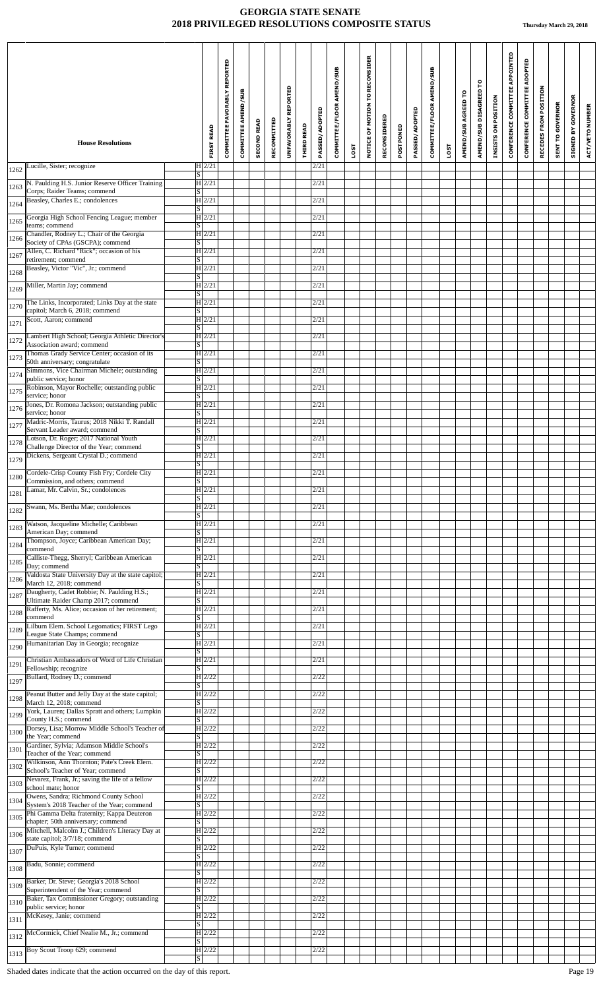|      | <b>House Resolutions</b>                                                                | <b>FIRST READ</b>                      | COMMITTEE FAVORABLY REPORTED | <b>COMMITTEE AMEND/SUB</b> | <b>SECOND READ</b> | RECOMMITTED | <b>REPORTED</b><br><b>UNFAVORABLY</b> | <b>THIRD READ</b> | PASSED/ADOPTED | COMMITTEE/FLOOR AMEND/SUB | LOST | NOTICE OF MOTION TO RECONSIDER | RECONSIDERED | POSTPONED | PASSED/ADOPTED | COMMITTEE/FLOOR AMEND/SUB | LOST | AMEND/SUB AGREED TO | AMEND/SUB DISAGREED TO | INSISTS ON POSITION | CONFERENCE COMMITTEE APPOINTED | CONFERENCE COMMITTEE ADOPTED | RECEDES FROM POSITION | <b>SENT TO GOVERNOR</b> | <b>SIGNED BY GOVERNOR</b> | ACT/VETO NUMBER |
|------|-----------------------------------------------------------------------------------------|----------------------------------------|------------------------------|----------------------------|--------------------|-------------|---------------------------------------|-------------------|----------------|---------------------------|------|--------------------------------|--------------|-----------|----------------|---------------------------|------|---------------------|------------------------|---------------------|--------------------------------|------------------------------|-----------------------|-------------------------|---------------------------|-----------------|
|      | Lucille, Sister; recognize                                                              | $H$ 2/21                               |                              |                            |                    |             |                                       |                   | 2/21           |                           |      |                                |              |           |                |                           |      |                     |                        |                     |                                |                              |                       |                         |                           |                 |
| 1262 | N. Paulding H.S. Junior Reserve Officer Training                                        | $\vert S \vert$<br>$\overline{H 2/21}$ |                              |                            |                    |             |                                       |                   | 2/21           |                           |      |                                |              |           |                |                           |      |                     |                        |                     |                                |                              |                       |                         |                           |                 |
| 1263 | Corps; Raider Teams; commend<br>Beasley, Charles E.; condolences                        | S <br>$H$ 2/21                         |                              |                            |                    |             |                                       |                   | 2/21           |                           |      |                                |              |           |                |                           |      |                     |                        |                     |                                |                              |                       |                         |                           |                 |
| 1264 | Georgia High School Fencing League; member                                              | $\overline{s}$<br>$H$ 2/21             |                              |                            |                    |             |                                       |                   | 2/21           |                           |      |                                |              |           |                |                           |      |                     |                        |                     |                                |                              |                       |                         |                           |                 |
| 1265 | teams; commend<br>Chandler, Rodney L.; Chair of the Georgia                             | $\overline{s}$<br>$H$ 2/21             |                              |                            |                    |             |                                       |                   | 2/21           |                           |      |                                |              |           |                |                           |      |                     |                        |                     |                                |                              |                       |                         |                           |                 |
| 1266 | Society of CPAs (GSCPA); commend<br>Allen, C. Richard "Rick"; occasion of his           | S <br> H 2/21                          |                              |                            |                    |             |                                       |                   | 2/21           |                           |      |                                |              |           |                |                           |      |                     |                        |                     |                                |                              |                       |                         |                           |                 |
| 1267 | retirement; commend<br>Beasley, Victor "Vic", Jr.; commend                              | $\overline{\mathbf{s}}$<br> H 2/21     |                              |                            |                    |             |                                       |                   | 2/21           |                           |      |                                |              |           |                |                           |      |                     |                        |                     |                                |                              |                       |                         |                           |                 |
| 1268 |                                                                                         | $\overline{s}$                         |                              |                            |                    |             |                                       |                   |                |                           |      |                                |              |           |                |                           |      |                     |                        |                     |                                |                              |                       |                         |                           |                 |
| 1269 | Miller, Martin Jay; commend                                                             | H 2/21<br>$\overline{s}$               |                              |                            |                    |             |                                       |                   | 2/21           |                           |      |                                |              |           |                |                           |      |                     |                        |                     |                                |                              |                       |                         |                           |                 |
| 1270 | The Links, Incorporated; Links Day at the state<br>capitol; March 6, 2018; commend      | H 2/21<br>$\vert S \vert$              |                              |                            |                    |             |                                       |                   | 2/21           |                           |      |                                |              |           |                |                           |      |                     |                        |                     |                                |                              |                       |                         |                           |                 |
| 1271 | Scott, Aaron; commend                                                                   | $H$ 2/21<br> S                         |                              |                            |                    |             |                                       |                   | 2/21           |                           |      |                                |              |           |                |                           |      |                     |                        |                     |                                |                              |                       |                         |                           |                 |
| 1272 | Lambert High School; Georgia Athletic Director's<br>Association award; commend          | H 2/21<br>$\vert S \vert$              |                              |                            |                    |             |                                       |                   | 2/21           |                           |      |                                |              |           |                |                           |      |                     |                        |                     |                                |                              |                       |                         |                           |                 |
| 1273 | Thomas Grady Service Center; occasion of its<br>50th anniversary; congratulate          | H2/21<br> S                            |                              |                            |                    |             |                                       |                   | 2/21           |                           |      |                                |              |           |                |                           |      |                     |                        |                     |                                |                              |                       |                         |                           |                 |
| 1274 | Simmons, Vice Chairman Michele; outstanding<br>public service; honor                    | $H$ 2/21<br>$\vert S \vert$            |                              |                            |                    |             |                                       |                   | 2/21           |                           |      |                                |              |           |                |                           |      |                     |                        |                     |                                |                              |                       |                         |                           |                 |
| 1275 | Robinson, Mayor Rochelle; outstanding public<br>service; honor                          | $H$ 2/21<br>$\vert S \vert$            |                              |                            |                    |             |                                       |                   | 2/21           |                           |      |                                |              |           |                |                           |      |                     |                        |                     |                                |                              |                       |                         |                           |                 |
| 1276 | Jones, Dr. Romona Jackson; outstanding public<br>service; honor                         | $H$ 2/21<br><sub>S</sub>               |                              |                            |                    |             |                                       |                   | 2/21           |                           |      |                                |              |           |                |                           |      |                     |                        |                     |                                |                              |                       |                         |                           |                 |
| 1277 | Madric-Morris, Taurus; 2018 Nikki T. Randall<br>Servant Leader award: commend           | H 2/21<br>$\overline{s}$               |                              |                            |                    |             |                                       |                   | 2/21           |                           |      |                                |              |           |                |                           |      |                     |                        |                     |                                |                              |                       |                         |                           |                 |
| 1278 | Lotson, Dr. Roger; 2017 National Youth<br>Challenge Director of the Year; commend       | $H$ 2/21<br>$\overline{s}$             |                              |                            |                    |             |                                       |                   | 2/21           |                           |      |                                |              |           |                |                           |      |                     |                        |                     |                                |                              |                       |                         |                           |                 |
| 1279 | Dickens, Sergeant Crystal D.; commend                                                   | H 2/21<br>$\overline{s}$               |                              |                            |                    |             |                                       |                   | 2/21           |                           |      |                                |              |           |                |                           |      |                     |                        |                     |                                |                              |                       |                         |                           |                 |
| 1280 | Cordele-Crisp County Fish Fry; Cordele City                                             | $H$ 2/21<br>$\overline{\mathrm{s}}$    |                              |                            |                    |             |                                       |                   | 2/21           |                           |      |                                |              |           |                |                           |      |                     |                        |                     |                                |                              |                       |                         |                           |                 |
| 1281 | Commission, and others; commend<br>Lamar, Mr. Calvin, Sr.; condolences                  | $H$ 2/21                               |                              |                            |                    |             |                                       |                   | 2/21           |                           |      |                                |              |           |                |                           |      |                     |                        |                     |                                |                              |                       |                         |                           |                 |
| 1282 | Swann, Ms. Bertha Mae; condolences                                                      | <sub>S</sub><br>$\overline{H}$ 2/21    |                              |                            |                    |             |                                       |                   | 2/21           |                           |      |                                |              |           |                |                           |      |                     |                        |                     |                                |                              |                       |                         |                           |                 |
| 1283 | Watson, Jacqueline Michelle; Caribbean                                                  | $\overline{s}$<br>H 2/21               |                              |                            |                    |             |                                       |                   | 2/21           |                           |      |                                |              |           |                |                           |      |                     |                        |                     |                                |                              |                       |                         |                           |                 |
| 1284 | American Day; commend<br>Thompson, Joyce; Caribbean American Day;                       | $\vert S \vert$<br> H 2/21             |                              |                            |                    |             |                                       |                   | 2/21           |                           |      |                                |              |           |                |                           |      |                     |                        |                     |                                |                              |                       |                         |                           |                 |
| 1285 | commend<br>Calliste-Thegg, Sherryl; Caribbean American                                  | $\overline{s}$<br>H2/21                |                              |                            |                    |             |                                       |                   | 2/21           |                           |      |                                |              |           |                |                           |      |                     |                        |                     |                                |                              |                       |                         |                           |                 |
| 1286 | Day; commend<br>Valdosta State University Day at the state capitol;                     | $\vert S \vert$<br> H 2/21             |                              |                            |                    |             |                                       |                   | 2/21           |                           |      |                                |              |           |                |                           |      |                     |                        |                     |                                |                              |                       |                         |                           |                 |
| 1287 | March 12, 2018; commend<br>Daugherty, Cadet Robbie; N. Paulding H.S.;                   | $\vert S \vert$<br>$H$ 2/21            |                              |                            |                    |             |                                       |                   | 2/21           |                           |      |                                |              |           |                |                           |      |                     |                        |                     |                                |                              |                       |                         |                           |                 |
| 1288 | Ultimate Raider Champ 2017; commend<br>Rafferty, Ms. Alice; occasion of her retirement; | $\overline{s}$<br>$H$ 2/21             |                              |                            |                    |             |                                       |                   | 2/21           |                           |      |                                |              |           |                |                           |      |                     |                        |                     |                                |                              |                       |                         |                           |                 |
|      | commend<br>Lilburn Elem. School Legomatics; FIRST Lego                                  | $\overline{s}$<br>H 2/21               |                              |                            |                    |             |                                       |                   | 2/21           |                           |      |                                |              |           |                |                           |      |                     |                        |                     |                                |                              |                       |                         |                           |                 |
| 1289 | League State Champs; commend<br>Humanitarian Day in Georgia; recognize                  | $\overline{s}$<br>$H$ 2/21             |                              |                            |                    |             |                                       |                   | 2/21           |                           |      |                                |              |           |                |                           |      |                     |                        |                     |                                |                              |                       |                         |                           |                 |
| 1290 | Christian Ambassadors of Word of Life Christian                                         | S<br>$H$ 2/21                          |                              |                            |                    |             |                                       |                   | 2/21           |                           |      |                                |              |           |                |                           |      |                     |                        |                     |                                |                              |                       |                         |                           |                 |
| 1291 | Fellowship; recognize<br>Bullard, Rodney D.; commend                                    | $\overline{s}$<br>H2/22                |                              |                            |                    |             |                                       |                   | 2/22           |                           |      |                                |              |           |                |                           |      |                     |                        |                     |                                |                              |                       |                         |                           |                 |
| 1297 | Peanut Butter and Jelly Day at the state capitol;                                       | $\overline{s}$<br> H 2/22              |                              |                            |                    |             |                                       |                   | 2/22           |                           |      |                                |              |           |                |                           |      |                     |                        |                     |                                |                              |                       |                         |                           |                 |
| 1298 | March 12, 2018; commend<br>York, Lauren; Dallas Spratt and others; Lumpkin              | $\overline{s}$<br>H2/22                |                              |                            |                    |             |                                       |                   | 2/22           |                           |      |                                |              |           |                |                           |      |                     |                        |                     |                                |                              |                       |                         |                           |                 |
| 1299 | County H.S.; commend<br>Dorsey, Lisa; Morrow Middle School's Teacher of                 | $\vert S \vert$<br>$H$ 2/22            |                              |                            |                    |             |                                       |                   | 2/22           |                           |      |                                |              |           |                |                           |      |                     |                        |                     |                                |                              |                       |                         |                           |                 |
| 1300 | the Year; commend<br>Gardiner, Sylvia; Adamson Middle School's                          | <sub>S</sub><br>H2/22                  |                              |                            |                    |             |                                       |                   | 2/22           |                           |      |                                |              |           |                |                           |      |                     |                        |                     |                                |                              |                       |                         |                           |                 |
| 1301 | Teacher of the Year; commend<br>Wilkinson, Ann Thornton; Pate's Creek Elem.             | $\overline{\mathbf{s}}$<br>$H$ 2/22    |                              |                            |                    |             |                                       |                   | 2/22           |                           |      |                                |              |           |                |                           |      |                     |                        |                     |                                |                              |                       |                         |                           |                 |
| 1302 | School's Teacher of Year; commend                                                       | $\overline{s}$                         |                              |                            |                    |             |                                       |                   |                |                           |      |                                |              |           |                |                           |      |                     |                        |                     |                                |                              |                       |                         |                           |                 |
| 1303 | Nevarez, Frank, Jr.; saving the life of a fellow<br>school mate; honor                  | H2/22<br>$\overline{s}$                |                              |                            |                    |             |                                       |                   | 2/22           |                           |      |                                |              |           |                |                           |      |                     |                        |                     |                                |                              |                       |                         |                           |                 |
| 1304 | Owens, Sandra; Richmond County School<br>System's 2018 Teacher of the Year; commend     | H2/22<br>$\vert S \vert$               |                              |                            |                    |             |                                       |                   | 2/22           |                           |      |                                |              |           |                |                           |      |                     |                        |                     |                                |                              |                       |                         |                           |                 |
| 1305 | Phi Gamma Delta fraternity; Kappa Deuteron<br>chapter; 50th anniversary; commend        | $H$ 2/22<br>$\overline{s}$             |                              |                            |                    |             |                                       |                   | 2/22           |                           |      |                                |              |           |                |                           |      |                     |                        |                     |                                |                              |                       |                         |                           |                 |
| 1306 | Mitchell, Malcolm J.; Children's Literacy Day at<br>state capitol; 3/7/18; commend      | H2/22<br>$\overline{s}$                |                              |                            |                    |             |                                       |                   | 2/22           |                           |      |                                |              |           |                |                           |      |                     |                        |                     |                                |                              |                       |                         |                           |                 |
| 1307 | DuPuis, Kyle Turner; commend                                                            | H2/22<br>$\vert S \vert$               |                              |                            |                    |             |                                       |                   | 2/22           |                           |      |                                |              |           |                |                           |      |                     |                        |                     |                                |                              |                       |                         |                           |                 |
| 1308 | Badu, Sonnie; commend                                                                   | H2/22<br>$\overline{\mathbf{s}}$       |                              |                            |                    |             |                                       |                   | 2/22           |                           |      |                                |              |           |                |                           |      |                     |                        |                     |                                |                              |                       |                         |                           |                 |
| 1309 | Barker, Dr. Steve; Georgia's 2018 School<br>Superintendent of the Year; commend         | $H$ 2/22<br>$\vert S \vert$            |                              |                            |                    |             |                                       |                   | 2/22           |                           |      |                                |              |           |                |                           |      |                     |                        |                     |                                |                              |                       |                         |                           |                 |
| 1310 | Baker, Tax Commissioner Gregory; outstanding<br>public service; honor                   | H 2/22<br>$\overline{s}$               |                              |                            |                    |             |                                       |                   | 2/22           |                           |      |                                |              |           |                |                           |      |                     |                        |                     |                                |                              |                       |                         |                           |                 |
| 1311 | McKesey, Janie; commend                                                                 | H2/22<br>$\overline{s}$                |                              |                            |                    |             |                                       |                   | 2/22           |                           |      |                                |              |           |                |                           |      |                     |                        |                     |                                |                              |                       |                         |                           |                 |
| 1312 | McCormick, Chief Nealie M., Jr.; commend                                                | $H$ 2/22<br>$\overline{\mathbf{S}}$    |                              |                            |                    |             |                                       |                   | 2/22           |                           |      |                                |              |           |                |                           |      |                     |                        |                     |                                |                              |                       |                         |                           |                 |
| 1313 | Boy Scout Troop 629; commend                                                            | H 2/22<br> S                           |                              |                            |                    |             |                                       |                   | 2/22           |                           |      |                                |              |           |                |                           |      |                     |                        |                     |                                |                              |                       |                         |                           |                 |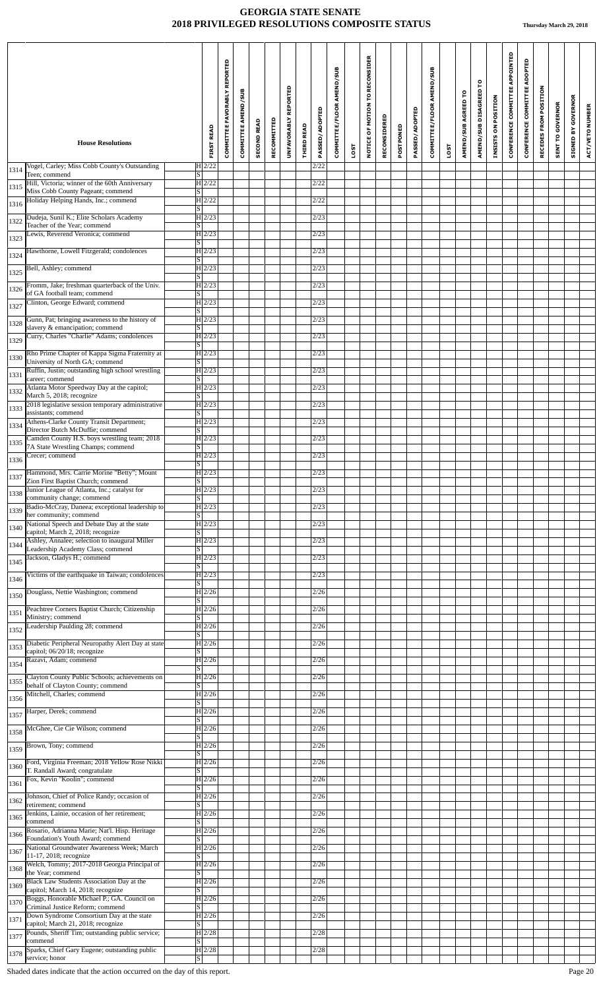|              | <b>House Resolutions</b>                                                               | <b>FIRST READ</b>                   | REPORTED<br><b>COMMITTEE FAVORABLY</b> | <b>COMMITTEE AMEND/SUB</b> | <b>SECOND READ</b> | RECOMMITTED | UNFAVORABLY REPORTED | <b>THIRD READ</b> | PASSED/ADOPTED | COMMITTEE/FLOOR AMEND/SUB |      | TO RECONSIDER<br>NOTICE OF MOTION | RECONSIDERED | POSTPONED | PASSED/ADOPTED | COMMITTEE/FLOOR AMEND/SUB |             | AMEND/SUB AGREED TO | AMEND/SUB DISAGREED TO | INSISTS ON POSITION | CONFERENCE COMMITTEE APPOINTED | ADOPTED<br>COMMITTEE<br>CONFERENCE | RECEDES FROM POSITION | <b>SENT TO GOVERNOR</b> | <b>SIGNED BY GOVERNOR</b> | ACT/VETO NUMBER |
|--------------|----------------------------------------------------------------------------------------|-------------------------------------|----------------------------------------|----------------------------|--------------------|-------------|----------------------|-------------------|----------------|---------------------------|------|-----------------------------------|--------------|-----------|----------------|---------------------------|-------------|---------------------|------------------------|---------------------|--------------------------------|------------------------------------|-----------------------|-------------------------|---------------------------|-----------------|
|              | Vogel, Carley; Miss Cobb County's Outstanding                                          | $H$ 2/22                            |                                        |                            |                    |             |                      |                   | 2/22           |                           | LOST |                                   |              |           |                |                           | <b>LOST</b> |                     |                        |                     |                                |                                    |                       |                         |                           |                 |
| 1314         | Teen; commend<br>Hill, Victoria; winner of the 60th Anniversary                        | S  <br>H2/22                        |                                        |                            |                    |             |                      |                   | 2/22           |                           |      |                                   |              |           |                |                           |             |                     |                        |                     |                                |                                    |                       |                         |                           |                 |
| 1315         | Miss Cobb County Pageant; commend<br>Holiday Helping Hands, Inc.; commend              | S <br>$H$ 2/22                      |                                        |                            |                    |             |                      |                   | 2/22           |                           |      |                                   |              |           |                |                           |             |                     |                        |                     |                                |                                    |                       |                         |                           |                 |
| 1316         | Dudeja, Sunil K.; Elite Scholars Academy                                               | S <br>$H$ 2/23                      |                                        |                            |                    |             |                      |                   | 2/23           |                           |      |                                   |              |           |                |                           |             |                     |                        |                     |                                |                                    |                       |                         |                           |                 |
| 1322         | Teacher of the Year; commend<br>Lewis, Reverend Veronica; commend                      | S <br>$H$ 2/23                      |                                        |                            |                    |             |                      |                   | 2/23           |                           |      |                                   |              |           |                |                           |             |                     |                        |                     |                                |                                    |                       |                         |                           |                 |
| 1323<br>1324 | Hawthorne, Lowell Fitzgerald; condolences                                              | S <br> H 2/23                       |                                        |                            |                    |             |                      |                   | 2/23           |                           |      |                                   |              |           |                |                           |             |                     |                        |                     |                                |                                    |                       |                         |                           |                 |
| 1325         | Bell, Ashley; commend                                                                  | S<br>$H$ 2/23                       |                                        |                            |                    |             |                      |                   | 2/23           |                           |      |                                   |              |           |                |                           |             |                     |                        |                     |                                |                                    |                       |                         |                           |                 |
| 1326         | Fromm, Jake; freshman quarterback of the Univ.                                         | S <br>H 2/23                        |                                        |                            |                    |             |                      |                   | 2/23           |                           |      |                                   |              |           |                |                           |             |                     |                        |                     |                                |                                    |                       |                         |                           |                 |
| 1327         | of GA football team; commend<br>Clinton, George Edward; commend                        | S<br>$H$ 2/23                       |                                        |                            |                    |             |                      |                   | 2/23           |                           |      |                                   |              |           |                |                           |             |                     |                        |                     |                                |                                    |                       |                         |                           |                 |
| 1328         | Gunn, Pat; bringing awareness to the history of                                        | S <br>$H$ 2/23                      |                                        |                            |                    |             |                      |                   | 2/23           |                           |      |                                   |              |           |                |                           |             |                     |                        |                     |                                |                                    |                       |                         |                           |                 |
| 1329         | slavery & emancipation; commend<br>Curry, Charles "Charlie" Adams; condolences         | S <br>H 2/23                        |                                        |                            |                    |             |                      |                   | 2/23           |                           |      |                                   |              |           |                |                           |             |                     |                        |                     |                                |                                    |                       |                         |                           |                 |
|              | Rho Prime Chapter of Kappa Sigma Fraternity at                                         | S <br>H 2/23                        |                                        |                            |                    |             |                      |                   | 2/23           |                           |      |                                   |              |           |                |                           |             |                     |                        |                     |                                |                                    |                       |                         |                           |                 |
| 1330<br>1331 | University of North GA; commend<br>Ruffin, Justin; outstanding high school wrestling   | S <br>$H$ 2/23                      |                                        |                            |                    |             |                      |                   | 2/23           |                           |      |                                   |              |           |                |                           |             |                     |                        |                     |                                |                                    |                       |                         |                           |                 |
| 1332         | career; commend<br>Atlanta Motor Speedway Day at the capitol;                          | S <br>$H$ 2/23                      |                                        |                            |                    |             |                      |                   | 2/23           |                           |      |                                   |              |           |                |                           |             |                     |                        |                     |                                |                                    |                       |                         |                           |                 |
|              | March 5, 2018; recognize<br>2018 legislative session temporary administrative          | S <br>$H$ 2/23                      |                                        |                            |                    |             |                      |                   | 2/23           |                           |      |                                   |              |           |                |                           |             |                     |                        |                     |                                |                                    |                       |                         |                           |                 |
| 1333         | assistants; commend<br>Athens-Clarke County Transit Department;                        | S  <br>H 2/23                       |                                        |                            |                    |             |                      |                   | 2/23           |                           |      |                                   |              |           |                |                           |             |                     |                        |                     |                                |                                    |                       |                         |                           |                 |
| 1334         | Director Butch McDuffie; commend<br>Camden County H.S. boys wrestling team; 2018       | $\overline{\mathbf{s}}$<br>$H$ 2/23 |                                        |                            |                    |             |                      |                   | 2/23           |                           |      |                                   |              |           |                |                           |             |                     |                        |                     |                                |                                    |                       |                         |                           |                 |
| 1335         | 7A State Wrestling Champs; commend<br>Crecer; commend                                  | S <br>H 2/23                        |                                        |                            |                    |             |                      |                   | 2/23           |                           |      |                                   |              |           |                |                           |             |                     |                        |                     |                                |                                    |                       |                         |                           |                 |
| 1336         | Hammond, Mrs. Carrie Morine "Betty"; Mount                                             | $\overline{\mathbf{s}}$<br>H 2/23   |                                        |                            |                    |             |                      |                   | 2/23           |                           |      |                                   |              |           |                |                           |             |                     |                        |                     |                                |                                    |                       |                         |                           |                 |
| 1337         | Zion First Baptist Church; commend<br>Junior League of Atlanta, Inc.; catalyst for     | $\vert S \vert$<br>$H$ 2/23         |                                        |                            |                    |             |                      |                   | 2/23           |                           |      |                                   |              |           |                |                           |             |                     |                        |                     |                                |                                    |                       |                         |                           |                 |
| 1338         | community change; commend<br>Badio-McCray, Daneea; exceptional leadership to           | lS.<br>$\overline{H}$ 2/23          |                                        |                            |                    |             |                      |                   | 2/23           |                           |      |                                   |              |           |                |                           |             |                     |                        |                     |                                |                                    |                       |                         |                           |                 |
| 1339         | her community; commend<br>National Speech and Debate Day at the state                  | S <br> H 2/23                       |                                        |                            |                    |             |                      |                   | 2/23           |                           |      |                                   |              |           |                |                           |             |                     |                        |                     |                                |                                    |                       |                         |                           |                 |
| 1340         | capitol; March 2, 2018; recognize<br>Ashley, Annalee; selection to inaugural Miller    | ls I<br>H 2/23                      |                                        |                            |                    |             |                      |                   | 2/23           |                           |      |                                   |              |           |                |                           |             |                     |                        |                     |                                |                                    |                       |                         |                           |                 |
| 1344         | Leadership Academy Class; commend<br>Jackson, Gladys H.; commend                       | S<br>$H$ 2/23                       |                                        |                            |                    |             |                      |                   | 2/23           |                           |      |                                   |              |           |                |                           |             |                     |                        |                     |                                |                                    |                       |                         |                           |                 |
| 1345         | Victims of the earthquake in Taiwan; condolences                                       | S <br> H 2/23                       |                                        |                            |                    |             |                      |                   | 2/23           |                           |      |                                   |              |           |                |                           |             |                     |                        |                     |                                |                                    |                       |                         |                           |                 |
| 1346         | Douglass, Nettie Washington; commend                                                   | S <br>$H$ 2/26                      |                                        |                            |                    |             |                      |                   | 2/26           |                           |      |                                   |              |           |                |                           |             |                     |                        |                     |                                |                                    |                       |                         |                           |                 |
| 1350         | Peachtree Corners Baptist Church; Citizenship                                          | S.<br> H 2/26                       |                                        |                            |                    |             |                      |                   | 2/26           |                           |      |                                   |              |           |                |                           |             |                     |                        |                     |                                |                                    |                       |                         |                           |                 |
| 1351         | Ministry; commend<br>Leadership Paulding 28; commend                                   | lS.<br> H 2/26                      |                                        |                            |                    |             |                      |                   | 2/26           |                           |      |                                   |              |           |                |                           |             |                     |                        |                     |                                |                                    |                       |                         |                           |                 |
| 1352         | Diabetic Peripheral Neuropathy Alert Day at state                                      | S <br> H 2/26                       |                                        |                            |                    |             |                      |                   | 2/26           |                           |      |                                   |              |           |                |                           |             |                     |                        |                     |                                |                                    |                       |                         |                           |                 |
| 1353         | capitol; 06/20/18; recognize<br>Razavi, Adam; commend                                  | S<br> H 2/26                        |                                        |                            |                    |             |                      |                   | 2/26           |                           |      |                                   |              |           |                |                           |             |                     |                        |                     |                                |                                    |                       |                         |                           |                 |
| 1354         | Clayton County Public Schools; achievements on                                         | S <br> H 2/26                       |                                        |                            |                    |             |                      |                   | 2/26           |                           |      |                                   |              |           |                |                           |             |                     |                        |                     |                                |                                    |                       |                         |                           |                 |
| 1355         | behalf of Clayton County; commend<br>Mitchell, Charles; commend                        | S <br> H 2/26                       |                                        |                            |                    |             |                      |                   | 2/26           |                           |      |                                   |              |           |                |                           |             |                     |                        |                     |                                |                                    |                       |                         |                           |                 |
| 1356         | Harper, Derek; commend                                                                 | S <br>$H$ 2/26                      |                                        |                            |                    |             |                      |                   | 2/26           |                           |      |                                   |              |           |                |                           |             |                     |                        |                     |                                |                                    |                       |                         |                           |                 |
| 1357         | McGhee, Cie Cie Wilson; commend                                                        | S<br> H 2/26                        |                                        |                            |                    |             |                      |                   | 2/26           |                           |      |                                   |              |           |                |                           |             |                     |                        |                     |                                |                                    |                       |                         |                           |                 |
| 1358         | Brown, Tony; commend                                                                   | S.<br>$\overline{H 2}$ /26          |                                        |                            |                    |             |                      |                   | 2/26           |                           |      |                                   |              |           |                |                           |             |                     |                        |                     |                                |                                    |                       |                         |                           |                 |
| 1359         | Ford, Virginia Freeman; 2018 Yellow Rose Nikki                                         | S <br> H 2/26                       |                                        |                            |                    |             |                      |                   | 2/26           |                           |      |                                   |              |           |                |                           |             |                     |                        |                     |                                |                                    |                       |                         |                           |                 |
| 1360         | T. Randall Award; congratulate<br>Fox, Kevin "Koolin"; commend                         | S.<br> H 2/26                       |                                        |                            |                    |             |                      |                   | 2/26           |                           |      |                                   |              |           |                |                           |             |                     |                        |                     |                                |                                    |                       |                         |                           |                 |
| 1361         | Johnson, Chief of Police Randy; occasion of                                            | $\vert S \vert$<br> H 2/26          |                                        |                            |                    |             |                      |                   | 2/26           |                           |      |                                   |              |           |                |                           |             |                     |                        |                     |                                |                                    |                       |                         |                           |                 |
| 1362         | retirement: commend<br>Jenkins, Lainie, occasion of her retirement;                    | S<br>$H$ 2/26                       |                                        |                            |                    |             |                      |                   | 2/26           |                           |      |                                   |              |           |                |                           |             |                     |                        |                     |                                |                                    |                       |                         |                           |                 |
| 1365         | commend<br>Rosario, Adrianna Marie; Nat'l. Hisp. Heritage                              | S.<br> H 2/26                       |                                        |                            |                    |             |                      |                   | 2/26           |                           |      |                                   |              |           |                |                           |             |                     |                        |                     |                                |                                    |                       |                         |                           |                 |
| 1366         | Foundation's Youth Award; commend<br>National Groundwater Awareness Week; March        | S<br> H 2/26                        |                                        |                            |                    |             |                      |                   | 2/26           |                           |      |                                   |              |           |                |                           |             |                     |                        |                     |                                |                                    |                       |                         |                           |                 |
| 1367         | 11-17, 2018; recognize<br>Welch, Tommy; 2017-2018 Georgia Principal of                 | S <br> H 2/26                       |                                        |                            |                    |             |                      |                   | 2/26           |                           |      |                                   |              |           |                |                           |             |                     |                        |                     |                                |                                    |                       |                         |                           |                 |
| 1368         | the Year; commend<br>Black Law Students Association Day at the                         | S<br>$H$ 2/26                       |                                        |                            |                    |             |                      |                   | 2/26           |                           |      |                                   |              |           |                |                           |             |                     |                        |                     |                                |                                    |                       |                         |                           |                 |
| 1369         | capitol; March 14, 2018; recognize<br>Boggs, Honorable Michael P.; GA. Council on      | S.<br> H 2/26                       |                                        |                            |                    |             |                      |                   | 2/26           |                           |      |                                   |              |           |                |                           |             |                     |                        |                     |                                |                                    |                       |                         |                           |                 |
| 1370         | Criminal Justice Reform; commend<br>Down Syndrome Consortium Day at the state          | ß<br> H 2/26                        |                                        |                            |                    |             |                      |                   | 2/26           |                           |      |                                   |              |           |                |                           |             |                     |                        |                     |                                |                                    |                       |                         |                           |                 |
| 1371         | capitol; March 21, 2018; recognize<br>Pounds, Sheriff Tim; outstanding public service; | $\overline{\text{s}}$<br>$H$ 2/28   |                                        |                            |                    |             |                      |                   | 2/28           |                           |      |                                   |              |           |                |                           |             |                     |                        |                     |                                |                                    |                       |                         |                           |                 |
| 1377         | commend<br>Sparks, Chief Gary Eugene; outstanding public                               | $\overline{\mathbf{s}}$<br>$H$ 2/28 |                                        |                            |                    |             |                      |                   | 2/28           |                           |      |                                   |              |           |                |                           |             |                     |                        |                     |                                |                                    |                       |                         |                           |                 |
| 1378         | service; honor                                                                         | $ \S $                              |                                        |                            |                    |             |                      |                   |                |                           |      |                                   |              |           |                |                           |             |                     |                        |                     |                                |                                    |                       |                         |                           |                 |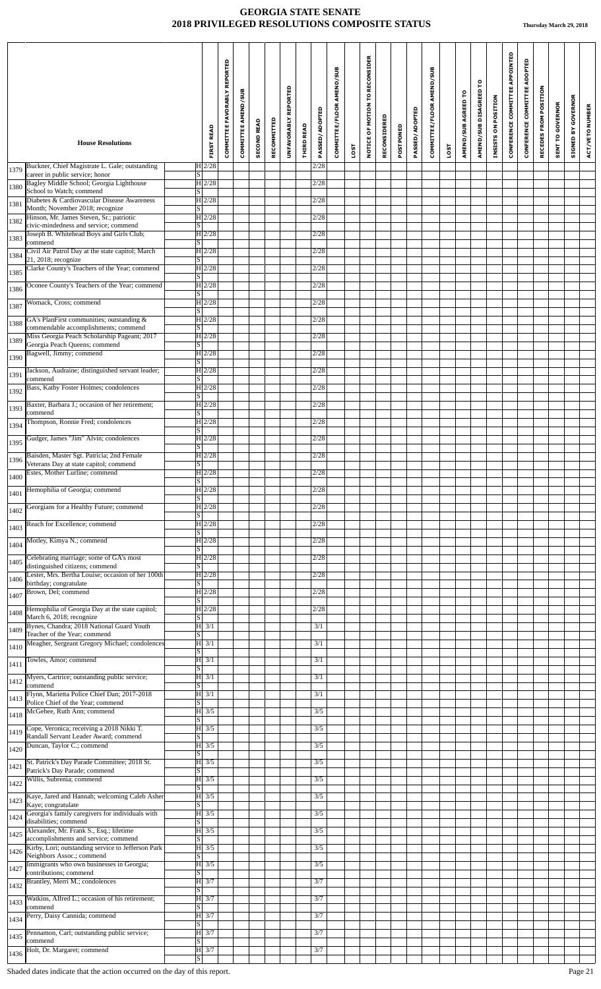|      | <b>House Resolutions</b>                                                            |                            | <b>FIRST READ</b>  | COMMITTEE FAVORABLY REPORTED | COMMITTEE AMEND/SUB | <b>SECOND READ</b> | RECOMMITTED | UNFAVORABLY REPORTED | THIRD READ | <b>PASSED/ADOPTED</b> | COMMITTEE/FLOOR AMEND/SUB |      | NOTICE OF MOTION TO RECONSIDER | RECONSIDERED | POSTPONED | PASSED/ADOPTED | COMMITTEE/FLOOR AMEND/SUB |      | AMEND/SUB AGREED TO | AMEND/SUB DISAGREED TO | INSISTS ON POSITION | CONFERENCE COMMITTEE APPOINTED | CONFERENCE COMMITTEE ADOPTED | RECEDES FROM POSITION | SENT TO GOVERNOR | <b>SIGNED BY GOVERNOR</b> | ACT/VETO NUMBER |
|------|-------------------------------------------------------------------------------------|----------------------------|--------------------|------------------------------|---------------------|--------------------|-------------|----------------------|------------|-----------------------|---------------------------|------|--------------------------------|--------------|-----------|----------------|---------------------------|------|---------------------|------------------------|---------------------|--------------------------------|------------------------------|-----------------------|------------------|---------------------------|-----------------|
|      |                                                                                     |                            |                    |                              |                     |                    |             |                      |            |                       |                           | LOST |                                |              |           |                |                           | LOST |                     |                        |                     |                                |                              |                       |                  |                           |                 |
| 1379 | Buckner, Chief Magistrate L. Gale; outstanding<br>career in public service; honor   | S                          | $H$ 2/28           |                              |                     |                    |             |                      |            | 2/28                  |                           |      |                                |              |           |                |                           |      |                     |                        |                     |                                |                              |                       |                  |                           |                 |
| 1380 | Bagley Middle School; Georgia Lighthouse<br>School to Watch; commend                | $\lvert \text{S} \rvert$   | H 2/28             |                              |                     |                    |             |                      |            | 2/28                  |                           |      |                                |              |           |                |                           |      |                     |                        |                     |                                |                              |                       |                  |                           |                 |
| 1381 | Diabetes & Cardiovascular Disease Awareness<br>Month; November 2018; recognize      | S                          | $H$ 2/28           |                              |                     |                    |             |                      |            | 2/28                  |                           |      |                                |              |           |                |                           |      |                     |                        |                     |                                |                              |                       |                  |                           |                 |
| 1382 | Hinson, Mr. James Steven, Sr.; patriotic<br>civic-mindedness and service; commend   | $\vert S \vert$            | H 2/28             |                              |                     |                    |             |                      |            | 2/28                  |                           |      |                                |              |           |                |                           |      |                     |                        |                     |                                |                              |                       |                  |                           |                 |
| 1383 | Joseph B. Whitehead Boys and Girls Club;<br>commend                                 | S                          | H2/28              |                              |                     |                    |             |                      |            | 2/28                  |                           |      |                                |              |           |                |                           |      |                     |                        |                     |                                |                              |                       |                  |                           |                 |
| 1384 | Civil Air Patrol Day at the state capitol; March<br>21, 2018; recognize             | S                          | H 2/28             |                              |                     |                    |             |                      |            | 2/28                  |                           |      |                                |              |           |                |                           |      |                     |                        |                     |                                |                              |                       |                  |                           |                 |
| 1385 | Clarke County's Teachers of the Year; commend                                       | S                          | $H$ 2/28           |                              |                     |                    |             |                      |            | 2/28                  |                           |      |                                |              |           |                |                           |      |                     |                        |                     |                                |                              |                       |                  |                           |                 |
| 1386 | Oconee County's Teachers of the Year; commend                                       | $\lvert S \rvert$          | H 2/28             |                              |                     |                    |             |                      |            | 2/28                  |                           |      |                                |              |           |                |                           |      |                     |                        |                     |                                |                              |                       |                  |                           |                 |
| 1387 | Womack, Cross; commend                                                              | $\lvert \text{s} \rvert$   | H 2/28             |                              |                     |                    |             |                      |            | 2/28                  |                           |      |                                |              |           |                |                           |      |                     |                        |                     |                                |                              |                       |                  |                           |                 |
| 1388 | GA's PlanFirst communities; outstanding &<br>commendable accomplishments; commend   | $\vert S \vert$            | $H$ 2/28           |                              |                     |                    |             |                      |            | 2/28                  |                           |      |                                |              |           |                |                           |      |                     |                        |                     |                                |                              |                       |                  |                           |                 |
| 1389 | Miss Georgia Peach Scholarship Pageant; 2017                                        |                            | H 2/28             |                              |                     |                    |             |                      |            | 2/28                  |                           |      |                                |              |           |                |                           |      |                     |                        |                     |                                |                              |                       |                  |                           |                 |
| 1390 | Georgia Peach Queens; commend<br>Bagwell, Jimmy; commend                            | $\lvert S \rvert$          | H 2/28             |                              |                     |                    |             |                      |            | 2/28                  |                           |      |                                |              |           |                |                           |      |                     |                        |                     |                                |                              |                       |                  |                           |                 |
| 1391 | Jackson, Audraine; distinguished servant leader;                                    | S                          | H 2/28             |                              |                     |                    |             |                      |            | 2/28                  |                           |      |                                |              |           |                |                           |      |                     |                        |                     |                                |                              |                       |                  |                           |                 |
|      | commend<br>Bass, Kathy Foster Holmes; condolences                                   | S                          | $H$ 2/28           |                              |                     |                    |             |                      |            | 2/28                  |                           |      |                                |              |           |                |                           |      |                     |                        |                     |                                |                              |                       |                  |                           |                 |
| 1392 | Baxter, Barbara J.; occasion of her retirement;                                     | $\vert S \vert$            | H 2/28             |                              |                     |                    |             |                      |            | 2/28                  |                           |      |                                |              |           |                |                           |      |                     |                        |                     |                                |                              |                       |                  |                           |                 |
| 1393 | commend<br>Thompson, Ronnie Fred; condolences                                       | S                          | H2/28              |                              |                     |                    |             |                      |            | 2/28                  |                           |      |                                |              |           |                |                           |      |                     |                        |                     |                                |                              |                       |                  |                           |                 |
| 1394 |                                                                                     | S                          |                    |                              |                     |                    |             |                      |            |                       |                           |      |                                |              |           |                |                           |      |                     |                        |                     |                                |                              |                       |                  |                           |                 |
| 1395 | Gudger, James "Jim" Alvin; condolences                                              | $\vert S \vert$            | $H$ 2/28           |                              |                     |                    |             |                      |            | 2/28                  |                           |      |                                |              |           |                |                           |      |                     |                        |                     |                                |                              |                       |                  |                           |                 |
| 1396 | Baisden, Master Sgt. Patricia; 2nd Female<br>Veterans Day at state capitol; commend | $\overline{\mathbf{s}}$    | H 2/28             |                              |                     |                    |             |                      |            | 2/28                  |                           |      |                                |              |           |                |                           |      |                     |                        |                     |                                |                              |                       |                  |                           |                 |
| 1400 | Estes, Mother Lurline; commend                                                      | $\lceil \mathbf{S} \rceil$ | H 2/28             |                              |                     |                    |             |                      |            | 2/28                  |                           |      |                                |              |           |                |                           |      |                     |                        |                     |                                |                              |                       |                  |                           |                 |
| 1401 | Hemophilia of Georgia; commend                                                      | S                          | $H$ 2/28           |                              |                     |                    |             |                      |            | 2/28                  |                           |      |                                |              |           |                |                           |      |                     |                        |                     |                                |                              |                       |                  |                           |                 |
| 1402 | Georgians for a Healthy Future; commend                                             | $\lvert S \rvert$          | H2/28              |                              |                     |                    |             |                      |            | 2/28                  |                           |      |                                |              |           |                |                           |      |                     |                        |                     |                                |                              |                       |                  |                           |                 |
| 1403 | Reach for Excellence; commend                                                       | S                          | H 2/28             |                              |                     |                    |             |                      |            | 2/28                  |                           |      |                                |              |           |                |                           |      |                     |                        |                     |                                |                              |                       |                  |                           |                 |
| 1404 | Motley, Kimya N.; commend                                                           | S                          | H 2/28             |                              |                     |                    |             |                      |            | 2/28                  |                           |      |                                |              |           |                |                           |      |                     |                        |                     |                                |                              |                       |                  |                           |                 |
| 1405 | Celebrating marriage; some of GA's most<br>distinguished citizens; commend          | $\lvert S \rvert$          | H2/28              |                              |                     |                    |             |                      |            | 2/28                  |                           |      |                                |              |           |                |                           |      |                     |                        |                     |                                |                              |                       |                  |                           |                 |
| 1406 | Lester, Mrs. Bertha Louise; occasion of her 100th                                   |                            | H 2/28             |                              |                     |                    |             |                      |            | 2/28                  |                           |      |                                |              |           |                |                           |      |                     |                        |                     |                                |                              |                       |                  |                           |                 |
| 1407 | birthday; congratulate<br>Brown, Del; commend                                       | S                          | $H$ 2/28           |                              |                     |                    |             |                      |            | 2/28                  |                           |      |                                |              |           |                |                           |      |                     |                        |                     |                                |                              |                       |                  |                           |                 |
| 1408 | Hemophilia of Georgia Day at the state capitol;                                     | $\overline{\mathbf{s}}$    | $H$ 2/28           |                              |                     |                    |             |                      |            | 2/28                  |                           |      |                                |              |           |                |                           |      |                     |                        |                     |                                |                              |                       |                  |                           |                 |
| 1409 | March 6, 2018; recognize<br>Bynes, Chandra; 2018 National Guard Youth               | $\overline{s}$             | $ H $ 3/1          |                              |                     |                    |             |                      |            | 3/1                   |                           |      |                                |              |           |                |                           |      |                     |                        |                     |                                |                              |                       |                  |                           |                 |
| 1410 | Teacher of the Year; commend<br>Meagher, Sergeant Gregory Michael; condolences      | $\lvert \text{s} \rvert$   | $ H $ 3/1          |                              |                     |                    |             |                      |            | 3/1                   |                           |      |                                |              |           |                |                           |      |                     |                        |                     |                                |                              |                       |                  |                           |                 |
|      | Towles, Amor; commend                                                               | S                          | $ H $ 3/1          |                              |                     |                    |             |                      |            | 3/1                   |                           |      |                                |              |           |                |                           |      |                     |                        |                     |                                |                              |                       |                  |                           |                 |
| 1411 | Myers, Cartrice; outstanding public service;                                        | S                          | $ H $ 3/1          |                              |                     |                    |             |                      |            | 3/1                   |                           |      |                                |              |           |                |                           |      |                     |                        |                     |                                |                              |                       |                  |                           |                 |
| 1412 | commend<br>Flynn, Marietta Police Chief Dan; 2017-2018                              | $\lvert \text{s} \rvert$   | $ H $ 3/1          |                              |                     |                    |             |                      |            | 3/1                   |                           |      |                                |              |           |                |                           |      |                     |                        |                     |                                |                              |                       |                  |                           |                 |
| 1413 | Police Chief of the Year; commend<br>McGehee, Ruth Ann; commend                     | S                          | $ H $ 3/5          |                              |                     |                    |             |                      |            | 3/5                   |                           |      |                                |              |           |                |                           |      |                     |                        |                     |                                |                              |                       |                  |                           |                 |
| 1418 |                                                                                     | S                          |                    |                              |                     |                    |             |                      |            |                       |                           |      |                                |              |           |                |                           |      |                     |                        |                     |                                |                              |                       |                  |                           |                 |
| 1419 | Cope, Veronica; receiving a 2018 Nikki T.<br>Randall Servant Leader Award; commend  | S                          | $ H $ 3/5          |                              |                     |                    |             |                      |            | 3/5                   |                           |      |                                |              |           |                |                           |      |                     |                        |                     |                                |                              |                       |                  |                           |                 |
| 1420 | Duncan, Taylor C.; commend                                                          | $\lvert \text{S} \rvert$   | $ H $ 3/5          |                              |                     |                    |             |                      |            | 3/5                   |                           |      |                                |              |           |                |                           |      |                     |                        |                     |                                |                              |                       |                  |                           |                 |
| 1421 | St. Patrick's Day Parade Committee; 2018 St.<br>Patrick's Day Parade; commend       | S                          | $ H $ 3/5          |                              |                     |                    |             |                      |            | 3/5                   |                           |      |                                |              |           |                |                           |      |                     |                        |                     |                                |                              |                       |                  |                           |                 |
| 1422 | Willis, Subrenia; commend                                                           | $\vert S \vert$            | $ H $ 3/5          |                              |                     |                    |             |                      |            | 3/5                   |                           |      |                                |              |           |                |                           |      |                     |                        |                     |                                |                              |                       |                  |                           |                 |
| 1423 | Kaye, Jared and Hannah; welcoming Caleb Asher<br>Kaye; congratulate                 | $\lvert S \rvert$          | $ H $ 3/5          |                              |                     |                    |             |                      |            | 3/5                   |                           |      |                                |              |           |                |                           |      |                     |                        |                     |                                |                              |                       |                  |                           |                 |
| 1424 | Georgia's family caregivers for individuals with<br>disabilities; commend           | S                          | $ H $ 3/5          |                              |                     |                    |             |                      |            | 3/5                   |                           |      |                                |              |           |                |                           |      |                     |                        |                     |                                |                              |                       |                  |                           |                 |
| 1425 | Alexander, Mr. Frank S., Esq.; lifetime<br>accomplishments and service; commend     | $\vert S \vert$            | $ H $ 3/5          |                              |                     |                    |             |                      |            | 3/5                   |                           |      |                                |              |           |                |                           |      |                     |                        |                     |                                |                              |                       |                  |                           |                 |
| 1426 | Kirby, Lori; outstanding service to Jefferson Park<br>Neighbors Assoc.; commend     | S                          | $ H $ 3/5          |                              |                     |                    |             |                      |            | 3/5                   |                           |      |                                |              |           |                |                           |      |                     |                        |                     |                                |                              |                       |                  |                           |                 |
| 1427 | Immigrants who own businesses in Georgia;                                           |                            | $ H $ 3/5          |                              |                     |                    |             |                      |            | 3/5                   |                           |      |                                |              |           |                |                           |      |                     |                        |                     |                                |                              |                       |                  |                           |                 |
| 1432 | contributions; commend<br>Brantley, Merri M.; condolences                           | S                          | $ H $ 3/7          |                              |                     |                    |             |                      |            | 3/7                   |                           |      |                                |              |           |                |                           |      |                     |                        |                     |                                |                              |                       |                  |                           |                 |
| 1433 | Watkins, Alfred L.; occasion of his retirement;                                     | S                          | $ H $ 3/7          |                              |                     |                    |             |                      |            | 3/7                   |                           |      |                                |              |           |                |                           |      |                     |                        |                     |                                |                              |                       |                  |                           |                 |
| 1434 | commend<br>Perry, Daisy Cannida; commend                                            | S.                         | $H \overline{3/7}$ |                              |                     |                    |             |                      |            | 3/7                   |                           |      |                                |              |           |                |                           |      |                     |                        |                     |                                |                              |                       |                  |                           |                 |
| 1435 | Pennamon, Carl; outstanding public service;                                         | $\overline{s}$             | $ H $ 3/7          |                              |                     |                    |             |                      |            | 3/7                   |                           |      |                                |              |           |                |                           |      |                     |                        |                     |                                |                              |                       |                  |                           |                 |
|      | commend<br>Holt, Dr. Margaret; commend                                              | S                          | H3/7               |                              |                     |                    |             |                      |            | 3/7                   |                           |      |                                |              |           |                |                           |      |                     |                        |                     |                                |                              |                       |                  |                           |                 |
| 1436 |                                                                                     | $\vert S \vert$            |                    |                              |                     |                    |             |                      |            |                       |                           |      |                                |              |           |                |                           |      |                     |                        |                     |                                |                              |                       |                  |                           |                 |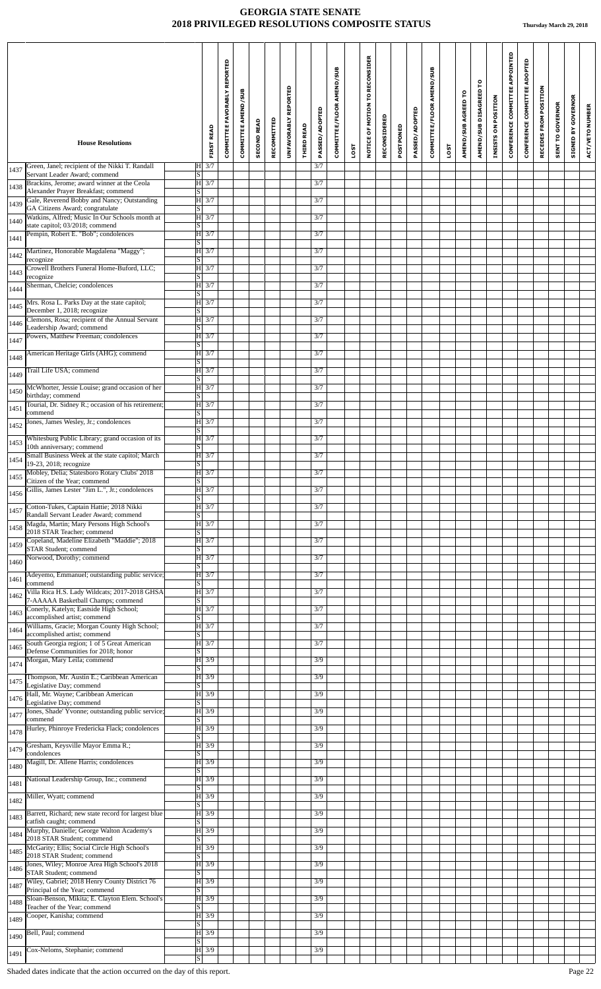|      | <b>House Resolutions</b>                                                           |                         | <b>FIRST READ</b>  | COMMITTEE FAVORABLY REPORTED | <b>COMMITTEE AMEND/SUB</b> | <b>SECOND READ</b> | RECOMMITTED | UNFAVORABLY REPORTED | THIRD READ | <b>PASSED/ADOPTED</b> | COMMITTEE/FLOOR AMEND/SUB | LOST | NOTICE OF MOTION TO RECONSIDER | RECONSIDERED | POSTPONED | PASSED/ADOPTED | COMMITTEE/FLOOR AMEND/SUB | LOST | AMEND/SUB AGREED TO | AMEND/SUB DISAGREED TO | INSISTS ON POSITION | CONFERENCE COMMITTEE APPOINTED | CONFERENCE COMMITTEE ADOPTED | RECEDES FROM POSITION | <b>SENT TO GOVERNOR</b> | <b>SIGNED BY GOVERNOR</b> | ACT/VETO NUMBER |
|------|------------------------------------------------------------------------------------|-------------------------|--------------------|------------------------------|----------------------------|--------------------|-------------|----------------------|------------|-----------------------|---------------------------|------|--------------------------------|--------------|-----------|----------------|---------------------------|------|---------------------|------------------------|---------------------|--------------------------------|------------------------------|-----------------------|-------------------------|---------------------------|-----------------|
| 1437 | Green, Janel; recipient of the Nikki T. Randall                                    |                         | $ H $ 3/7          |                              |                            |                    |             |                      |            | 3/7                   |                           |      |                                |              |           |                |                           |      |                     |                        |                     |                                |                              |                       |                         |                           |                 |
| 1438 | Servant Leader Award; commend<br>Brackins, Jerome; award winner at the Ceola       | S                       | $ H $ 3/7          |                              |                            |                    |             |                      |            | 3/7                   |                           |      |                                |              |           |                |                           |      |                     |                        |                     |                                |                              |                       |                         |                           |                 |
| 1439 | Alexander Prayer Breakfast; commend<br>Gale, Reverend Bobby and Nancy; Outstanding | S                       | $H \mid 3/7$       |                              |                            |                    |             |                      |            | 3/7                   |                           |      |                                |              |           |                |                           |      |                     |                        |                     |                                |                              |                       |                         |                           |                 |
| 1440 | GA Citizens Award; congratulate<br>Watkins, Alfred; Music In Our Schools month at  | S.                      | H 3/7              |                              |                            |                    |             |                      |            | 3/7                   |                           |      |                                |              |           |                |                           |      |                     |                        |                     |                                |                              |                       |                         |                           |                 |
|      | state capitol; 03/2018; commend<br>Pempin, Robert E. "Bob"; condolences            | S                       | $ H $ 3/7          |                              |                            |                    |             |                      |            | 3/7                   |                           |      |                                |              |           |                |                           |      |                     |                        |                     |                                |                              |                       |                         |                           |                 |
| 1441 | Martinez, Honorable Magdalena "Maggy";                                             | S                       | H 3/7              |                              |                            |                    |             |                      |            | 3/7                   |                           |      |                                |              |           |                |                           |      |                     |                        |                     |                                |                              |                       |                         |                           |                 |
| 1442 | recognize<br>Crowell Brothers Funeral Home-Buford, LLC;                            | S                       | H 3/7              |                              |                            |                    |             |                      |            | 3/7                   |                           |      |                                |              |           |                |                           |      |                     |                        |                     |                                |                              |                       |                         |                           |                 |
| 1443 | recognize                                                                          | S                       |                    |                              |                            |                    |             |                      |            |                       |                           |      |                                |              |           |                |                           |      |                     |                        |                     |                                |                              |                       |                         |                           |                 |
| 1444 | Sherman, Chelcie; condolences                                                      | <sub>S</sub>            | H 3/7              |                              |                            |                    |             |                      |            | 3/7                   |                           |      |                                |              |           |                |                           |      |                     |                        |                     |                                |                              |                       |                         |                           |                 |
| 1445 | Mrs. Rosa L. Parks Day at the state capitol;<br>December 1, 2018; recognize        | $\lvert S \rvert$       | H 3/7              |                              |                            |                    |             |                      |            | 3/7                   |                           |      |                                |              |           |                |                           |      |                     |                        |                     |                                |                              |                       |                         |                           |                 |
| 1446 | Clemons, Rosa; recipient of the Annual Servant<br>Leadership Award; commend        | <sub>S</sub>            | $H \mid 3/7$       |                              |                            |                    |             |                      |            | 3/7                   |                           |      |                                |              |           |                |                           |      |                     |                        |                     |                                |                              |                       |                         |                           |                 |
| 1447 | Powers, Matthew Freeman; condolences                                               | S                       | H 3/7              |                              |                            |                    |             |                      |            | 3/7                   |                           |      |                                |              |           |                |                           |      |                     |                        |                     |                                |                              |                       |                         |                           |                 |
| 1448 | American Heritage Girls (AHG); commend                                             | S                       | H 3/7              |                              |                            |                    |             |                      |            | 3/7                   |                           |      |                                |              |           |                |                           |      |                     |                        |                     |                                |                              |                       |                         |                           |                 |
| 1449 | Trail Life USA; commend                                                            |                         | $ H $ 3/7          |                              |                            |                    |             |                      |            | 3/7                   |                           |      |                                |              |           |                |                           |      |                     |                        |                     |                                |                              |                       |                         |                           |                 |
| 1450 | McWhorter, Jessie Louise; grand occasion of her                                    | S                       | $H \overline{3/7}$ |                              |                            |                    |             |                      |            | 3/7                   |                           |      |                                |              |           |                |                           |      |                     |                        |                     |                                |                              |                       |                         |                           |                 |
|      | birthday; commend<br>Tourial, Dr. Sidney R.; occasion of his retirement;           | $\vert S \vert$         | $H$ 3/7            |                              |                            |                    |             |                      |            | 3/7                   |                           |      |                                |              |           |                |                           |      |                     |                        |                     |                                |                              |                       |                         |                           |                 |
| 1451 | commend<br>Jones, James Wesley, Jr.; condolences                                   | S                       | H 3/7              |                              |                            |                    |             |                      |            | 3/7                   |                           |      |                                |              |           |                |                           |      |                     |                        |                     |                                |                              |                       |                         |                           |                 |
| 1452 | Whitesburg Public Library; grand occasion of its                                   | <sub>S</sub>            | $H \overline{3/7}$ |                              |                            |                    |             |                      |            | 3/7                   |                           |      |                                |              |           |                |                           |      |                     |                        |                     |                                |                              |                       |                         |                           |                 |
| 1453 | 10th anniversary; commend                                                          | <sub>S</sub>            |                    |                              |                            |                    |             |                      |            |                       |                           |      |                                |              |           |                |                           |      |                     |                        |                     |                                |                              |                       |                         |                           |                 |
| 1454 | Small Business Week at the state capitol; March<br>19-23, 2018; recognize          | S                       | H 3/7              |                              |                            |                    |             |                      |            | 3/7                   |                           |      |                                |              |           |                |                           |      |                     |                        |                     |                                |                              |                       |                         |                           |                 |
| 1455 | Mobley, Delia; Statesboro Rotary Clubs' 2018<br>Citizen of the Year; commend       | $\overline{\mathbf{s}}$ | $ H $ 3/7          |                              |                            |                    |             |                      |            | 3/7                   |                           |      |                                |              |           |                |                           |      |                     |                        |                     |                                |                              |                       |                         |                           |                 |
| 1456 | Gillis, James Lester "Jim L.", Jr.; condolences                                    | S                       | H 3/7              |                              |                            |                    |             |                      |            | 3/7                   |                           |      |                                |              |           |                |                           |      |                     |                        |                     |                                |                              |                       |                         |                           |                 |
| 1457 | Cotton-Tukes, Captain Hattie; 2018 Nikki<br>Randall Servant Leader Award; commend  | <sub>S</sub>            | H 3/7              |                              |                            |                    |             |                      |            | 3/7                   |                           |      |                                |              |           |                |                           |      |                     |                        |                     |                                |                              |                       |                         |                           |                 |
| 1458 | Magda, Martin; Mary Persons High School's<br>2018 STAR Teacher; commend            | S                       | H 3/7              |                              |                            |                    |             |                      |            | 3/7                   |                           |      |                                |              |           |                |                           |      |                     |                        |                     |                                |                              |                       |                         |                           |                 |
| 1459 | Copeland, Madeline Elizabeth "Maddie"; 2018                                        |                         | H 3/7              |                              |                            |                    |             |                      |            | 3/7                   |                           |      |                                |              |           |                |                           |      |                     |                        |                     |                                |                              |                       |                         |                           |                 |
| 1460 | STAR Student; commend<br>Norwood, Dorothy; commend                                 | S                       | H 3/7              |                              |                            |                    |             |                      |            | 3/7                   |                           |      |                                |              |           |                |                           |      |                     |                        |                     |                                |                              |                       |                         |                           |                 |
| 1461 | Adeyemo, Emmanuel; outstanding public service;                                     | <sub>S</sub>            | H 3/7              |                              |                            |                    |             |                      |            | 3/7                   |                           |      |                                |              |           |                |                           |      |                     |                        |                     |                                |                              |                       |                         |                           |                 |
|      | commend<br>Villa Rica H.S. Lady Wildcats; 2017-2018 GHSA                           | <sub>S</sub>            | H 3/7              |                              |                            |                    |             |                      |            | 3/7                   |                           |      |                                |              |           |                |                           |      |                     |                        |                     |                                |                              |                       |                         |                           |                 |
| 1462 | 7-AAAAA Basketball Champs; commend<br>Conerly, Katelyn; Eastside High School;      | <sub>S</sub>            | H 3/7              |                              |                            |                    |             |                      |            | 3/7                   |                           |      |                                |              |           |                |                           |      |                     |                        |                     |                                |                              |                       |                         |                           |                 |
| 1463 | accomplished artist; commend<br>Williams, Gracie; Morgan County High School;       | <sub>S</sub>            | H 3/7              |                              |                            |                    |             |                      |            | 3/7                   |                           |      |                                |              |           |                |                           |      |                     |                        |                     |                                |                              |                       |                         |                           |                 |
| 1464 | accomplished artist; commend                                                       | $\vert S \vert$         |                    |                              |                            |                    |             |                      |            |                       |                           |      |                                |              |           |                |                           |      |                     |                        |                     |                                |                              |                       |                         |                           |                 |
| 1465 | South Georgia region; 1 of 5 Great American<br>Defense Communities for 2018; honor | <sub>S</sub>            | H 3/7              |                              |                            |                    |             |                      |            | 3/7                   |                           |      |                                |              |           |                |                           |      |                     |                        |                     |                                |                              |                       |                         |                           |                 |
| 1474 | Morgan, Mary Leila; commend                                                        | <sub>S</sub>            | H 3/9              |                              |                            |                    |             |                      |            | 3/9                   |                           |      |                                |              |           |                |                           |      |                     |                        |                     |                                |                              |                       |                         |                           |                 |
| 1475 | Thompson, Mr. Austin E.; Caribbean American<br>Legislative Day; commend            | <sub>S</sub>            | H 3/9              |                              |                            |                    |             |                      |            | 3/9                   |                           |      |                                |              |           |                |                           |      |                     |                        |                     |                                |                              |                       |                         |                           |                 |
| 1476 | Hall, Mr. Wayne; Caribbean American<br>Legislative Day; commend                    | S                       | H 3/9              |                              |                            |                    |             |                      |            | 3/9                   |                           |      |                                |              |           |                |                           |      |                     |                        |                     |                                |                              |                       |                         |                           |                 |
| 1477 | Jones, Shade' Yvonne; outstanding public service;<br>commend                       | S                       | H 3/9              |                              |                            |                    |             |                      |            | 3/9                   |                           |      |                                |              |           |                |                           |      |                     |                        |                     |                                |                              |                       |                         |                           |                 |
| 1478 | Hurley, Phinroye Fredericka Flack; condolences                                     |                         | H 3/9              |                              |                            |                    |             |                      |            | 3/9                   |                           |      |                                |              |           |                |                           |      |                     |                        |                     |                                |                              |                       |                         |                           |                 |
| 1479 | Gresham, Keysville Mayor Emma R.;                                                  | S                       | H 3/9              |                              |                            |                    |             |                      |            | 3/9                   |                           |      |                                |              |           |                |                           |      |                     |                        |                     |                                |                              |                       |                         |                           |                 |
| 1480 | condolences<br>Magill, Dr. Allene Harris; condolences                              | S                       | $H \mid 3/9$       |                              |                            |                    |             |                      |            | 3/9                   |                           |      |                                |              |           |                |                           |      |                     |                        |                     |                                |                              |                       |                         |                           |                 |
|      | National Leadership Group, Inc.; commend                                           | S                       | H 3/9              |                              |                            |                    |             |                      |            | 3/9                   |                           |      |                                |              |           |                |                           |      |                     |                        |                     |                                |                              |                       |                         |                           |                 |
| 1481 | Miller, Wyatt; commend                                                             | $\vert S \vert$         | $H$ 3/9            |                              |                            |                    |             |                      |            | 3/9                   |                           |      |                                |              |           |                |                           |      |                     |                        |                     |                                |                              |                       |                         |                           |                 |
| 1482 | Barrett, Richard; new state record for largest blue                                | <sub>S</sub>            | H 3/9              |                              |                            |                    |             |                      |            | 3/9                   |                           |      |                                |              |           |                |                           |      |                     |                        |                     |                                |                              |                       |                         |                           |                 |
| 1483 | catfish caught; commend                                                            | <sub>S</sub>            |                    |                              |                            |                    |             |                      |            |                       |                           |      |                                |              |           |                |                           |      |                     |                        |                     |                                |                              |                       |                         |                           |                 |
| 1484 | Murphy, Danielle; George Walton Academy's<br>2018 STAR Student; commend            | $\vert S \vert$         | H 3/9              |                              |                            |                    |             |                      |            | 3/9                   |                           |      |                                |              |           |                |                           |      |                     |                        |                     |                                |                              |                       |                         |                           |                 |
| 1485 | McGarity; Ellis; Social Circle High School's<br>2018 STAR Student; commend         | <sub>S</sub>            | H 3/9              |                              |                            |                    |             |                      |            | 3/9                   |                           |      |                                |              |           |                |                           |      |                     |                        |                     |                                |                              |                       |                         |                           |                 |
| 1486 | Jones, Wiley; Monroe Area High School's 2018<br>STAR Student; commend              | S                       | H 3/9              |                              |                            |                    |             |                      |            | 3/9                   |                           |      |                                |              |           |                |                           |      |                     |                        |                     |                                |                              |                       |                         |                           |                 |
| 1487 | Wiley, Gabriel; 2018 Henry County District 76<br>Principal of the Year; commend    | <sub>S</sub>            | H 3/9              |                              |                            |                    |             |                      |            | 3/9                   |                           |      |                                |              |           |                |                           |      |                     |                        |                     |                                |                              |                       |                         |                           |                 |
| 1488 | Sloan-Benson, Mikita; E. Clayton Elem. School's<br>Teacher of the Year; commend    |                         | H 3/9              |                              |                            |                    |             |                      |            | 3/9                   |                           |      |                                |              |           |                |                           |      |                     |                        |                     |                                |                              |                       |                         |                           |                 |
| 1489 | Cooper, Kanisha; commend                                                           | S                       | $H \overline{3/9}$ |                              |                            |                    |             |                      |            | 3/9                   |                           |      |                                |              |           |                |                           |      |                     |                        |                     |                                |                              |                       |                         |                           |                 |
| 1490 | Bell, Paul; commend                                                                | $\vert S \vert$         | $ H $ 3/9          |                              |                            |                    |             |                      |            | 3/9                   |                           |      |                                |              |           |                |                           |      |                     |                        |                     |                                |                              |                       |                         |                           |                 |
|      | Cox-Neloms, Stephanie; commend                                                     | S                       | $H$ 3/9            |                              |                            |                    |             |                      |            | 3/9                   |                           |      |                                |              |           |                |                           |      |                     |                        |                     |                                |                              |                       |                         |                           |                 |
| 1491 |                                                                                    | S                       |                    |                              |                            |                    |             |                      |            |                       |                           |      |                                |              |           |                |                           |      |                     |                        |                     |                                |                              |                       |                         |                           |                 |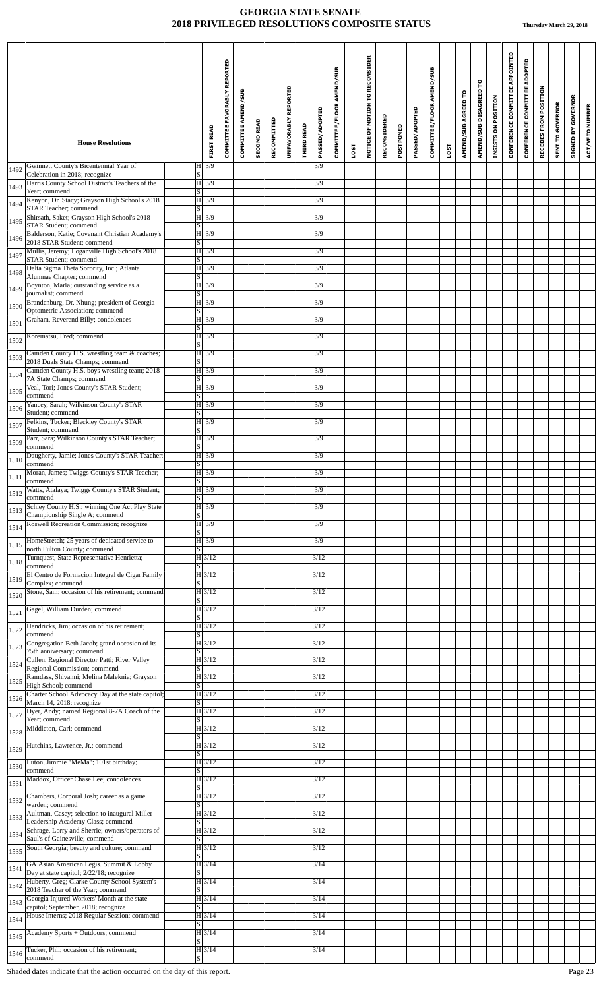|      | <b>House Resolutions</b>                                                                                                      |                         | <b>FIRST READ</b>     | COMMITTEE FAVORABLY REPORTED | COMMITTEE AMEND/SUB | <b>SECOND READ</b> | RECOMMITTED | UNFAVORABLY REPORTED | <b>THIRD READ</b> | PASSED/ADOPTED    | COMMITTEE/FLOOR AMEND/SUB |             | NOTICE OF MOTION TO RECONSIDER | RECONSIDERED | POSTPONED | PASSED/ADOPTED | COMMITTEE/FLOOR AMEND/SUB |             | AMEND/SUB AGREED TO | AMEND/SUB DISAGREED TO | INSISTS ON POSITION | CONFERENCE COMMITTEE APPOINTED | CONFERENCE COMMITTEE ADOPTED | RECEDES FROM POSITION | <b>SENT TO GOVERNOR</b> | <b>GOVERNOR</b><br>SIGNED BY | ACT/VETO NUMBER |
|------|-------------------------------------------------------------------------------------------------------------------------------|-------------------------|-----------------------|------------------------------|---------------------|--------------------|-------------|----------------------|-------------------|-------------------|---------------------------|-------------|--------------------------------|--------------|-----------|----------------|---------------------------|-------------|---------------------|------------------------|---------------------|--------------------------------|------------------------------|-----------------------|-------------------------|------------------------------|-----------------|
|      | Gwinnett County's Bicentennial Year of                                                                                        |                         | $H$ 3/9               |                              |                     |                    |             |                      |                   | 3/9               |                           | <b>1SOT</b> |                                |              |           |                |                           | <b>LOST</b> |                     |                        |                     |                                |                              |                       |                         |                              |                 |
| 1492 | Celebration in 2018; recognize<br>Harris County School District's Teachers of the                                             | <sub>S</sub>            | $H \overline{3/9}$    |                              |                     |                    |             |                      |                   | 3/9               |                           |             |                                |              |           |                |                           |             |                     |                        |                     |                                |                              |                       |                         |                              |                 |
| 1493 | Year; commend<br>Kenyon, Dr. Stacy; Grayson High School's 2018                                                                | S                       | H 3/9                 |                              |                     |                    |             |                      |                   | 3/9               |                           |             |                                |              |           |                |                           |             |                     |                        |                     |                                |                              |                       |                         |                              |                 |
| 1494 | STAR Teacher; commend<br>Shirsath, Saket; Grayson High School's 2018                                                          | S                       | H 3/9                 |                              |                     |                    |             |                      |                   | 3/9               |                           |             |                                |              |           |                |                           |             |                     |                        |                     |                                |                              |                       |                         |                              |                 |
| 1495 | <b>STAR Student; commend</b><br>Balderson, Katie; Covenant Christian Academy's                                                | $\overline{s}$          | $H \overline{3/9}$    |                              |                     |                    |             |                      |                   | 3/9               |                           |             |                                |              |           |                |                           |             |                     |                        |                     |                                |                              |                       |                         |                              |                 |
| 1496 | 2018 STAR Student; commend<br>Mullis, Jeremy; Loganville High School's 2018                                                   | S                       |                       |                              |                     |                    |             |                      |                   |                   |                           |             |                                |              |           |                |                           |             |                     |                        |                     |                                |                              |                       |                         |                              |                 |
| 1497 | <b>STAR Student; commend</b>                                                                                                  | S                       | H 3/9                 |                              |                     |                    |             |                      |                   | 3/9               |                           |             |                                |              |           |                |                           |             |                     |                        |                     |                                |                              |                       |                         |                              |                 |
| 1498 | Delta Sigma Theta Sorority, Inc.; Atlanta<br>Alumnae Chapter; commend                                                         | $\overline{S}$          | H 3/9                 |                              |                     |                    |             |                      |                   | 3/9               |                           |             |                                |              |           |                |                           |             |                     |                        |                     |                                |                              |                       |                         |                              |                 |
| 1499 | Boynton, Maria; outstanding service as a<br>journalist; commend                                                               | $\overline{\mathbf{s}}$ | H 3/9                 |                              |                     |                    |             |                      |                   | 3/9               |                           |             |                                |              |           |                |                           |             |                     |                        |                     |                                |                              |                       |                         |                              |                 |
| 1500 | Brandenburg, Dr. Nhung; president of Georgia<br>Optometric Association; commend                                               | S                       | H 3/9                 |                              |                     |                    |             |                      |                   | 3/9               |                           |             |                                |              |           |                |                           |             |                     |                        |                     |                                |                              |                       |                         |                              |                 |
| 1501 | Graham, Reverend Billy; condolences                                                                                           | $\vert S \vert$         | H 3/9                 |                              |                     |                    |             |                      |                   | 3/9               |                           |             |                                |              |           |                |                           |             |                     |                        |                     |                                |                              |                       |                         |                              |                 |
| 1502 | Korematsu, Fred; commend                                                                                                      | $\overline{\mathbf{s}}$ | H 3/9                 |                              |                     |                    |             |                      |                   | 3/9               |                           |             |                                |              |           |                |                           |             |                     |                        |                     |                                |                              |                       |                         |                              |                 |
| 1503 | Camden County H.S. wrestling team & coaches;<br>2018 Duals State Champs; commend                                              | S                       | H 3/9                 |                              |                     |                    |             |                      |                   | 3/9               |                           |             |                                |              |           |                |                           |             |                     |                        |                     |                                |                              |                       |                         |                              |                 |
| 1504 | Camden County H.S. boys wrestling team; 2018<br>7A State Champs; commend                                                      | S                       | H 3/9                 |                              |                     |                    |             |                      |                   | 3/9               |                           |             |                                |              |           |                |                           |             |                     |                        |                     |                                |                              |                       |                         |                              |                 |
| 1505 | Veal, Tori; Jones County's STAR Student;<br>commend                                                                           | $\overline{s}$          | $\overline{H}$ 3/9    |                              |                     |                    |             |                      |                   | 3/9               |                           |             |                                |              |           |                |                           |             |                     |                        |                     |                                |                              |                       |                         |                              |                 |
| 1506 | Yancey, Sarah; Wilkinson County's STAR<br>Student; commend                                                                    | <sub>S</sub>            | H3/9                  |                              |                     |                    |             |                      |                   | 3/9               |                           |             |                                |              |           |                |                           |             |                     |                        |                     |                                |                              |                       |                         |                              |                 |
| 1507 | Felkins, Tucker; Bleckley County's STAR<br>Student; commend                                                                   | S                       | H 3/9                 |                              |                     |                    |             |                      |                   | 3/9               |                           |             |                                |              |           |                |                           |             |                     |                        |                     |                                |                              |                       |                         |                              |                 |
| 1509 | Parr, Sara; Wilkinson County's STAR Teacher;<br>commend                                                                       |                         | $H \overline{3/9}$    |                              |                     |                    |             |                      |                   | 3/9               |                           |             |                                |              |           |                |                           |             |                     |                        |                     |                                |                              |                       |                         |                              |                 |
| 1510 | Daugherty, Jamie; Jones County's STAR Teacher;                                                                                | $\overline{\mathbf{s}}$ | H 3/9                 |                              |                     |                    |             |                      |                   | 3/9               |                           |             |                                |              |           |                |                           |             |                     |                        |                     |                                |                              |                       |                         |                              |                 |
| 1511 | commend<br>Moran, James; Twiggs County's STAR Teacher;                                                                        | $\overline{s}$          | $ H $ 3/9             |                              |                     |                    |             |                      |                   | 3/9               |                           |             |                                |              |           |                |                           |             |                     |                        |                     |                                |                              |                       |                         |                              |                 |
| 1512 | commend<br>Watts, Atalaya; Twiggs County's STAR Student;                                                                      | $\overline{\mathrm{s}}$ | $H \overline{3/9}$    |                              |                     |                    |             |                      |                   | 3/9               |                           |             |                                |              |           |                |                           |             |                     |                        |                     |                                |                              |                       |                         |                              |                 |
| 1513 | commend<br>Schley County H.S.; winning One Act Play State                                                                     | S                       | $H \overline{3/9}$    |                              |                     |                    |             |                      |                   | 3/9               |                           |             |                                |              |           |                |                           |             |                     |                        |                     |                                |                              |                       |                         |                              |                 |
| 1514 | Championship Single A; commend<br>Roswell Recreation Commission; recognize                                                    | $\overline{s}$          | H 3/9                 |                              |                     |                    |             |                      |                   | 3/9               |                           |             |                                |              |           |                |                           |             |                     |                        |                     |                                |                              |                       |                         |                              |                 |
|      | HomeStretch; 25 years of dedicated service to                                                                                 | S                       | H 3/9                 |                              |                     |                    |             |                      |                   | 3/9               |                           |             |                                |              |           |                |                           |             |                     |                        |                     |                                |                              |                       |                         |                              |                 |
| 1515 | north Fulton County; commend<br>Turnquest, State Representative Henrietta;                                                    | S                       | $H\overline{3/12}$    |                              |                     |                    |             |                      |                   | 3/12              |                           |             |                                |              |           |                |                           |             |                     |                        |                     |                                |                              |                       |                         |                              |                 |
| 1518 | commend<br>El Centro de Formacion Integral de Cigar Family                                                                    | <sub>S</sub>            | H 3/12                |                              |                     |                    |             |                      |                   | 3/12              |                           |             |                                |              |           |                |                           |             |                     |                        |                     |                                |                              |                       |                         |                              |                 |
| 1519 | Complex; commend<br>Stone, Sam; occasion of his retirement; commend                                                           | <sub>S</sub>            | $H$ 3/12              |                              |                     |                    |             |                      |                   | 3/12              |                           |             |                                |              |           |                |                           |             |                     |                        |                     |                                |                              |                       |                         |                              |                 |
| 1520 | Gagel, William Durden; commend                                                                                                | S                       | H 3/12                |                              |                     |                    |             |                      |                   | 3/12              |                           |             |                                |              |           |                |                           |             |                     |                        |                     |                                |                              |                       |                         |                              |                 |
| 1521 | Hendricks, Jim; occasion of his retirement;                                                                                   | $\overline{\mathbf{s}}$ | H 3/12                |                              |                     |                    |             |                      |                   | 3/12              |                           |             |                                |              |           |                |                           |             |                     |                        |                     |                                |                              |                       |                         |                              |                 |
| 1522 | commend<br>Congregation Beth Jacob; grand occasion of its                                                                     | $\overline{s}$          |                       |                              |                     |                    |             |                      |                   | 3/12              |                           |             |                                |              |           |                |                           |             |                     |                        |                     |                                |                              |                       |                         |                              |                 |
| 1523 | 75th anniversary; commend                                                                                                     | S                       | $ H $ 3/12            |                              |                     |                    |             |                      |                   |                   |                           |             |                                |              |           |                |                           |             |                     |                        |                     |                                |                              |                       |                         |                              |                 |
| 1524 | Cullen, Regional Director Patti; River Valley<br>Regional Commission; commend                                                 | $\overline{s}$          | H 3/12                |                              |                     |                    |             |                      |                   | 3/12              |                           |             |                                |              |           |                |                           |             |                     |                        |                     |                                |                              |                       |                         |                              |                 |
| 1525 | Ramdass, Shivanni; Melina Maleknia; Grayson<br>High School; commend                                                           | $\overline{s}$          | $ H $ 3/12            |                              |                     |                    |             |                      |                   | 3/12              |                           |             |                                |              |           |                |                           |             |                     |                        |                     |                                |                              |                       |                         |                              |                 |
| 1526 | Charter School Advocacy Day at the state capitol;<br>March 14, 2018; recognize                                                | $\overline{s}$          | H 3/12                |                              |                     |                    |             |                      |                   | 3/12              |                           |             |                                |              |           |                |                           |             |                     |                        |                     |                                |                              |                       |                         |                              |                 |
| 1527 | Dyer, Andy; named Regional 8-7A Coach of the<br>Year; commend                                                                 | $\overline{s}$          | $H$ 3/12              |                              |                     |                    |             |                      |                   | 3/12              |                           |             |                                |              |           |                |                           |             |                     |                        |                     |                                |                              |                       |                         |                              |                 |
| 1528 | Middleton, Carl; commend                                                                                                      | <sub>S</sub>            | H 3/12                |                              |                     |                    |             |                      |                   | 3/12              |                           |             |                                |              |           |                |                           |             |                     |                        |                     |                                |                              |                       |                         |                              |                 |
| 1529 | Hutchins, Lawrence, Jr.; commend                                                                                              | S                       | H 3/12                |                              |                     |                    |             |                      |                   | 3/12              |                           |             |                                |              |           |                |                           |             |                     |                        |                     |                                |                              |                       |                         |                              |                 |
| 1530 | Luton, Jimmie "MeMa"; 101st birthday;<br>commend                                                                              | S                       | H 3/12                |                              |                     |                    |             |                      |                   | 3/12              |                           |             |                                |              |           |                |                           |             |                     |                        |                     |                                |                              |                       |                         |                              |                 |
| 1531 | Maddox, Officer Chase Lee; condolences                                                                                        | $\overline{s}$          | H 3/12                |                              |                     |                    |             |                      |                   | 3/12              |                           |             |                                |              |           |                |                           |             |                     |                        |                     |                                |                              |                       |                         |                              |                 |
| 1532 | Chambers, Corporal Josh; career as a game<br>warden: commend                                                                  | S.                      | $ H $ 3/12            |                              |                     |                    |             |                      |                   | 3/12              |                           |             |                                |              |           |                |                           |             |                     |                        |                     |                                |                              |                       |                         |                              |                 |
| 1533 | Aultman, Casey; selection to inaugural Miller<br>Leadership Academy Class; commend                                            | S                       | H 3/12                |                              |                     |                    |             |                      |                   | 3/12              |                           |             |                                |              |           |                |                           |             |                     |                        |                     |                                |                              |                       |                         |                              |                 |
| 1534 | Schrage, Lorry and Sherrie; owners/operators of<br>Saul's of Gainesville; commend                                             | $\overline{s}$          | H 3/12                |                              |                     |                    |             |                      |                   | 3/12              |                           |             |                                |              |           |                |                           |             |                     |                        |                     |                                |                              |                       |                         |                              |                 |
| 1535 | South Georgia; beauty and culture; commend                                                                                    | S                       | H 3/12                |                              |                     |                    |             |                      |                   | 3/12              |                           |             |                                |              |           |                |                           |             |                     |                        |                     |                                |                              |                       |                         |                              |                 |
| 1541 | GA Asian American Legis. Summit & Lobby                                                                                       | S                       | H 3/14                |                              |                     |                    |             |                      |                   | 3/14              |                           |             |                                |              |           |                |                           |             |                     |                        |                     |                                |                              |                       |                         |                              |                 |
| 1542 | Day at state capitol; 2/22/18; recognize<br>Huberty, Greg; Clarke County School System's<br>2018 Teacher of the Year; commend |                         | H 3/14                |                              |                     |                    |             |                      |                   | 3/14              |                           |             |                                |              |           |                |                           |             |                     |                        |                     |                                |                              |                       |                         |                              |                 |
| 1543 | Georgia Injured Workers' Month at the state                                                                                   | <sub>S</sub>            | H 3/14                |                              |                     |                    |             |                      |                   | 3/14              |                           |             |                                |              |           |                |                           |             |                     |                        |                     |                                |                              |                       |                         |                              |                 |
| 1544 | capitol; September, 2018; recognize<br>House Interns; 2018 Regular Session; commend                                           | $\overline{S}$          | $\overline{H}$   3/14 |                              |                     |                    |             |                      |                   | 3/14              |                           |             |                                |              |           |                |                           |             |                     |                        |                     |                                |                              |                       |                         |                              |                 |
| 1545 | Academy Sports + Outdoors; commend                                                                                            | $\vert S \vert$         | H 3/14                |                              |                     |                    |             |                      |                   | $\overline{3}/14$ |                           |             |                                |              |           |                |                           |             |                     |                        |                     |                                |                              |                       |                         |                              |                 |
| 1546 | Tucker, Phil; occasion of his retirement;                                                                                     | S                       | H 3/14                |                              |                     |                    |             |                      |                   | 3/14              |                           |             |                                |              |           |                |                           |             |                     |                        |                     |                                |                              |                       |                         |                              |                 |
|      | commend                                                                                                                       | $\overline{s}$          |                       |                              |                     |                    |             |                      |                   |                   |                           |             |                                |              |           |                |                           |             |                     |                        |                     |                                |                              |                       |                         |                              |                 |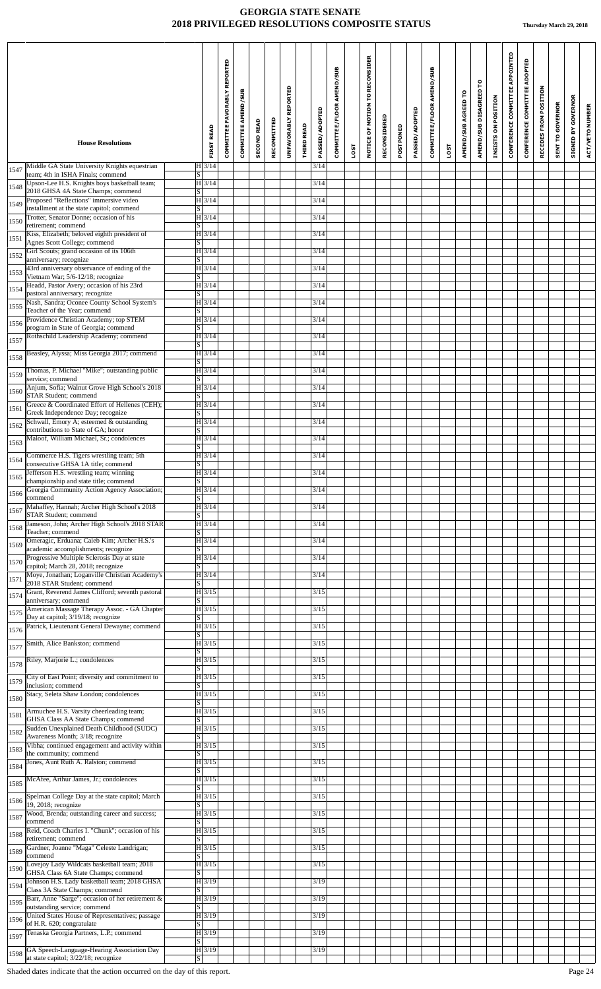|      | <b>House Resolutions</b>                                                                                       | <b>FIRST READ</b>                                       | COMMITTEE FAVORABLY REPORTED | COMMITTEE AMEND/SUB | <b>SECOND READ</b> | RECOMMITTED | REPORTED<br><b>UNFAVORABLY</b> | <b>THIRD READ</b> | PASSED/ADOPTED | COMMITTEE/FLOOR AMEND/SUB |             | NOTICE OF MOTION TO RECONSIDER | RECONSIDERED | POSTPONED | PASSED/ADOPTED | COMMITTEE/FLOOR AMEND/SUB |      | AMEND/SUB AGREED TO | ဥ<br>AMEND/SUB DISAGREED | INSISTS ON POSITION | CONFERENCE COMMITTEE APPOINTED | CONFERENCE COMMITTEE ADOPTED | POSITION<br>RECEDES FROM | <b>SENT TO GOVERNOR</b> | <b>GOVERNOR</b><br>$\mathbf{\tilde{s}}$ | ACT/VETO NUMBER |
|------|----------------------------------------------------------------------------------------------------------------|---------------------------------------------------------|------------------------------|---------------------|--------------------|-------------|--------------------------------|-------------------|----------------|---------------------------|-------------|--------------------------------|--------------|-----------|----------------|---------------------------|------|---------------------|--------------------------|---------------------|--------------------------------|------------------------------|--------------------------|-------------------------|-----------------------------------------|-----------------|
|      |                                                                                                                |                                                         |                              |                     |                    |             |                                |                   |                |                           | <b>1SOT</b> |                                |              |           |                |                           | LOST |                     |                          |                     |                                |                              |                          |                         | STGNED I                                |                 |
| 1547 | Middle GA State University Knights equestrian<br>team; 4th in ISHA Finals; commend                             | $H$ 3/14<br>$\overline{s}$                              |                              |                     |                    |             |                                |                   | 3/14           |                           |             |                                |              |           |                |                           |      |                     |                          |                     |                                |                              |                          |                         |                                         |                 |
| 1548 | Upson-Lee H.S. Knights boys basketball team;<br>2018 GHSA 4A State Champs; commend                             | H 3/14<br>$S \vert$                                     |                              |                     |                    |             |                                |                   | 3/14           |                           |             |                                |              |           |                |                           |      |                     |                          |                     |                                |                              |                          |                         |                                         |                 |
| 1549 | Proposed "Reflections" immersive video<br>installment at the state capitol; commend                            | H 3/14<br>S                                             |                              |                     |                    |             |                                |                   | 3/14           |                           |             |                                |              |           |                |                           |      |                     |                          |                     |                                |                              |                          |                         |                                         |                 |
| 1550 | Trotter, Senator Donne; occasion of his<br>retirement; commend<br>Kiss, Elizabeth; beloved eighth president of | $H\overline{3/14}$<br><sub>S</sub>                      |                              |                     |                    |             |                                |                   | 3/14           |                           |             |                                |              |           |                |                           |      |                     |                          |                     |                                |                              |                          |                         |                                         |                 |
| 1551 | Agnes Scott College; commend<br>Girl Scouts; grand occasion of its 106th                                       | H 3/14<br><sub>S</sub>                                  |                              |                     |                    |             |                                |                   | 3/14<br>3/14   |                           |             |                                |              |           |                |                           |      |                     |                          |                     |                                |                              |                          |                         |                                         |                 |
| 1552 | anniversary; recognize<br>43rd anniversary observance of ending of the                                         | H 3/14<br>$\overline{\mathbf{S}}$                       |                              |                     |                    |             |                                |                   | 3/14           |                           |             |                                |              |           |                |                           |      |                     |                          |                     |                                |                              |                          |                         |                                         |                 |
| 1553 | Vietnam War; 5/6-12/18; recognize<br>Headd, Pastor Avery; occasion of his 23rd                                 | H 3/14<br>$\overline{\mathbf{s}}$<br>$H\overline{3/14}$ |                              |                     |                    |             |                                |                   |                |                           |             |                                |              |           |                |                           |      |                     |                          |                     |                                |                              |                          |                         |                                         |                 |
| 1554 | pastoral anniversary; recognize<br>Nash, Sandra; Oconee County School System's                                 | $\overline{s}$                                          |                              |                     |                    |             |                                |                   | 3/14<br>3/14   |                           |             |                                |              |           |                |                           |      |                     |                          |                     |                                |                              |                          |                         |                                         |                 |
| 1555 | Teacher of the Year; commend<br>Providence Christian Academy; top STEM                                         | $ H $ 3/14<br><sub>S</sub>                              |                              |                     |                    |             |                                |                   |                |                           |             |                                |              |           |                |                           |      |                     |                          |                     |                                |                              |                          |                         |                                         |                 |
| 1556 | program in State of Georgia; commend                                                                           | H 3/14<br>$\overline{s}$                                |                              |                     |                    |             |                                |                   | 3/14           |                           |             |                                |              |           |                |                           |      |                     |                          |                     |                                |                              |                          |                         |                                         |                 |
| 1557 | Rothschild Leadership Academy; commend                                                                         | $ H $ 3/14<br>$\overline{s}$                            |                              |                     |                    |             |                                |                   | 3/14           |                           |             |                                |              |           |                |                           |      |                     |                          |                     |                                |                              |                          |                         |                                         |                 |
| 1558 | Beasley, Alyssa; Miss Georgia 2017; commend                                                                    | H 3/14<br>S                                             |                              |                     |                    |             |                                |                   | 3/14           |                           |             |                                |              |           |                |                           |      |                     |                          |                     |                                |                              |                          |                         |                                         |                 |
| 1559 | Thomas, P. Michael "Mike"; outstanding public<br>service; commend                                              | $H$ 3/14<br>S                                           |                              |                     |                    |             |                                |                   | 3/14           |                           |             |                                |              |           |                |                           |      |                     |                          |                     |                                |                              |                          |                         |                                         |                 |
| 1560 | Anjum, Sofia; Walnut Grove High School's 2018<br><b>STAR Student</b> ; commend                                 | $ H $ 3/14<br><sub>S</sub>                              |                              |                     |                    |             |                                |                   | 3/14           |                           |             |                                |              |           |                |                           |      |                     |                          |                     |                                |                              |                          |                         |                                         |                 |
| 1561 | Greece & Coordinated Effort of Hellenes (CEH);<br>Greek Independence Day; recognize                            | H 3/14<br>S                                             |                              |                     |                    |             |                                |                   | 3/14           |                           |             |                                |              |           |                |                           |      |                     |                          |                     |                                |                              |                          |                         |                                         |                 |
| 1562 | Schwall, Emory A; esteemed & outstanding<br>contributions to State of GA; honor                                | $H$ 3/14<br>S                                           |                              |                     |                    |             |                                |                   | 3/14           |                           |             |                                |              |           |                |                           |      |                     |                          |                     |                                |                              |                          |                         |                                         |                 |
| 1563 | Maloof, William Michael, Sr.; condolences                                                                      | $ H $ 3/14<br>$\overline{s}$                            |                              |                     |                    |             |                                |                   | 3/14           |                           |             |                                |              |           |                |                           |      |                     |                          |                     |                                |                              |                          |                         |                                         |                 |
| 1564 | Commerce H.S. Tigers wrestling team; 5th<br>consecutive GHSA 1A title; commend                                 | $ H $ 3/14<br>$\vert S \vert$                           |                              |                     |                    |             |                                |                   | 3/14           |                           |             |                                |              |           |                |                           |      |                     |                          |                     |                                |                              |                          |                         |                                         |                 |
| 1565 | Jefferson H.S. wrestling team; winning<br>championship and state title; commend                                | H 3/14<br>$\overline{s}$                                |                              |                     |                    |             |                                |                   | 3/14           |                           |             |                                |              |           |                |                           |      |                     |                          |                     |                                |                              |                          |                         |                                         |                 |
| 1566 | Georgia Community Action Agency Association;<br>commend                                                        | $H$ 3/14<br>$\overline{S}$                              |                              |                     |                    |             |                                |                   | 3/14           |                           |             |                                |              |           |                |                           |      |                     |                          |                     |                                |                              |                          |                         |                                         |                 |
| 1567 | Mahaffey, Hannah; Archer High School's 2018<br><b>STAR Student; commend</b>                                    | H 3/14<br>S                                             |                              |                     |                    |             |                                |                   | 3/14           |                           |             |                                |              |           |                |                           |      |                     |                          |                     |                                |                              |                          |                         |                                         |                 |
| 1568 | Jameson, John; Archer High School's 2018 STAR<br>Teacher; commend                                              | H 3/14<br>S                                             |                              |                     |                    |             |                                |                   | 3/14           |                           |             |                                |              |           |                |                           |      |                     |                          |                     |                                |                              |                          |                         |                                         |                 |
| 1569 | Omeragic, Erduana; Caleb Kim; Archer H.S.'s<br>academic accomplishments; recognize                             | $H$ 3/14<br><sub>S</sub>                                |                              |                     |                    |             |                                |                   | 3/14           |                           |             |                                |              |           |                |                           |      |                     |                          |                     |                                |                              |                          |                         |                                         |                 |
| 1570 | Progressive Multiple Sclerosis Day at state<br>capitol; March 28, 2018; recognize                              | H 3/14<br>S.                                            |                              |                     |                    |             |                                |                   | 3/14           |                           |             |                                |              |           |                |                           |      |                     |                          |                     |                                |                              |                          |                         |                                         |                 |
| 1571 | Moye, Jonathan; Loganville Christian Academy's<br>2018 STAR Student; commend                                   | H 3/14<br>S                                             |                              |                     |                    |             |                                |                   | 3/14           |                           |             |                                |              |           |                |                           |      |                     |                          |                     |                                |                              |                          |                         |                                         |                 |
| 1574 | Grant, Reverend James Clifford; seventh pastoral<br>anniversary; commend                                       | $ H $ 3/15<br>S                                         |                              |                     |                    |             |                                |                   | 3/15           |                           |             |                                |              |           |                |                           |      |                     |                          |                     |                                |                              |                          |                         |                                         |                 |
| 1575 | American Massage Therapy Assoc. - GA Chapter<br>Day at capitol; 3/19/18; recognize                             | $ H $ 3/15<br>$\overline{S}$                            |                              |                     |                    |             |                                |                   | 3/15           |                           |             |                                |              |           |                |                           |      |                     |                          |                     |                                |                              |                          |                         |                                         |                 |
| 1576 | Patrick, Lieutenant General Dewayne; commend                                                                   | $ H $ 3/15<br><sub>S</sub>                              |                              |                     |                    |             |                                |                   | 3/15           |                           |             |                                |              |           |                |                           |      |                     |                          |                     |                                |                              |                          |                         |                                         |                 |
| 1577 | Smith, Alice Bankston; commend                                                                                 | H 3/15<br><sub>S</sub>                                  |                              |                     |                    |             |                                |                   | 3/15           |                           |             |                                |              |           |                |                           |      |                     |                          |                     |                                |                              |                          |                         |                                         |                 |
| 1578 | Riley, Marjorie L.; condolences                                                                                | H 3/15<br>S                                             |                              |                     |                    |             |                                |                   | 3/15           |                           |             |                                |              |           |                |                           |      |                     |                          |                     |                                |                              |                          |                         |                                         |                 |
| 1579 | City of East Point; diversity and commitment to<br>inclusion; commend                                          | H 3/15<br>$\overline{s}$                                |                              |                     |                    |             |                                |                   | 3/15           |                           |             |                                |              |           |                |                           |      |                     |                          |                     |                                |                              |                          |                         |                                         |                 |
| 1580 | Stacy, Seleta Shaw London; condolences                                                                         | H 3/15<br><sub>S</sub>                                  |                              |                     |                    |             |                                |                   | 3/15           |                           |             |                                |              |           |                |                           |      |                     |                          |                     |                                |                              |                          |                         |                                         |                 |
| 1581 | Armuchee H.S. Varsity cheerleading team;<br>GHSA Class AA State Champs; commend                                | H 3/15<br>S                                             |                              |                     |                    |             |                                |                   | 3/15           |                           |             |                                |              |           |                |                           |      |                     |                          |                     |                                |                              |                          |                         |                                         |                 |
| 1582 | Sudden Unexplained Death Childhood (SUDC)<br>Awareness Month; 3/18; recognize                                  | H 3/15<br>$\overline{S}$                                |                              |                     |                    |             |                                |                   | 3/15           |                           |             |                                |              |           |                |                           |      |                     |                          |                     |                                |                              |                          |                         |                                         |                 |
| 1583 | Vibha; continued engagement and activity within<br>the community; commend                                      | H 3/15<br><sub>S</sub>                                  |                              |                     |                    |             |                                |                   | 3/15           |                           |             |                                |              |           |                |                           |      |                     |                          |                     |                                |                              |                          |                         |                                         |                 |
| 1584 | Jones, Aunt Ruth A. Ralston; commend                                                                           | H 3/15<br>$\overline{s}$                                |                              |                     |                    |             |                                |                   | 3/15           |                           |             |                                |              |           |                |                           |      |                     |                          |                     |                                |                              |                          |                         |                                         |                 |
| 1585 | McAfee, Arthur James, Jr.; condolences                                                                         | $ H $ 3/15<br>$\overline{S}$                            |                              |                     |                    |             |                                |                   | 3/15           |                           |             |                                |              |           |                |                           |      |                     |                          |                     |                                |                              |                          |                         |                                         |                 |
| 1586 | Spelman College Day at the state capitol; March<br>19, 2018; recognize                                         | H 3/15<br>$\overline{S}$                                |                              |                     |                    |             |                                |                   | 3/15           |                           |             |                                |              |           |                |                           |      |                     |                          |                     |                                |                              |                          |                         |                                         |                 |
| 1587 | Wood, Brenda; outstanding career and success;<br>commend                                                       | H 3/15<br>S                                             |                              |                     |                    |             |                                |                   | 3/15           |                           |             |                                |              |           |                |                           |      |                     |                          |                     |                                |                              |                          |                         |                                         |                 |
| 1588 | Reid, Coach Charles I. "Chunk"; occasion of his<br>retirement; commend                                         | H 3/15<br><sub>S</sub>                                  |                              |                     |                    |             |                                |                   | 3/15           |                           |             |                                |              |           |                |                           |      |                     |                          |                     |                                |                              |                          |                         |                                         |                 |
| 1589 | Gardner, Joanne "Maga" Celeste Landrigan;<br>commend                                                           | $\overline{H}$ 3/15<br>$\overline{s}$                   |                              |                     |                    |             |                                |                   | 3/15           |                           |             |                                |              |           |                |                           |      |                     |                          |                     |                                |                              |                          |                         |                                         |                 |
| 1590 | Lovejoy Lady Wildcats basketball team; 2018<br>GHSA Class 6A State Champs; commend                             | H 3/15<br>S                                             |                              |                     |                    |             |                                |                   | 3/15           |                           |             |                                |              |           |                |                           |      |                     |                          |                     |                                |                              |                          |                         |                                         |                 |
| 1594 | Johnson H.S. Lady basketball team; 2018 GHSA<br>Class 3A State Champs; commend                                 | H 3/19<br>S.                                            |                              |                     |                    |             |                                |                   | 3/19           |                           |             |                                |              |           |                |                           |      |                     |                          |                     |                                |                              |                          |                         |                                         |                 |
| 1595 | Barr, Anne "Sarge"; occasion of her retirement &<br>outstanding service; commend                               | H 3/19<br>S                                             |                              |                     |                    |             |                                |                   | 3/19           |                           |             |                                |              |           |                |                           |      |                     |                          |                     |                                |                              |                          |                         |                                         |                 |
| 1596 | United States House of Representatives; passage<br>of H.R. 620; congratulate                                   | H 3/19<br>$\overline{s}$                                |                              |                     |                    |             |                                |                   | 3/19           |                           |             |                                |              |           |                |                           |      |                     |                          |                     |                                |                              |                          |                         |                                         |                 |
| 1597 | Tenaska Georgia Partners, L.P.; commend                                                                        | H3/19<br>$\vert S \vert$                                |                              |                     |                    |             |                                |                   | 3/19           |                           |             |                                |              |           |                |                           |      |                     |                          |                     |                                |                              |                          |                         |                                         |                 |
| 1598 | GA Speech-Language-Hearing Association Day<br>at state capitol; 3/22/18; recognize                             | H3/19<br>S                                              |                              |                     |                    |             |                                |                   | 3/19           |                           |             |                                |              |           |                |                           |      |                     |                          |                     |                                |                              |                          |                         |                                         |                 |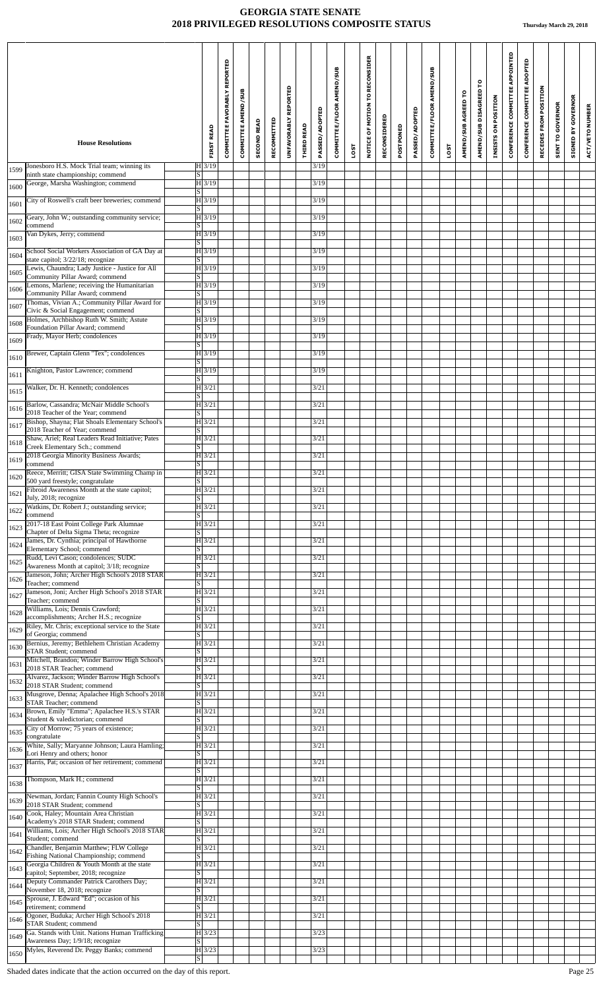|      |                                                                                               |                          |                     | COMMITTEE FAVORABLY REPORTED | COMMITTEE AMEND/SUB | <b>SECOND READ</b> | RECOMMITTED | UNFAVORABLY REPORTED |                   | <b>PASSED/ADOPTED</b> | COMMITTEE/FLOOR AMEND/SUB |      | NOTICE OF MOTION TO RECONSIDER | RECONSIDERED |           | PASSED/ADOPTED | COMMITTEE/FLOOR AMEND/SUB |      | AMEND/SUB AGREED TO | AMEND/SUB DISAGREED TO | INSISTS ON POSITION | CONFERENCE COMMITTEE APPOINTED | CONFERENCE COMMITTEE ADOPTED | RECEDES FROM POSITION | <b>SENT TO GOVERNOR</b> | <b>SIGNED BY GOVERNOR</b> | ACT/VETO NUMBER |
|------|-----------------------------------------------------------------------------------------------|--------------------------|---------------------|------------------------------|---------------------|--------------------|-------------|----------------------|-------------------|-----------------------|---------------------------|------|--------------------------------|--------------|-----------|----------------|---------------------------|------|---------------------|------------------------|---------------------|--------------------------------|------------------------------|-----------------------|-------------------------|---------------------------|-----------------|
|      | <b>House Resolutions</b>                                                                      |                          | <b>FIRST READ</b>   |                              |                     |                    |             |                      | <b>THIRD READ</b> |                       |                           | LOST |                                |              | POSTPONED |                |                           | LOST |                     |                        |                     |                                |                              |                       |                         |                           |                 |
| 1599 | Jonesboro H.S. Mock Trial team; winning its<br>ninth state championship; commend              | lS.                      | H3/19               |                              |                     |                    |             |                      |                   | 3/19                  |                           |      |                                |              |           |                |                           |      |                     |                        |                     |                                |                              |                       |                         |                           |                 |
| 1600 | George, Marsha Washington; commend                                                            | S                        | $ H $ 3/19          |                              |                     |                    |             |                      |                   | 3/19                  |                           |      |                                |              |           |                |                           |      |                     |                        |                     |                                |                              |                       |                         |                           |                 |
| 1601 | City of Roswell's craft beer breweries; commend                                               | S                        | $H$ 3/19            |                              |                     |                    |             |                      |                   | 3/19                  |                           |      |                                |              |           |                |                           |      |                     |                        |                     |                                |                              |                       |                         |                           |                 |
| 1602 | Geary, John W.; outstanding community service;                                                |                          | $H\overline{3/19}$  |                              |                     |                    |             |                      |                   | 3/19                  |                           |      |                                |              |           |                |                           |      |                     |                        |                     |                                |                              |                       |                         |                           |                 |
| 1603 | commend<br>Van Dykes, Jerry; commend                                                          | S                        | $\overline{H}$ 3/19 |                              |                     |                    |             |                      |                   | 3/19                  |                           |      |                                |              |           |                |                           |      |                     |                        |                     |                                |                              |                       |                         |                           |                 |
|      | School Social Workers Association of GA Day at                                                | $\lvert \text{s} \rvert$ | $ H $ 3/19          |                              |                     |                    |             |                      |                   | 3/19                  |                           |      |                                |              |           |                |                           |      |                     |                        |                     |                                |                              |                       |                         |                           |                 |
| 1604 | state capitol; 3/22/18; recognize<br>Lewis, Chaundra; Lady Justice - Justice for All          | S                        | $H$ 3/19            |                              |                     |                    |             |                      |                   | 3/19                  |                           |      |                                |              |           |                |                           |      |                     |                        |                     |                                |                              |                       |                         |                           |                 |
| 1605 | Community Pillar Award; commend                                                               | S                        |                     |                              |                     |                    |             |                      |                   |                       |                           |      |                                |              |           |                |                           |      |                     |                        |                     |                                |                              |                       |                         |                           |                 |
| 1606 | Lemons, Marlene; receiving the Humanitarian<br>Community Pillar Award; commend                | $\lvert S \rvert$        | $H$ 3/19            |                              |                     |                    |             |                      |                   | 3/19                  |                           |      |                                |              |           |                |                           |      |                     |                        |                     |                                |                              |                       |                         |                           |                 |
| 1607 | Thomas, Vivian A.; Community Pillar Award for<br>Civic & Social Engagement; commend           | S                        | $ H $ 3/19          |                              |                     |                    |             |                      |                   | 3/19                  |                           |      |                                |              |           |                |                           |      |                     |                        |                     |                                |                              |                       |                         |                           |                 |
| 1608 | Holmes, Archbishop Ruth W. Smith; Astute<br>Foundation Pillar Award; commend                  | S                        | $H$ 3/19            |                              |                     |                    |             |                      |                   | 3/19                  |                           |      |                                |              |           |                |                           |      |                     |                        |                     |                                |                              |                       |                         |                           |                 |
| 1609 | Frady, Mayor Herb; condolences                                                                |                          | $H\overline{3/19}$  |                              |                     |                    |             |                      |                   | 3/19                  |                           |      |                                |              |           |                |                           |      |                     |                        |                     |                                |                              |                       |                         |                           |                 |
| 1610 | Brewer, Captain Glenn "Tex"; condolences                                                      | S                        | $ H $ 3/19          |                              |                     |                    |             |                      |                   | 3/19                  |                           |      |                                |              |           |                |                           |      |                     |                        |                     |                                |                              |                       |                         |                           |                 |
|      | Knighton, Pastor Lawrence; commend                                                            | S                        | $H$ 3/19            |                              |                     |                    |             |                      |                   | 3/19                  |                           |      |                                |              |           |                |                           |      |                     |                        |                     |                                |                              |                       |                         |                           |                 |
| 1611 | Walker, Dr. H. Kenneth; condolences                                                           | S                        | $ H $ 3/21          |                              |                     |                    |             |                      |                   | 3/21                  |                           |      |                                |              |           |                |                           |      |                     |                        |                     |                                |                              |                       |                         |                           |                 |
| 1615 |                                                                                               | $\vert S \vert$          |                     |                              |                     |                    |             |                      |                   |                       |                           |      |                                |              |           |                |                           |      |                     |                        |                     |                                |                              |                       |                         |                           |                 |
| 1616 | Barlow, Cassandra; McNair Middle School's<br>2018 Teacher of the Year; commend                | S                        | H 3/21              |                              |                     |                    |             |                      |                   | 3/21                  |                           |      |                                |              |           |                |                           |      |                     |                        |                     |                                |                              |                       |                         |                           |                 |
| 1617 | Bishop, Shayna; Flat Shoals Elementary School's<br>2018 Teacher of Year; commend              | S                        | $ H $ 3/21          |                              |                     |                    |             |                      |                   | 3/21                  |                           |      |                                |              |           |                |                           |      |                     |                        |                     |                                |                              |                       |                         |                           |                 |
| 1618 | Shaw, Ariel; Real Leaders Read Initiative; Pates<br>Creek Elementary Sch.; commend            | $\vert S \vert$          | $H$ 3/21            |                              |                     |                    |             |                      |                   | 3/21                  |                           |      |                                |              |           |                |                           |      |                     |                        |                     |                                |                              |                       |                         |                           |                 |
| 1619 | 2018 Georgia Minority Business Awards;                                                        |                          | $\overline{H}$ 3/21 |                              |                     |                    |             |                      |                   | 3/21                  |                           |      |                                |              |           |                |                           |      |                     |                        |                     |                                |                              |                       |                         |                           |                 |
| 1620 | commend<br>Reece, Merritt; GISA State Swimming Champ in                                       | S                        | $ H $ 3/21          |                              |                     |                    |             |                      |                   | 3/21                  |                           |      |                                |              |           |                |                           |      |                     |                        |                     |                                |                              |                       |                         |                           |                 |
|      | 500 yard freestyle; congratulate<br>Fibroid Awareness Month at the state capitol;             | $\lvert \text{s} \rvert$ | $H$ 3/21            |                              |                     |                    |             |                      |                   | 3/21                  |                           |      |                                |              |           |                |                           |      |                     |                        |                     |                                |                              |                       |                         |                           |                 |
| 1621 | July, 2018; recognize<br>Watkins, Dr. Robert J.; outstanding service;                         | s                        | $ H $ 3/21          |                              |                     |                    |             |                      |                   | 3/21                  |                           |      |                                |              |           |                |                           |      |                     |                        |                     |                                |                              |                       |                         |                           |                 |
| 1622 | commend                                                                                       | S                        |                     |                              |                     |                    |             |                      |                   |                       |                           |      |                                |              |           |                |                           |      |                     |                        |                     |                                |                              |                       |                         |                           |                 |
| 1623 | 2017-18 East Point College Park Alumnae<br>Chapter of Delta Sigma Theta; recognize            | $\lvert S \rvert$        | $ H $ 3/21          |                              |                     |                    |             |                      |                   | 3/21                  |                           |      |                                |              |           |                |                           |      |                     |                        |                     |                                |                              |                       |                         |                           |                 |
| 1624 | James, Dr. Cynthia; principal of Hawthorne<br>Elementary School; commend                      | S                        | $ H $ 3/21          |                              |                     |                    |             |                      |                   | 3/21                  |                           |      |                                |              |           |                |                           |      |                     |                        |                     |                                |                              |                       |                         |                           |                 |
| 1625 | Rudd, Levi Cason; condolences; SUDC<br>Awareness Month at capitol; 3/18; recognize            | $\lvert S \rvert$        | $\overline{H}$ 3/21 |                              |                     |                    |             |                      |                   | 3/21                  |                           |      |                                |              |           |                |                           |      |                     |                        |                     |                                |                              |                       |                         |                           |                 |
| 1626 | Jameson, John; Archer High School's 2018 STAR<br>Teacher; commend                             |                          | $ H $ 3/21          |                              |                     |                    |             |                      |                   | 3/21                  |                           |      |                                |              |           |                |                           |      |                     |                        |                     |                                |                              |                       |                         |                           |                 |
| 1627 | Jameson, Joni; Archer High School's 2018 STAR                                                 | S                        | $ H $ 3/21          |                              |                     |                    |             |                      |                   | 3/21                  |                           |      |                                |              |           |                |                           |      |                     |                        |                     |                                |                              |                       |                         |                           |                 |
| 1628 | Teacher; commend<br>Williams, Lois; Dennis Crawford;                                          | S                        | $\overline{H}$ 3/21 |                              |                     |                    |             |                      |                   | 3/21                  |                           |      |                                |              |           |                |                           |      |                     |                        |                     |                                |                              |                       |                         |                           |                 |
|      | accomplishments; Archer H.S.; recognize<br>Riley, Mr. Chris; exceptional service to the State | $\overline{s}$           | $ H $ 3/21          |                              |                     |                    |             |                      |                   | 3/21                  |                           |      |                                |              |           |                |                           |      |                     |                        |                     |                                |                              |                       |                         |                           |                 |
| 1629 | of Georgia; commend<br>Bernius, Jeremy; Bethlehem Christian Academy                           | $\overline{s}$           | $ H $ 3/21          |                              |                     |                    |             |                      |                   | 3/21                  |                           |      |                                |              |           |                |                           |      |                     |                        |                     |                                |                              |                       |                         |                           |                 |
| 1630 | <b>STAR Student</b> ; commend                                                                 | S                        |                     |                              |                     |                    |             |                      |                   |                       |                           |      |                                |              |           |                |                           |      |                     |                        |                     |                                |                              |                       |                         |                           |                 |
| 1631 | Mitchell, Brandon; Winder Barrow High School's<br>2018 STAR Teacher; commend                  | S                        | $ H $ 3/21          |                              |                     |                    |             |                      |                   | 3/21                  |                           |      |                                |              |           |                |                           |      |                     |                        |                     |                                |                              |                       |                         |                           |                 |
| 1632 | Alvarez, Jackson; Winder Barrow High School's<br>2018 STAR Student; commend                   | $\lvert \text{s} \rvert$ | $\overline{H}$ 3/21 |                              |                     |                    |             |                      |                   | 3/21                  |                           |      |                                |              |           |                |                           |      |                     |                        |                     |                                |                              |                       |                         |                           |                 |
| 1633 | Musgrove, Denna; Apalachee High School's 2018<br>STAR Teacher; commend                        | S                        | $ H $ 3/21          |                              |                     |                    |             |                      |                   | 3/21                  |                           |      |                                |              |           |                |                           |      |                     |                        |                     |                                |                              |                       |                         |                           |                 |
| 1634 | Brown, Emily "Emma"; Apalachee H.S.'s STAR                                                    |                          | $H$ 3/21            |                              |                     |                    |             |                      |                   | 3/21                  |                           |      |                                |              |           |                |                           |      |                     |                        |                     |                                |                              |                       |                         |                           |                 |
| 1635 | Student & valedictorian; commend<br>City of Morrow; 75 years of existence;                    | S                        | $H$ 3/21            |                              |                     |                    |             |                      |                   | 3/21                  |                           |      |                                |              |           |                |                           |      |                     |                        |                     |                                |                              |                       |                         |                           |                 |
|      | congratulate<br>White, Sally; Maryanne Johnson; Laura Hamling;                                | S                        | $ H $ 3/21          |                              |                     |                    |             |                      |                   | 3/21                  |                           |      |                                |              |           |                |                           |      |                     |                        |                     |                                |                              |                       |                         |                           |                 |
| 1636 | Lori Henry and others; honor<br>Harris, Pat; occasion of her retirement; commend              | IS                       | $H$ 3/21            |                              |                     |                    |             |                      |                   | 3/21                  |                           |      |                                |              |           |                |                           |      |                     |                        |                     |                                |                              |                       |                         |                           |                 |
| 1637 | Thompson, Mark H.; commend                                                                    | S                        | $ H $ 3/21          |                              |                     |                    |             |                      |                   | 3/21                  |                           |      |                                |              |           |                |                           |      |                     |                        |                     |                                |                              |                       |                         |                           |                 |
| 1638 |                                                                                               | S                        |                     |                              |                     |                    |             |                      |                   |                       |                           |      |                                |              |           |                |                           |      |                     |                        |                     |                                |                              |                       |                         |                           |                 |
| 1639 | Newman, Jordan; Fannin County High School's<br>2018 STAR Student; commend                     | $\lvert S \rvert$        | $ H $ 3/21          |                              |                     |                    |             |                      |                   | 3/21                  |                           |      |                                |              |           |                |                           |      |                     |                        |                     |                                |                              |                       |                         |                           |                 |
| 1640 | Cook, Haley; Mountain Area Christian<br>Academy's 2018 STAR Student; commend                  | S                        | $ H $ 3/21          |                              |                     |                    |             |                      |                   | 3/21                  |                           |      |                                |              |           |                |                           |      |                     |                        |                     |                                |                              |                       |                         |                           |                 |
| 1641 | Williams, Lois; Archer High School's 2018 STAR<br>Student; commend                            | S                        | $ H $ 3/21          |                              |                     |                    |             |                      |                   | 3/21                  |                           |      |                                |              |           |                |                           |      |                     |                        |                     |                                |                              |                       |                         |                           |                 |
| 1642 | Chandler, Benjamin Matthew; FLW College<br>Fishing National Championship; commend             | S                        | $ H $ 3/21          |                              |                     |                    |             |                      |                   | 3/21                  |                           |      |                                |              |           |                |                           |      |                     |                        |                     |                                |                              |                       |                         |                           |                 |
| 1643 | Georgia Children & Youth Month at the state                                                   |                          | $ H $ 3/21          |                              |                     |                    |             |                      |                   | 3/21                  |                           |      |                                |              |           |                |                           |      |                     |                        |                     |                                |                              |                       |                         |                           |                 |
| 1644 | capitol; September, 2018; recognize<br>Deputy Commander Patrick Carothers Day;                | S                        | $ H $ 3/21          |                              |                     |                    |             |                      |                   | 3/21                  |                           |      |                                |              |           |                |                           |      |                     |                        |                     |                                |                              |                       |                         |                           |                 |
|      | November 18, 2018; recognize<br>Sprouse, J. Edward "Ed"; occasion of his                      | S                        | $ H $ 3/21          |                              |                     |                    |             |                      |                   | 3/21                  |                           |      |                                |              |           |                |                           |      |                     |                        |                     |                                |                              |                       |                         |                           |                 |
| 1645 | retirement; commend<br>Ogoner, Buduka; Archer High School's 2018                              | S                        | $H\overline{3/21}$  |                              |                     |                    |             |                      |                   | 3/21                  |                           |      |                                |              |           |                |                           |      |                     |                        |                     |                                |                              |                       |                         |                           |                 |
|      | $1646 \overline{\smash{\big)} \text{STAR Student; command}}$                                  | $\overline{\mathcal{S}}$ |                     |                              |                     |                    |             |                      |                   |                       |                           |      |                                |              |           |                |                           |      |                     |                        |                     |                                |                              |                       |                         |                           |                 |
| 1649 | Ga. Stands with Unit. Nations Human Trafficking<br>Awareness Day; 1/9/18; recognize           | S                        | H3/23               |                              |                     |                    |             |                      |                   | 3/23                  |                           |      |                                |              |           |                |                           |      |                     |                        |                     |                                |                              |                       |                         |                           |                 |
| 1650 | Myles, Reverend Dr. Peggy Banks; commend                                                      | $\lvert S \rvert$        | $ H $ 3/23          |                              |                     |                    |             |                      |                   | 3/23                  |                           |      |                                |              |           |                |                           |      |                     |                        |                     |                                |                              |                       |                         |                           |                 |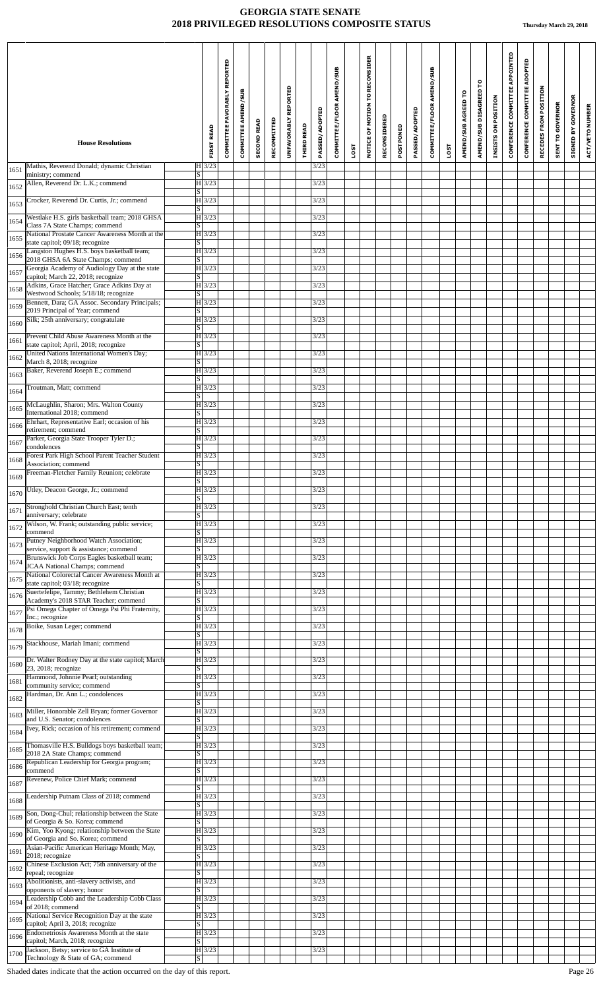|      | <b>House Resolutions</b>                                                                                                          | <b>FIRST READ</b>                                          | COMMITTEE FAVORABLY REPORTED | COMMITTEE AMEND/SUB | <b>SECOND READ</b> | RECOMMITTED | REPORTED<br><b>UNFAVORABLY</b> | <b>THIRD READ</b> | PASSED/ADOPTED | COMMITTEE/FLOOR AMEND/SUB |      | NOTICE OF MOTION TO RECONSIDER | RECONSIDERED | POSTPONED | PASSED/ADOPTED | COMMITTEE/FLOOR AMEND/SUB |             | AMEND/SUB AGREED TO | ဥ<br>AMEND/SUB DISAGREED | INSISTS ON POSITION | CONFERENCE COMMITTEE APPOINTED | CONFERENCE COMMITTEE ADOPTED | RECEDES FROM POSITION | <b>SENT TO GOVERNOR</b> | <b>GOVERNOR</b><br>$\mathbf{\tilde{s}}$ | ACT/VETO NUMBER |
|------|-----------------------------------------------------------------------------------------------------------------------------------|------------------------------------------------------------|------------------------------|---------------------|--------------------|-------------|--------------------------------|-------------------|----------------|---------------------------|------|--------------------------------|--------------|-----------|----------------|---------------------------|-------------|---------------------|--------------------------|---------------------|--------------------------------|------------------------------|-----------------------|-------------------------|-----------------------------------------|-----------------|
|      |                                                                                                                                   |                                                            |                              |                     |                    |             |                                |                   |                |                           | LOST |                                |              |           |                |                           | <b>LOST</b> |                     |                          |                     |                                |                              |                       |                         | STGNED                                  |                 |
| 1651 | Mathis, Reverend Donald; dynamic Christian<br>ministry; commend                                                                   | $H$ 3/23<br>$\overline{s}$                                 |                              |                     |                    |             |                                |                   | 3/23           |                           |      |                                |              |           |                |                           |             |                     |                          |                     |                                |                              |                       |                         |                                         |                 |
| 1652 | Allen, Reverend Dr. L.K.; commend                                                                                                 | $H\overline{3/23}$<br>$\lvert \text{S} \rvert$             |                              |                     |                    |             |                                |                   | 3/23           |                           |      |                                |              |           |                |                           |             |                     |                          |                     |                                |                              |                       |                         |                                         |                 |
| 1653 | Crocker, Reverend Dr. Curtis, Jr.; commend                                                                                        | $H$ 3/23<br>$\overline{\mathbf{s}}$                        |                              |                     |                    |             |                                |                   | 3/23           |                           |      |                                |              |           |                |                           |             |                     |                          |                     |                                |                              |                       |                         |                                         |                 |
| 1654 | Westlake H.S. girls basketball team; 2018 GHSA<br>Class 7A State Champs; commend                                                  | $H$ 3/23<br>ß                                              |                              |                     |                    |             |                                |                   | 3/23           |                           |      |                                |              |           |                |                           |             |                     |                          |                     |                                |                              |                       |                         |                                         |                 |
| 1655 | National Prostate Cancer Awareness Month at the<br>state capitol; 09/18; recognize                                                | $ H $ 3/23<br>$\overline{\mathbf{s}}$                      |                              |                     |                    |             |                                |                   | 3/23           |                           |      |                                |              |           |                |                           |             |                     |                          |                     |                                |                              |                       |                         |                                         |                 |
| 1656 | Langston Hughes H.S. boys basketball team;<br>2018 GHSA 6A State Champs; commend                                                  | $ H $ 3/23<br>$\overline{s}$                               |                              |                     |                    |             |                                |                   | 3/23           |                           |      |                                |              |           |                |                           |             |                     |                          |                     |                                |                              |                       |                         |                                         |                 |
| 1657 | Georgia Academy of Audiology Day at the state<br>capitol; March 22, 2018; recognize<br>Adkins, Grace Hatcher; Grace Adkins Day at | $H\overline{3/23}$<br>$\overline{S}$<br>$H\overline{3/23}$ |                              |                     |                    |             |                                |                   | 3/23<br>3/23   |                           |      |                                |              |           |                |                           |             |                     |                          |                     |                                |                              |                       |                         |                                         |                 |
| 1658 | Westwood Schools; 5/18/18; recognize<br>Bennett, Dara; GA Assoc. Secondary Principals;                                            | $\overline{s}$<br>$ H $ 3/23                               |                              |                     |                    |             |                                |                   | 3/23           |                           |      |                                |              |           |                |                           |             |                     |                          |                     |                                |                              |                       |                         |                                         |                 |
| 1659 | 2019 Principal of Year; commend                                                                                                   | S                                                          |                              |                     |                    |             |                                |                   |                |                           |      |                                |              |           |                |                           |             |                     |                          |                     |                                |                              |                       |                         |                                         |                 |
| 1660 | Silk; 25th anniversary; congratulate                                                                                              | $H$ 3/23<br>$\overline{s}$                                 |                              |                     |                    |             |                                |                   | 3/23           |                           |      |                                |              |           |                |                           |             |                     |                          |                     |                                |                              |                       |                         |                                         |                 |
| 1661 | Prevent Child Abuse Awareness Month at the<br>state capitol; April, 2018; recognize                                               | $H\overline{3/23}$<br>$\lvert S \rvert$                    |                              |                     |                    |             |                                |                   | 3/23           |                           |      |                                |              |           |                |                           |             |                     |                          |                     |                                |                              |                       |                         |                                         |                 |
| 1662 | United Nations International Women's Day;<br>March 8, 2018; recognize                                                             | $ H $ 3/23<br>S                                            |                              |                     |                    |             |                                |                   | 3/23           |                           |      |                                |              |           |                |                           |             |                     |                          |                     |                                |                              |                       |                         |                                         |                 |
| 1663 | Baker, Reverend Joseph E.; commend                                                                                                | $H$ 3/23<br>S                                              |                              |                     |                    |             |                                |                   | 3/23           |                           |      |                                |              |           |                |                           |             |                     |                          |                     |                                |                              |                       |                         |                                         |                 |
| 1664 | Troutman, Matt; commend                                                                                                           | $H$ 3/23<br>S                                              |                              |                     |                    |             |                                |                   | 3/23           |                           |      |                                |              |           |                |                           |             |                     |                          |                     |                                |                              |                       |                         |                                         |                 |
| 1665 | McLaughlin, Sharon; Mrs. Walton County<br>International 2018; commend                                                             | $ H $ 3/23<br>$\overline{\mathbf{s}}$                      |                              |                     |                    |             |                                |                   | 3/23           |                           |      |                                |              |           |                |                           |             |                     |                          |                     |                                |                              |                       |                         |                                         |                 |
| 1666 | Ehrhart, Representative Earl; occasion of his<br>retirement; commend                                                              | H 3/23<br>$\overline{S}$                                   |                              |                     |                    |             |                                |                   | 3/23           |                           |      |                                |              |           |                |                           |             |                     |                          |                     |                                |                              |                       |                         |                                         |                 |
| 1667 | Parker, Georgia State Trooper Tyler D.;<br>condolences                                                                            | $H$ 3/23<br>$\overline{s}$                                 |                              |                     |                    |             |                                |                   | 3/23           |                           |      |                                |              |           |                |                           |             |                     |                          |                     |                                |                              |                       |                         |                                         |                 |
| 1668 | Forest Park High School Parent Teacher Student<br>Association: commend                                                            | $H\overline{3/23}$<br>ß                                    |                              |                     |                    |             |                                |                   | 3/23           |                           |      |                                |              |           |                |                           |             |                     |                          |                     |                                |                              |                       |                         |                                         |                 |
| 1669 | Freeman-Fletcher Family Reunion; celebrate                                                                                        | $ H $ 3/23<br>$\overline{\mathbf{s}}$                      |                              |                     |                    |             |                                |                   | 3/23           |                           |      |                                |              |           |                |                           |             |                     |                          |                     |                                |                              |                       |                         |                                         |                 |
| 1670 | Utley, Deacon George, Jr.; commend                                                                                                | $H$ 3/23<br>$\overline{S}$                                 |                              |                     |                    |             |                                |                   | 3/23           |                           |      |                                |              |           |                |                           |             |                     |                          |                     |                                |                              |                       |                         |                                         |                 |
| 1671 | Stronghold Christian Church East; tenth<br>anniversary; celebrate                                                                 | $ H $ 3/23<br>S                                            |                              |                     |                    |             |                                |                   | 3/23           |                           |      |                                |              |           |                |                           |             |                     |                          |                     |                                |                              |                       |                         |                                         |                 |
| 1672 | Wilson, W. Frank; outstanding public service;<br>commend                                                                          | $ H $ 3/23<br>S                                            |                              |                     |                    |             |                                |                   | 3/23           |                           |      |                                |              |           |                |                           |             |                     |                          |                     |                                |                              |                       |                         |                                         |                 |
| 1673 | Putney Neighborhood Watch Association;<br>service, support & assistance; commend                                                  | $H$ 3/23<br>S                                              |                              |                     |                    |             |                                |                   | 3/23           |                           |      |                                |              |           |                |                           |             |                     |                          |                     |                                |                              |                       |                         |                                         |                 |
| 1674 | Brunswick Job Corps Eagles basketball team;<br>JCAA National Champs; commend                                                      | $ H $ 3/23<br>$\overline{\mathbf{s}}$                      |                              |                     |                    |             |                                |                   | 3/23           |                           |      |                                |              |           |                |                           |             |                     |                          |                     |                                |                              |                       |                         |                                         |                 |
| 1675 | National Colorectal Cancer Awareness Month at<br>state capitol; 03/18; recognize                                                  | $ H $ 3/23<br>S                                            |                              |                     |                    |             |                                |                   | 3/23           |                           |      |                                |              |           |                |                           |             |                     |                          |                     |                                |                              |                       |                         |                                         |                 |
| 1676 | Suertefelipe, Tammy; Bethlehem Christian<br>Academy's 2018 STAR Teacher; commend                                                  | $H\overline{3/23}$                                         |                              |                     |                    |             |                                |                   | 3/23           |                           |      |                                |              |           |                |                           |             |                     |                          |                     |                                |                              |                       |                         |                                         |                 |
| 1677 | Psi Omega Chapter of Omega Psi Phi Fraternity,                                                                                    | $\overline{S}$<br>$ H $ 3/23                               |                              |                     |                    |             |                                |                   | 3/23           |                           |      |                                |              |           |                |                           |             |                     |                          |                     |                                |                              |                       |                         |                                         |                 |
| 1678 | Inc.; recognize<br>Boike, Susan Leger; commend                                                                                    | $\overline{s}$<br>$ H $ 3/23                               |                              |                     |                    |             |                                |                   | 3/23           |                           |      |                                |              |           |                |                           |             |                     |                          |                     |                                |                              |                       |                         |                                         |                 |
| 1679 | Stackhouse, Mariah Imani; commend                                                                                                 | S  <br>$ H $ 3/23                                          |                              |                     |                    |             |                                |                   | 3/23           |                           |      |                                |              |           |                |                           |             |                     |                          |                     |                                |                              |                       |                         |                                         |                 |
| 1680 | Dr. Walter Rodney Day at the state capitol; March                                                                                 | $\overline{s}$<br>$H$ 3/23                                 |                              |                     |                    |             |                                |                   | 3/23           |                           |      |                                |              |           |                |                           |             |                     |                          |                     |                                |                              |                       |                         |                                         |                 |
| 1681 | 23, 2018; recognize<br>Hammond, Johnnie Pearl; outstanding                                                                        | $\vert S \vert$<br>$ H $ 3/23                              |                              |                     |                    |             |                                |                   | 3/23           |                           |      |                                |              |           |                |                           |             |                     |                          |                     |                                |                              |                       |                         |                                         |                 |
| 1682 | community service; commend<br>Hardman, Dr. Ann L.; condolences                                                                    | $\overline{s}$<br>$H\overline{3/23}$                       |                              |                     |                    |             |                                |                   | 3/23           |                           |      |                                |              |           |                |                           |             |                     |                          |                     |                                |                              |                       |                         |                                         |                 |
| 1683 | Miller, Honorable Zell Bryan; former Governor                                                                                     | S  <br>$H\overline{3/23}$                                  |                              |                     |                    |             |                                |                   | 3/23           |                           |      |                                |              |           |                |                           |             |                     |                          |                     |                                |                              |                       |                         |                                         |                 |
| 1684 | and U.S. Senator; condolences<br>Ivey, Rick; occasion of his retirement; commend                                                  | S<br>$ H $ 3/23                                            |                              |                     |                    |             |                                |                   | 3/23           |                           |      |                                |              |           |                |                           |             |                     |                          |                     |                                |                              |                       |                         |                                         |                 |
| 1685 | Thomasville H.S. Bulldogs boys basketball team;                                                                                   | $\overline{\mathbf{s}}$<br>$H\vert 3/23$                   |                              |                     |                    |             |                                |                   | 3/23           |                           |      |                                |              |           |                |                           |             |                     |                          |                     |                                |                              |                       |                         |                                         |                 |
| 1686 | 2018 2A State Champs; commend<br>Republican Leadership for Georgia program;                                                       | S<br>$ H $ 3/23                                            |                              |                     |                    |             |                                |                   | 3/23           |                           |      |                                |              |           |                |                           |             |                     |                          |                     |                                |                              |                       |                         |                                         |                 |
|      | commend<br>Revenew, Police Chief Mark; commend                                                                                    | $\overline{s}$<br>$H\overline{3/23}$                       |                              |                     |                    |             |                                |                   | 3/23           |                           |      |                                |              |           |                |                           |             |                     |                          |                     |                                |                              |                       |                         |                                         |                 |
| 1687 | Leadership Putnam Class of 2018; commend                                                                                          | ß<br>$ H $ 3/23                                            |                              |                     |                    |             |                                |                   | 3/23           |                           |      |                                |              |           |                |                           |             |                     |                          |                     |                                |                              |                       |                         |                                         |                 |
| 1688 | Son, Dong-Chul; relationship between the State                                                                                    | S<br>$H\vert 3/23$                                         |                              |                     |                    |             |                                |                   | 3/23           |                           |      |                                |              |           |                |                           |             |                     |                          |                     |                                |                              |                       |                         |                                         |                 |
| 1689 | of Georgia & So. Korea; commend<br>Kim, Yoo Kyong; relationship between the State                                                 | $\overline{s}$<br>$ H $ 3/23                               |                              |                     |                    |             |                                |                   | 3/23           |                           |      |                                |              |           |                |                           |             |                     |                          |                     |                                |                              |                       |                         |                                         |                 |
| 1690 | of Georgia and So. Korea; commend<br>Asian-Pacific American Heritage Month; May,                                                  | $\overline{s}$<br>$ H $ 3/23                               |                              |                     |                    |             |                                |                   | 3/23           |                           |      |                                |              |           |                |                           |             |                     |                          |                     |                                |                              |                       |                         |                                         |                 |
| 1691 | 2018; recognize<br>Chinese Exclusion Act; 75th anniversary of the                                                                 | $\overline{s}$<br>H 3/23                                   |                              |                     |                    |             |                                |                   | 3/23           |                           |      |                                |              |           |                |                           |             |                     |                          |                     |                                |                              |                       |                         |                                         |                 |
| 1692 | repeal; recognize<br>Abolitionists, anti-slavery activists, and                                                                   | S<br>$ H $ 3/23                                            |                              |                     |                    |             |                                |                   | 3/23           |                           |      |                                |              |           |                |                           |             |                     |                          |                     |                                |                              |                       |                         |                                         |                 |
| 1693 | opponents of slavery; honor<br>Leadership Cobb and the Leadership Cobb Class                                                      | $\overline{S}$<br>$H\overline{3/23}$                       |                              |                     |                    |             |                                |                   | 3/23           |                           |      |                                |              |           |                |                           |             |                     |                          |                     |                                |                              |                       |                         |                                         |                 |
| 1694 | of 2018; commend<br>National Service Recognition Day at the state                                                                 | $\overline{s}$<br>$ H $ 3/23                               |                              |                     |                    |             |                                |                   | 3/23           |                           |      |                                |              |           |                |                           |             |                     |                          |                     |                                |                              |                       |                         |                                         |                 |
| 1695 | capitol; April 3, 2018; recognize<br>Endometriosis Awareness Month at the state                                                   | $\overline{s}$                                             |                              |                     |                    |             |                                |                   | $3/23$         |                           |      |                                |              |           |                |                           |             |                     |                          |                     |                                |                              |                       |                         |                                         |                 |
| 1696 | capitol; March, 2018; recognize                                                                                                   | $H$ 3/23<br>S                                              |                              |                     |                    |             |                                |                   |                |                           |      |                                |              |           |                |                           |             |                     |                          |                     |                                |                              |                       |                         |                                         |                 |
| 1700 | Jackson, Betsy; service to GA Institute of<br>Technology & State of GA; commend                                                   | H3/23<br> S                                                |                              |                     |                    |             |                                |                   | $3/23$         |                           |      |                                |              |           |                |                           |             |                     |                          |                     |                                |                              |                       |                         |                                         |                 |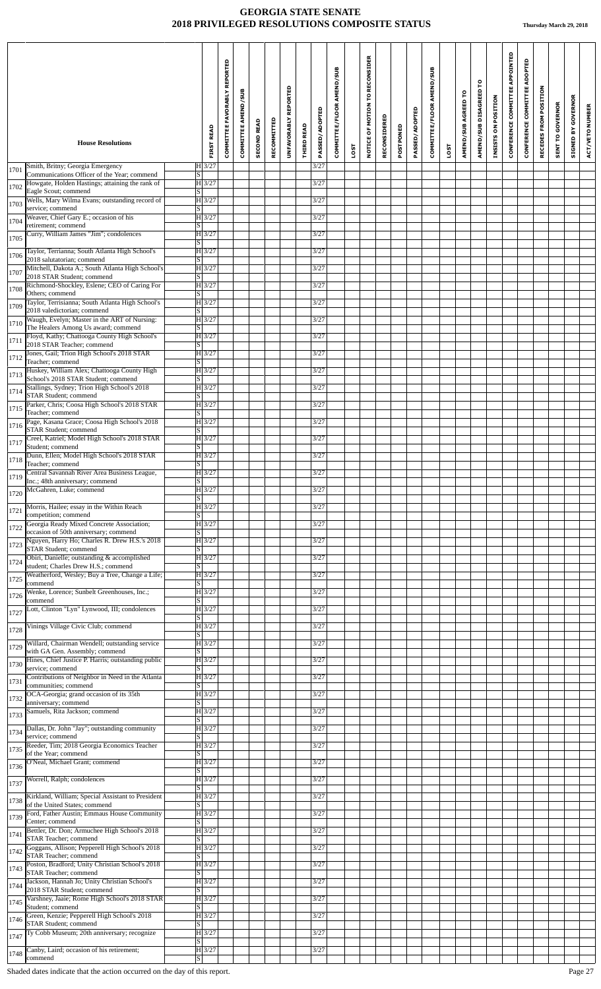| Smith, Britny; Georgia Emergency<br>$H$ 3/27<br>3/27<br>1701<br>Communications Officer of the Year; commend<br>S.<br>Howgate, Holden Hastings; attaining the rank of<br>H 3/27<br>3/27<br>1702<br>Eagle Scout; commend<br>S  <br>Wells, Mary Wilma Evans; outstanding record of<br>$H$ 3/27<br>3/27<br>1703<br>service; commend<br>S<br>Weaver, Chief Gary E.; occasion of his<br>$H$ 3/27<br>3/27<br>1704<br>retirement; commend<br>$\overline{s}$<br>Curry, William James "Jim"; condolences<br>$H$ 3/27<br>3/27<br>1705<br> S <br>Taylor, Terrianna; South Atlanta High School's<br>H 3/27<br>3/27<br>1706<br>2018 salutatorian; commend<br>S<br>Mitchell, Dakota A.; South Atlanta High School's<br>H 3/27<br>3/27<br>1707<br>2018 STAR Student; commend<br>$\overline{S}$<br>Richmond-Shockley, Eslene; CEO of Caring For<br>H 3/27<br>3/27<br>1708<br>Others; commend<br>$\overline{\mathbf{s}}$<br>Taylor, Terrisianna; South Atlanta High School's<br>H 3/27<br>3/27<br>1709<br>2018 valedictorian; commend<br>S<br>Waugh, Evelyn; Master in the ART of Nursing:<br>$H$ 3/27<br>3/27<br>1710<br>The Healers Among Us award; commend<br>$\overline{S}$<br>Floyd, Kathy; Chattooga County High School's<br>H 3/27 <br>3/27<br>1711<br>2018 STAR Teacher; commend<br>S  <br>Jones, Gail; Trion High School's 2018 STAR<br>$H\overline{3/27}$<br>3/27<br>1712<br>Teacher; commend<br>S  <br>Huskey, William Alex; Chattooga County High<br>$H$ 3/27<br>3/27<br>1713<br>School's 2018 STAR Student; commend<br>S<br>Stallings, Sydney; Trion High School's 2018<br>$H$ 3/27<br>3/27<br>1714<br><b>STAR Student; commend</b><br>$\vert S \vert$<br>Parker, Chris; Coosa High School's 2018 STAR<br>3/27<br>H 3/27<br>1715<br>Teacher; commend<br><sub>S</sub><br>Page, Kasana Grace; Coosa High School's 2018<br>H 3/27<br>3/27<br>1716<br><b>STAR Student</b> ; commend<br>S<br>Creel, Katriel; Model High School's 2018 STAR<br>$H\overline{3/27}$<br>3/27<br>1717<br>Student; commend<br>$\overline{\mathbf{s}}$<br>Dunn, Ellen; Model High School's 2018 STAR<br>H 3/27<br>3/27<br>1718<br>$\overline{s}$<br>Teacher; commend<br>Central Savannah River Area Business League,<br>$H\vert 3/27$<br>3/27<br>1719<br>Inc.; 48th anniversary; commend<br>$\overline{\mathrm{s}}$<br>McGahren, Luke; commend<br>$H\overline{3/27}$<br>3/27<br>1720<br>S<br>Morris, Hailee; essay in the Within Reach<br>H 3/27<br>3/27<br>1721<br>competition; commend<br>S  <br>Georgia Ready Mixed Concrete Association;<br>H 3/27<br>3/27<br>1722<br>occasion of 50th anniversary; commend<br>S  <br>Nguyen, Harry Ho; Charles R. Drew H.S.'s 2018<br>$H$ 3/27<br>3/27<br>1723<br><b>STAR Student; commend</b><br>$\overline{s}$<br>Obiri, Danielle; outstanding & accomplished<br>$H\overline{3/27}$<br>3/27<br>1724<br>student; Charles Drew H.S.; commend<br><sub>S</sub><br>Weatherford, Wesley; Buy a Tree, Change a Life;<br>H 3/27<br>3/27<br>1725<br>commend<br>S  <br>Wenke, Lorence; Sunbelt Greenhouses, Inc.;<br>$H$ 3/27<br>3/27<br>1726<br>commend<br>S  <br>Lott, Clinton "Lyn" Lynwood, III; condolences<br>H 3/27<br>3/27<br>1727<br>$\overline{S}$<br>Vinings Village Civic Club; commend<br>H 3/27<br>3/27<br>1728<br>$\overline{s}$<br>Willard, Chairman Wendell; outstanding service<br>H 3/27<br>3/27<br>1729<br>with GA Gen. Assembly; commend<br>S<br>Hines, Chief Justice P. Harris; outstanding public<br>H 3/27<br>3/27<br>1730<br>service; commend<br>$\overline{s}$<br>Contributions of Neighbor in Need in the Atlanta<br>$H\overline{3/27}$<br>3/27<br>1731<br>communities; commend<br>S  <br>OCA-Georgia; grand occasion of its 35th<br>H 3/27<br>3/27<br>1732<br>anniversary; commend<br>S<br>$H$ 3/27<br>3/27<br>Samuels, Rita Jackson; commend<br>1733<br>$\overline{s}$<br>Dallas, Dr. John "Jay"; outstanding community<br>3/27<br>$H$ 3/27<br>1734<br>service; commend<br>S<br>Reeder, Tim; 2018 Georgia Economics Teacher<br>H 3/27<br>3/27<br>1735<br>of the Year; commend<br>S  <br>O'Neal, Michael Grant; commend<br>$H$ 3/27<br>3/27<br>1736<br>S<br>Worrell, Ralph; condolences<br>H 3/27<br>3/27<br>1737<br>$\overline{s}$<br>Kirkland, William; Special Assistant to President<br>H 3/27<br>3/27<br>1738<br>of the United States; commend<br><sub>S</sub><br>Ford, Father Austin; Emmaus House Community<br>H 3/27<br>3/27<br>1739<br>Center; commend<br>S<br>Bettler, Dr. Don; Armuchee High School's 2018<br>H 3/27<br>3/27<br>1741<br><b>STAR Teacher</b> ; commend<br>$\overline{s}$<br>Goggans, Allison; Pepperell High School's 2018<br>H 3/27<br>3/27<br>1742<br>STAR Teacher; commend<br>S  <br>Poston, Bradford; Unity Christian School's 2018<br>3/27<br>H 3/27<br>1743<br><b>STAR Teacher; commend</b><br>S<br>Jackson, Hannah Jo; Unity Christian School's<br>$H \overline{3/27}$<br>3/27<br>1744<br>2018 STAR Student; commend<br><sub>S</sub><br>Varshney, Jaaie; Rome High School's 2018 STAR<br>H 3/27<br>3/27<br>1745<br>Student; commend<br>S<br>Green, Kenzie; Pepperell High School's 2018<br>H 3/27<br>3/27<br>1746<br>STAR Student; commend<br>$\vert S \vert$<br>Ty Cobb Museum; 20th anniversary; recognize<br>3/27<br>H 3/27<br>1747<br>S<br>Canby, Laird; occasion of his retirement;<br>H 3/27<br>3/27<br>1748<br>commend<br>$\overline{s}$ | <b>House Resolutions</b> | <b>FIRST READ</b> | COMMITTEE FAVORABLY REPORTED | COMMITTEE AMEND/SUB | <b>SECOND READ</b> | RECOMMITTED | UNFAVORABLY REPORTED | <b>THIRD READ</b> | PASSED/ADOPTED | COMMITTEE/FLOOR AMEND/SUB |             | NOTICE OF MOTION TO RECONSIDER | RECONSIDERED | POSTPONED | PASSED/ADOPTED | COMMITTEE/FLOOR AMEND/SUB |      | AMEND/SUB AGREED TO | AMEND/SUB DISAGREED TO | INSISTS ON POSITION | CONFERENCE COMMITTEE APPOINTED | ADOPTED<br><b>CONFERENCE COMMITTEE</b> | RECEDES FROM POSITION | <b>SENT TO GOVERNOR</b> | <b>GOVERNOR</b><br>SIGNED BY | <b>ACT/VETO NUMBER</b> |
|----------------------------------------------------------------------------------------------------------------------------------------------------------------------------------------------------------------------------------------------------------------------------------------------------------------------------------------------------------------------------------------------------------------------------------------------------------------------------------------------------------------------------------------------------------------------------------------------------------------------------------------------------------------------------------------------------------------------------------------------------------------------------------------------------------------------------------------------------------------------------------------------------------------------------------------------------------------------------------------------------------------------------------------------------------------------------------------------------------------------------------------------------------------------------------------------------------------------------------------------------------------------------------------------------------------------------------------------------------------------------------------------------------------------------------------------------------------------------------------------------------------------------------------------------------------------------------------------------------------------------------------------------------------------------------------------------------------------------------------------------------------------------------------------------------------------------------------------------------------------------------------------------------------------------------------------------------------------------------------------------------------------------------------------------------------------------------------------------------------------------------------------------------------------------------------------------------------------------------------------------------------------------------------------------------------------------------------------------------------------------------------------------------------------------------------------------------------------------------------------------------------------------------------------------------------------------------------------------------------------------------------------------------------------------------------------------------------------------------------------------------------------------------------------------------------------------------------------------------------------------------------------------------------------------------------------------------------------------------------------------------------------------------------------------------------------------------------------------------------------------------------------------------------------------------------------------------------------------------------------------------------------------------------------------------------------------------------------------------------------------------------------------------------------------------------------------------------------------------------------------------------------------------------------------------------------------------------------------------------------------------------------------------------------------------------------------------------------------------------------------------------------------------------------------------------------------------------------------------------------------------------------------------------------------------------------------------------------------------------------------------------------------------------------------------------------------------------------------------------------------------------------------------------------------------------------------------------------------------------------------------------------------------------------------------------------------------------------------------------------------------------------------------------------------------------------------------------------------------------------------------------------------------------------------------------------------------------------------------------------------------------------------------------------------------------------------------------------------------------------------------------------------------------------------------------------------------------------------------------------------------------------------------------------------------------------------------------------------------------------------------------------------------------------------------------------------------------------------------------------------------------------------------------------------------------------------------------------------------------------------------------------------------------------------------|--------------------------|-------------------|------------------------------|---------------------|--------------------|-------------|----------------------|-------------------|----------------|---------------------------|-------------|--------------------------------|--------------|-----------|----------------|---------------------------|------|---------------------|------------------------|---------------------|--------------------------------|----------------------------------------|-----------------------|-------------------------|------------------------------|------------------------|
|                                                                                                                                                                                                                                                                                                                                                                                                                                                                                                                                                                                                                                                                                                                                                                                                                                                                                                                                                                                                                                                                                                                                                                                                                                                                                                                                                                                                                                                                                                                                                                                                                                                                                                                                                                                                                                                                                                                                                                                                                                                                                                                                                                                                                                                                                                                                                                                                                                                                                                                                                                                                                                                                                                                                                                                                                                                                                                                                                                                                                                                                                                                                                                                                                                                                                                                                                                                                                                                                                                                                                                                                                                                                                                                                                                                                                                                                                                                                                                                                                                                                                                                                                                                                                                                                                                                                                                                                                                                                                                                                                                                                                                                                                                                                                                                                                                                                                                                                                                                                                                                                                                                                                                                                                                                                                                          |                          |                   |                              |                     |                    |             |                      |                   |                |                           | <b>1SOT</b> |                                |              |           |                |                           | LOST |                     |                        |                     |                                |                                        |                       |                         |                              |                        |
|                                                                                                                                                                                                                                                                                                                                                                                                                                                                                                                                                                                                                                                                                                                                                                                                                                                                                                                                                                                                                                                                                                                                                                                                                                                                                                                                                                                                                                                                                                                                                                                                                                                                                                                                                                                                                                                                                                                                                                                                                                                                                                                                                                                                                                                                                                                                                                                                                                                                                                                                                                                                                                                                                                                                                                                                                                                                                                                                                                                                                                                                                                                                                                                                                                                                                                                                                                                                                                                                                                                                                                                                                                                                                                                                                                                                                                                                                                                                                                                                                                                                                                                                                                                                                                                                                                                                                                                                                                                                                                                                                                                                                                                                                                                                                                                                                                                                                                                                                                                                                                                                                                                                                                                                                                                                                                          |                          |                   |                              |                     |                    |             |                      |                   |                |                           |             |                                |              |           |                |                           |      |                     |                        |                     |                                |                                        |                       |                         |                              |                        |
|                                                                                                                                                                                                                                                                                                                                                                                                                                                                                                                                                                                                                                                                                                                                                                                                                                                                                                                                                                                                                                                                                                                                                                                                                                                                                                                                                                                                                                                                                                                                                                                                                                                                                                                                                                                                                                                                                                                                                                                                                                                                                                                                                                                                                                                                                                                                                                                                                                                                                                                                                                                                                                                                                                                                                                                                                                                                                                                                                                                                                                                                                                                                                                                                                                                                                                                                                                                                                                                                                                                                                                                                                                                                                                                                                                                                                                                                                                                                                                                                                                                                                                                                                                                                                                                                                                                                                                                                                                                                                                                                                                                                                                                                                                                                                                                                                                                                                                                                                                                                                                                                                                                                                                                                                                                                                                          |                          |                   |                              |                     |                    |             |                      |                   |                |                           |             |                                |              |           |                |                           |      |                     |                        |                     |                                |                                        |                       |                         |                              |                        |
|                                                                                                                                                                                                                                                                                                                                                                                                                                                                                                                                                                                                                                                                                                                                                                                                                                                                                                                                                                                                                                                                                                                                                                                                                                                                                                                                                                                                                                                                                                                                                                                                                                                                                                                                                                                                                                                                                                                                                                                                                                                                                                                                                                                                                                                                                                                                                                                                                                                                                                                                                                                                                                                                                                                                                                                                                                                                                                                                                                                                                                                                                                                                                                                                                                                                                                                                                                                                                                                                                                                                                                                                                                                                                                                                                                                                                                                                                                                                                                                                                                                                                                                                                                                                                                                                                                                                                                                                                                                                                                                                                                                                                                                                                                                                                                                                                                                                                                                                                                                                                                                                                                                                                                                                                                                                                                          |                          |                   |                              |                     |                    |             |                      |                   |                |                           |             |                                |              |           |                |                           |      |                     |                        |                     |                                |                                        |                       |                         |                              |                        |
|                                                                                                                                                                                                                                                                                                                                                                                                                                                                                                                                                                                                                                                                                                                                                                                                                                                                                                                                                                                                                                                                                                                                                                                                                                                                                                                                                                                                                                                                                                                                                                                                                                                                                                                                                                                                                                                                                                                                                                                                                                                                                                                                                                                                                                                                                                                                                                                                                                                                                                                                                                                                                                                                                                                                                                                                                                                                                                                                                                                                                                                                                                                                                                                                                                                                                                                                                                                                                                                                                                                                                                                                                                                                                                                                                                                                                                                                                                                                                                                                                                                                                                                                                                                                                                                                                                                                                                                                                                                                                                                                                                                                                                                                                                                                                                                                                                                                                                                                                                                                                                                                                                                                                                                                                                                                                                          |                          |                   |                              |                     |                    |             |                      |                   |                |                           |             |                                |              |           |                |                           |      |                     |                        |                     |                                |                                        |                       |                         |                              |                        |
|                                                                                                                                                                                                                                                                                                                                                                                                                                                                                                                                                                                                                                                                                                                                                                                                                                                                                                                                                                                                                                                                                                                                                                                                                                                                                                                                                                                                                                                                                                                                                                                                                                                                                                                                                                                                                                                                                                                                                                                                                                                                                                                                                                                                                                                                                                                                                                                                                                                                                                                                                                                                                                                                                                                                                                                                                                                                                                                                                                                                                                                                                                                                                                                                                                                                                                                                                                                                                                                                                                                                                                                                                                                                                                                                                                                                                                                                                                                                                                                                                                                                                                                                                                                                                                                                                                                                                                                                                                                                                                                                                                                                                                                                                                                                                                                                                                                                                                                                                                                                                                                                                                                                                                                                                                                                                                          |                          |                   |                              |                     |                    |             |                      |                   |                |                           |             |                                |              |           |                |                           |      |                     |                        |                     |                                |                                        |                       |                         |                              |                        |
|                                                                                                                                                                                                                                                                                                                                                                                                                                                                                                                                                                                                                                                                                                                                                                                                                                                                                                                                                                                                                                                                                                                                                                                                                                                                                                                                                                                                                                                                                                                                                                                                                                                                                                                                                                                                                                                                                                                                                                                                                                                                                                                                                                                                                                                                                                                                                                                                                                                                                                                                                                                                                                                                                                                                                                                                                                                                                                                                                                                                                                                                                                                                                                                                                                                                                                                                                                                                                                                                                                                                                                                                                                                                                                                                                                                                                                                                                                                                                                                                                                                                                                                                                                                                                                                                                                                                                                                                                                                                                                                                                                                                                                                                                                                                                                                                                                                                                                                                                                                                                                                                                                                                                                                                                                                                                                          |                          |                   |                              |                     |                    |             |                      |                   |                |                           |             |                                |              |           |                |                           |      |                     |                        |                     |                                |                                        |                       |                         |                              |                        |
|                                                                                                                                                                                                                                                                                                                                                                                                                                                                                                                                                                                                                                                                                                                                                                                                                                                                                                                                                                                                                                                                                                                                                                                                                                                                                                                                                                                                                                                                                                                                                                                                                                                                                                                                                                                                                                                                                                                                                                                                                                                                                                                                                                                                                                                                                                                                                                                                                                                                                                                                                                                                                                                                                                                                                                                                                                                                                                                                                                                                                                                                                                                                                                                                                                                                                                                                                                                                                                                                                                                                                                                                                                                                                                                                                                                                                                                                                                                                                                                                                                                                                                                                                                                                                                                                                                                                                                                                                                                                                                                                                                                                                                                                                                                                                                                                                                                                                                                                                                                                                                                                                                                                                                                                                                                                                                          |                          |                   |                              |                     |                    |             |                      |                   |                |                           |             |                                |              |           |                |                           |      |                     |                        |                     |                                |                                        |                       |                         |                              |                        |
|                                                                                                                                                                                                                                                                                                                                                                                                                                                                                                                                                                                                                                                                                                                                                                                                                                                                                                                                                                                                                                                                                                                                                                                                                                                                                                                                                                                                                                                                                                                                                                                                                                                                                                                                                                                                                                                                                                                                                                                                                                                                                                                                                                                                                                                                                                                                                                                                                                                                                                                                                                                                                                                                                                                                                                                                                                                                                                                                                                                                                                                                                                                                                                                                                                                                                                                                                                                                                                                                                                                                                                                                                                                                                                                                                                                                                                                                                                                                                                                                                                                                                                                                                                                                                                                                                                                                                                                                                                                                                                                                                                                                                                                                                                                                                                                                                                                                                                                                                                                                                                                                                                                                                                                                                                                                                                          |                          |                   |                              |                     |                    |             |                      |                   |                |                           |             |                                |              |           |                |                           |      |                     |                        |                     |                                |                                        |                       |                         |                              |                        |
|                                                                                                                                                                                                                                                                                                                                                                                                                                                                                                                                                                                                                                                                                                                                                                                                                                                                                                                                                                                                                                                                                                                                                                                                                                                                                                                                                                                                                                                                                                                                                                                                                                                                                                                                                                                                                                                                                                                                                                                                                                                                                                                                                                                                                                                                                                                                                                                                                                                                                                                                                                                                                                                                                                                                                                                                                                                                                                                                                                                                                                                                                                                                                                                                                                                                                                                                                                                                                                                                                                                                                                                                                                                                                                                                                                                                                                                                                                                                                                                                                                                                                                                                                                                                                                                                                                                                                                                                                                                                                                                                                                                                                                                                                                                                                                                                                                                                                                                                                                                                                                                                                                                                                                                                                                                                                                          |                          |                   |                              |                     |                    |             |                      |                   |                |                           |             |                                |              |           |                |                           |      |                     |                        |                     |                                |                                        |                       |                         |                              |                        |
|                                                                                                                                                                                                                                                                                                                                                                                                                                                                                                                                                                                                                                                                                                                                                                                                                                                                                                                                                                                                                                                                                                                                                                                                                                                                                                                                                                                                                                                                                                                                                                                                                                                                                                                                                                                                                                                                                                                                                                                                                                                                                                                                                                                                                                                                                                                                                                                                                                                                                                                                                                                                                                                                                                                                                                                                                                                                                                                                                                                                                                                                                                                                                                                                                                                                                                                                                                                                                                                                                                                                                                                                                                                                                                                                                                                                                                                                                                                                                                                                                                                                                                                                                                                                                                                                                                                                                                                                                                                                                                                                                                                                                                                                                                                                                                                                                                                                                                                                                                                                                                                                                                                                                                                                                                                                                                          |                          |                   |                              |                     |                    |             |                      |                   |                |                           |             |                                |              |           |                |                           |      |                     |                        |                     |                                |                                        |                       |                         |                              |                        |
|                                                                                                                                                                                                                                                                                                                                                                                                                                                                                                                                                                                                                                                                                                                                                                                                                                                                                                                                                                                                                                                                                                                                                                                                                                                                                                                                                                                                                                                                                                                                                                                                                                                                                                                                                                                                                                                                                                                                                                                                                                                                                                                                                                                                                                                                                                                                                                                                                                                                                                                                                                                                                                                                                                                                                                                                                                                                                                                                                                                                                                                                                                                                                                                                                                                                                                                                                                                                                                                                                                                                                                                                                                                                                                                                                                                                                                                                                                                                                                                                                                                                                                                                                                                                                                                                                                                                                                                                                                                                                                                                                                                                                                                                                                                                                                                                                                                                                                                                                                                                                                                                                                                                                                                                                                                                                                          |                          |                   |                              |                     |                    |             |                      |                   |                |                           |             |                                |              |           |                |                           |      |                     |                        |                     |                                |                                        |                       |                         |                              |                        |
|                                                                                                                                                                                                                                                                                                                                                                                                                                                                                                                                                                                                                                                                                                                                                                                                                                                                                                                                                                                                                                                                                                                                                                                                                                                                                                                                                                                                                                                                                                                                                                                                                                                                                                                                                                                                                                                                                                                                                                                                                                                                                                                                                                                                                                                                                                                                                                                                                                                                                                                                                                                                                                                                                                                                                                                                                                                                                                                                                                                                                                                                                                                                                                                                                                                                                                                                                                                                                                                                                                                                                                                                                                                                                                                                                                                                                                                                                                                                                                                                                                                                                                                                                                                                                                                                                                                                                                                                                                                                                                                                                                                                                                                                                                                                                                                                                                                                                                                                                                                                                                                                                                                                                                                                                                                                                                          |                          |                   |                              |                     |                    |             |                      |                   |                |                           |             |                                |              |           |                |                           |      |                     |                        |                     |                                |                                        |                       |                         |                              |                        |
|                                                                                                                                                                                                                                                                                                                                                                                                                                                                                                                                                                                                                                                                                                                                                                                                                                                                                                                                                                                                                                                                                                                                                                                                                                                                                                                                                                                                                                                                                                                                                                                                                                                                                                                                                                                                                                                                                                                                                                                                                                                                                                                                                                                                                                                                                                                                                                                                                                                                                                                                                                                                                                                                                                                                                                                                                                                                                                                                                                                                                                                                                                                                                                                                                                                                                                                                                                                                                                                                                                                                                                                                                                                                                                                                                                                                                                                                                                                                                                                                                                                                                                                                                                                                                                                                                                                                                                                                                                                                                                                                                                                                                                                                                                                                                                                                                                                                                                                                                                                                                                                                                                                                                                                                                                                                                                          |                          |                   |                              |                     |                    |             |                      |                   |                |                           |             |                                |              |           |                |                           |      |                     |                        |                     |                                |                                        |                       |                         |                              |                        |
|                                                                                                                                                                                                                                                                                                                                                                                                                                                                                                                                                                                                                                                                                                                                                                                                                                                                                                                                                                                                                                                                                                                                                                                                                                                                                                                                                                                                                                                                                                                                                                                                                                                                                                                                                                                                                                                                                                                                                                                                                                                                                                                                                                                                                                                                                                                                                                                                                                                                                                                                                                                                                                                                                                                                                                                                                                                                                                                                                                                                                                                                                                                                                                                                                                                                                                                                                                                                                                                                                                                                                                                                                                                                                                                                                                                                                                                                                                                                                                                                                                                                                                                                                                                                                                                                                                                                                                                                                                                                                                                                                                                                                                                                                                                                                                                                                                                                                                                                                                                                                                                                                                                                                                                                                                                                                                          |                          |                   |                              |                     |                    |             |                      |                   |                |                           |             |                                |              |           |                |                           |      |                     |                        |                     |                                |                                        |                       |                         |                              |                        |
|                                                                                                                                                                                                                                                                                                                                                                                                                                                                                                                                                                                                                                                                                                                                                                                                                                                                                                                                                                                                                                                                                                                                                                                                                                                                                                                                                                                                                                                                                                                                                                                                                                                                                                                                                                                                                                                                                                                                                                                                                                                                                                                                                                                                                                                                                                                                                                                                                                                                                                                                                                                                                                                                                                                                                                                                                                                                                                                                                                                                                                                                                                                                                                                                                                                                                                                                                                                                                                                                                                                                                                                                                                                                                                                                                                                                                                                                                                                                                                                                                                                                                                                                                                                                                                                                                                                                                                                                                                                                                                                                                                                                                                                                                                                                                                                                                                                                                                                                                                                                                                                                                                                                                                                                                                                                                                          |                          |                   |                              |                     |                    |             |                      |                   |                |                           |             |                                |              |           |                |                           |      |                     |                        |                     |                                |                                        |                       |                         |                              |                        |
|                                                                                                                                                                                                                                                                                                                                                                                                                                                                                                                                                                                                                                                                                                                                                                                                                                                                                                                                                                                                                                                                                                                                                                                                                                                                                                                                                                                                                                                                                                                                                                                                                                                                                                                                                                                                                                                                                                                                                                                                                                                                                                                                                                                                                                                                                                                                                                                                                                                                                                                                                                                                                                                                                                                                                                                                                                                                                                                                                                                                                                                                                                                                                                                                                                                                                                                                                                                                                                                                                                                                                                                                                                                                                                                                                                                                                                                                                                                                                                                                                                                                                                                                                                                                                                                                                                                                                                                                                                                                                                                                                                                                                                                                                                                                                                                                                                                                                                                                                                                                                                                                                                                                                                                                                                                                                                          |                          |                   |                              |                     |                    |             |                      |                   |                |                           |             |                                |              |           |                |                           |      |                     |                        |                     |                                |                                        |                       |                         |                              |                        |
|                                                                                                                                                                                                                                                                                                                                                                                                                                                                                                                                                                                                                                                                                                                                                                                                                                                                                                                                                                                                                                                                                                                                                                                                                                                                                                                                                                                                                                                                                                                                                                                                                                                                                                                                                                                                                                                                                                                                                                                                                                                                                                                                                                                                                                                                                                                                                                                                                                                                                                                                                                                                                                                                                                                                                                                                                                                                                                                                                                                                                                                                                                                                                                                                                                                                                                                                                                                                                                                                                                                                                                                                                                                                                                                                                                                                                                                                                                                                                                                                                                                                                                                                                                                                                                                                                                                                                                                                                                                                                                                                                                                                                                                                                                                                                                                                                                                                                                                                                                                                                                                                                                                                                                                                                                                                                                          |                          |                   |                              |                     |                    |             |                      |                   |                |                           |             |                                |              |           |                |                           |      |                     |                        |                     |                                |                                        |                       |                         |                              |                        |
|                                                                                                                                                                                                                                                                                                                                                                                                                                                                                                                                                                                                                                                                                                                                                                                                                                                                                                                                                                                                                                                                                                                                                                                                                                                                                                                                                                                                                                                                                                                                                                                                                                                                                                                                                                                                                                                                                                                                                                                                                                                                                                                                                                                                                                                                                                                                                                                                                                                                                                                                                                                                                                                                                                                                                                                                                                                                                                                                                                                                                                                                                                                                                                                                                                                                                                                                                                                                                                                                                                                                                                                                                                                                                                                                                                                                                                                                                                                                                                                                                                                                                                                                                                                                                                                                                                                                                                                                                                                                                                                                                                                                                                                                                                                                                                                                                                                                                                                                                                                                                                                                                                                                                                                                                                                                                                          |                          |                   |                              |                     |                    |             |                      |                   |                |                           |             |                                |              |           |                |                           |      |                     |                        |                     |                                |                                        |                       |                         |                              |                        |
|                                                                                                                                                                                                                                                                                                                                                                                                                                                                                                                                                                                                                                                                                                                                                                                                                                                                                                                                                                                                                                                                                                                                                                                                                                                                                                                                                                                                                                                                                                                                                                                                                                                                                                                                                                                                                                                                                                                                                                                                                                                                                                                                                                                                                                                                                                                                                                                                                                                                                                                                                                                                                                                                                                                                                                                                                                                                                                                                                                                                                                                                                                                                                                                                                                                                                                                                                                                                                                                                                                                                                                                                                                                                                                                                                                                                                                                                                                                                                                                                                                                                                                                                                                                                                                                                                                                                                                                                                                                                                                                                                                                                                                                                                                                                                                                                                                                                                                                                                                                                                                                                                                                                                                                                                                                                                                          |                          |                   |                              |                     |                    |             |                      |                   |                |                           |             |                                |              |           |                |                           |      |                     |                        |                     |                                |                                        |                       |                         |                              |                        |
|                                                                                                                                                                                                                                                                                                                                                                                                                                                                                                                                                                                                                                                                                                                                                                                                                                                                                                                                                                                                                                                                                                                                                                                                                                                                                                                                                                                                                                                                                                                                                                                                                                                                                                                                                                                                                                                                                                                                                                                                                                                                                                                                                                                                                                                                                                                                                                                                                                                                                                                                                                                                                                                                                                                                                                                                                                                                                                                                                                                                                                                                                                                                                                                                                                                                                                                                                                                                                                                                                                                                                                                                                                                                                                                                                                                                                                                                                                                                                                                                                                                                                                                                                                                                                                                                                                                                                                                                                                                                                                                                                                                                                                                                                                                                                                                                                                                                                                                                                                                                                                                                                                                                                                                                                                                                                                          |                          |                   |                              |                     |                    |             |                      |                   |                |                           |             |                                |              |           |                |                           |      |                     |                        |                     |                                |                                        |                       |                         |                              |                        |
|                                                                                                                                                                                                                                                                                                                                                                                                                                                                                                                                                                                                                                                                                                                                                                                                                                                                                                                                                                                                                                                                                                                                                                                                                                                                                                                                                                                                                                                                                                                                                                                                                                                                                                                                                                                                                                                                                                                                                                                                                                                                                                                                                                                                                                                                                                                                                                                                                                                                                                                                                                                                                                                                                                                                                                                                                                                                                                                                                                                                                                                                                                                                                                                                                                                                                                                                                                                                                                                                                                                                                                                                                                                                                                                                                                                                                                                                                                                                                                                                                                                                                                                                                                                                                                                                                                                                                                                                                                                                                                                                                                                                                                                                                                                                                                                                                                                                                                                                                                                                                                                                                                                                                                                                                                                                                                          |                          |                   |                              |                     |                    |             |                      |                   |                |                           |             |                                |              |           |                |                           |      |                     |                        |                     |                                |                                        |                       |                         |                              |                        |
|                                                                                                                                                                                                                                                                                                                                                                                                                                                                                                                                                                                                                                                                                                                                                                                                                                                                                                                                                                                                                                                                                                                                                                                                                                                                                                                                                                                                                                                                                                                                                                                                                                                                                                                                                                                                                                                                                                                                                                                                                                                                                                                                                                                                                                                                                                                                                                                                                                                                                                                                                                                                                                                                                                                                                                                                                                                                                                                                                                                                                                                                                                                                                                                                                                                                                                                                                                                                                                                                                                                                                                                                                                                                                                                                                                                                                                                                                                                                                                                                                                                                                                                                                                                                                                                                                                                                                                                                                                                                                                                                                                                                                                                                                                                                                                                                                                                                                                                                                                                                                                                                                                                                                                                                                                                                                                          |                          |                   |                              |                     |                    |             |                      |                   |                |                           |             |                                |              |           |                |                           |      |                     |                        |                     |                                |                                        |                       |                         |                              |                        |
|                                                                                                                                                                                                                                                                                                                                                                                                                                                                                                                                                                                                                                                                                                                                                                                                                                                                                                                                                                                                                                                                                                                                                                                                                                                                                                                                                                                                                                                                                                                                                                                                                                                                                                                                                                                                                                                                                                                                                                                                                                                                                                                                                                                                                                                                                                                                                                                                                                                                                                                                                                                                                                                                                                                                                                                                                                                                                                                                                                                                                                                                                                                                                                                                                                                                                                                                                                                                                                                                                                                                                                                                                                                                                                                                                                                                                                                                                                                                                                                                                                                                                                                                                                                                                                                                                                                                                                                                                                                                                                                                                                                                                                                                                                                                                                                                                                                                                                                                                                                                                                                                                                                                                                                                                                                                                                          |                          |                   |                              |                     |                    |             |                      |                   |                |                           |             |                                |              |           |                |                           |      |                     |                        |                     |                                |                                        |                       |                         |                              |                        |
|                                                                                                                                                                                                                                                                                                                                                                                                                                                                                                                                                                                                                                                                                                                                                                                                                                                                                                                                                                                                                                                                                                                                                                                                                                                                                                                                                                                                                                                                                                                                                                                                                                                                                                                                                                                                                                                                                                                                                                                                                                                                                                                                                                                                                                                                                                                                                                                                                                                                                                                                                                                                                                                                                                                                                                                                                                                                                                                                                                                                                                                                                                                                                                                                                                                                                                                                                                                                                                                                                                                                                                                                                                                                                                                                                                                                                                                                                                                                                                                                                                                                                                                                                                                                                                                                                                                                                                                                                                                                                                                                                                                                                                                                                                                                                                                                                                                                                                                                                                                                                                                                                                                                                                                                                                                                                                          |                          |                   |                              |                     |                    |             |                      |                   |                |                           |             |                                |              |           |                |                           |      |                     |                        |                     |                                |                                        |                       |                         |                              |                        |
|                                                                                                                                                                                                                                                                                                                                                                                                                                                                                                                                                                                                                                                                                                                                                                                                                                                                                                                                                                                                                                                                                                                                                                                                                                                                                                                                                                                                                                                                                                                                                                                                                                                                                                                                                                                                                                                                                                                                                                                                                                                                                                                                                                                                                                                                                                                                                                                                                                                                                                                                                                                                                                                                                                                                                                                                                                                                                                                                                                                                                                                                                                                                                                                                                                                                                                                                                                                                                                                                                                                                                                                                                                                                                                                                                                                                                                                                                                                                                                                                                                                                                                                                                                                                                                                                                                                                                                                                                                                                                                                                                                                                                                                                                                                                                                                                                                                                                                                                                                                                                                                                                                                                                                                                                                                                                                          |                          |                   |                              |                     |                    |             |                      |                   |                |                           |             |                                |              |           |                |                           |      |                     |                        |                     |                                |                                        |                       |                         |                              |                        |
|                                                                                                                                                                                                                                                                                                                                                                                                                                                                                                                                                                                                                                                                                                                                                                                                                                                                                                                                                                                                                                                                                                                                                                                                                                                                                                                                                                                                                                                                                                                                                                                                                                                                                                                                                                                                                                                                                                                                                                                                                                                                                                                                                                                                                                                                                                                                                                                                                                                                                                                                                                                                                                                                                                                                                                                                                                                                                                                                                                                                                                                                                                                                                                                                                                                                                                                                                                                                                                                                                                                                                                                                                                                                                                                                                                                                                                                                                                                                                                                                                                                                                                                                                                                                                                                                                                                                                                                                                                                                                                                                                                                                                                                                                                                                                                                                                                                                                                                                                                                                                                                                                                                                                                                                                                                                                                          |                          |                   |                              |                     |                    |             |                      |                   |                |                           |             |                                |              |           |                |                           |      |                     |                        |                     |                                |                                        |                       |                         |                              |                        |
|                                                                                                                                                                                                                                                                                                                                                                                                                                                                                                                                                                                                                                                                                                                                                                                                                                                                                                                                                                                                                                                                                                                                                                                                                                                                                                                                                                                                                                                                                                                                                                                                                                                                                                                                                                                                                                                                                                                                                                                                                                                                                                                                                                                                                                                                                                                                                                                                                                                                                                                                                                                                                                                                                                                                                                                                                                                                                                                                                                                                                                                                                                                                                                                                                                                                                                                                                                                                                                                                                                                                                                                                                                                                                                                                                                                                                                                                                                                                                                                                                                                                                                                                                                                                                                                                                                                                                                                                                                                                                                                                                                                                                                                                                                                                                                                                                                                                                                                                                                                                                                                                                                                                                                                                                                                                                                          |                          |                   |                              |                     |                    |             |                      |                   |                |                           |             |                                |              |           |                |                           |      |                     |                        |                     |                                |                                        |                       |                         |                              |                        |
|                                                                                                                                                                                                                                                                                                                                                                                                                                                                                                                                                                                                                                                                                                                                                                                                                                                                                                                                                                                                                                                                                                                                                                                                                                                                                                                                                                                                                                                                                                                                                                                                                                                                                                                                                                                                                                                                                                                                                                                                                                                                                                                                                                                                                                                                                                                                                                                                                                                                                                                                                                                                                                                                                                                                                                                                                                                                                                                                                                                                                                                                                                                                                                                                                                                                                                                                                                                                                                                                                                                                                                                                                                                                                                                                                                                                                                                                                                                                                                                                                                                                                                                                                                                                                                                                                                                                                                                                                                                                                                                                                                                                                                                                                                                                                                                                                                                                                                                                                                                                                                                                                                                                                                                                                                                                                                          |                          |                   |                              |                     |                    |             |                      |                   |                |                           |             |                                |              |           |                |                           |      |                     |                        |                     |                                |                                        |                       |                         |                              |                        |
|                                                                                                                                                                                                                                                                                                                                                                                                                                                                                                                                                                                                                                                                                                                                                                                                                                                                                                                                                                                                                                                                                                                                                                                                                                                                                                                                                                                                                                                                                                                                                                                                                                                                                                                                                                                                                                                                                                                                                                                                                                                                                                                                                                                                                                                                                                                                                                                                                                                                                                                                                                                                                                                                                                                                                                                                                                                                                                                                                                                                                                                                                                                                                                                                                                                                                                                                                                                                                                                                                                                                                                                                                                                                                                                                                                                                                                                                                                                                                                                                                                                                                                                                                                                                                                                                                                                                                                                                                                                                                                                                                                                                                                                                                                                                                                                                                                                                                                                                                                                                                                                                                                                                                                                                                                                                                                          |                          |                   |                              |                     |                    |             |                      |                   |                |                           |             |                                |              |           |                |                           |      |                     |                        |                     |                                |                                        |                       |                         |                              |                        |
|                                                                                                                                                                                                                                                                                                                                                                                                                                                                                                                                                                                                                                                                                                                                                                                                                                                                                                                                                                                                                                                                                                                                                                                                                                                                                                                                                                                                                                                                                                                                                                                                                                                                                                                                                                                                                                                                                                                                                                                                                                                                                                                                                                                                                                                                                                                                                                                                                                                                                                                                                                                                                                                                                                                                                                                                                                                                                                                                                                                                                                                                                                                                                                                                                                                                                                                                                                                                                                                                                                                                                                                                                                                                                                                                                                                                                                                                                                                                                                                                                                                                                                                                                                                                                                                                                                                                                                                                                                                                                                                                                                                                                                                                                                                                                                                                                                                                                                                                                                                                                                                                                                                                                                                                                                                                                                          |                          |                   |                              |                     |                    |             |                      |                   |                |                           |             |                                |              |           |                |                           |      |                     |                        |                     |                                |                                        |                       |                         |                              |                        |
|                                                                                                                                                                                                                                                                                                                                                                                                                                                                                                                                                                                                                                                                                                                                                                                                                                                                                                                                                                                                                                                                                                                                                                                                                                                                                                                                                                                                                                                                                                                                                                                                                                                                                                                                                                                                                                                                                                                                                                                                                                                                                                                                                                                                                                                                                                                                                                                                                                                                                                                                                                                                                                                                                                                                                                                                                                                                                                                                                                                                                                                                                                                                                                                                                                                                                                                                                                                                                                                                                                                                                                                                                                                                                                                                                                                                                                                                                                                                                                                                                                                                                                                                                                                                                                                                                                                                                                                                                                                                                                                                                                                                                                                                                                                                                                                                                                                                                                                                                                                                                                                                                                                                                                                                                                                                                                          |                          |                   |                              |                     |                    |             |                      |                   |                |                           |             |                                |              |           |                |                           |      |                     |                        |                     |                                |                                        |                       |                         |                              |                        |
|                                                                                                                                                                                                                                                                                                                                                                                                                                                                                                                                                                                                                                                                                                                                                                                                                                                                                                                                                                                                                                                                                                                                                                                                                                                                                                                                                                                                                                                                                                                                                                                                                                                                                                                                                                                                                                                                                                                                                                                                                                                                                                                                                                                                                                                                                                                                                                                                                                                                                                                                                                                                                                                                                                                                                                                                                                                                                                                                                                                                                                                                                                                                                                                                                                                                                                                                                                                                                                                                                                                                                                                                                                                                                                                                                                                                                                                                                                                                                                                                                                                                                                                                                                                                                                                                                                                                                                                                                                                                                                                                                                                                                                                                                                                                                                                                                                                                                                                                                                                                                                                                                                                                                                                                                                                                                                          |                          |                   |                              |                     |                    |             |                      |                   |                |                           |             |                                |              |           |                |                           |      |                     |                        |                     |                                |                                        |                       |                         |                              |                        |
|                                                                                                                                                                                                                                                                                                                                                                                                                                                                                                                                                                                                                                                                                                                                                                                                                                                                                                                                                                                                                                                                                                                                                                                                                                                                                                                                                                                                                                                                                                                                                                                                                                                                                                                                                                                                                                                                                                                                                                                                                                                                                                                                                                                                                                                                                                                                                                                                                                                                                                                                                                                                                                                                                                                                                                                                                                                                                                                                                                                                                                                                                                                                                                                                                                                                                                                                                                                                                                                                                                                                                                                                                                                                                                                                                                                                                                                                                                                                                                                                                                                                                                                                                                                                                                                                                                                                                                                                                                                                                                                                                                                                                                                                                                                                                                                                                                                                                                                                                                                                                                                                                                                                                                                                                                                                                                          |                          |                   |                              |                     |                    |             |                      |                   |                |                           |             |                                |              |           |                |                           |      |                     |                        |                     |                                |                                        |                       |                         |                              |                        |
|                                                                                                                                                                                                                                                                                                                                                                                                                                                                                                                                                                                                                                                                                                                                                                                                                                                                                                                                                                                                                                                                                                                                                                                                                                                                                                                                                                                                                                                                                                                                                                                                                                                                                                                                                                                                                                                                                                                                                                                                                                                                                                                                                                                                                                                                                                                                                                                                                                                                                                                                                                                                                                                                                                                                                                                                                                                                                                                                                                                                                                                                                                                                                                                                                                                                                                                                                                                                                                                                                                                                                                                                                                                                                                                                                                                                                                                                                                                                                                                                                                                                                                                                                                                                                                                                                                                                                                                                                                                                                                                                                                                                                                                                                                                                                                                                                                                                                                                                                                                                                                                                                                                                                                                                                                                                                                          |                          |                   |                              |                     |                    |             |                      |                   |                |                           |             |                                |              |           |                |                           |      |                     |                        |                     |                                |                                        |                       |                         |                              |                        |
|                                                                                                                                                                                                                                                                                                                                                                                                                                                                                                                                                                                                                                                                                                                                                                                                                                                                                                                                                                                                                                                                                                                                                                                                                                                                                                                                                                                                                                                                                                                                                                                                                                                                                                                                                                                                                                                                                                                                                                                                                                                                                                                                                                                                                                                                                                                                                                                                                                                                                                                                                                                                                                                                                                                                                                                                                                                                                                                                                                                                                                                                                                                                                                                                                                                                                                                                                                                                                                                                                                                                                                                                                                                                                                                                                                                                                                                                                                                                                                                                                                                                                                                                                                                                                                                                                                                                                                                                                                                                                                                                                                                                                                                                                                                                                                                                                                                                                                                                                                                                                                                                                                                                                                                                                                                                                                          |                          |                   |                              |                     |                    |             |                      |                   |                |                           |             |                                |              |           |                |                           |      |                     |                        |                     |                                |                                        |                       |                         |                              |                        |
|                                                                                                                                                                                                                                                                                                                                                                                                                                                                                                                                                                                                                                                                                                                                                                                                                                                                                                                                                                                                                                                                                                                                                                                                                                                                                                                                                                                                                                                                                                                                                                                                                                                                                                                                                                                                                                                                                                                                                                                                                                                                                                                                                                                                                                                                                                                                                                                                                                                                                                                                                                                                                                                                                                                                                                                                                                                                                                                                                                                                                                                                                                                                                                                                                                                                                                                                                                                                                                                                                                                                                                                                                                                                                                                                                                                                                                                                                                                                                                                                                                                                                                                                                                                                                                                                                                                                                                                                                                                                                                                                                                                                                                                                                                                                                                                                                                                                                                                                                                                                                                                                                                                                                                                                                                                                                                          |                          |                   |                              |                     |                    |             |                      |                   |                |                           |             |                                |              |           |                |                           |      |                     |                        |                     |                                |                                        |                       |                         |                              |                        |
|                                                                                                                                                                                                                                                                                                                                                                                                                                                                                                                                                                                                                                                                                                                                                                                                                                                                                                                                                                                                                                                                                                                                                                                                                                                                                                                                                                                                                                                                                                                                                                                                                                                                                                                                                                                                                                                                                                                                                                                                                                                                                                                                                                                                                                                                                                                                                                                                                                                                                                                                                                                                                                                                                                                                                                                                                                                                                                                                                                                                                                                                                                                                                                                                                                                                                                                                                                                                                                                                                                                                                                                                                                                                                                                                                                                                                                                                                                                                                                                                                                                                                                                                                                                                                                                                                                                                                                                                                                                                                                                                                                                                                                                                                                                                                                                                                                                                                                                                                                                                                                                                                                                                                                                                                                                                                                          |                          |                   |                              |                     |                    |             |                      |                   |                |                           |             |                                |              |           |                |                           |      |                     |                        |                     |                                |                                        |                       |                         |                              |                        |
|                                                                                                                                                                                                                                                                                                                                                                                                                                                                                                                                                                                                                                                                                                                                                                                                                                                                                                                                                                                                                                                                                                                                                                                                                                                                                                                                                                                                                                                                                                                                                                                                                                                                                                                                                                                                                                                                                                                                                                                                                                                                                                                                                                                                                                                                                                                                                                                                                                                                                                                                                                                                                                                                                                                                                                                                                                                                                                                                                                                                                                                                                                                                                                                                                                                                                                                                                                                                                                                                                                                                                                                                                                                                                                                                                                                                                                                                                                                                                                                                                                                                                                                                                                                                                                                                                                                                                                                                                                                                                                                                                                                                                                                                                                                                                                                                                                                                                                                                                                                                                                                                                                                                                                                                                                                                                                          |                          |                   |                              |                     |                    |             |                      |                   |                |                           |             |                                |              |           |                |                           |      |                     |                        |                     |                                |                                        |                       |                         |                              |                        |
|                                                                                                                                                                                                                                                                                                                                                                                                                                                                                                                                                                                                                                                                                                                                                                                                                                                                                                                                                                                                                                                                                                                                                                                                                                                                                                                                                                                                                                                                                                                                                                                                                                                                                                                                                                                                                                                                                                                                                                                                                                                                                                                                                                                                                                                                                                                                                                                                                                                                                                                                                                                                                                                                                                                                                                                                                                                                                                                                                                                                                                                                                                                                                                                                                                                                                                                                                                                                                                                                                                                                                                                                                                                                                                                                                                                                                                                                                                                                                                                                                                                                                                                                                                                                                                                                                                                                                                                                                                                                                                                                                                                                                                                                                                                                                                                                                                                                                                                                                                                                                                                                                                                                                                                                                                                                                                          |                          |                   |                              |                     |                    |             |                      |                   |                |                           |             |                                |              |           |                |                           |      |                     |                        |                     |                                |                                        |                       |                         |                              |                        |
|                                                                                                                                                                                                                                                                                                                                                                                                                                                                                                                                                                                                                                                                                                                                                                                                                                                                                                                                                                                                                                                                                                                                                                                                                                                                                                                                                                                                                                                                                                                                                                                                                                                                                                                                                                                                                                                                                                                                                                                                                                                                                                                                                                                                                                                                                                                                                                                                                                                                                                                                                                                                                                                                                                                                                                                                                                                                                                                                                                                                                                                                                                                                                                                                                                                                                                                                                                                                                                                                                                                                                                                                                                                                                                                                                                                                                                                                                                                                                                                                                                                                                                                                                                                                                                                                                                                                                                                                                                                                                                                                                                                                                                                                                                                                                                                                                                                                                                                                                                                                                                                                                                                                                                                                                                                                                                          |                          |                   |                              |                     |                    |             |                      |                   |                |                           |             |                                |              |           |                |                           |      |                     |                        |                     |                                |                                        |                       |                         |                              |                        |
|                                                                                                                                                                                                                                                                                                                                                                                                                                                                                                                                                                                                                                                                                                                                                                                                                                                                                                                                                                                                                                                                                                                                                                                                                                                                                                                                                                                                                                                                                                                                                                                                                                                                                                                                                                                                                                                                                                                                                                                                                                                                                                                                                                                                                                                                                                                                                                                                                                                                                                                                                                                                                                                                                                                                                                                                                                                                                                                                                                                                                                                                                                                                                                                                                                                                                                                                                                                                                                                                                                                                                                                                                                                                                                                                                                                                                                                                                                                                                                                                                                                                                                                                                                                                                                                                                                                                                                                                                                                                                                                                                                                                                                                                                                                                                                                                                                                                                                                                                                                                                                                                                                                                                                                                                                                                                                          |                          |                   |                              |                     |                    |             |                      |                   |                |                           |             |                                |              |           |                |                           |      |                     |                        |                     |                                |                                        |                       |                         |                              |                        |
|                                                                                                                                                                                                                                                                                                                                                                                                                                                                                                                                                                                                                                                                                                                                                                                                                                                                                                                                                                                                                                                                                                                                                                                                                                                                                                                                                                                                                                                                                                                                                                                                                                                                                                                                                                                                                                                                                                                                                                                                                                                                                                                                                                                                                                                                                                                                                                                                                                                                                                                                                                                                                                                                                                                                                                                                                                                                                                                                                                                                                                                                                                                                                                                                                                                                                                                                                                                                                                                                                                                                                                                                                                                                                                                                                                                                                                                                                                                                                                                                                                                                                                                                                                                                                                                                                                                                                                                                                                                                                                                                                                                                                                                                                                                                                                                                                                                                                                                                                                                                                                                                                                                                                                                                                                                                                                          |                          |                   |                              |                     |                    |             |                      |                   |                |                           |             |                                |              |           |                |                           |      |                     |                        |                     |                                |                                        |                       |                         |                              |                        |
|                                                                                                                                                                                                                                                                                                                                                                                                                                                                                                                                                                                                                                                                                                                                                                                                                                                                                                                                                                                                                                                                                                                                                                                                                                                                                                                                                                                                                                                                                                                                                                                                                                                                                                                                                                                                                                                                                                                                                                                                                                                                                                                                                                                                                                                                                                                                                                                                                                                                                                                                                                                                                                                                                                                                                                                                                                                                                                                                                                                                                                                                                                                                                                                                                                                                                                                                                                                                                                                                                                                                                                                                                                                                                                                                                                                                                                                                                                                                                                                                                                                                                                                                                                                                                                                                                                                                                                                                                                                                                                                                                                                                                                                                                                                                                                                                                                                                                                                                                                                                                                                                                                                                                                                                                                                                                                          |                          |                   |                              |                     |                    |             |                      |                   |                |                           |             |                                |              |           |                |                           |      |                     |                        |                     |                                |                                        |                       |                         |                              |                        |
|                                                                                                                                                                                                                                                                                                                                                                                                                                                                                                                                                                                                                                                                                                                                                                                                                                                                                                                                                                                                                                                                                                                                                                                                                                                                                                                                                                                                                                                                                                                                                                                                                                                                                                                                                                                                                                                                                                                                                                                                                                                                                                                                                                                                                                                                                                                                                                                                                                                                                                                                                                                                                                                                                                                                                                                                                                                                                                                                                                                                                                                                                                                                                                                                                                                                                                                                                                                                                                                                                                                                                                                                                                                                                                                                                                                                                                                                                                                                                                                                                                                                                                                                                                                                                                                                                                                                                                                                                                                                                                                                                                                                                                                                                                                                                                                                                                                                                                                                                                                                                                                                                                                                                                                                                                                                                                          |                          |                   |                              |                     |                    |             |                      |                   |                |                           |             |                                |              |           |                |                           |      |                     |                        |                     |                                |                                        |                       |                         |                              |                        |
|                                                                                                                                                                                                                                                                                                                                                                                                                                                                                                                                                                                                                                                                                                                                                                                                                                                                                                                                                                                                                                                                                                                                                                                                                                                                                                                                                                                                                                                                                                                                                                                                                                                                                                                                                                                                                                                                                                                                                                                                                                                                                                                                                                                                                                                                                                                                                                                                                                                                                                                                                                                                                                                                                                                                                                                                                                                                                                                                                                                                                                                                                                                                                                                                                                                                                                                                                                                                                                                                                                                                                                                                                                                                                                                                                                                                                                                                                                                                                                                                                                                                                                                                                                                                                                                                                                                                                                                                                                                                                                                                                                                                                                                                                                                                                                                                                                                                                                                                                                                                                                                                                                                                                                                                                                                                                                          |                          |                   |                              |                     |                    |             |                      |                   |                |                           |             |                                |              |           |                |                           |      |                     |                        |                     |                                |                                        |                       |                         |                              |                        |
|                                                                                                                                                                                                                                                                                                                                                                                                                                                                                                                                                                                                                                                                                                                                                                                                                                                                                                                                                                                                                                                                                                                                                                                                                                                                                                                                                                                                                                                                                                                                                                                                                                                                                                                                                                                                                                                                                                                                                                                                                                                                                                                                                                                                                                                                                                                                                                                                                                                                                                                                                                                                                                                                                                                                                                                                                                                                                                                                                                                                                                                                                                                                                                                                                                                                                                                                                                                                                                                                                                                                                                                                                                                                                                                                                                                                                                                                                                                                                                                                                                                                                                                                                                                                                                                                                                                                                                                                                                                                                                                                                                                                                                                                                                                                                                                                                                                                                                                                                                                                                                                                                                                                                                                                                                                                                                          |                          |                   |                              |                     |                    |             |                      |                   |                |                           |             |                                |              |           |                |                           |      |                     |                        |                     |                                |                                        |                       |                         |                              |                        |
|                                                                                                                                                                                                                                                                                                                                                                                                                                                                                                                                                                                                                                                                                                                                                                                                                                                                                                                                                                                                                                                                                                                                                                                                                                                                                                                                                                                                                                                                                                                                                                                                                                                                                                                                                                                                                                                                                                                                                                                                                                                                                                                                                                                                                                                                                                                                                                                                                                                                                                                                                                                                                                                                                                                                                                                                                                                                                                                                                                                                                                                                                                                                                                                                                                                                                                                                                                                                                                                                                                                                                                                                                                                                                                                                                                                                                                                                                                                                                                                                                                                                                                                                                                                                                                                                                                                                                                                                                                                                                                                                                                                                                                                                                                                                                                                                                                                                                                                                                                                                                                                                                                                                                                                                                                                                                                          |                          |                   |                              |                     |                    |             |                      |                   |                |                           |             |                                |              |           |                |                           |      |                     |                        |                     |                                |                                        |                       |                         |                              |                        |
|                                                                                                                                                                                                                                                                                                                                                                                                                                                                                                                                                                                                                                                                                                                                                                                                                                                                                                                                                                                                                                                                                                                                                                                                                                                                                                                                                                                                                                                                                                                                                                                                                                                                                                                                                                                                                                                                                                                                                                                                                                                                                                                                                                                                                                                                                                                                                                                                                                                                                                                                                                                                                                                                                                                                                                                                                                                                                                                                                                                                                                                                                                                                                                                                                                                                                                                                                                                                                                                                                                                                                                                                                                                                                                                                                                                                                                                                                                                                                                                                                                                                                                                                                                                                                                                                                                                                                                                                                                                                                                                                                                                                                                                                                                                                                                                                                                                                                                                                                                                                                                                                                                                                                                                                                                                                                                          |                          |                   |                              |                     |                    |             |                      |                   |                |                           |             |                                |              |           |                |                           |      |                     |                        |                     |                                |                                        |                       |                         |                              |                        |
|                                                                                                                                                                                                                                                                                                                                                                                                                                                                                                                                                                                                                                                                                                                                                                                                                                                                                                                                                                                                                                                                                                                                                                                                                                                                                                                                                                                                                                                                                                                                                                                                                                                                                                                                                                                                                                                                                                                                                                                                                                                                                                                                                                                                                                                                                                                                                                                                                                                                                                                                                                                                                                                                                                                                                                                                                                                                                                                                                                                                                                                                                                                                                                                                                                                                                                                                                                                                                                                                                                                                                                                                                                                                                                                                                                                                                                                                                                                                                                                                                                                                                                                                                                                                                                                                                                                                                                                                                                                                                                                                                                                                                                                                                                                                                                                                                                                                                                                                                                                                                                                                                                                                                                                                                                                                                                          |                          |                   |                              |                     |                    |             |                      |                   |                |                           |             |                                |              |           |                |                           |      |                     |                        |                     |                                |                                        |                       |                         |                              |                        |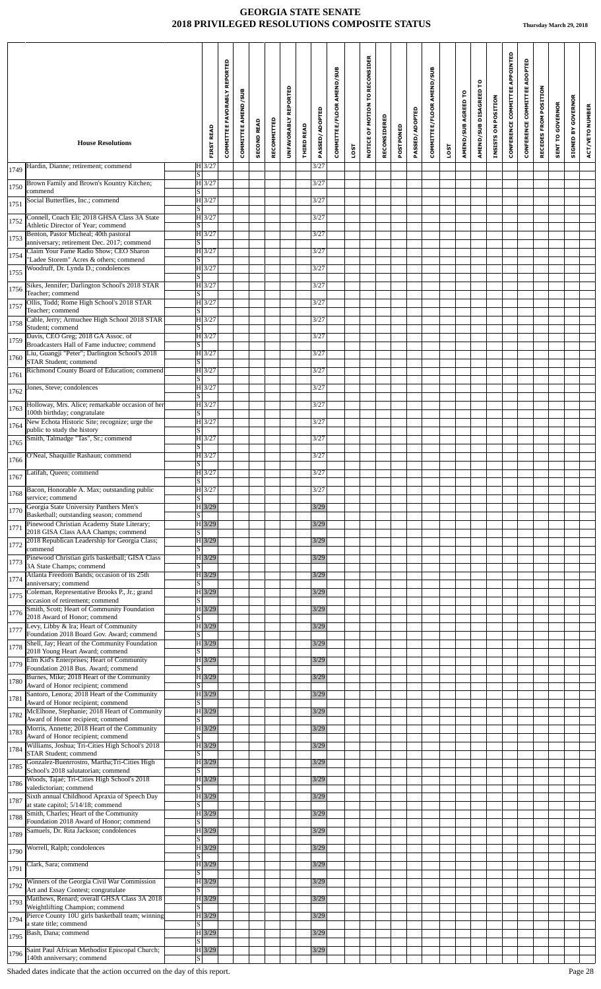|              | <b>House Resolutions</b>                                                                      | <b>FIRST READ</b>                        | <b>COMMITTEE FAVORABLY REPORTED</b> | COMMITTEE AMEND/SUB | <b>SECOND READ</b> | RECOMMITTED | <b>REPORTED</b><br><b>UNFAVORABLY</b> | <b>THIRD READ</b> | PASSED/ADOPTED | COMMITTEE/FLOOR AMEND/SUB |      | NOTICE OF MOTION TO RECONSIDER | RECONSIDERED | POSTPONED | PASSED/ADOPTED | COMMITTEE/FLOOR AMEND/SUB |      | AMEND/SUB AGREED TO | ဥ<br>AMEND/SUB DISAGREED | INSISTS ON POSITION | CONFERENCE COMMITTEE APPOINTED | CONFERENCE COMMITTEE ADOPTED | RECEDES FROM POSITION | <b>SENT TO GOVERNOR</b> | <b>SIGNED BY GOVERNOR</b> | ACT/VETO NUMBER |
|--------------|-----------------------------------------------------------------------------------------------|------------------------------------------|-------------------------------------|---------------------|--------------------|-------------|---------------------------------------|-------------------|----------------|---------------------------|------|--------------------------------|--------------|-----------|----------------|---------------------------|------|---------------------|--------------------------|---------------------|--------------------------------|------------------------------|-----------------------|-------------------------|---------------------------|-----------------|
|              | Hardin, Dianne; retirement; commend                                                           | $H$ 3/27                                 |                                     |                     |                    |             |                                       |                   | 3/27           |                           | LOST |                                |              |           |                |                           | LOST |                     |                          |                     |                                |                              |                       |                         |                           |                 |
| 1749         |                                                                                               | $\overline{s}$<br>H3/27                  |                                     |                     |                    |             |                                       |                   |                |                           |      |                                |              |           |                |                           |      |                     |                          |                     |                                |                              |                       |                         |                           |                 |
| 1750<br>1751 | Brown Family and Brown's Kountry Kitchen;<br>commend<br>Social Butterflies, Inc.; commend     | S <br>$H$ 3/27                           |                                     |                     |                    |             |                                       |                   | 3/27<br>3/27   |                           |      |                                |              |           |                |                           |      |                     |                          |                     |                                |                              |                       |                         |                           |                 |
| 1752         | Connell, Coach Eli; 2018 GHSA Class 3A State<br>Athletic Director of Year; commend            | $\overline{\mathbf{s}}$<br>$H$ 3/27<br>S |                                     |                     |                    |             |                                       |                   | 3/27           |                           |      |                                |              |           |                |                           |      |                     |                          |                     |                                |                              |                       |                         |                           |                 |
| 1753         | Benton, Pastor Micheal; 40th pastoral                                                         | $ H $ 3/27                               |                                     |                     |                    |             |                                       |                   | 3/27           |                           |      |                                |              |           |                |                           |      |                     |                          |                     |                                |                              |                       |                         |                           |                 |
|              | anniversary; retirement Dec. 2017; commend<br>Claim Your Fame Radio Show; CEO Sharon          | $\overline{s}$<br>$H\overline{3/27}$     |                                     |                     |                    |             |                                       |                   | 3/27           |                           |      |                                |              |           |                |                           |      |                     |                          |                     |                                |                              |                       |                         |                           |                 |
| 1754         | "Ladee Storem" Acres & others; commend<br>Woodruff, Dr. Lynda D.; condolences                 | $\overline{s}$<br>$H$ 3/27               |                                     |                     |                    |             |                                       |                   | 3/27           |                           |      |                                |              |           |                |                           |      |                     |                          |                     |                                |                              |                       |                         |                           |                 |
| 1755         |                                                                                               | $\overline{s}$                           |                                     |                     |                    |             |                                       |                   |                |                           |      |                                |              |           |                |                           |      |                     |                          |                     |                                |                              |                       |                         |                           |                 |
| 1756         | Sikes, Jennifer; Darlington School's 2018 STAR<br>Teacher: commend                            | $H$ 3/27<br>$\vert S \vert$              |                                     |                     |                    |             |                                       |                   | 3/27           |                           |      |                                |              |           |                |                           |      |                     |                          |                     |                                |                              |                       |                         |                           |                 |
| 1757         | Ollis, Todd; Rome High School's 2018 STAR<br>Teacher; commend                                 | $H\vert 3/27$<br> S                      |                                     |                     |                    |             |                                       |                   | 3/27           |                           |      |                                |              |           |                |                           |      |                     |                          |                     |                                |                              |                       |                         |                           |                 |
| 1758         | Cable, Jerry; Armuchee High School 2018 STAR                                                  | $H$ 3/27                                 |                                     |                     |                    |             |                                       |                   | 3/27           |                           |      |                                |              |           |                |                           |      |                     |                          |                     |                                |                              |                       |                         |                           |                 |
|              | Student; commend<br>Davis, CEO Greg; 2018 GA Assoc. of                                        | $\overline{s}$<br>H3/27                  |                                     |                     |                    |             |                                       |                   | 3/27           |                           |      |                                |              |           |                |                           |      |                     |                          |                     |                                |                              |                       |                         |                           |                 |
| 1759         | Broadcasters Hall of Fame inductee; commend<br>Liu, Guangji "Peter"; Darlington School's 2018 | $\vert S \vert$<br>$H\overline{3/27}$    |                                     |                     |                    |             |                                       |                   | 3/27           |                           |      |                                |              |           |                |                           |      |                     |                          |                     |                                |                              |                       |                         |                           |                 |
| 1760         | STAR Student; commend                                                                         | S                                        |                                     |                     |                    |             |                                       |                   |                |                           |      |                                |              |           |                |                           |      |                     |                          |                     |                                |                              |                       |                         |                           |                 |
| 1761         | Richmond County Board of Education; commend                                                   | $H$ 3/27<br>S                            |                                     |                     |                    |             |                                       |                   | 3/27           |                           |      |                                |              |           |                |                           |      |                     |                          |                     |                                |                              |                       |                         |                           |                 |
| 1762         | Jones, Steve; condolences                                                                     | $H$ 3/27<br>S                            |                                     |                     |                    |             |                                       |                   | 3/27           |                           |      |                                |              |           |                |                           |      |                     |                          |                     |                                |                              |                       |                         |                           |                 |
| 1763         | Holloway, Mrs. Alice; remarkable occasion of her                                              | H3/27                                    |                                     |                     |                    |             |                                       |                   | 3/27           |                           |      |                                |              |           |                |                           |      |                     |                          |                     |                                |                              |                       |                         |                           |                 |
| 1764         | 100th birthday; congratulate<br>New Echota Historic Site; recognize; urge the                 | S<br>$H\vert 3/27$                       |                                     |                     |                    |             |                                       |                   | 3/27           |                           |      |                                |              |           |                |                           |      |                     |                          |                     |                                |                              |                       |                         |                           |                 |
|              | public to study the history<br>Smith, Talmadge "Tas", Sr.; commend                            | $\overline{s}$<br>$H$ 3/27               |                                     |                     |                    |             |                                       |                   | 3/27           |                           |      |                                |              |           |                |                           |      |                     |                          |                     |                                |                              |                       |                         |                           |                 |
| 1765         |                                                                                               | $\overline{s}$                           |                                     |                     |                    |             |                                       |                   |                |                           |      |                                |              |           |                |                           |      |                     |                          |                     |                                |                              |                       |                         |                           |                 |
| 1766         | O'Neal, Shaquille Rashaun; commend                                                            | H3/27<br> S                              |                                     |                     |                    |             |                                       |                   | 3/27           |                           |      |                                |              |           |                |                           |      |                     |                          |                     |                                |                              |                       |                         |                           |                 |
| 1767         | Latifah, Queen; commend                                                                       | $ H $ 3/27<br> S                         |                                     |                     |                    |             |                                       |                   | 3/27<br>3/27   |                           |      |                                |              |           |                |                           |      |                     |                          |                     |                                |                              |                       |                         |                           |                 |
| 1768         | Bacon, Honorable A. Max; outstanding public<br>service; commend                               | $H$ 3/27<br>$\overline{s}$               |                                     |                     |                    |             |                                       |                   |                |                           |      |                                |              |           |                |                           |      |                     |                          |                     |                                |                              |                       |                         |                           |                 |
| 1770         | Georgia State University Panthers Men's<br>Basketball; outstanding season; commend            | $H \overline{3/29}$<br> S                |                                     |                     |                    |             |                                       |                   | 3/29           |                           |      |                                |              |           |                |                           |      |                     |                          |                     |                                |                              |                       |                         |                           |                 |
| 1771         | Pinewood Christian Academy State Literary;<br>2018 GISA Class AAA Champs; commend             | $H\overline{3/29}$<br>S                  |                                     |                     |                    |             |                                       |                   | 3/29           |                           |      |                                |              |           |                |                           |      |                     |                          |                     |                                |                              |                       |                         |                           |                 |
| 1772         | 2018 Republican Leadership for Georgia Class;                                                 | $H$ 3/29                                 |                                     |                     |                    |             |                                       |                   | 3/29           |                           |      |                                |              |           |                |                           |      |                     |                          |                     |                                |                              |                       |                         |                           |                 |
| 1773         | commend<br>Pinewood Christian girls basketball; GISA Class                                    | S  <br>$H$ 3/29                          |                                     |                     |                    |             |                                       |                   | 3/29           |                           |      |                                |              |           |                |                           |      |                     |                          |                     |                                |                              |                       |                         |                           |                 |
|              | 3A State Champs; commend<br>Atlanta Freedom Bands; occasion of its 25th                       | S.<br>$H\overline{3/29}$                 |                                     |                     |                    |             |                                       |                   | 3/29           |                           |      |                                |              |           |                |                           |      |                     |                          |                     |                                |                              |                       |                         |                           |                 |
| 1774         | anniversary; commend                                                                          | S                                        |                                     |                     |                    |             |                                       |                   |                |                           |      |                                |              |           |                |                           |      |                     |                          |                     |                                |                              |                       |                         |                           |                 |
| 1775         | Coleman, Representative Brooks P., Jr.; grand<br>occasion of retirement; commend              | $H \mid 3/29$<br>S                       |                                     |                     |                    |             |                                       |                   | 3/29           |                           |      |                                |              |           |                |                           |      |                     |                          |                     |                                |                              |                       |                         |                           |                 |
| 1776         | Smith, Scott; Heart of Community Foundation<br>2018 Award of Honor; commend                   | $H$ 3/29<br>$\overline{s}$               |                                     |                     |                    |             |                                       |                   | 3/29           |                           |      |                                |              |           |                |                           |      |                     |                          |                     |                                |                              |                       |                         |                           |                 |
| 1777         | Levy, Libby & Ira; Heart of Community<br>Foundation 2018 Board Gov. Award; commend            | $H$ 3/29<br> S                           |                                     |                     |                    |             |                                       |                   | 3/29           |                           |      |                                |              |           |                |                           |      |                     |                          |                     |                                |                              |                       |                         |                           |                 |
| 1778         | Shell, Jay; Heart of the Community Foundation                                                 | $H\overline{3/29}$                       |                                     |                     |                    |             |                                       |                   | 3/29           |                           |      |                                |              |           |                |                           |      |                     |                          |                     |                                |                              |                       |                         |                           |                 |
|              | 2018 Young Heart Award; commend<br>Elm Kid's Enterprises; Heart of Community                  | S <br>$H \overline{3/29}$                |                                     |                     |                    |             |                                       |                   | 3/29           |                           |      |                                |              |           |                |                           |      |                     |                          |                     |                                |                              |                       |                         |                           |                 |
| 1779         | Foundation 2018 Bus. Award; commend<br>Burnes, Mike; 2018 Heart of the Community              | $\vert S \vert$<br>$H$ 3/29              |                                     |                     |                    |             |                                       |                   | 3/29           |                           |      |                                |              |           |                |                           |      |                     |                          |                     |                                |                              |                       |                         |                           |                 |
| 1780         | Award of Honor recipient; commend                                                             | $\vert S \vert$                          |                                     |                     |                    |             |                                       |                   |                |                           |      |                                |              |           |                |                           |      |                     |                          |                     |                                |                              |                       |                         |                           |                 |
| 1781         | Santoro, Lenora; 2018 Heart of the Community<br>Award of Honor recipient; commend             | $H$ 3/29<br> S                           |                                     |                     |                    |             |                                       |                   | 3/29           |                           |      |                                |              |           |                |                           |      |                     |                          |                     |                                |                              |                       |                         |                           |                 |
| 1782         | McElhone, Stephanie; 2018 Heart of Community<br>Award of Honor recipient; commend             | $H$ 3/29<br>S.                           |                                     |                     |                    |             |                                       |                   | 3/29           |                           |      |                                |              |           |                |                           |      |                     |                          |                     |                                |                              |                       |                         |                           |                 |
| 1783         | Morris, Annette; 2018 Heart of the Community                                                  | $H$ 3/29                                 |                                     |                     |                    |             |                                       |                   | 3/29           |                           |      |                                |              |           |                |                           |      |                     |                          |                     |                                |                              |                       |                         |                           |                 |
| 1784         | Award of Honor recipient; commend<br>Williams, Joshua; Tri-Cities High School's 2018          | $\overline{S}$<br>$H\overline{3/29}$     |                                     |                     |                    |             |                                       |                   | 3/29           |                           |      |                                |              |           |                |                           |      |                     |                          |                     |                                |                              |                       |                         |                           |                 |
|              | STAR Student; commend<br>Gonzalez-Buenrrostro, Martha; Tri-Cities High                        | S <br>$H$ 3/29                           |                                     |                     |                    |             |                                       |                   | 3/29           |                           |      |                                |              |           |                |                           |      |                     |                          |                     |                                |                              |                       |                         |                           |                 |
| 1785         | School's 2018 salutatorian; commend<br>Woods, Tajaé; Tri-Cities High School's 2018            | $\overline{s}$<br>$H$ 3/29               |                                     |                     |                    |             |                                       |                   | 3/29           |                           |      |                                |              |           |                |                           |      |                     |                          |                     |                                |                              |                       |                         |                           |                 |
| 1786         | valedictorian; commend                                                                        | $\overline{s}$                           |                                     |                     |                    |             |                                       |                   |                |                           |      |                                |              |           |                |                           |      |                     |                          |                     |                                |                              |                       |                         |                           |                 |
| 1787         | Sixth annual Childhood Apraxia of Speech Day<br>at state capitol; 5/14/18; commend            | $H$ 3/29<br> S                           |                                     |                     |                    |             |                                       |                   | 3/29           |                           |      |                                |              |           |                |                           |      |                     |                          |                     |                                |                              |                       |                         |                           |                 |
| 1788         | Smith, Charles; Heart of the Community<br>Foundation 2018 Award of Honor; commend             | $H\overline{3/29}$<br>$\overline{s}$     |                                     |                     |                    |             |                                       |                   | 3/29           |                           |      |                                |              |           |                |                           |      |                     |                          |                     |                                |                              |                       |                         |                           |                 |
| 1789         | Samuels, Dr. Rita Jackson; condolences                                                        | $H \mid 3/29$<br>$\vert S \vert$         |                                     |                     |                    |             |                                       |                   | 3/29           |                           |      |                                |              |           |                |                           |      |                     |                          |                     |                                |                              |                       |                         |                           |                 |
| 1790         | Worrell, Ralph; condolences                                                                   | $H$ 3/29                                 |                                     |                     |                    |             |                                       |                   | 3/29           |                           |      |                                |              |           |                |                           |      |                     |                          |                     |                                |                              |                       |                         |                           |                 |
|              | Clark, Sara; commend                                                                          | $\vert S \vert$<br>$H\overline{3/29}$    |                                     |                     |                    |             |                                       |                   | 3/29           |                           |      |                                |              |           |                |                           |      |                     |                          |                     |                                |                              |                       |                         |                           |                 |
| 1791         | Winners of the Georgia Civil War Commission                                                   | <sub>S</sub><br>$H$ 3/29                 |                                     |                     |                    |             |                                       |                   | 3/29           |                           |      |                                |              |           |                |                           |      |                     |                          |                     |                                |                              |                       |                         |                           |                 |
| 1792         | Art and Essay Contest; congratulate                                                           | $\overline{S}$                           |                                     |                     |                    |             |                                       |                   |                |                           |      |                                |              |           |                |                           |      |                     |                          |                     |                                |                              |                       |                         |                           |                 |
| 1793         | Matthews, Renard; overall GHSA Class 3A 2018<br>Weightlifting Champion; commend               | $H\overline{3/29}$<br>$\vert S \vert$    |                                     |                     |                    |             |                                       |                   | 3/29           |                           |      |                                |              |           |                |                           |      |                     |                          |                     |                                |                              |                       |                         |                           |                 |
| 1794         | Pierce County 10U girls basketball team; winning<br>a state title; commend                    | $H$ 3/29<br>$\overline{s}$               |                                     |                     |                    |             |                                       |                   | 3/29           |                           |      |                                |              |           |                |                           |      |                     |                          |                     |                                |                              |                       |                         |                           |                 |
| 1795         | Bash, Dana; commend                                                                           | $H$ 3/29<br>$\overline{s}$               |                                     |                     |                    |             |                                       |                   | 3/29           |                           |      |                                |              |           |                |                           |      |                     |                          |                     |                                |                              |                       |                         |                           |                 |
| 1796         | Saint Paul African Methodist Episcopal Church;                                                | $H$ 3/29                                 |                                     |                     |                    |             |                                       |                   | 3/29           |                           |      |                                |              |           |                |                           |      |                     |                          |                     |                                |                              |                       |                         |                           |                 |
|              | 140th anniversary; commend                                                                    | S                                        |                                     |                     |                    |             |                                       |                   |                |                           |      |                                |              |           |                |                           |      |                     |                          |                     |                                |                              |                       |                         |                           |                 |